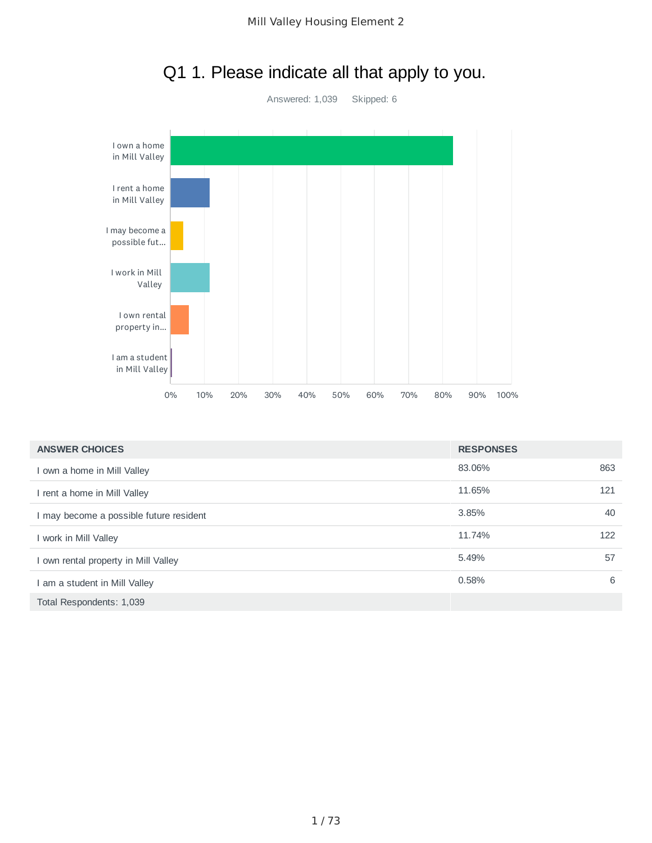

## Q1 1. Please indicate all that apply to you.

| <b>ANSWER CHOICES</b>                   | <b>RESPONSES</b> |     |
|-----------------------------------------|------------------|-----|
| I own a home in Mill Valley             | 83.06%           | 863 |
| I rent a home in Mill Valley            | 11.65%           | 121 |
| I may become a possible future resident | 3.85%            | 40  |
| I work in Mill Valley                   | 11.74%           | 122 |
| I own rental property in Mill Valley    | 5.49%            | 57  |
| I am a student in Mill Valley           | 0.58%            | 6   |
| Total Respondents: 1,039                |                  |     |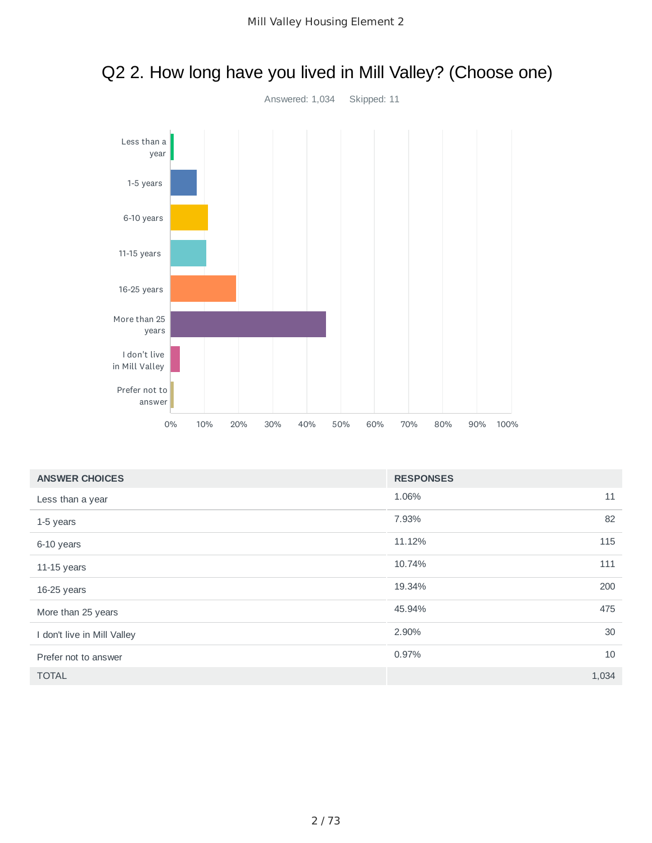

## Q2 2. How long have you lived in Mill Valley? (Choose one)

| <b>ANSWER CHOICES</b>       | <b>RESPONSES</b> |       |
|-----------------------------|------------------|-------|
| Less than a year            | 1.06%            | 11    |
| 1-5 years                   | 7.93%            | 82    |
| 6-10 years                  | 11.12%           | 115   |
| 11-15 years                 | 10.74%           | 111   |
| 16-25 years                 | 19.34%           | 200   |
| More than 25 years          | 45.94%           | 475   |
| I don't live in Mill Valley | 2.90%            | 30    |
| Prefer not to answer        | 0.97%            | 10    |
| <b>TOTAL</b>                |                  | 1,034 |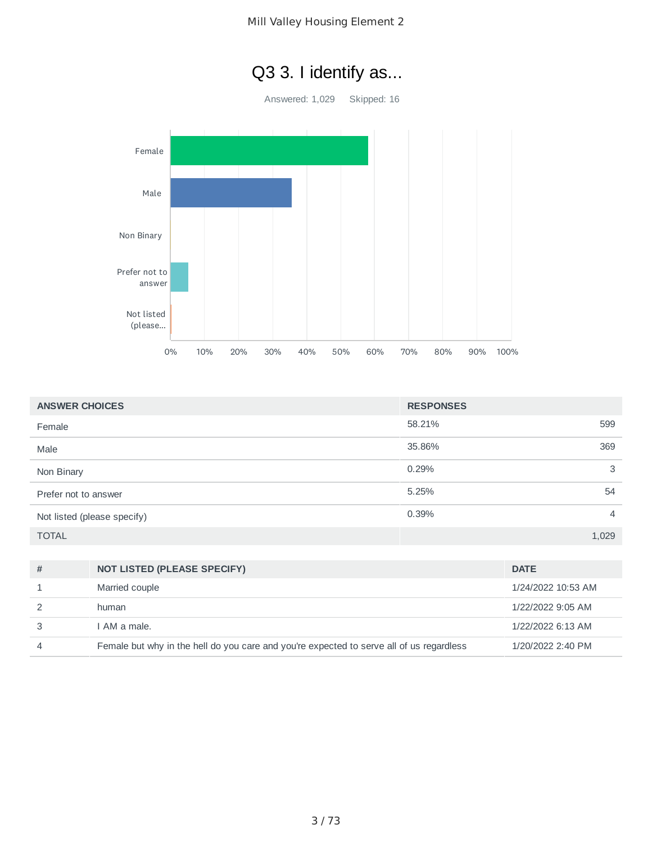## Q3 3. I identify as...

Answered: 1,029 Skipped: 16



| <b>ANSWER CHOICES</b>       | <b>RESPONSES</b>        |
|-----------------------------|-------------------------|
| Female                      | 58.21%<br>599           |
| Male                        | 35.86%<br>369           |
| Non Binary                  | 0.29%<br>3              |
| Prefer not to answer        | 5.25%<br>54             |
| Not listed (please specify) | 0.39%<br>$\overline{4}$ |
| <b>TOTAL</b>                | 1,029                   |

| # | <b>NOT LISTED (PLEASE SPECIFY)</b>                                                       | <b>DATE</b>        |
|---|------------------------------------------------------------------------------------------|--------------------|
|   | Married couple                                                                           | 1/24/2022 10:53 AM |
|   | human                                                                                    | 1/22/2022 9:05 AM  |
|   | I AM a male.                                                                             | 1/22/2022 6:13 AM  |
|   | Female but why in the hell do you care and you're expected to serve all of us regardless | 1/20/2022 2:40 PM  |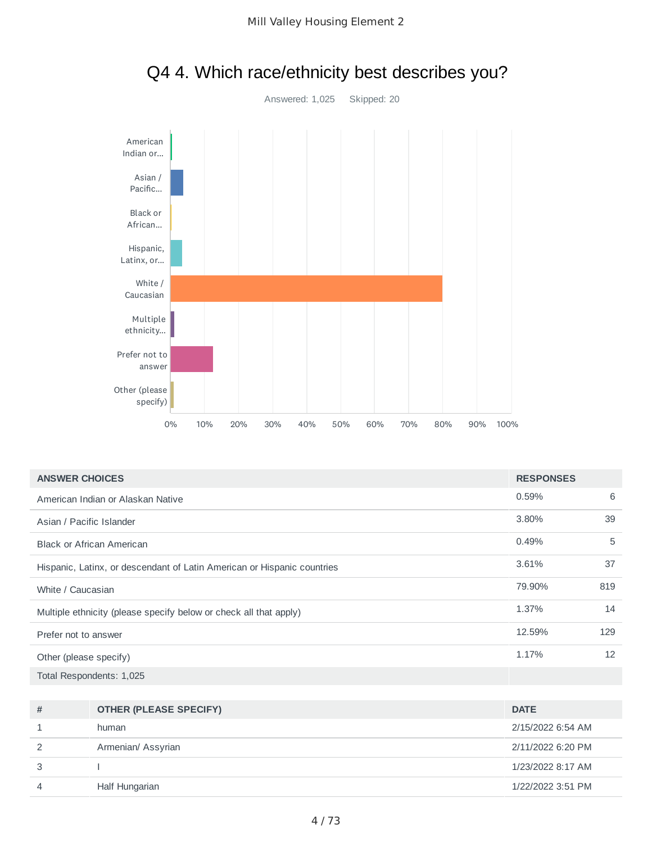

| Q4 4. Which race/ethnicity best describes you? |
|------------------------------------------------|
|------------------------------------------------|

| <b>ANSWER CHOICES</b>                                                   | <b>RESPONSES</b> |     |
|-------------------------------------------------------------------------|------------------|-----|
| American Indian or Alaskan Native                                       | 0.59%            | 6   |
| Asian / Pacific Islander                                                | 3.80%            | 39  |
| <b>Black or African American</b>                                        | 0.49%            | 5   |
| Hispanic, Latinx, or descendant of Latin American or Hispanic countries | 3.61%            | 37  |
| White / Caucasian                                                       | 79.90%           | 819 |
| Multiple ethnicity (please specify below or check all that apply)       | 1.37%            | 14  |
| Prefer not to answer                                                    | 12.59%           | 129 |
| Other (please specify)                                                  | 1.17%            | 12  |
| Total Respondents: 1,025                                                |                  |     |

| # | <b>OTHER (PLEASE SPECIFY)</b> | <b>DATE</b>       |
|---|-------------------------------|-------------------|
|   | human                         | 2/15/2022 6:54 AM |
| 2 | Armenian/ Assyrian            | 2/11/2022 6:20 PM |
| 3 |                               | 1/23/2022 8:17 AM |
| 4 | Half Hungarian                | 1/22/2022 3:51 PM |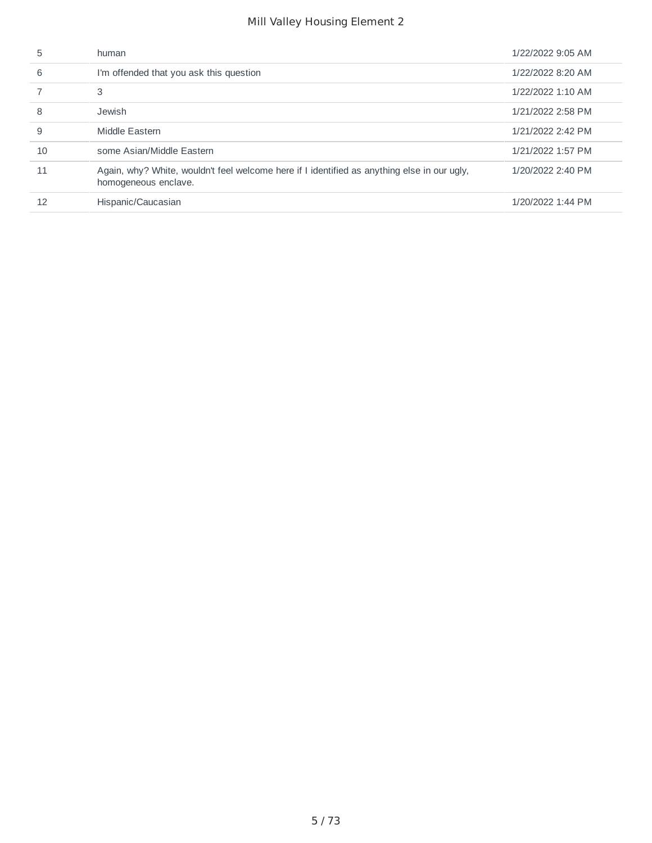| 5  | human                                                                                                               | 1/22/2022 9:05 AM |
|----|---------------------------------------------------------------------------------------------------------------------|-------------------|
| 6  | I'm offended that you ask this question                                                                             | 1/22/2022 8:20 AM |
|    | 3                                                                                                                   | 1/22/2022 1:10 AM |
| 8  | Jewish                                                                                                              | 1/21/2022 2:58 PM |
| 9  | Middle Eastern                                                                                                      | 1/21/2022 2:42 PM |
| 10 | some Asian/Middle Eastern                                                                                           | 1/21/2022 1:57 PM |
| 11 | Again, why? White, wouldn't feel welcome here if I identified as anything else in our ugly,<br>homogeneous enclave. | 1/20/2022 2:40 PM |
| 12 | Hispanic/Caucasian                                                                                                  | 1/20/2022 1:44 PM |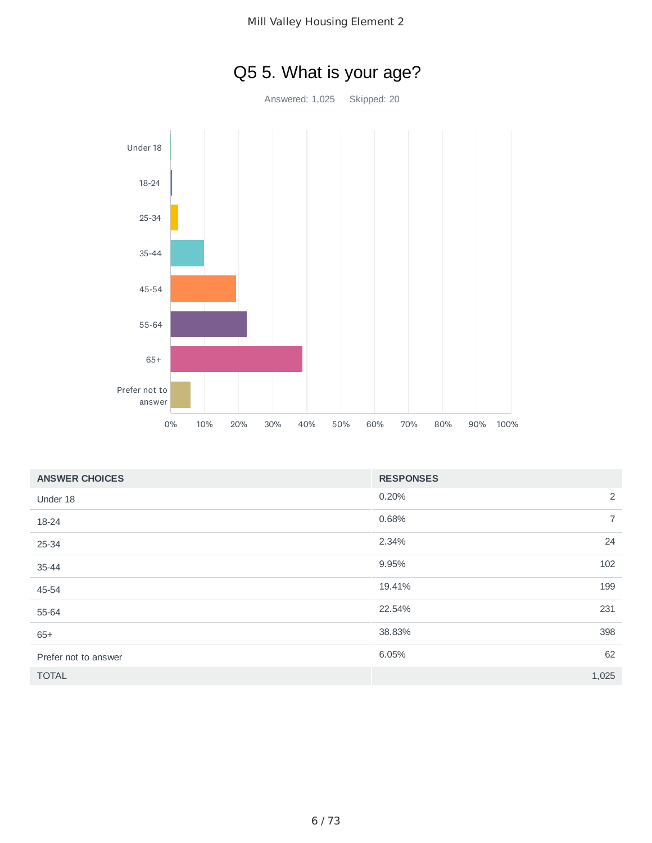

| <b>ANSWER CHOICES</b> | <b>RESPONSES</b>        |
|-----------------------|-------------------------|
| Under 18              | 2<br>0.20%              |
| 18-24                 | $\overline{7}$<br>0.68% |
| 25-34                 | 24<br>2.34%             |
| 35-44                 | 102<br>9.95%            |
| 45-54                 | 19.41%<br>199           |
| 55-64                 | 22.54%<br>231           |
| $65+$                 | 398<br>38.83%           |
| Prefer not to answer  | 62<br>6.05%             |
| <b>TOTAL</b>          | 1,025                   |

# Q5 5. What is your age?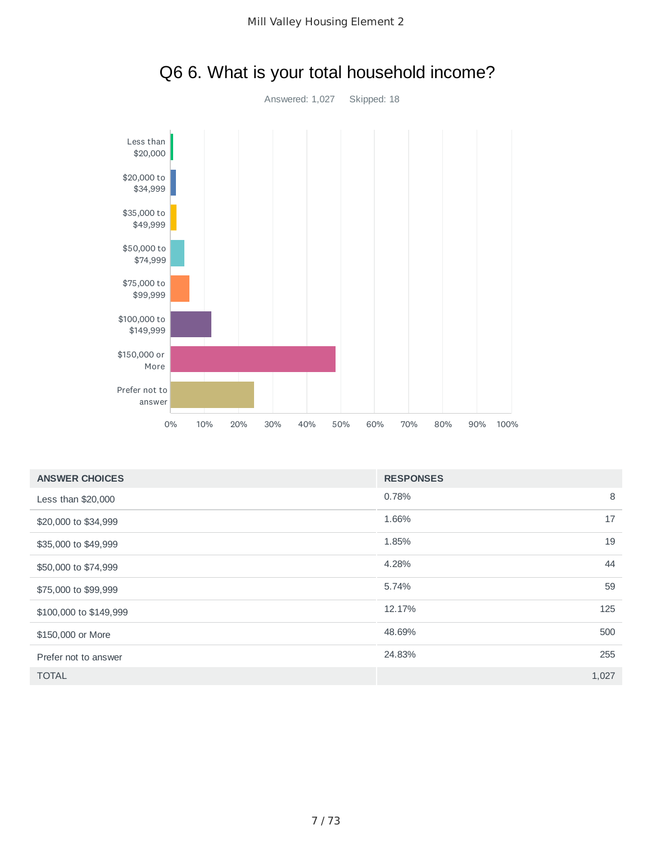

### Q6 6. What is your total household income?

| <b>ANSWER CHOICES</b>  | <b>RESPONSES</b> |       |
|------------------------|------------------|-------|
| Less than \$20,000     | 0.78%            | 8     |
| \$20,000 to \$34,999   | 1.66%            | 17    |
| \$35,000 to \$49,999   | 1.85%            | 19    |
| \$50,000 to \$74,999   | 4.28%            | 44    |
| \$75,000 to \$99,999   | 5.74%            | 59    |
| \$100,000 to \$149,999 | 12.17%           | 125   |
| \$150,000 or More      | 48.69%           | 500   |
| Prefer not to answer   | 24.83%           | 255   |
| <b>TOTAL</b>           |                  | 1,027 |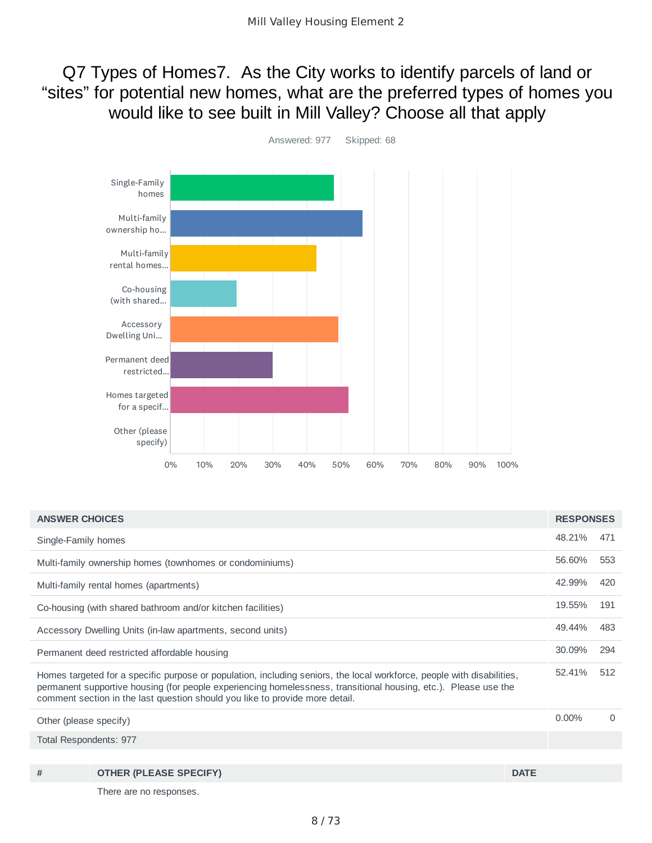Q7 Types of Homes7. As the City works to identify parcels of land or "sites" for potential new homes, what are the preferred types of homes you would like to see built in Mill Valley? Choose all that apply



| <b>ANSWER CHOICES</b>                                                                                                                                                                                                                                                                                                     |                                                             |             | <b>RESPONSES</b> |     |
|---------------------------------------------------------------------------------------------------------------------------------------------------------------------------------------------------------------------------------------------------------------------------------------------------------------------------|-------------------------------------------------------------|-------------|------------------|-----|
| Single-Family homes                                                                                                                                                                                                                                                                                                       |                                                             |             |                  |     |
|                                                                                                                                                                                                                                                                                                                           | Multi-family ownership homes (townhomes or condominiums)    |             | 56.60%           | 553 |
|                                                                                                                                                                                                                                                                                                                           | Multi-family rental homes (apartments)                      |             | 42.99%           | 420 |
|                                                                                                                                                                                                                                                                                                                           | Co-housing (with shared bathroom and/or kitchen facilities) |             | 19.55%           | 191 |
| 49.44%<br>Accessory Dwelling Units (in-law apartments, second units)                                                                                                                                                                                                                                                      |                                                             |             |                  |     |
| Permanent deed restricted affordable housing                                                                                                                                                                                                                                                                              |                                                             |             |                  |     |
| Homes targeted for a specific purpose or population, including seniors, the local workforce, people with disabilities,<br>permanent supportive housing (for people experiencing homelessness, transitional housing, etc.). Please use the<br>comment section in the last question should you like to provide more detail. |                                                             |             | 52.41%           | 512 |
| Other (please specify)                                                                                                                                                                                                                                                                                                    |                                                             |             | $0.00\%$         | 0   |
| Total Respondents: 977                                                                                                                                                                                                                                                                                                    |                                                             |             |                  |     |
|                                                                                                                                                                                                                                                                                                                           |                                                             |             |                  |     |
| #                                                                                                                                                                                                                                                                                                                         | <b>OTHER (PLEASE SPECIFY)</b>                               | <b>DATE</b> |                  |     |
|                                                                                                                                                                                                                                                                                                                           | There are no responses.                                     |             |                  |     |

8 / 73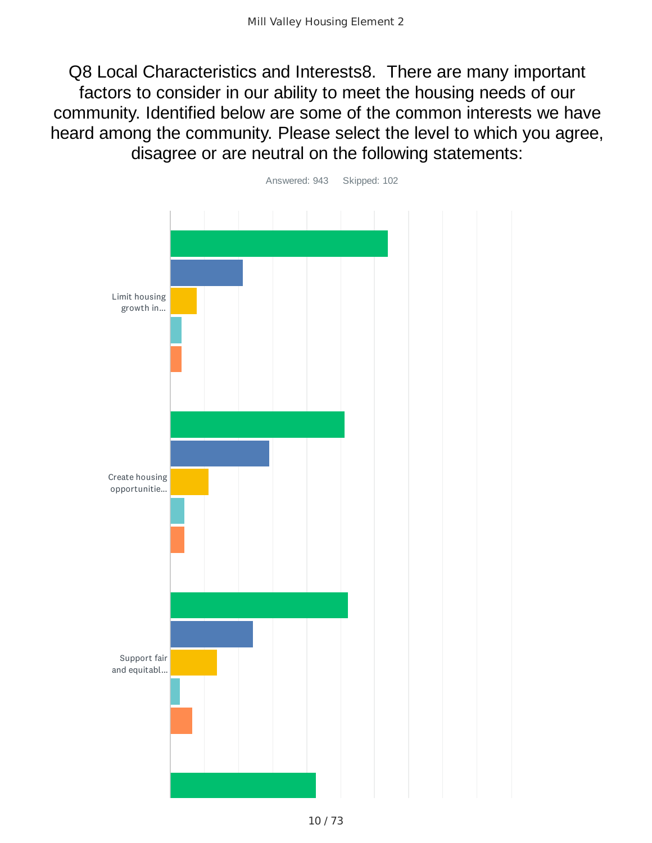Q8 Local Characteristics and Interests8. There are many important factors to consider in our ability to meet the housing needs of our community. Identified below are some of the common interests we have heard among the community. Please select the level to which you agree, disagree or are neutral on the following statements:

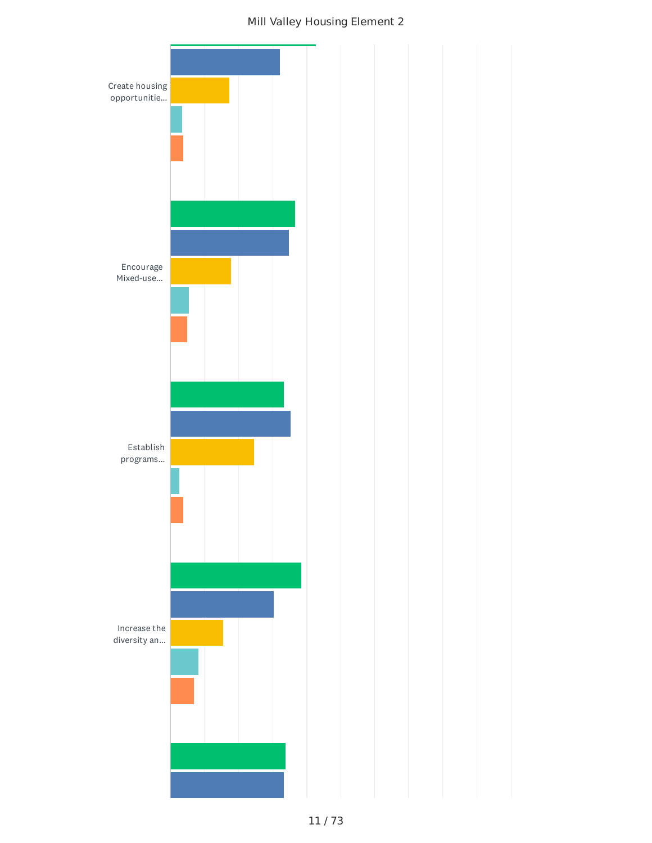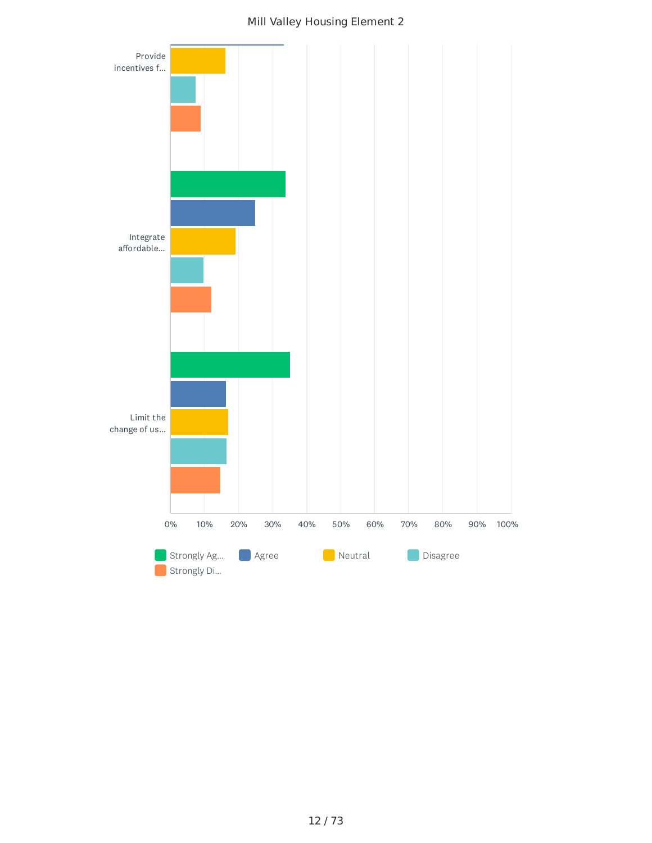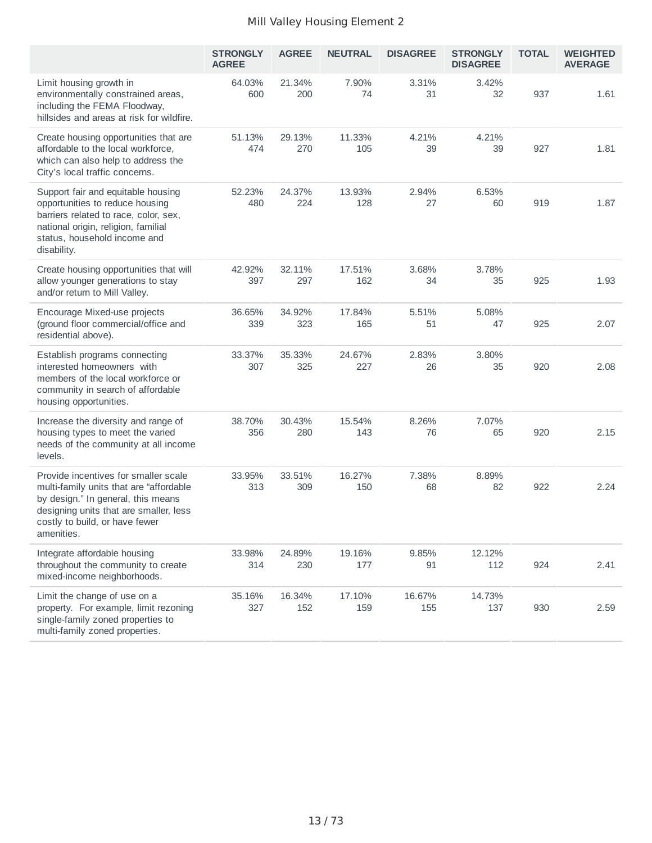|                                                                                                                                                                                                                 | <b>STRONGLY</b><br><b>AGREE</b> | <b>AGREE</b>  | <b>NEUTRAL</b> | <b>DISAGREE</b> | <b>STRONGLY</b><br><b>DISAGREE</b> | <b>TOTAL</b> | <b>WEIGHTED</b><br><b>AVERAGE</b> |
|-----------------------------------------------------------------------------------------------------------------------------------------------------------------------------------------------------------------|---------------------------------|---------------|----------------|-----------------|------------------------------------|--------------|-----------------------------------|
| Limit housing growth in<br>environmentally constrained areas,<br>including the FEMA Floodway,<br>hillsides and areas at risk for wildfire.                                                                      | 64.03%<br>600                   | 21.34%<br>200 | 7.90%<br>74    | 3.31%<br>31     | 3.42%<br>32                        | 937          | 1.61                              |
| Create housing opportunities that are<br>affordable to the local workforce,<br>which can also help to address the<br>City's local traffic concerns.                                                             | 51.13%<br>474                   | 29.13%<br>270 | 11.33%<br>105  | 4.21%<br>39     | 4.21%<br>39                        | 927          | 1.81                              |
| Support fair and equitable housing<br>opportunities to reduce housing<br>barriers related to race, color, sex,<br>national origin, religion, familial<br>status, household income and<br>disability.            | 52.23%<br>480                   | 24.37%<br>224 | 13.93%<br>128  | 2.94%<br>27     | 6.53%<br>60                        | 919          | 1.87                              |
| Create housing opportunities that will<br>allow younger generations to stay<br>and/or return to Mill Valley.                                                                                                    | 42.92%<br>397                   | 32.11%<br>297 | 17.51%<br>162  | 3.68%<br>34     | 3.78%<br>35                        | 925          | 1.93                              |
| Encourage Mixed-use projects<br>(ground floor commercial/office and<br>residential above).                                                                                                                      | 36.65%<br>339                   | 34.92%<br>323 | 17.84%<br>165  | 5.51%<br>51     | 5.08%<br>47                        | 925          | 2.07                              |
| Establish programs connecting<br>interested homeowners with<br>members of the local workforce or<br>community in search of affordable<br>housing opportunities.                                                 | 33.37%<br>307                   | 35.33%<br>325 | 24.67%<br>227  | 2.83%<br>26     | 3.80%<br>35                        | 920          | 2.08                              |
| Increase the diversity and range of<br>housing types to meet the varied<br>needs of the community at all income<br>levels.                                                                                      | 38.70%<br>356                   | 30.43%<br>280 | 15.54%<br>143  | 8.26%<br>76     | 7.07%<br>65                        | 920          | 2.15                              |
| Provide incentives for smaller scale<br>multi-family units that are "affordable<br>by design." In general, this means<br>designing units that are smaller, less<br>costly to build, or have fewer<br>amenities. | 33.95%<br>313                   | 33.51%<br>309 | 16.27%<br>150  | 7.38%<br>68     | 8.89%<br>82                        | 922          | 2.24                              |
| Integrate affordable housing<br>throughout the community to create<br>mixed-income neighborhoods.                                                                                                               | 33.98%<br>314                   | 24.89%<br>230 | 19.16%<br>177  | 9.85%<br>91     | 12.12%<br>112                      | 924          | 2.41                              |
| Limit the change of use on a<br>property. For example, limit rezoning<br>single-family zoned properties to<br>multi-family zoned properties.                                                                    | 35.16%<br>327                   | 16.34%<br>152 | 17.10%<br>159  | 16.67%<br>155   | 14.73%<br>137                      | 930          | 2.59                              |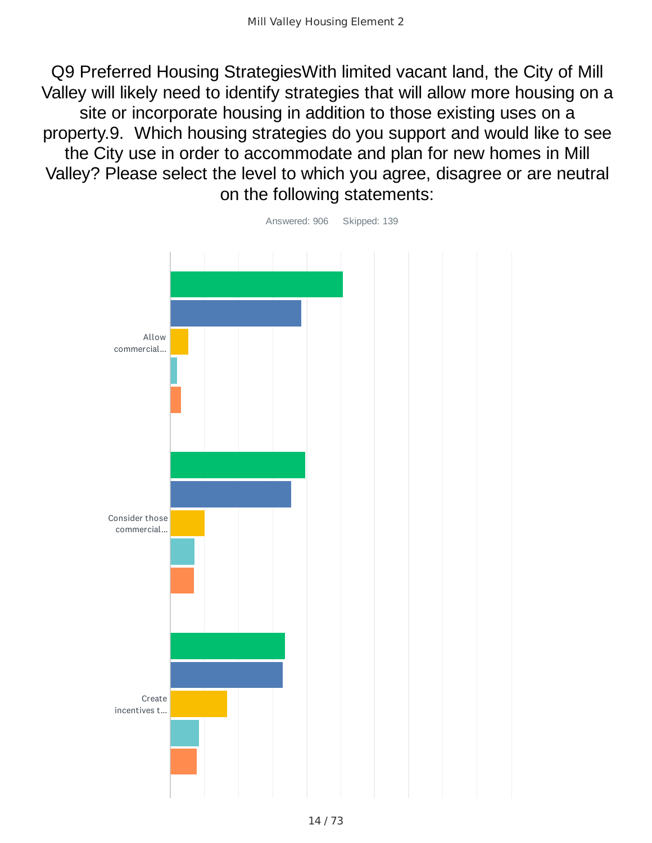Q9 Preferred Housing StrategiesWith limited vacant land, the City of Mill Valley will likely need to identify strategies that will allow more housing on a site or incorporate housing in addition to those existing uses on a property.9. Which housing strategies do you support and would like to see the City use in order to accommodate and plan for new homes in Mill Valley? Please select the level to which you agree, disagree or are neutral on the following statements:



14 / 73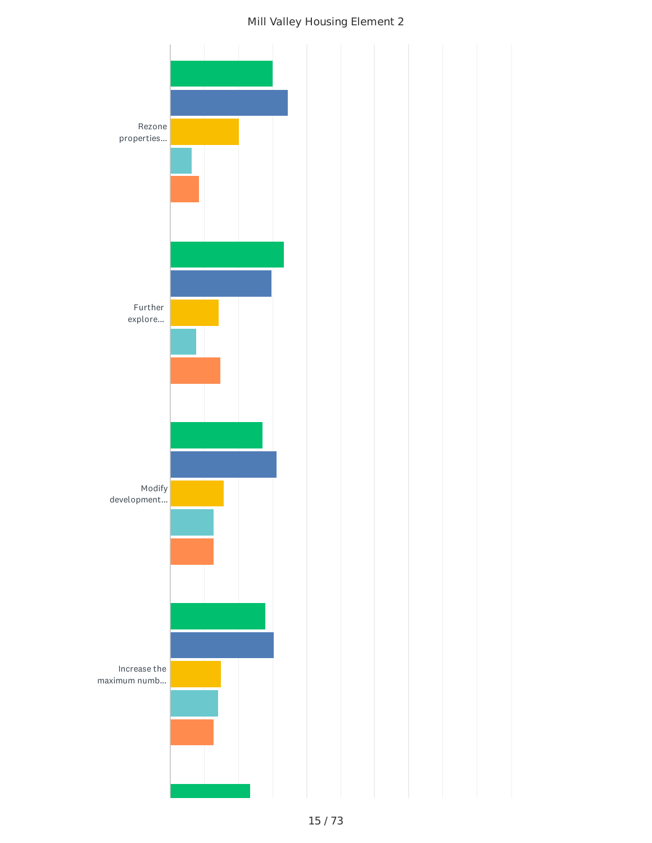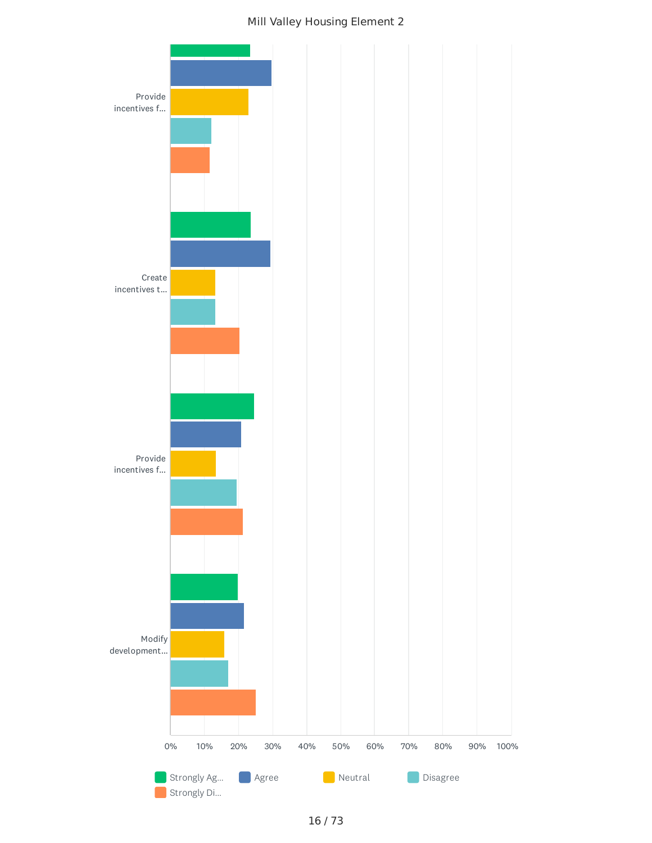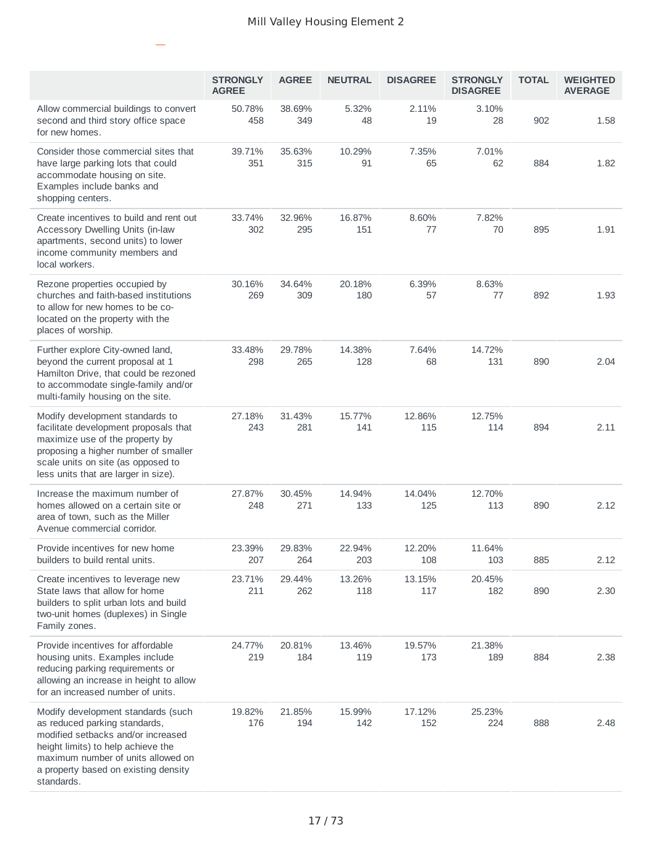|                                                                                                                                                                                                                                             | <b>STRONGLY</b><br><b>AGREE</b> | <b>AGREE</b>  | <b>NEUTRAL</b> | <b>DISAGREE</b> | <b>STRONGLY</b><br><b>DISAGREE</b> | <b>TOTAL</b> | <b>WEIGHTED</b><br><b>AVERAGE</b> |
|---------------------------------------------------------------------------------------------------------------------------------------------------------------------------------------------------------------------------------------------|---------------------------------|---------------|----------------|-----------------|------------------------------------|--------------|-----------------------------------|
| Allow commercial buildings to convert<br>second and third story office space<br>for new homes.                                                                                                                                              | 50.78%<br>458                   | 38.69%<br>349 | 5.32%<br>48    | 2.11%<br>19     | 3.10%<br>28                        | 902          | 1.58                              |
| Consider those commercial sites that<br>have large parking lots that could<br>accommodate housing on site.<br>Examples include banks and<br>shopping centers.                                                                               | 39.71%<br>351                   | 35.63%<br>315 | 10.29%<br>91   | 7.35%<br>65     | 7.01%<br>62                        | 884          | 1.82                              |
| Create incentives to build and rent out<br>Accessory Dwelling Units (in-law<br>apartments, second units) to lower<br>income community members and<br>local workers.                                                                         | 33.74%<br>302                   | 32.96%<br>295 | 16.87%<br>151  | 8.60%<br>77     | 7.82%<br>70                        | 895          | 1.91                              |
| Rezone properties occupied by<br>churches and faith-based institutions<br>to allow for new homes to be co-<br>located on the property with the<br>places of worship.                                                                        | 30.16%<br>269                   | 34.64%<br>309 | 20.18%<br>180  | 6.39%<br>57     | 8.63%<br>77                        | 892          | 1.93                              |
| Further explore City-owned land,<br>beyond the current proposal at 1<br>Hamilton Drive, that could be rezoned<br>to accommodate single-family and/or<br>multi-family housing on the site.                                                   | 33.48%<br>298                   | 29.78%<br>265 | 14.38%<br>128  | 7.64%<br>68     | 14.72%<br>131                      | 890          | 2.04                              |
| Modify development standards to<br>facilitate development proposals that<br>maximize use of the property by<br>proposing a higher number of smaller<br>scale units on site (as opposed to<br>less units that are larger in size).           | 27.18%<br>243                   | 31.43%<br>281 | 15.77%<br>141  | 12.86%<br>115   | 12.75%<br>114                      | 894          | 2.11                              |
| Increase the maximum number of<br>homes allowed on a certain site or<br>area of town, such as the Miller<br>Avenue commercial corridor.                                                                                                     | 27.87%<br>248                   | 30.45%<br>271 | 14.94%<br>133  | 14.04%<br>125   | 12.70%<br>113                      | 890          | 2.12                              |
| Provide incentives for new home<br>builders to build rental units.                                                                                                                                                                          | 23.39%<br>207                   | 29.83%<br>264 | 22.94%<br>203  | 12.20%<br>108   | 11.64%<br>103                      | 885          | 2.12                              |
| Create incentives to leverage new<br>State laws that allow for home<br>builders to split urban lots and build<br>two-unit homes (duplexes) in Single<br>Family zones.                                                                       | 23.71%<br>211                   | 29.44%<br>262 | 13.26%<br>118  | 13.15%<br>117   | 20.45%<br>182                      | 890          | 2.30                              |
| Provide incentives for affordable<br>housing units. Examples include<br>reducing parking requirements or<br>allowing an increase in height to allow<br>for an increased number of units.                                                    | 24.77%<br>219                   | 20.81%<br>184 | 13.46%<br>119  | 19.57%<br>173   | 21.38%<br>189                      | 884          | 2.38                              |
| Modify development standards (such<br>as reduced parking standards,<br>modified setbacks and/or increased<br>height limits) to help achieve the<br>maximum number of units allowed on<br>a property based on existing density<br>standards. | 19.82%<br>176                   | 21.85%<br>194 | 15.99%<br>142  | 17.12%<br>152   | 25.23%<br>224                      | 888          | 2.48                              |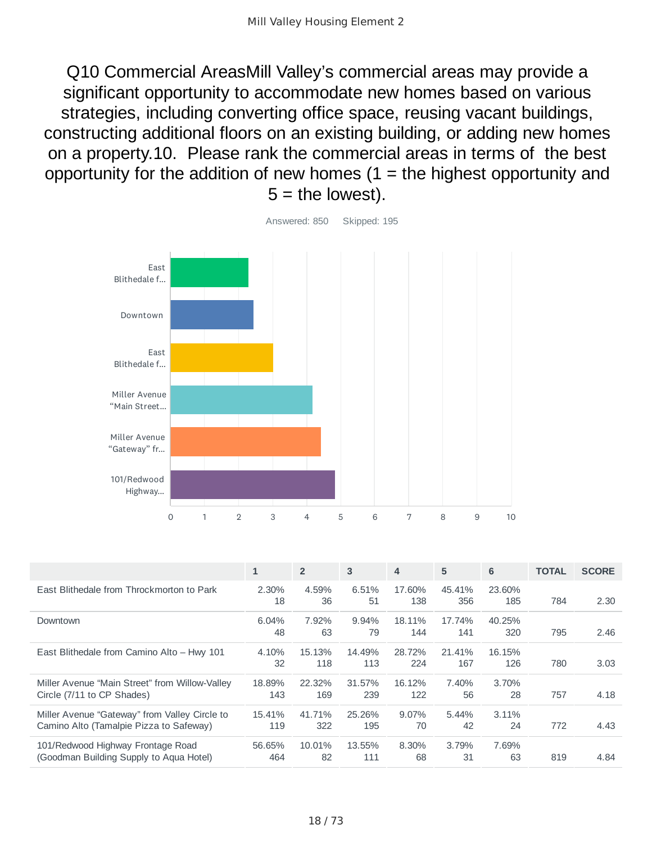Q10 Commercial AreasMill Valley's commercial areas may provide a significant opportunity to accommodate new homes based on various strategies, including converting office space, reusing vacant buildings, constructing additional floors on an existing building, or adding new homes on a property.10. Please rank the commercial areas in terms of the best opportunity for the addition of new homes  $(1 =$  the highest opportunity and  $5 =$  the lowest).



|                                                                                          | $\mathbf{1}$  | $\overline{2}$ | 3             | 4             | 5             | 6             | <b>TOTAL</b> | <b>SCORE</b> |
|------------------------------------------------------------------------------------------|---------------|----------------|---------------|---------------|---------------|---------------|--------------|--------------|
| East Blithedale from Throckmorton to Park                                                | 2.30%<br>18   | 4.59%<br>36    | 6.51%<br>51   | 17.60%<br>138 | 45.41%<br>356 | 23.60%<br>185 | 784          | 2.30         |
| Downtown                                                                                 | 6.04%<br>48   | 7.92%<br>63    | 9.94%<br>79   | 18.11%<br>144 | 17.74%<br>141 | 40.25%<br>320 | 795          | 2.46         |
| East Blithedale from Camino Alto - Hwy 101                                               | 4.10%<br>32   | 15.13%<br>118  | 14.49%<br>113 | 28.72%<br>224 | 21.41%<br>167 | 16.15%<br>126 | 780          | 3.03         |
| Miller Avenue "Main Street" from Willow-Valley<br>Circle (7/11 to CP Shades)             | 18.89%<br>143 | 22.32%<br>169  | 31.57%<br>239 | 16.12%<br>122 | 7.40%<br>56   | 3.70%<br>28   | 757          | 4.18         |
| Miller Avenue "Gateway" from Valley Circle to<br>Camino Alto (Tamalpie Pizza to Safeway) | 15.41%<br>119 | 41.71%<br>322  | 25.26%<br>195 | 9.07%<br>70   | 5.44%<br>42   | 3.11%<br>24   | 772          | 4.43         |
| 101/Redwood Highway Frontage Road<br>(Goodman Building Supply to Agua Hotel)             | 56.65%<br>464 | 10.01%<br>82   | 13.55%<br>111 | 8.30%<br>68   | 3.79%<br>31   | 7.69%<br>63   | 819          | 4.84         |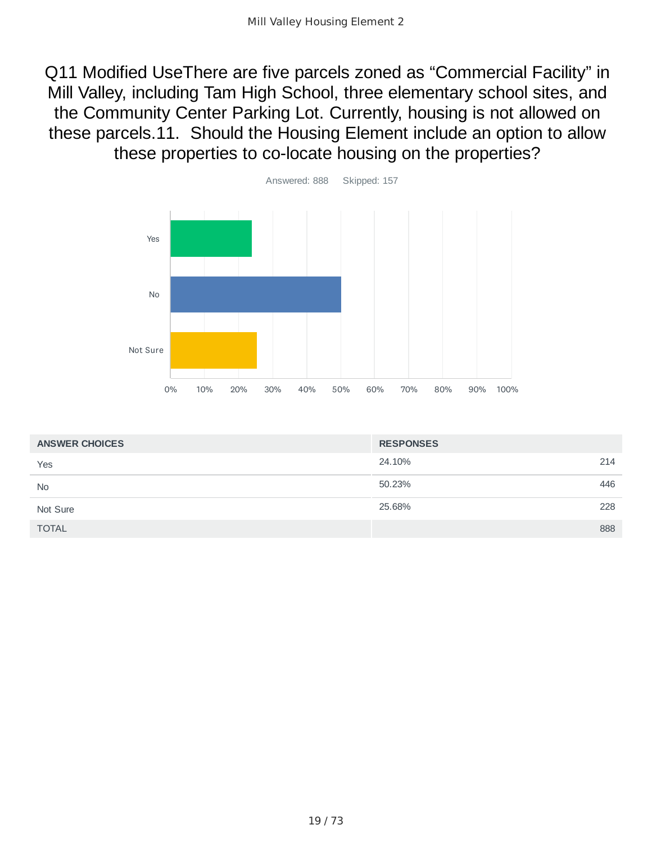Q11 Modified UseThere are five parcels zoned as "Commercial Facility" in Mill Valley, including Tam High School, three elementary school sites, and the Community Center Parking Lot. Currently, housing is not allowed on these parcels.11. Should the Housing Element include an option to allow these properties to co-locate housing on the properties?



| <b>ANSWER CHOICES</b> | <b>RESPONSES</b> |     |
|-----------------------|------------------|-----|
| Yes                   | 24.10%           | 214 |
| <b>No</b>             | 50.23%           | 446 |
| Not Sure              | 25.68%           | 228 |
| <b>TOTAL</b>          |                  | 888 |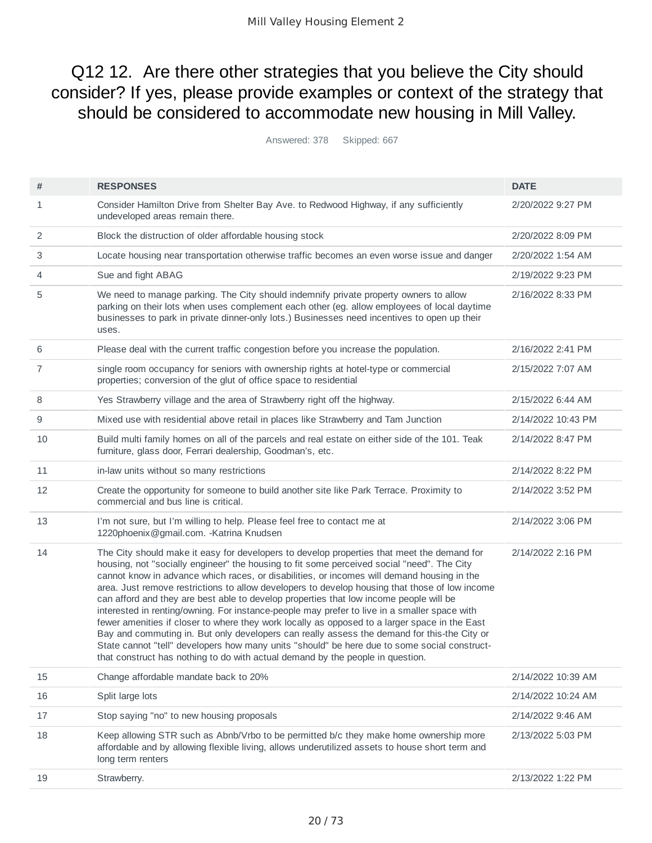### Q12 12. Are there other strategies that you believe the City should consider? If yes, please provide examples or context of the strategy that should be considered to accommodate new housing in Mill Valley.

Answered: 378 Skipped: 667

| #  | <b>RESPONSES</b>                                                                                                                                                                                                                                                                                                                                                                                                                                                                                                                                                                                                                                                                                                                                                                                                                                                                                                                                                     | <b>DATE</b>        |
|----|----------------------------------------------------------------------------------------------------------------------------------------------------------------------------------------------------------------------------------------------------------------------------------------------------------------------------------------------------------------------------------------------------------------------------------------------------------------------------------------------------------------------------------------------------------------------------------------------------------------------------------------------------------------------------------------------------------------------------------------------------------------------------------------------------------------------------------------------------------------------------------------------------------------------------------------------------------------------|--------------------|
| 1  | Consider Hamilton Drive from Shelter Bay Ave. to Redwood Highway, if any sufficiently<br>undeveloped areas remain there.                                                                                                                                                                                                                                                                                                                                                                                                                                                                                                                                                                                                                                                                                                                                                                                                                                             | 2/20/2022 9:27 PM  |
| 2  | Block the distruction of older affordable housing stock                                                                                                                                                                                                                                                                                                                                                                                                                                                                                                                                                                                                                                                                                                                                                                                                                                                                                                              | 2/20/2022 8:09 PM  |
| 3  | Locate housing near transportation otherwise traffic becomes an even worse issue and danger                                                                                                                                                                                                                                                                                                                                                                                                                                                                                                                                                                                                                                                                                                                                                                                                                                                                          | 2/20/2022 1:54 AM  |
| 4  | Sue and fight ABAG                                                                                                                                                                                                                                                                                                                                                                                                                                                                                                                                                                                                                                                                                                                                                                                                                                                                                                                                                   | 2/19/2022 9:23 PM  |
| 5  | We need to manage parking. The City should indemnify private property owners to allow<br>parking on their lots when uses complement each other (eg. allow employees of local daytime<br>businesses to park in private dinner-only lots.) Businesses need incentives to open up their<br>uses.                                                                                                                                                                                                                                                                                                                                                                                                                                                                                                                                                                                                                                                                        | 2/16/2022 8:33 PM  |
| 6  | Please deal with the current traffic congestion before you increase the population.                                                                                                                                                                                                                                                                                                                                                                                                                                                                                                                                                                                                                                                                                                                                                                                                                                                                                  | 2/16/2022 2:41 PM  |
| 7  | single room occupancy for seniors with ownership rights at hotel-type or commercial<br>properties; conversion of the glut of office space to residential                                                                                                                                                                                                                                                                                                                                                                                                                                                                                                                                                                                                                                                                                                                                                                                                             | 2/15/2022 7:07 AM  |
| 8  | Yes Strawberry village and the area of Strawberry right off the highway.                                                                                                                                                                                                                                                                                                                                                                                                                                                                                                                                                                                                                                                                                                                                                                                                                                                                                             | 2/15/2022 6:44 AM  |
| 9  | Mixed use with residential above retail in places like Strawberry and Tam Junction                                                                                                                                                                                                                                                                                                                                                                                                                                                                                                                                                                                                                                                                                                                                                                                                                                                                                   | 2/14/2022 10:43 PM |
| 10 | Build multi family homes on all of the parcels and real estate on either side of the 101. Teak<br>furniture, glass door, Ferrari dealership, Goodman's, etc.                                                                                                                                                                                                                                                                                                                                                                                                                                                                                                                                                                                                                                                                                                                                                                                                         | 2/14/2022 8:47 PM  |
| 11 | in-law units without so many restrictions                                                                                                                                                                                                                                                                                                                                                                                                                                                                                                                                                                                                                                                                                                                                                                                                                                                                                                                            | 2/14/2022 8:22 PM  |
| 12 | Create the opportunity for someone to build another site like Park Terrace. Proximity to<br>commercial and bus line is critical.                                                                                                                                                                                                                                                                                                                                                                                                                                                                                                                                                                                                                                                                                                                                                                                                                                     | 2/14/2022 3:52 PM  |
| 13 | I'm not sure, but I'm willing to help. Please feel free to contact me at<br>1220phoenix@gmail.com. - Katrina Knudsen                                                                                                                                                                                                                                                                                                                                                                                                                                                                                                                                                                                                                                                                                                                                                                                                                                                 | 2/14/2022 3:06 PM  |
| 14 | The City should make it easy for developers to develop properties that meet the demand for<br>housing, not "socially engineer" the housing to fit some perceived social "need". The City<br>cannot know in advance which races, or disabilities, or incomes will demand housing in the<br>area. Just remove restrictions to allow developers to develop housing that those of low income<br>can afford and they are best able to develop properties that low income people will be<br>interested in renting/owning. For instance-people may prefer to live in a smaller space with<br>fewer amenities if closer to where they work locally as opposed to a larger space in the East<br>Bay and commuting in. But only developers can really assess the demand for this-the City or<br>State cannot "tell" developers how many units "should" be here due to some social construct-<br>that construct has nothing to do with actual demand by the people in question. | 2/14/2022 2:16 PM  |
| 15 | Change affordable mandate back to 20%                                                                                                                                                                                                                                                                                                                                                                                                                                                                                                                                                                                                                                                                                                                                                                                                                                                                                                                                | 2/14/2022 10:39 AM |
| 16 | Split large lots                                                                                                                                                                                                                                                                                                                                                                                                                                                                                                                                                                                                                                                                                                                                                                                                                                                                                                                                                     | 2/14/2022 10:24 AM |
| 17 | Stop saying "no" to new housing proposals                                                                                                                                                                                                                                                                                                                                                                                                                                                                                                                                                                                                                                                                                                                                                                                                                                                                                                                            | 2/14/2022 9:46 AM  |
| 18 | Keep allowing STR such as Abnb/Vrbo to be permitted b/c they make home ownership more<br>affordable and by allowing flexible living, allows underutilized assets to house short term and<br>long term renters                                                                                                                                                                                                                                                                                                                                                                                                                                                                                                                                                                                                                                                                                                                                                        | 2/13/2022 5:03 PM  |
| 19 | Strawberry.                                                                                                                                                                                                                                                                                                                                                                                                                                                                                                                                                                                                                                                                                                                                                                                                                                                                                                                                                          | 2/13/2022 1:22 PM  |
|    |                                                                                                                                                                                                                                                                                                                                                                                                                                                                                                                                                                                                                                                                                                                                                                                                                                                                                                                                                                      |                    |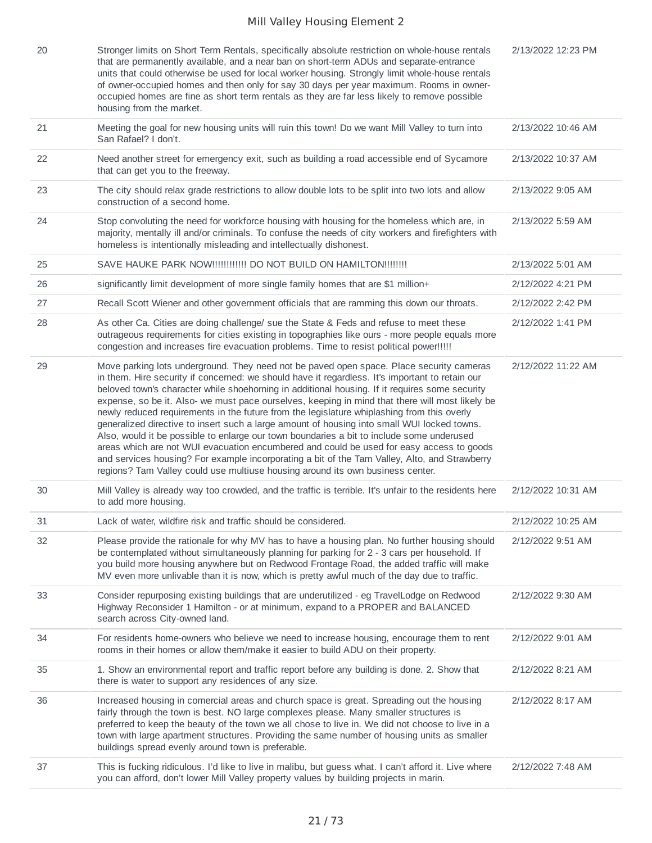| 20 | Stronger limits on Short Term Rentals, specifically absolute restriction on whole-house rentals<br>that are permanently available, and a near ban on short-term ADUs and separate-entrance<br>units that could otherwise be used for local worker housing. Strongly limit whole-house rentals<br>of owner-occupied homes and then only for say 30 days per year maximum. Rooms in owner-<br>occupied homes are fine as short term rentals as they are far less likely to remove possible<br>housing from the market.                                                                                                                                                                                                                                                                                                                                                                                                                                                      | 2/13/2022 12:23 PM |
|----|---------------------------------------------------------------------------------------------------------------------------------------------------------------------------------------------------------------------------------------------------------------------------------------------------------------------------------------------------------------------------------------------------------------------------------------------------------------------------------------------------------------------------------------------------------------------------------------------------------------------------------------------------------------------------------------------------------------------------------------------------------------------------------------------------------------------------------------------------------------------------------------------------------------------------------------------------------------------------|--------------------|
| 21 | Meeting the goal for new housing units will ruin this town! Do we want Mill Valley to turn into<br>San Rafael? I don't.                                                                                                                                                                                                                                                                                                                                                                                                                                                                                                                                                                                                                                                                                                                                                                                                                                                   | 2/13/2022 10:46 AM |
| 22 | Need another street for emergency exit, such as building a road accessible end of Sycamore<br>that can get you to the freeway.                                                                                                                                                                                                                                                                                                                                                                                                                                                                                                                                                                                                                                                                                                                                                                                                                                            | 2/13/2022 10:37 AM |
| 23 | The city should relax grade restrictions to allow double lots to be split into two lots and allow<br>construction of a second home.                                                                                                                                                                                                                                                                                                                                                                                                                                                                                                                                                                                                                                                                                                                                                                                                                                       | 2/13/2022 9:05 AM  |
| 24 | Stop convoluting the need for workforce housing with housing for the homeless which are, in<br>majority, mentally ill and/or criminals. To confuse the needs of city workers and firefighters with<br>homeless is intentionally misleading and intellectually dishonest.                                                                                                                                                                                                                                                                                                                                                                                                                                                                                                                                                                                                                                                                                                  | 2/13/2022 5:59 AM  |
| 25 | SAVE HAUKE PARK NOW!!!!!!!!!!!! DO NOT BUILD ON HAMILTON!!!!!!!!                                                                                                                                                                                                                                                                                                                                                                                                                                                                                                                                                                                                                                                                                                                                                                                                                                                                                                          | 2/13/2022 5:01 AM  |
| 26 | significantly limit development of more single family homes that are \$1 million+                                                                                                                                                                                                                                                                                                                                                                                                                                                                                                                                                                                                                                                                                                                                                                                                                                                                                         | 2/12/2022 4:21 PM  |
| 27 | Recall Scott Wiener and other government officials that are ramming this down our throats.                                                                                                                                                                                                                                                                                                                                                                                                                                                                                                                                                                                                                                                                                                                                                                                                                                                                                | 2/12/2022 2:42 PM  |
| 28 | As other Ca. Cities are doing challenge/ sue the State & Feds and refuse to meet these<br>outrageous requirements for cities existing in topographies like ours - more people equals more<br>congestion and increases fire evacuation problems. Time to resist political power!!!!!                                                                                                                                                                                                                                                                                                                                                                                                                                                                                                                                                                                                                                                                                       | 2/12/2022 1:41 PM  |
| 29 | Move parking lots underground. They need not be paved open space. Place security cameras<br>in them. Hire security if concerned: we should have it regardless. It's important to retain our<br>beloved town's character while shoehorning in additional housing. If it requires some security<br>expense, so be it. Also- we must pace ourselves, keeping in mind that there will most likely be<br>newly reduced requirements in the future from the legislature whiplashing from this overly<br>generalized directive to insert such a large amount of housing into small WUI locked towns.<br>Also, would it be possible to enlarge our town boundaries a bit to include some underused<br>areas which are not WUI evacuation encumbered and could be used for easy access to goods<br>and services housing? For example incorporating a bit of the Tam Valley, Alto, and Strawberry<br>regions? Tam Valley could use multiuse housing around its own business center. | 2/12/2022 11:22 AM |
| 30 | Mill Valley is already way too crowded, and the traffic is terrible. It's unfair to the residents here<br>to add more housing.                                                                                                                                                                                                                                                                                                                                                                                                                                                                                                                                                                                                                                                                                                                                                                                                                                            | 2/12/2022 10:31 AM |
| 31 | Lack of water, wildfire risk and traffic should be considered.                                                                                                                                                                                                                                                                                                                                                                                                                                                                                                                                                                                                                                                                                                                                                                                                                                                                                                            | 2/12/2022 10:25 AM |
| 32 | Please provide the rationale for why MV has to have a housing plan. No further housing should<br>be contemplated without simultaneously planning for parking for 2 - 3 cars per household. If<br>you build more housing anywhere but on Redwood Frontage Road, the added traffic will make<br>MV even more unlivable than it is now, which is pretty awful much of the day due to traffic.                                                                                                                                                                                                                                                                                                                                                                                                                                                                                                                                                                                | 2/12/2022 9:51 AM  |
| 33 | Consider repurposing existing buildings that are underutilized - eg TravelLodge on Redwood<br>Highway Reconsider 1 Hamilton - or at minimum, expand to a PROPER and BALANCED<br>search across City-owned land.                                                                                                                                                                                                                                                                                                                                                                                                                                                                                                                                                                                                                                                                                                                                                            | 2/12/2022 9:30 AM  |
| 34 | For residents home-owners who believe we need to increase housing, encourage them to rent<br>rooms in their homes or allow them/make it easier to build ADU on their property.                                                                                                                                                                                                                                                                                                                                                                                                                                                                                                                                                                                                                                                                                                                                                                                            | 2/12/2022 9:01 AM  |
| 35 | 1. Show an environmental report and traffic report before any building is done. 2. Show that<br>there is water to support any residences of any size.                                                                                                                                                                                                                                                                                                                                                                                                                                                                                                                                                                                                                                                                                                                                                                                                                     | 2/12/2022 8:21 AM  |
| 36 | Increased housing in comercial areas and church space is great. Spreading out the housing<br>fairly through the town is best. NO large complexes please. Many smaller structures is<br>preferred to keep the beauty of the town we all chose to live in. We did not choose to live in a<br>town with large apartment structures. Providing the same number of housing units as smaller<br>buildings spread evenly around town is preferable.                                                                                                                                                                                                                                                                                                                                                                                                                                                                                                                              | 2/12/2022 8:17 AM  |
| 37 | This is fucking ridiculous. I'd like to live in malibu, but guess what. I can't afford it. Live where<br>you can afford, don't lower Mill Valley property values by building projects in marin.                                                                                                                                                                                                                                                                                                                                                                                                                                                                                                                                                                                                                                                                                                                                                                           | 2/12/2022 7:48 AM  |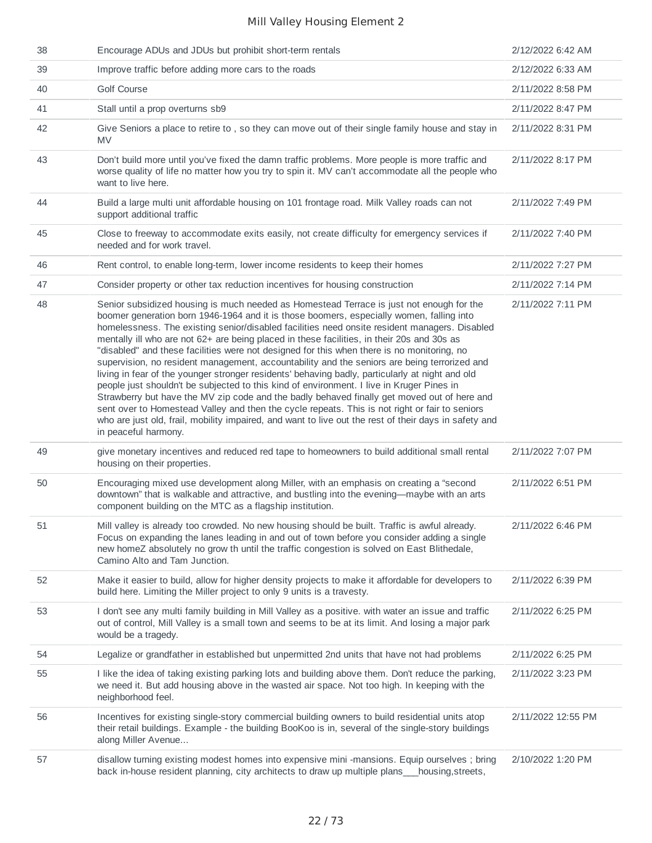| 38 | Encourage ADUs and JDUs but prohibit short-term rentals                                                                                                                                                                                                                                                                                                                                                                                                                                                                                                                                                                                                                                                                                                                                                                                                                                                                                                                                                                                                                                                             | 2/12/2022 6:42 AM  |
|----|---------------------------------------------------------------------------------------------------------------------------------------------------------------------------------------------------------------------------------------------------------------------------------------------------------------------------------------------------------------------------------------------------------------------------------------------------------------------------------------------------------------------------------------------------------------------------------------------------------------------------------------------------------------------------------------------------------------------------------------------------------------------------------------------------------------------------------------------------------------------------------------------------------------------------------------------------------------------------------------------------------------------------------------------------------------------------------------------------------------------|--------------------|
| 39 | Improve traffic before adding more cars to the roads                                                                                                                                                                                                                                                                                                                                                                                                                                                                                                                                                                                                                                                                                                                                                                                                                                                                                                                                                                                                                                                                | 2/12/2022 6:33 AM  |
| 40 | Golf Course                                                                                                                                                                                                                                                                                                                                                                                                                                                                                                                                                                                                                                                                                                                                                                                                                                                                                                                                                                                                                                                                                                         | 2/11/2022 8:58 PM  |
| 41 | Stall until a prop overturns sb9                                                                                                                                                                                                                                                                                                                                                                                                                                                                                                                                                                                                                                                                                                                                                                                                                                                                                                                                                                                                                                                                                    | 2/11/2022 8:47 PM  |
| 42 | Give Seniors a place to retire to, so they can move out of their single family house and stay in<br><b>MV</b>                                                                                                                                                                                                                                                                                                                                                                                                                                                                                                                                                                                                                                                                                                                                                                                                                                                                                                                                                                                                       | 2/11/2022 8:31 PM  |
| 43 | Don't build more until you've fixed the damn traffic problems. More people is more traffic and<br>worse quality of life no matter how you try to spin it. MV can't accommodate all the people who<br>want to live here.                                                                                                                                                                                                                                                                                                                                                                                                                                                                                                                                                                                                                                                                                                                                                                                                                                                                                             | 2/11/2022 8:17 PM  |
| 44 | Build a large multi unit affordable housing on 101 frontage road. Milk Valley roads can not<br>support additional traffic                                                                                                                                                                                                                                                                                                                                                                                                                                                                                                                                                                                                                                                                                                                                                                                                                                                                                                                                                                                           | 2/11/2022 7:49 PM  |
| 45 | Close to freeway to accommodate exits easily, not create difficulty for emergency services if<br>needed and for work travel.                                                                                                                                                                                                                                                                                                                                                                                                                                                                                                                                                                                                                                                                                                                                                                                                                                                                                                                                                                                        | 2/11/2022 7:40 PM  |
| 46 | Rent control, to enable long-term, lower income residents to keep their homes                                                                                                                                                                                                                                                                                                                                                                                                                                                                                                                                                                                                                                                                                                                                                                                                                                                                                                                                                                                                                                       | 2/11/2022 7:27 PM  |
| 47 | Consider property or other tax reduction incentives for housing construction                                                                                                                                                                                                                                                                                                                                                                                                                                                                                                                                                                                                                                                                                                                                                                                                                                                                                                                                                                                                                                        | 2/11/2022 7:14 PM  |
| 48 | Senior subsidized housing is much needed as Homestead Terrace is just not enough for the<br>boomer generation born 1946-1964 and it is those boomers, especially women, falling into<br>homelessness. The existing senior/disabled facilities need onsite resident managers. Disabled<br>mentally ill who are not 62+ are being placed in these facilities, in their 20s and 30s as<br>"disabled" and these facilities were not designed for this when there is no monitoring, no<br>supervision, no resident management, accountability and the seniors are being terrorized and<br>living in fear of the younger stronger residents' behaving badly, particularly at night and old<br>people just shouldn't be subjected to this kind of environment. I live in Kruger Pines in<br>Strawberry but have the MV zip code and the badly behaved finally get moved out of here and<br>sent over to Homestead Valley and then the cycle repeats. This is not right or fair to seniors<br>who are just old, frail, mobility impaired, and want to live out the rest of their days in safety and<br>in peaceful harmony. | 2/11/2022 7:11 PM  |
| 49 | give monetary incentives and reduced red tape to homeowners to build additional small rental<br>housing on their properties.                                                                                                                                                                                                                                                                                                                                                                                                                                                                                                                                                                                                                                                                                                                                                                                                                                                                                                                                                                                        | 2/11/2022 7:07 PM  |
| 50 | Encouraging mixed use development along Miller, with an emphasis on creating a "second<br>downtown" that is walkable and attractive, and bustling into the evening-maybe with an arts<br>component building on the MTC as a flagship institution.                                                                                                                                                                                                                                                                                                                                                                                                                                                                                                                                                                                                                                                                                                                                                                                                                                                                   | 2/11/2022 6:51 PM  |
| 51 | Mill valley is already too crowded. No new housing should be built. Traffic is awful already.<br>Focus on expanding the lanes leading in and out of town before you consider adding a single<br>new homeZ absolutely no grow th until the traffic congestion is solved on East Blithedale,<br>Camino Alto and Tam Junction.                                                                                                                                                                                                                                                                                                                                                                                                                                                                                                                                                                                                                                                                                                                                                                                         | 2/11/2022 6:46 PM  |
| 52 | Make it easier to build, allow for higher density projects to make it affordable for developers to<br>build here. Limiting the Miller project to only 9 units is a travesty.                                                                                                                                                                                                                                                                                                                                                                                                                                                                                                                                                                                                                                                                                                                                                                                                                                                                                                                                        | 2/11/2022 6:39 PM  |
| 53 | I don't see any multi family building in Mill Valley as a positive. with water an issue and traffic<br>out of control, Mill Valley is a small town and seems to be at its limit. And losing a major park<br>would be a tragedy.                                                                                                                                                                                                                                                                                                                                                                                                                                                                                                                                                                                                                                                                                                                                                                                                                                                                                     | 2/11/2022 6:25 PM  |
| 54 | Legalize or grandfather in established but unpermitted 2nd units that have not had problems                                                                                                                                                                                                                                                                                                                                                                                                                                                                                                                                                                                                                                                                                                                                                                                                                                                                                                                                                                                                                         | 2/11/2022 6:25 PM  |
| 55 | I like the idea of taking existing parking lots and building above them. Don't reduce the parking,<br>we need it. But add housing above in the wasted air space. Not too high. In keeping with the<br>neighborhood feel.                                                                                                                                                                                                                                                                                                                                                                                                                                                                                                                                                                                                                                                                                                                                                                                                                                                                                            | 2/11/2022 3:23 PM  |
| 56 | Incentives for existing single-story commercial building owners to build residential units atop<br>their retail buildings. Example - the building BooKoo is in, several of the single-story buildings<br>along Miller Avenue                                                                                                                                                                                                                                                                                                                                                                                                                                                                                                                                                                                                                                                                                                                                                                                                                                                                                        | 2/11/2022 12:55 PM |
| 57 | disallow turning existing modest homes into expensive mini -mansions. Equip ourselves ; bring<br>back in-house resident planning, city architects to draw up multiple plans housing, streets,                                                                                                                                                                                                                                                                                                                                                                                                                                                                                                                                                                                                                                                                                                                                                                                                                                                                                                                       | 2/10/2022 1:20 PM  |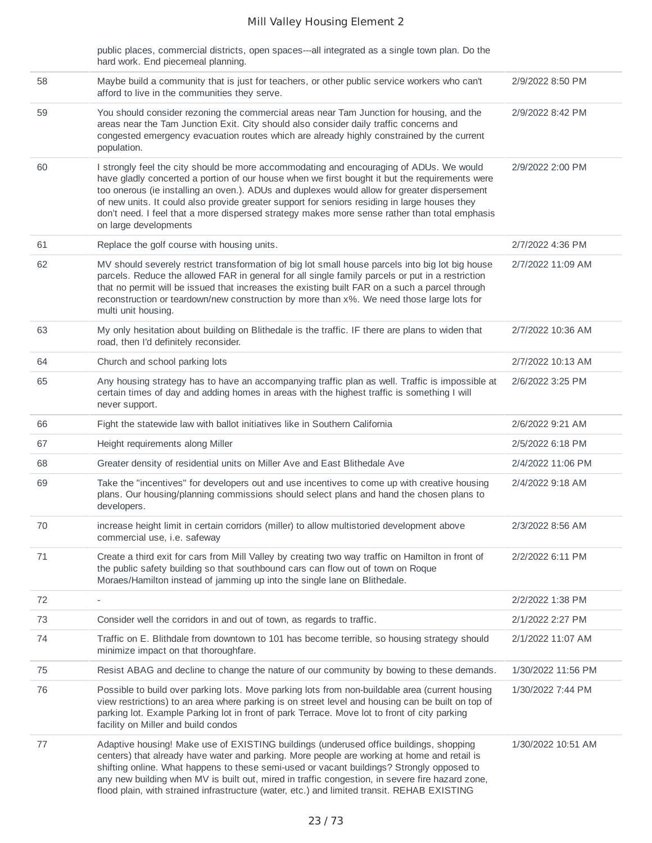|    | public places, commercial districts, open spaces---all integrated as a single town plan. Do the<br>hard work. End piecemeal planning.                                                                                                                                                                                                                                                                                                                                                                                |                    |
|----|----------------------------------------------------------------------------------------------------------------------------------------------------------------------------------------------------------------------------------------------------------------------------------------------------------------------------------------------------------------------------------------------------------------------------------------------------------------------------------------------------------------------|--------------------|
| 58 | Maybe build a community that is just for teachers, or other public service workers who can't<br>afford to live in the communities they serve.                                                                                                                                                                                                                                                                                                                                                                        | 2/9/2022 8:50 PM   |
| 59 | You should consider rezoning the commercial areas near Tam Junction for housing, and the<br>areas near the Tam Junction Exit. City should also consider daily traffic concerns and<br>congested emergency evacuation routes which are already highly constrained by the current<br>population.                                                                                                                                                                                                                       | 2/9/2022 8:42 PM   |
| 60 | I strongly feel the city should be more accommodating and encouraging of ADUs. We would<br>have gladly concerted a portion of our house when we first bought it but the requirements were<br>too onerous (ie installing an oven.). ADUs and duplexes would allow for greater dispersement<br>of new units. It could also provide greater support for seniors residing in large houses they<br>don't need. I feel that a more dispersed strategy makes more sense rather than total emphasis<br>on large developments | 2/9/2022 2:00 PM   |
| 61 | Replace the golf course with housing units.                                                                                                                                                                                                                                                                                                                                                                                                                                                                          | 2/7/2022 4:36 PM   |
| 62 | MV should severely restrict transformation of big lot small house parcels into big lot big house<br>parcels. Reduce the allowed FAR in general for all single family parcels or put in a restriction<br>that no permit will be issued that increases the existing built FAR on a such a parcel through<br>reconstruction or teardown/new construction by more than x%. We need those large lots for<br>multi unit housing.                                                                                           | 2/7/2022 11:09 AM  |
| 63 | My only hesitation about building on Blithedale is the traffic. IF there are plans to widen that<br>road, then I'd definitely reconsider.                                                                                                                                                                                                                                                                                                                                                                            | 2/7/2022 10:36 AM  |
| 64 | Church and school parking lots                                                                                                                                                                                                                                                                                                                                                                                                                                                                                       | 2/7/2022 10:13 AM  |
| 65 | Any housing strategy has to have an accompanying traffic plan as well. Traffic is impossible at<br>certain times of day and adding homes in areas with the highest traffic is something I will<br>never support.                                                                                                                                                                                                                                                                                                     | 2/6/2022 3:25 PM   |
| 66 | Fight the statewide law with ballot initiatives like in Southern California                                                                                                                                                                                                                                                                                                                                                                                                                                          | 2/6/2022 9:21 AM   |
| 67 | Height requirements along Miller                                                                                                                                                                                                                                                                                                                                                                                                                                                                                     | 2/5/2022 6:18 PM   |
| 68 | Greater density of residential units on Miller Ave and East Blithedale Ave                                                                                                                                                                                                                                                                                                                                                                                                                                           | 2/4/2022 11:06 PM  |
| 69 | Take the "incentives" for developers out and use incentives to come up with creative housing<br>plans. Our housing/planning commissions should select plans and hand the chosen plans to<br>developers.                                                                                                                                                                                                                                                                                                              | 2/4/2022 9:18 AM   |
| 70 | increase height limit in certain corridors (miller) to allow multistoried development above<br>commercial use, i.e. safeway                                                                                                                                                                                                                                                                                                                                                                                          | 2/3/2022 8:56 AM   |
| 71 | Create a third exit for cars from Mill Valley by creating two way traffic on Hamilton in front of<br>the public safety building so that southbound cars can flow out of town on Roque<br>Moraes/Hamilton instead of jamming up into the single lane on Blithedale.                                                                                                                                                                                                                                                   | 2/2/2022 6:11 PM   |
| 72 | $\overline{\phantom{a}}$                                                                                                                                                                                                                                                                                                                                                                                                                                                                                             | 2/2/2022 1:38 PM   |
| 73 | Consider well the corridors in and out of town, as regards to traffic.                                                                                                                                                                                                                                                                                                                                                                                                                                               | 2/1/2022 2:27 PM   |
| 74 | Traffic on E. Blithdale from downtown to 101 has become terrible, so housing strategy should<br>minimize impact on that thoroughfare.                                                                                                                                                                                                                                                                                                                                                                                | 2/1/2022 11:07 AM  |
| 75 | Resist ABAG and decline to change the nature of our community by bowing to these demands.                                                                                                                                                                                                                                                                                                                                                                                                                            | 1/30/2022 11:56 PM |
| 76 | Possible to build over parking lots. Move parking lots from non-buildable area (current housing<br>view restrictions) to an area where parking is on street level and housing can be built on top of<br>parking lot. Example Parking lot in front of park Terrace. Move lot to front of city parking<br>facility on Miller and build condos                                                                                                                                                                          | 1/30/2022 7:44 PM  |
| 77 | Adaptive housing! Make use of EXISTING buildings (underused office buildings, shopping<br>centers) that already have water and parking. More people are working at home and retail is<br>shifting online. What happens to these semi-used or vacant buildings? Strongly opposed to<br>any new building when MV is built out, mired in traffic congestion, in severe fire hazard zone,<br>flood plain, with strained infrastructure (water, etc.) and limited transit. REHAB EXISTING                                 | 1/30/2022 10:51 AM |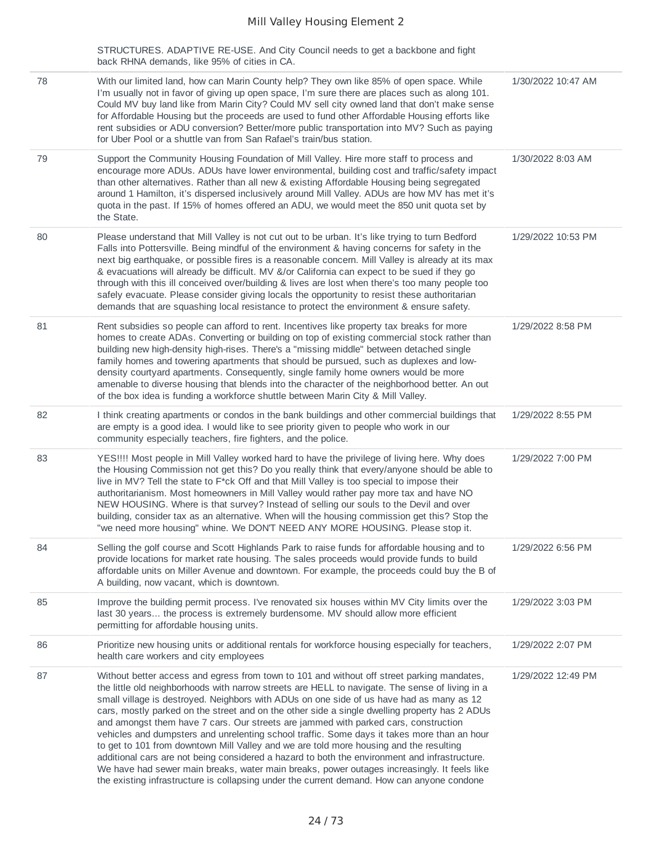STRUCTURES. ADAPTIVE RE-USE. And City Council needs to get a backbone and fight back RHNA demands, like 95% of cities in CA.

| 78 | With our limited land, how can Marin County help? They own like 85% of open space. While<br>I'm usually not in favor of giving up open space, I'm sure there are places such as along 101.<br>Could MV buy land like from Marin City? Could MV sell city owned land that don't make sense<br>for Affordable Housing but the proceeds are used to fund other Affordable Housing efforts like<br>rent subsidies or ADU conversion? Better/more public transportation into MV? Such as paying<br>for Uber Pool or a shuttle van from San Rafael's train/bus station.                                                                                                                                                                                                                                                                                                                                                                                                        | 1/30/2022 10:47 AM |
|----|--------------------------------------------------------------------------------------------------------------------------------------------------------------------------------------------------------------------------------------------------------------------------------------------------------------------------------------------------------------------------------------------------------------------------------------------------------------------------------------------------------------------------------------------------------------------------------------------------------------------------------------------------------------------------------------------------------------------------------------------------------------------------------------------------------------------------------------------------------------------------------------------------------------------------------------------------------------------------|--------------------|
| 79 | Support the Community Housing Foundation of Mill Valley. Hire more staff to process and<br>encourage more ADUs. ADUs have lower environmental, building cost and traffic/safety impact<br>than other alternatives. Rather than all new & existing Affordable Housing being segregated<br>around 1 Hamilton, it's dispersed inclusively around Mill Valley. ADUs are how MV has met it's<br>quota in the past. If 15% of homes offered an ADU, we would meet the 850 unit quota set by<br>the State.                                                                                                                                                                                                                                                                                                                                                                                                                                                                      | 1/30/2022 8:03 AM  |
| 80 | Please understand that Mill Valley is not cut out to be urban. It's like trying to turn Bedford<br>Falls into Pottersville. Being mindful of the environment & having concerns for safety in the<br>next big earthquake, or possible fires is a reasonable concern. Mill Valley is already at its max<br>& evacuations will already be difficult. MV &/or California can expect to be sued if they go<br>through with this ill conceived over/building & lives are lost when there's too many people too<br>safely evacuate. Please consider giving locals the opportunity to resist these authoritarian<br>demands that are squashing local resistance to protect the environment & ensure safety.                                                                                                                                                                                                                                                                      | 1/29/2022 10:53 PM |
| 81 | Rent subsidies so people can afford to rent. Incentives like property tax breaks for more<br>homes to create ADAs. Converting or building on top of existing commercial stock rather than<br>building new high-density high-rises. There's a "missing middle" between detached single<br>family homes and towering apartments that should be pursued, such as duplexes and low-<br>density courtyard apartments. Consequently, single family home owners would be more<br>amenable to diverse housing that blends into the character of the neighborhood better. An out<br>of the box idea is funding a workforce shuttle between Marin City & Mill Valley.                                                                                                                                                                                                                                                                                                              | 1/29/2022 8:58 PM  |
| 82 | I think creating apartments or condos in the bank buildings and other commercial buildings that<br>are empty is a good idea. I would like to see priority given to people who work in our<br>community especially teachers, fire fighters, and the police.                                                                                                                                                                                                                                                                                                                                                                                                                                                                                                                                                                                                                                                                                                               | 1/29/2022 8:55 PM  |
| 83 | YES!!!! Most people in Mill Valley worked hard to have the privilege of living here. Why does<br>the Housing Commission not get this? Do you really think that every/anyone should be able to<br>live in MV? Tell the state to F*ck Off and that Mill Valley is too special to impose their<br>authoritarianism. Most homeowners in Mill Valley would rather pay more tax and have NO<br>NEW HOUSING. Where is that survey? Instead of selling our souls to the Devil and over<br>building, consider tax as an alternative. When will the housing commission get this? Stop the<br>"we need more housing" whine. We DON'T NEED ANY MORE HOUSING. Please stop it.                                                                                                                                                                                                                                                                                                         | 1/29/2022 7:00 PM  |
| 84 | Selling the golf course and Scott Highlands Park to raise funds for affordable housing and to<br>provide locations for market rate housing. The sales proceeds would provide funds to build<br>affordable units on Miller Avenue and downtown. For example, the proceeds could buy the B of<br>A building, now vacant, which is downtown.                                                                                                                                                                                                                                                                                                                                                                                                                                                                                                                                                                                                                                | 1/29/2022 6:56 PM  |
| 85 | Improve the building permit process. I've renovated six houses within MV City limits over the<br>last 30 years the process is extremely burdensome. MV should allow more efficient<br>permitting for affordable housing units.                                                                                                                                                                                                                                                                                                                                                                                                                                                                                                                                                                                                                                                                                                                                           | 1/29/2022 3:03 PM  |
| 86 | Prioritize new housing units or additional rentals for workforce housing especially for teachers,<br>health care workers and city employees                                                                                                                                                                                                                                                                                                                                                                                                                                                                                                                                                                                                                                                                                                                                                                                                                              | 1/29/2022 2:07 PM  |
| 87 | Without better access and egress from town to 101 and without off street parking mandates,<br>the little old neighborhoods with narrow streets are HELL to navigate. The sense of living in a<br>small village is destroyed. Neighbors with ADUs on one side of us have had as many as 12<br>cars, mostly parked on the street and on the other side a single dwelling property has 2 ADUs<br>and amongst them have 7 cars. Our streets are jammed with parked cars, construction<br>vehicles and dumpsters and unrelenting school traffic. Some days it takes more than an hour<br>to get to 101 from downtown Mill Valley and we are told more housing and the resulting<br>additional cars are not being considered a hazard to both the environment and infrastructure.<br>We have had sewer main breaks, water main breaks, power outages increasingly. It feels like<br>the existing infrastructure is collapsing under the current demand. How can anyone condone | 1/29/2022 12:49 PM |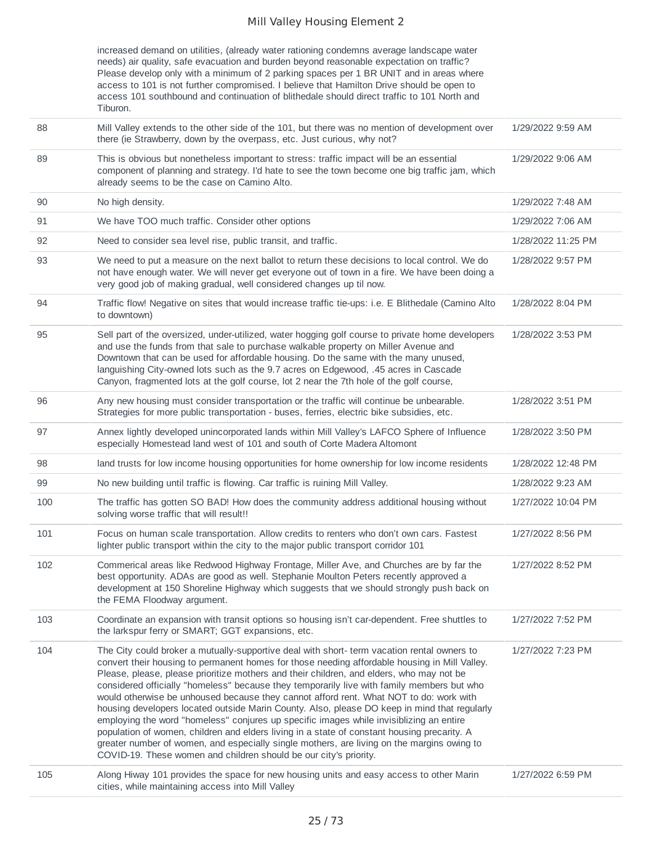|    | increased demand on utilities, (already water rationing condemns average landscape water<br>needs) air quality, safe evacuation and burden beyond reasonable expectation on traffic?<br>Please develop only with a minimum of 2 parking spaces per 1 BR UNIT and in areas where<br>access to 101 is not further compromised. I believe that Hamilton Drive should be open to<br>access 101 southbound and continuation of blithedale should direct traffic to 101 North and<br>Tiburon. |                   |
|----|-----------------------------------------------------------------------------------------------------------------------------------------------------------------------------------------------------------------------------------------------------------------------------------------------------------------------------------------------------------------------------------------------------------------------------------------------------------------------------------------|-------------------|
| 88 | Mill Valley extends to the other side of the 101, but there was no mention of development over                                                                                                                                                                                                                                                                                                                                                                                          | 1/29/2022 9:59 AM |

|     | there (ie Strawberry, down by the overpass, etc. Just curious, why not?                                                                                                                                                                                                                                                                                                                                                                                                                                                                                                                                                                                                                                                                                                                                                                                                                                                                       |                    |
|-----|-----------------------------------------------------------------------------------------------------------------------------------------------------------------------------------------------------------------------------------------------------------------------------------------------------------------------------------------------------------------------------------------------------------------------------------------------------------------------------------------------------------------------------------------------------------------------------------------------------------------------------------------------------------------------------------------------------------------------------------------------------------------------------------------------------------------------------------------------------------------------------------------------------------------------------------------------|--------------------|
| 89  | This is obvious but nonetheless important to stress: traffic impact will be an essential<br>component of planning and strategy. I'd hate to see the town become one big traffic jam, which<br>already seems to be the case on Camino Alto.                                                                                                                                                                                                                                                                                                                                                                                                                                                                                                                                                                                                                                                                                                    | 1/29/2022 9:06 AM  |
| 90  | No high density.                                                                                                                                                                                                                                                                                                                                                                                                                                                                                                                                                                                                                                                                                                                                                                                                                                                                                                                              | 1/29/2022 7:48 AM  |
| 91  | We have TOO much traffic. Consider other options                                                                                                                                                                                                                                                                                                                                                                                                                                                                                                                                                                                                                                                                                                                                                                                                                                                                                              | 1/29/2022 7:06 AM  |
| 92  | Need to consider sea level rise, public transit, and traffic.                                                                                                                                                                                                                                                                                                                                                                                                                                                                                                                                                                                                                                                                                                                                                                                                                                                                                 | 1/28/2022 11:25 PM |
| 93  | We need to put a measure on the next ballot to return these decisions to local control. We do<br>not have enough water. We will never get everyone out of town in a fire. We have been doing a<br>very good job of making gradual, well considered changes up til now.                                                                                                                                                                                                                                                                                                                                                                                                                                                                                                                                                                                                                                                                        | 1/28/2022 9:57 PM  |
| 94  | Traffic flow! Negative on sites that would increase traffic tie-ups: i.e. E Blithedale (Camino Alto<br>to downtown)                                                                                                                                                                                                                                                                                                                                                                                                                                                                                                                                                                                                                                                                                                                                                                                                                           | 1/28/2022 8:04 PM  |
| 95  | Sell part of the oversized, under-utilized, water hogging golf course to private home developers<br>and use the funds from that sale to purchase walkable property on Miller Avenue and<br>Downtown that can be used for affordable housing. Do the same with the many unused,<br>languishing City-owned lots such as the 9.7 acres on Edgewood, .45 acres in Cascade<br>Canyon, fragmented lots at the golf course, lot 2 near the 7th hole of the golf course,                                                                                                                                                                                                                                                                                                                                                                                                                                                                              | 1/28/2022 3:53 PM  |
| 96  | Any new housing must consider transportation or the traffic will continue be unbearable.<br>Strategies for more public transportation - buses, ferries, electric bike subsidies, etc.                                                                                                                                                                                                                                                                                                                                                                                                                                                                                                                                                                                                                                                                                                                                                         | 1/28/2022 3:51 PM  |
| 97  | Annex lightly developed unincorporated lands within Mill Valley's LAFCO Sphere of Influence<br>especially Homestead land west of 101 and south of Corte Madera Altomont                                                                                                                                                                                                                                                                                                                                                                                                                                                                                                                                                                                                                                                                                                                                                                       | 1/28/2022 3:50 PM  |
| 98  | land trusts for low income housing opportunities for home ownership for low income residents                                                                                                                                                                                                                                                                                                                                                                                                                                                                                                                                                                                                                                                                                                                                                                                                                                                  | 1/28/2022 12:48 PM |
| 99  | No new building until traffic is flowing. Car traffic is ruining Mill Valley.                                                                                                                                                                                                                                                                                                                                                                                                                                                                                                                                                                                                                                                                                                                                                                                                                                                                 | 1/28/2022 9:23 AM  |
| 100 | The traffic has gotten SO BAD! How does the community address additional housing without<br>solving worse traffic that will result!!                                                                                                                                                                                                                                                                                                                                                                                                                                                                                                                                                                                                                                                                                                                                                                                                          | 1/27/2022 10:04 PM |
| 101 | Focus on human scale transportation. Allow credits to renters who don't own cars. Fastest<br>lighter public transport within the city to the major public transport corridor 101                                                                                                                                                                                                                                                                                                                                                                                                                                                                                                                                                                                                                                                                                                                                                              | 1/27/2022 8:56 PM  |
| 102 | Commerical areas like Redwood Highway Frontage, Miller Ave, and Churches are by far the<br>best opportunity. ADAs are good as well. Stephanie Moulton Peters recently approved a<br>development at 150 Shoreline Highway which suggests that we should strongly push back on<br>the FEMA Floodway argument.                                                                                                                                                                                                                                                                                                                                                                                                                                                                                                                                                                                                                                   | 1/27/2022 8:52 PM  |
| 103 | Coordinate an expansion with transit options so housing isn't car-dependent. Free shuttles to<br>the larkspur ferry or SMART; GGT expansions, etc.                                                                                                                                                                                                                                                                                                                                                                                                                                                                                                                                                                                                                                                                                                                                                                                            | 1/27/2022 7:52 PM  |
| 104 | The City could broker a mutually-supportive deal with short- term vacation rental owners to<br>convert their housing to permanent homes for those needing affordable housing in Mill Valley.<br>Please, please, please prioritize mothers and their children, and elders, who may not be<br>considered officially "homeless" because they temporarily live with family members but who<br>would otherwise be unhoused because they cannot afford rent. What NOT to do: work with<br>housing developers located outside Marin County. Also, please DO keep in mind that regularly<br>employing the word "homeless" conjures up specific images while invisiblizing an entire<br>population of women, children and elders living in a state of constant housing precarity. A<br>greater number of women, and especially single mothers, are living on the margins owing to<br>COVID-19. These women and children should be our city's priority. | 1/27/2022 7:23 PM  |
| 105 | Along Hiway 101 provides the space for new housing units and easy access to other Marin                                                                                                                                                                                                                                                                                                                                                                                                                                                                                                                                                                                                                                                                                                                                                                                                                                                       | 1/27/2022 6:59 PM  |

#### cities, while maintaining access into Mill Valley 1/27/2022 6:59 PM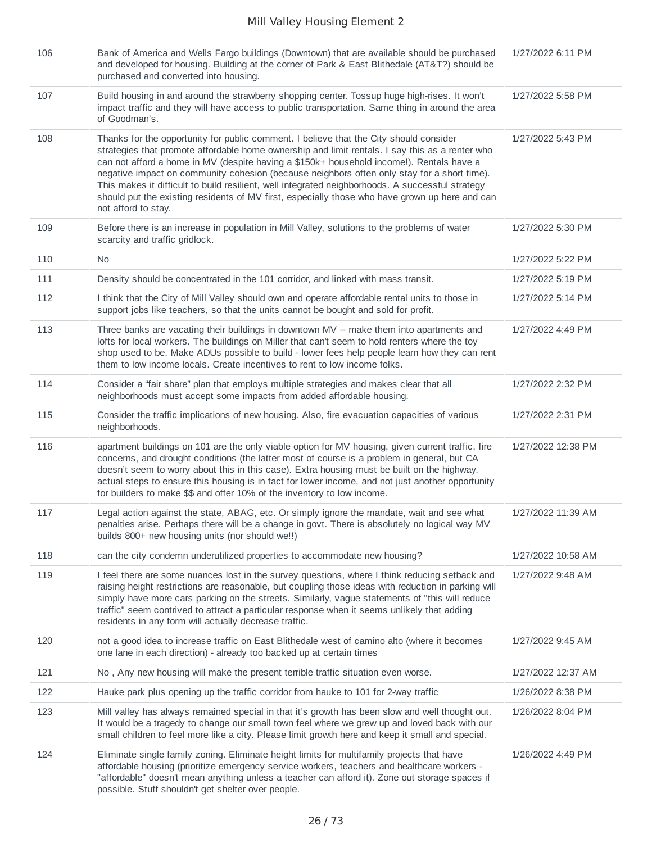| 106 | Bank of America and Wells Fargo buildings (Downtown) that are available should be purchased<br>and developed for housing. Building at the corner of Park & East Blithedale (AT&T?) should be<br>purchased and converted into housing.                                                                                                                                                                                                                                                                                                                                                                             | 1/27/2022 6:11 PM  |
|-----|-------------------------------------------------------------------------------------------------------------------------------------------------------------------------------------------------------------------------------------------------------------------------------------------------------------------------------------------------------------------------------------------------------------------------------------------------------------------------------------------------------------------------------------------------------------------------------------------------------------------|--------------------|
| 107 | Build housing in and around the strawberry shopping center. Tossup huge high-rises. It won't<br>impact traffic and they will have access to public transportation. Same thing in around the area<br>of Goodman's.                                                                                                                                                                                                                                                                                                                                                                                                 | 1/27/2022 5:58 PM  |
| 108 | Thanks for the opportunity for public comment. I believe that the City should consider<br>strategies that promote affordable home ownership and limit rentals. I say this as a renter who<br>can not afford a home in MV (despite having a \$150k+ household income!). Rentals have a<br>negative impact on community cohesion (because neighbors often only stay for a short time).<br>This makes it difficult to build resilient, well integrated neighborhoods. A successful strategy<br>should put the existing residents of MV first, especially those who have grown up here and can<br>not afford to stay. | 1/27/2022 5:43 PM  |
| 109 | Before there is an increase in population in Mill Valley, solutions to the problems of water<br>scarcity and traffic gridlock.                                                                                                                                                                                                                                                                                                                                                                                                                                                                                    | 1/27/2022 5:30 PM  |
| 110 | No.                                                                                                                                                                                                                                                                                                                                                                                                                                                                                                                                                                                                               | 1/27/2022 5:22 PM  |
| 111 | Density should be concentrated in the 101 corridor, and linked with mass transit.                                                                                                                                                                                                                                                                                                                                                                                                                                                                                                                                 | 1/27/2022 5:19 PM  |
| 112 | I think that the City of Mill Valley should own and operate affordable rental units to those in<br>support jobs like teachers, so that the units cannot be bought and sold for profit.                                                                                                                                                                                                                                                                                                                                                                                                                            | 1/27/2022 5:14 PM  |
| 113 | Three banks are vacating their buildings in downtown MV -- make them into apartments and<br>lofts for local workers. The buildings on Miller that can't seem to hold renters where the toy<br>shop used to be. Make ADUs possible to build - lower fees help people learn how they can rent<br>them to low income locals. Create incentives to rent to low income folks.                                                                                                                                                                                                                                          | 1/27/2022 4:49 PM  |
| 114 | Consider a "fair share" plan that employs multiple strategies and makes clear that all<br>neighborhoods must accept some impacts from added affordable housing.                                                                                                                                                                                                                                                                                                                                                                                                                                                   | 1/27/2022 2:32 PM  |
| 115 | Consider the traffic implications of new housing. Also, fire evacuation capacities of various<br>neighborhoods.                                                                                                                                                                                                                                                                                                                                                                                                                                                                                                   | 1/27/2022 2:31 PM  |
| 116 | apartment buildings on 101 are the only viable option for MV housing, given current traffic, fire<br>concerns, and drought conditions (the latter most of course is a problem in general, but CA<br>doesn't seem to worry about this in this case). Extra housing must be built on the highway.<br>actual steps to ensure this housing is in fact for lower income, and not just another opportunity<br>for builders to make \$\$ and offer 10% of the inventory to low income.                                                                                                                                   | 1/27/2022 12:38 PM |
| 117 | Legal action against the state, ABAG, etc. Or simply ignore the mandate, wait and see what<br>penalties arise. Perhaps there will be a change in govt. There is absolutely no logical way MV<br>builds 800+ new housing units (nor should we!!)                                                                                                                                                                                                                                                                                                                                                                   | 1/27/2022 11:39 AM |
| 118 | can the city condemn underutilized properties to accommodate new housing?                                                                                                                                                                                                                                                                                                                                                                                                                                                                                                                                         | 1/27/2022 10:58 AM |
| 119 | I feel there are some nuances lost in the survey questions, where I think reducing setback and<br>raising height restrictions are reasonable, but coupling those ideas with reduction in parking will<br>simply have more cars parking on the streets. Similarly, vague statements of "this will reduce<br>traffic" seem contrived to attract a particular response when it seems unlikely that adding<br>residents in any form will actually decrease traffic.                                                                                                                                                   | 1/27/2022 9:48 AM  |
| 120 | not a good idea to increase traffic on East Blithedale west of camino alto (where it becomes<br>one lane in each direction) - already too backed up at certain times                                                                                                                                                                                                                                                                                                                                                                                                                                              | 1/27/2022 9:45 AM  |
| 121 | No, Any new housing will make the present terrible traffic situation even worse.                                                                                                                                                                                                                                                                                                                                                                                                                                                                                                                                  | 1/27/2022 12:37 AM |
| 122 | Hauke park plus opening up the traffic corridor from hauke to 101 for 2-way traffic                                                                                                                                                                                                                                                                                                                                                                                                                                                                                                                               | 1/26/2022 8:38 PM  |
| 123 | Mill valley has always remained special in that it's growth has been slow and well thought out.<br>It would be a tragedy to change our small town feel where we grew up and loved back with our<br>small children to feel more like a city. Please limit growth here and keep it small and special.                                                                                                                                                                                                                                                                                                               | 1/26/2022 8:04 PM  |
| 124 | Eliminate single family zoning. Eliminate height limits for multifamily projects that have<br>affordable housing (prioritize emergency service workers, teachers and healthcare workers -<br>"affordable" doesn't mean anything unless a teacher can afford it). Zone out storage spaces if<br>possible. Stuff shouldn't get shelter over people.                                                                                                                                                                                                                                                                 | 1/26/2022 4:49 PM  |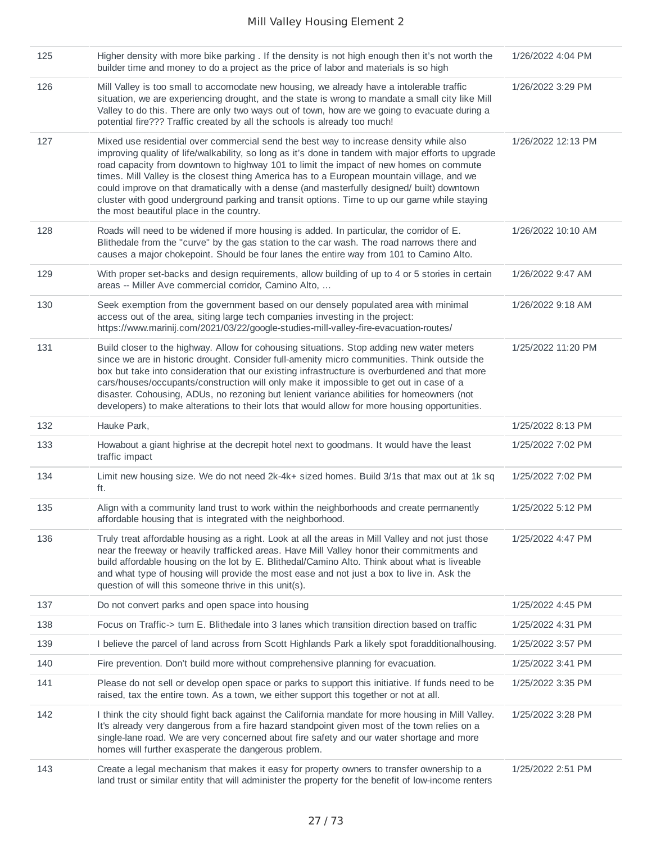| 125 | Higher density with more bike parking . If the density is not high enough then it's not worth the<br>builder time and money to do a project as the price of labor and materials is so high                                                                                                                                                                                                                                                                                                                                                                                                                                      | 1/26/2022 4:04 PM  |
|-----|---------------------------------------------------------------------------------------------------------------------------------------------------------------------------------------------------------------------------------------------------------------------------------------------------------------------------------------------------------------------------------------------------------------------------------------------------------------------------------------------------------------------------------------------------------------------------------------------------------------------------------|--------------------|
| 126 | Mill Valley is too small to accomodate new housing, we already have a intolerable traffic<br>situation, we are experiencing drought, and the state is wrong to mandate a small city like Mill<br>Valley to do this. There are only two ways out of town, how are we going to evacuate during a<br>potential fire??? Traffic created by all the schools is already too much!                                                                                                                                                                                                                                                     | 1/26/2022 3:29 PM  |
| 127 | Mixed use residential over commercial send the best way to increase density while also<br>improving quality of life/walkability, so long as it's done in tandem with major efforts to upgrade<br>road capacity from downtown to highway 101 to limit the impact of new homes on commute<br>times. Mill Valley is the closest thing America has to a European mountain village, and we<br>could improve on that dramatically with a dense (and masterfully designed/ built) downtown<br>cluster with good underground parking and transit options. Time to up our game while staying<br>the most beautiful place in the country. | 1/26/2022 12:13 PM |
| 128 | Roads will need to be widened if more housing is added. In particular, the corridor of E.<br>Blithedale from the "curve" by the gas station to the car wash. The road narrows there and<br>causes a major chokepoint. Should be four lanes the entire way from 101 to Camino Alto.                                                                                                                                                                                                                                                                                                                                              | 1/26/2022 10:10 AM |
| 129 | With proper set-backs and design requirements, allow building of up to 4 or 5 stories in certain<br>areas -- Miller Ave commercial corridor, Camino Alto,                                                                                                                                                                                                                                                                                                                                                                                                                                                                       | 1/26/2022 9:47 AM  |
| 130 | Seek exemption from the government based on our densely populated area with minimal<br>access out of the area, siting large tech companies investing in the project:<br>https://www.marinij.com/2021/03/22/google-studies-mill-valley-fire-evacuation-routes/                                                                                                                                                                                                                                                                                                                                                                   | 1/26/2022 9:18 AM  |
| 131 | Build closer to the highway. Allow for cohousing situations. Stop adding new water meters<br>since we are in historic drought. Consider full-amenity micro communities. Think outside the<br>box but take into consideration that our existing infrastructure is overburdened and that more<br>cars/houses/occupants/construction will only make it impossible to get out in case of a<br>disaster. Cohousing, ADUs, no rezoning but lenient variance abilities for homeowners (not<br>developers) to make alterations to their lots that would allow for more housing opportunities.                                           | 1/25/2022 11:20 PM |
| 132 | Hauke Park,                                                                                                                                                                                                                                                                                                                                                                                                                                                                                                                                                                                                                     | 1/25/2022 8:13 PM  |
| 133 | Howabout a giant highrise at the decrepit hotel next to goodmans. It would have the least<br>traffic impact                                                                                                                                                                                                                                                                                                                                                                                                                                                                                                                     | 1/25/2022 7:02 PM  |
| 134 | Limit new housing size. We do not need 2k-4k+ sized homes. Build 3/1s that max out at 1k sq<br>ft.                                                                                                                                                                                                                                                                                                                                                                                                                                                                                                                              | 1/25/2022 7:02 PM  |
| 135 | Align with a community land trust to work within the neighborhoods and create permanently<br>affordable housing that is integrated with the neighborhood.                                                                                                                                                                                                                                                                                                                                                                                                                                                                       | 1/25/2022 5:12 PM  |
| 136 | Truly treat affordable housing as a right. Look at all the areas in Mill Valley and not just those<br>near the freeway or heavily trafficked areas. Have Mill Valley honor their commitments and<br>build affordable housing on the lot by E. Blithedal/Camino Alto. Think about what is liveable<br>and what type of housing will provide the most ease and not just a box to live in. Ask the<br>question of will this someone thrive in this unit(s).                                                                                                                                                                        | 1/25/2022 4:47 PM  |
| 137 | Do not convert parks and open space into housing                                                                                                                                                                                                                                                                                                                                                                                                                                                                                                                                                                                | 1/25/2022 4:45 PM  |
| 138 | Focus on Traffic-> turn E. Blithedale into 3 lanes which transition direction based on traffic                                                                                                                                                                                                                                                                                                                                                                                                                                                                                                                                  | 1/25/2022 4:31 PM  |
| 139 | I believe the parcel of land across from Scott Highlands Park a likely spot foradditionalhousing.                                                                                                                                                                                                                                                                                                                                                                                                                                                                                                                               | 1/25/2022 3:57 PM  |
| 140 | Fire prevention. Don't build more without comprehensive planning for evacuation.                                                                                                                                                                                                                                                                                                                                                                                                                                                                                                                                                | 1/25/2022 3:41 PM  |
| 141 | Please do not sell or develop open space or parks to support this initiative. If funds need to be<br>raised, tax the entire town. As a town, we either support this together or not at all.                                                                                                                                                                                                                                                                                                                                                                                                                                     | 1/25/2022 3:35 PM  |
| 142 | I think the city should fight back against the California mandate for more housing in Mill Valley.<br>It's already very dangerous from a fire hazard standpoint given most of the town relies on a<br>single-lane road. We are very concerned about fire safety and our water shortage and more<br>homes will further exasperate the dangerous problem.                                                                                                                                                                                                                                                                         | 1/25/2022 3:28 PM  |
| 143 | Create a legal mechanism that makes it easy for property owners to transfer ownership to a<br>land trust or similar entity that will administer the property for the benefit of low-income renters                                                                                                                                                                                                                                                                                                                                                                                                                              | 1/25/2022 2:51 PM  |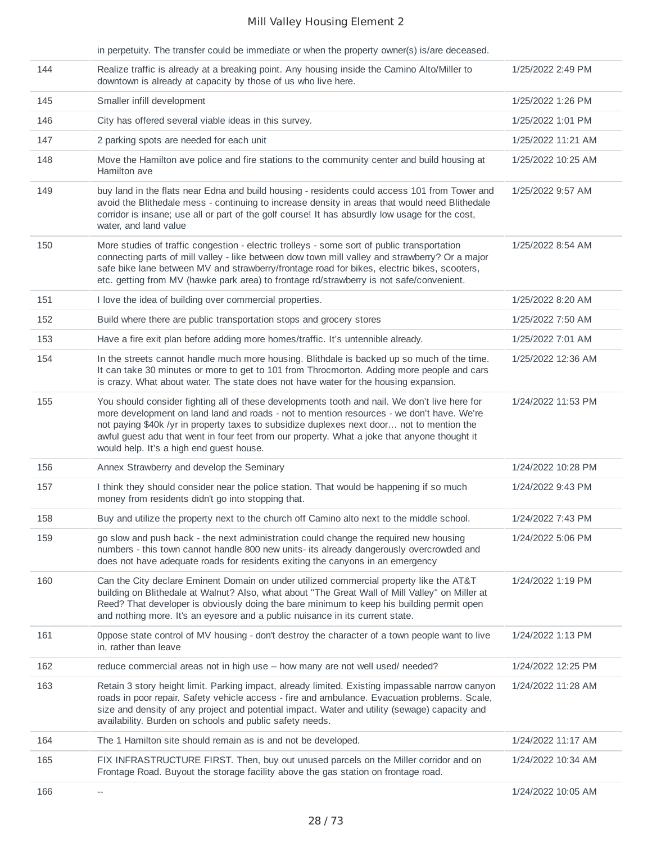|     | in perpetuity. The transfer could be immediate or when the property owner(s) is/are deceased.                                                                                                                                                                                                                                                                                                                                       |                    |
|-----|-------------------------------------------------------------------------------------------------------------------------------------------------------------------------------------------------------------------------------------------------------------------------------------------------------------------------------------------------------------------------------------------------------------------------------------|--------------------|
| 144 | Realize traffic is already at a breaking point. Any housing inside the Camino Alto/Miller to<br>downtown is already at capacity by those of us who live here.                                                                                                                                                                                                                                                                       | 1/25/2022 2:49 PM  |
| 145 | Smaller infill development                                                                                                                                                                                                                                                                                                                                                                                                          | 1/25/2022 1:26 PM  |
| 146 | City has offered several viable ideas in this survey.                                                                                                                                                                                                                                                                                                                                                                               | 1/25/2022 1:01 PM  |
| 147 | 2 parking spots are needed for each unit                                                                                                                                                                                                                                                                                                                                                                                            | 1/25/2022 11:21 AM |
| 148 | Move the Hamilton ave police and fire stations to the community center and build housing at<br>Hamilton ave                                                                                                                                                                                                                                                                                                                         | 1/25/2022 10:25 AM |
| 149 | buy land in the flats near Edna and build housing - residents could access 101 from Tower and<br>avoid the Blithedale mess - continuing to increase density in areas that would need Blithedale<br>corridor is insane; use all or part of the golf course! It has absurdly low usage for the cost,<br>water, and land value                                                                                                         | 1/25/2022 9:57 AM  |
| 150 | More studies of traffic congestion - electric trolleys - some sort of public transportation<br>connecting parts of mill valley - like between dow town mill valley and strawberry? Or a major<br>safe bike lane between MV and strawberry/frontage road for bikes, electric bikes, scooters,<br>etc. getting from MV (hawke park area) to frontage rd/strawberry is not safe/convenient.                                            | 1/25/2022 8:54 AM  |
| 151 | I love the idea of building over commercial properties.                                                                                                                                                                                                                                                                                                                                                                             | 1/25/2022 8:20 AM  |
| 152 | Build where there are public transportation stops and grocery stores                                                                                                                                                                                                                                                                                                                                                                | 1/25/2022 7:50 AM  |
| 153 | Have a fire exit plan before adding more homes/traffic. It's untennible already.                                                                                                                                                                                                                                                                                                                                                    | 1/25/2022 7:01 AM  |
| 154 | In the streets cannot handle much more housing. Blithdale is backed up so much of the time.<br>It can take 30 minutes or more to get to 101 from Throcmorton. Adding more people and cars<br>is crazy. What about water. The state does not have water for the housing expansion.                                                                                                                                                   | 1/25/2022 12:36 AM |
| 155 | You should consider fighting all of these developments tooth and nail. We don't live here for<br>more development on land land and roads - not to mention resources - we don't have. We're<br>not paying \$40k /yr in property taxes to subsidize duplexes next door not to mention the<br>awful guest adu that went in four feet from our property. What a joke that anyone thought it<br>would help. It's a high end guest house. | 1/24/2022 11:53 PM |
| 156 | Annex Strawberry and develop the Seminary                                                                                                                                                                                                                                                                                                                                                                                           | 1/24/2022 10:28 PM |
| 157 | I think they should consider near the police station. That would be happening if so much<br>money from residents didn't go into stopping that.                                                                                                                                                                                                                                                                                      | 1/24/2022 9:43 PM  |
| 158 | Buy and utilize the property next to the church off Camino alto next to the middle school.                                                                                                                                                                                                                                                                                                                                          | 1/24/2022 7:43 PM  |
| 159 | go slow and push back - the next administration could change the required new housing<br>numbers - this town cannot handle 800 new units- its already dangerously overcrowded and<br>does not have adequate roads for residents exiting the canyons in an emergency                                                                                                                                                                 | 1/24/2022 5:06 PM  |
| 160 | Can the City declare Eminent Domain on under utilized commercial property like the AT&T<br>building on Blithedale at Walnut? Also, what about "The Great Wall of Mill Valley" on Miller at<br>Reed? That developer is obviously doing the bare minimum to keep his building permit open<br>and nothing more. It's an eyesore and a public nuisance in its current state.                                                            | 1/24/2022 1:19 PM  |
| 161 | Oppose state control of MV housing - don't destroy the character of a town people want to live<br>in, rather than leave                                                                                                                                                                                                                                                                                                             | 1/24/2022 1:13 PM  |
| 162 | reduce commercial areas not in high use -- how many are not well used/ needed?                                                                                                                                                                                                                                                                                                                                                      | 1/24/2022 12:25 PM |
| 163 | Retain 3 story height limit. Parking impact, already limited. Existing impassable narrow canyon<br>roads in poor repair. Safety vehicle access - fire and ambulance. Evacuation problems. Scale,<br>size and density of any project and potential impact. Water and utility (sewage) capacity and<br>availability. Burden on schools and public safety needs.                                                                       | 1/24/2022 11:28 AM |
| 164 | The 1 Hamilton site should remain as is and not be developed.                                                                                                                                                                                                                                                                                                                                                                       | 1/24/2022 11:17 AM |
| 165 | FIX INFRASTRUCTURE FIRST. Then, buy out unused parcels on the Miller corridor and on<br>Frontage Road. Buyout the storage facility above the gas station on frontage road.                                                                                                                                                                                                                                                          | 1/24/2022 10:34 AM |
| 166 | $-\!$                                                                                                                                                                                                                                                                                                                                                                                                                               | 1/24/2022 10:05 AM |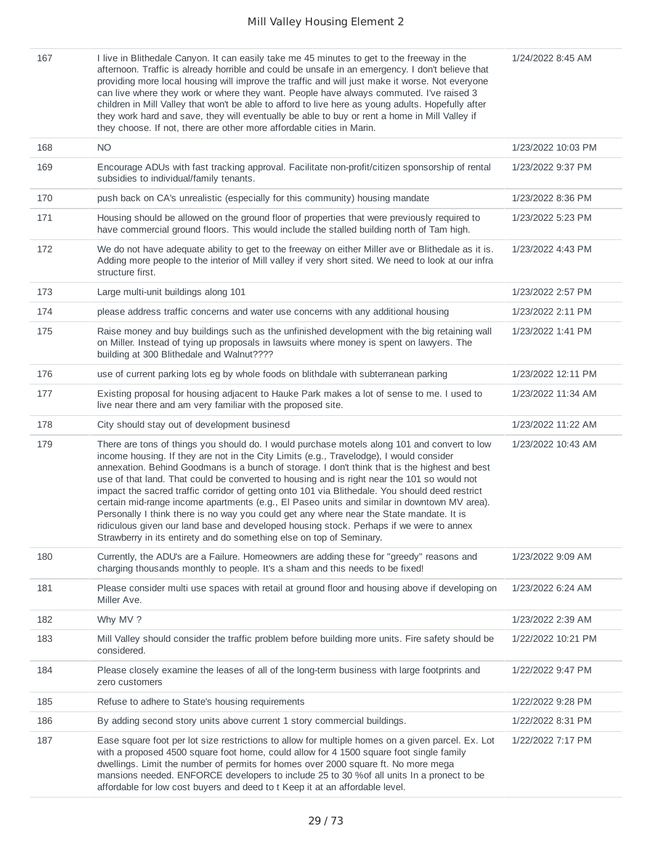| 167 | I live in Blithedale Canyon. It can easily take me 45 minutes to get to the freeway in the<br>afternoon. Traffic is already horrible and could be unsafe in an emergency. I don't believe that<br>providing more local housing will improve the traffic and will just make it worse. Not everyone<br>can live where they work or where they want. People have always commuted. I've raised 3<br>children in Mill Valley that won't be able to afford to live here as young adults. Hopefully after<br>they work hard and save, they will eventually be able to buy or rent a home in Mill Valley if<br>they choose. If not, there are other more affordable cities in Marin.                                                                                                                                                                             | 1/24/2022 8:45 AM  |
|-----|----------------------------------------------------------------------------------------------------------------------------------------------------------------------------------------------------------------------------------------------------------------------------------------------------------------------------------------------------------------------------------------------------------------------------------------------------------------------------------------------------------------------------------------------------------------------------------------------------------------------------------------------------------------------------------------------------------------------------------------------------------------------------------------------------------------------------------------------------------|--------------------|
| 168 | <b>NO</b>                                                                                                                                                                                                                                                                                                                                                                                                                                                                                                                                                                                                                                                                                                                                                                                                                                                | 1/23/2022 10:03 PM |
| 169 | Encourage ADUs with fast tracking approval. Facilitate non-profit/citizen sponsorship of rental<br>subsidies to individual/family tenants.                                                                                                                                                                                                                                                                                                                                                                                                                                                                                                                                                                                                                                                                                                               | 1/23/2022 9:37 PM  |
| 170 | push back on CA's unrealistic (especially for this community) housing mandate                                                                                                                                                                                                                                                                                                                                                                                                                                                                                                                                                                                                                                                                                                                                                                            | 1/23/2022 8:36 PM  |
| 171 | Housing should be allowed on the ground floor of properties that were previously required to<br>have commercial ground floors. This would include the stalled building north of Tam high.                                                                                                                                                                                                                                                                                                                                                                                                                                                                                                                                                                                                                                                                | 1/23/2022 5:23 PM  |
| 172 | We do not have adequate ability to get to the freeway on either Miller ave or Blithedale as it is.<br>Adding more people to the interior of Mill valley if very short sited. We need to look at our infra<br>structure first.                                                                                                                                                                                                                                                                                                                                                                                                                                                                                                                                                                                                                            | 1/23/2022 4:43 PM  |
| 173 | Large multi-unit buildings along 101                                                                                                                                                                                                                                                                                                                                                                                                                                                                                                                                                                                                                                                                                                                                                                                                                     | 1/23/2022 2:57 PM  |
| 174 | please address traffic concerns and water use concerns with any additional housing                                                                                                                                                                                                                                                                                                                                                                                                                                                                                                                                                                                                                                                                                                                                                                       | 1/23/2022 2:11 PM  |
| 175 | Raise money and buy buildings such as the unfinished development with the big retaining wall<br>on Miller. Instead of tying up proposals in lawsuits where money is spent on lawyers. The<br>building at 300 Blithedale and Walnut????                                                                                                                                                                                                                                                                                                                                                                                                                                                                                                                                                                                                                   | 1/23/2022 1:41 PM  |
| 176 | use of current parking lots eg by whole foods on blithdale with subterranean parking                                                                                                                                                                                                                                                                                                                                                                                                                                                                                                                                                                                                                                                                                                                                                                     | 1/23/2022 12:11 PM |
| 177 | Existing proposal for housing adjacent to Hauke Park makes a lot of sense to me. I used to<br>live near there and am very familiar with the proposed site.                                                                                                                                                                                                                                                                                                                                                                                                                                                                                                                                                                                                                                                                                               | 1/23/2022 11:34 AM |
| 178 | City should stay out of development businesd                                                                                                                                                                                                                                                                                                                                                                                                                                                                                                                                                                                                                                                                                                                                                                                                             | 1/23/2022 11:22 AM |
| 179 | There are tons of things you should do. I would purchase motels along 101 and convert to low<br>income housing. If they are not in the City Limits (e.g., Travelodge), I would consider<br>annexation. Behind Goodmans is a bunch of storage. I don't think that is the highest and best<br>use of that land. That could be converted to housing and is right near the 101 so would not<br>impact the sacred traffic corridor of getting onto 101 via Blithedale. You should deed restrict<br>certain mid-range income apartments (e.g., El Paseo units and similar in downtown MV area).<br>Personally I think there is no way you could get any where near the State mandate. It is<br>ridiculous given our land base and developed housing stock. Perhaps if we were to annex<br>Strawberry in its entirety and do something else on top of Seminary. | 1/23/2022 10:43 AM |
| 180 | Currently, the ADU's are a Failure. Homeowners are adding these for "greedy" reasons and<br>charging thousands monthly to people. It's a sham and this needs to be fixed!                                                                                                                                                                                                                                                                                                                                                                                                                                                                                                                                                                                                                                                                                | 1/23/2022 9:09 AM  |
| 181 | Please consider multi use spaces with retail at ground floor and housing above if developing on<br>Miller Ave.                                                                                                                                                                                                                                                                                                                                                                                                                                                                                                                                                                                                                                                                                                                                           | 1/23/2022 6:24 AM  |
| 182 | Why MV?                                                                                                                                                                                                                                                                                                                                                                                                                                                                                                                                                                                                                                                                                                                                                                                                                                                  | 1/23/2022 2:39 AM  |
| 183 | Mill Valley should consider the traffic problem before building more units. Fire safety should be<br>considered.                                                                                                                                                                                                                                                                                                                                                                                                                                                                                                                                                                                                                                                                                                                                         | 1/22/2022 10:21 PM |
| 184 | Please closely examine the leases of all of the long-term business with large footprints and<br>zero customers                                                                                                                                                                                                                                                                                                                                                                                                                                                                                                                                                                                                                                                                                                                                           | 1/22/2022 9:47 PM  |
| 185 | Refuse to adhere to State's housing requirements                                                                                                                                                                                                                                                                                                                                                                                                                                                                                                                                                                                                                                                                                                                                                                                                         | 1/22/2022 9:28 PM  |
| 186 | By adding second story units above current 1 story commercial buildings.                                                                                                                                                                                                                                                                                                                                                                                                                                                                                                                                                                                                                                                                                                                                                                                 | 1/22/2022 8:31 PM  |
| 187 | Ease square foot per lot size restrictions to allow for multiple homes on a given parcel. Ex. Lot<br>with a proposed 4500 square foot home, could allow for 4 1500 square foot single family<br>dwellings. Limit the number of permits for homes over 2000 square ft. No more mega<br>mansions needed. ENFORCE developers to include 25 to 30 % of all units In a pronect to be<br>affordable for low cost buyers and deed to t Keep it at an affordable level.                                                                                                                                                                                                                                                                                                                                                                                          | 1/22/2022 7:17 PM  |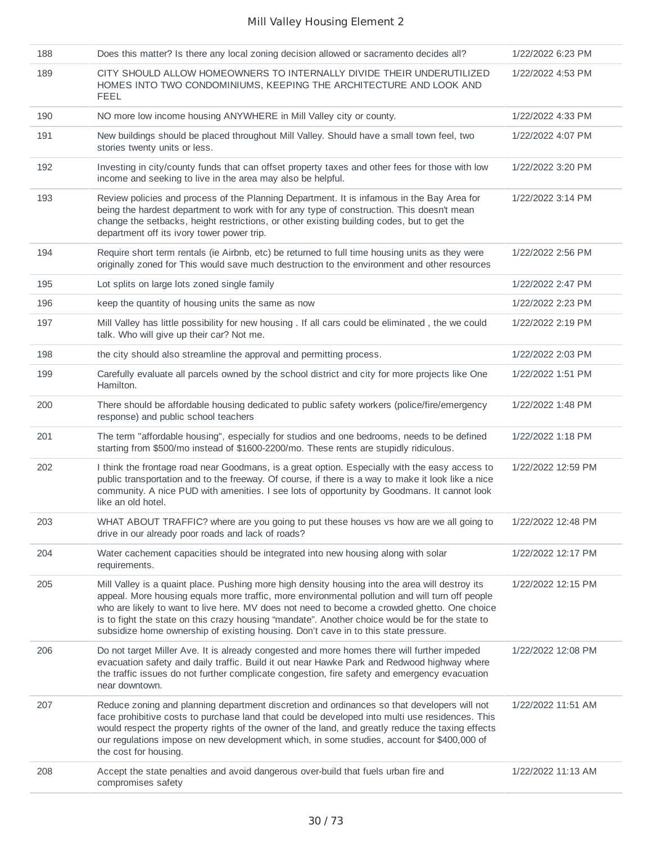| 188 | Does this matter? Is there any local zoning decision allowed or sacramento decides all?                                                                                                                                                                                                                                                                                                                                                                                                      | 1/22/2022 6:23 PM  |
|-----|----------------------------------------------------------------------------------------------------------------------------------------------------------------------------------------------------------------------------------------------------------------------------------------------------------------------------------------------------------------------------------------------------------------------------------------------------------------------------------------------|--------------------|
| 189 | CITY SHOULD ALLOW HOMEOWNERS TO INTERNALLY DIVIDE THEIR UNDERUTILIZED<br>HOMES INTO TWO CONDOMINIUMS, KEEPING THE ARCHITECTURE AND LOOK AND<br><b>FEEL</b>                                                                                                                                                                                                                                                                                                                                   | 1/22/2022 4:53 PM  |
| 190 | NO more low income housing ANYWHERE in Mill Valley city or county.                                                                                                                                                                                                                                                                                                                                                                                                                           | 1/22/2022 4:33 PM  |
| 191 | New buildings should be placed throughout Mill Valley. Should have a small town feel, two<br>stories twenty units or less.                                                                                                                                                                                                                                                                                                                                                                   | 1/22/2022 4:07 PM  |
| 192 | Investing in city/county funds that can offset property taxes and other fees for those with low<br>income and seeking to live in the area may also be helpful.                                                                                                                                                                                                                                                                                                                               | 1/22/2022 3:20 PM  |
| 193 | Review policies and process of the Planning Department. It is infamous in the Bay Area for<br>being the hardest department to work with for any type of construction. This doesn't mean<br>change the setbacks, height restrictions, or other existing building codes, but to get the<br>department off its ivory tower power trip.                                                                                                                                                          | 1/22/2022 3:14 PM  |
| 194 | Require short term rentals (ie Airbnb, etc) be returned to full time housing units as they were<br>originally zoned for This would save much destruction to the environment and other resources                                                                                                                                                                                                                                                                                              | 1/22/2022 2:56 PM  |
| 195 | Lot splits on large lots zoned single family                                                                                                                                                                                                                                                                                                                                                                                                                                                 | 1/22/2022 2:47 PM  |
| 196 | keep the quantity of housing units the same as now                                                                                                                                                                                                                                                                                                                                                                                                                                           | 1/22/2022 2:23 PM  |
| 197 | Mill Valley has little possibility for new housing . If all cars could be eliminated, the we could<br>talk. Who will give up their car? Not me.                                                                                                                                                                                                                                                                                                                                              | 1/22/2022 2:19 PM  |
| 198 | the city should also streamline the approval and permitting process.                                                                                                                                                                                                                                                                                                                                                                                                                         | 1/22/2022 2:03 PM  |
| 199 | Carefully evaluate all parcels owned by the school district and city for more projects like One<br>Hamilton.                                                                                                                                                                                                                                                                                                                                                                                 | 1/22/2022 1:51 PM  |
| 200 | There should be affordable housing dedicated to public safety workers (police/fire/emergency<br>response) and public school teachers                                                                                                                                                                                                                                                                                                                                                         | 1/22/2022 1:48 PM  |
| 201 | The term "affordable housing", especially for studios and one bedrooms, needs to be defined<br>starting from \$500/mo instead of \$1600-2200/mo. These rents are stupidly ridiculous.                                                                                                                                                                                                                                                                                                        | 1/22/2022 1:18 PM  |
| 202 | I think the frontage road near Goodmans, is a great option. Especially with the easy access to<br>public transportation and to the freeway. Of course, if there is a way to make it look like a nice<br>community. A nice PUD with amenities. I see lots of opportunity by Goodmans. It cannot look<br>like an old hotel.                                                                                                                                                                    | 1/22/2022 12:59 PM |
| 203 | WHAT ABOUT TRAFFIC? where are you going to put these houses vs how are we all going to<br>drive in our already poor roads and lack of roads?                                                                                                                                                                                                                                                                                                                                                 | 1/22/2022 12:48 PM |
| 204 | Water cachement capacities should be integrated into new housing along with solar<br>requirements.                                                                                                                                                                                                                                                                                                                                                                                           | 1/22/2022 12:17 PM |
| 205 | Mill Valley is a quaint place. Pushing more high density housing into the area will destroy its<br>appeal. More housing equals more traffic, more environmental pollution and will turn off people<br>who are likely to want to live here. MV does not need to become a crowded ghetto. One choice<br>is to fight the state on this crazy housing "mandate". Another choice would be for the state to<br>subsidize home ownership of existing housing. Don't cave in to this state pressure. | 1/22/2022 12:15 PM |
| 206 | Do not target Miller Ave. It is already congested and more homes there will further impeded<br>evacuation safety and daily traffic. Build it out near Hawke Park and Redwood highway where<br>the traffic issues do not further complicate congestion, fire safety and emergency evacuation<br>near downtown.                                                                                                                                                                                | 1/22/2022 12:08 PM |
| 207 | Reduce zoning and planning department discretion and ordinances so that developers will not<br>face prohibitive costs to purchase land that could be developed into multi use residences. This<br>would respect the property rights of the owner of the land, and greatly reduce the taxing effects<br>our regulations impose on new development which, in some studies, account for \$400,000 of<br>the cost for housing.                                                                   | 1/22/2022 11:51 AM |
| 208 | Accept the state penalties and avoid dangerous over-build that fuels urban fire and<br>compromises safety                                                                                                                                                                                                                                                                                                                                                                                    | 1/22/2022 11:13 AM |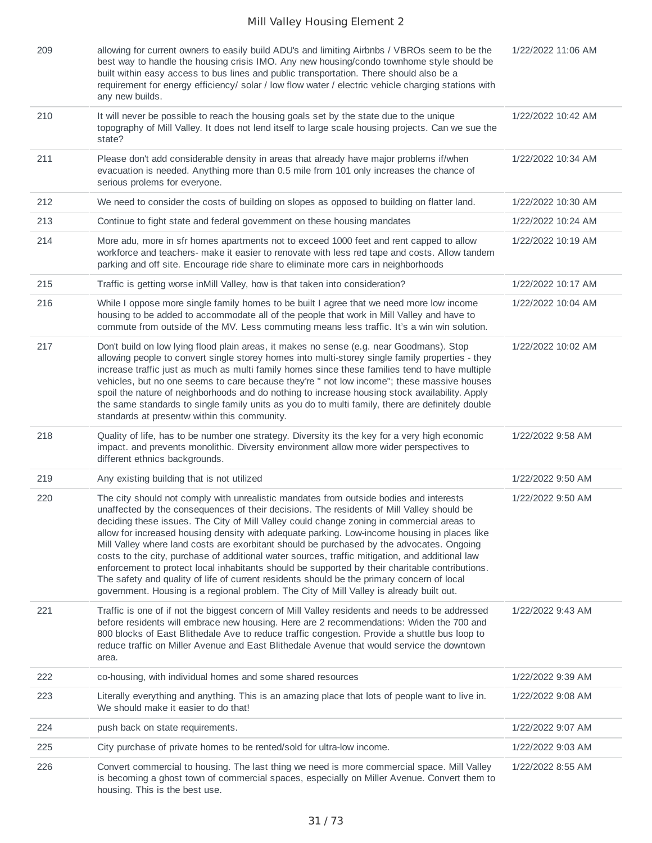| 209 | allowing for current owners to easily build ADU's and limiting Airbnbs / VBROs seem to be the<br>best way to handle the housing crisis IMO. Any new housing/condo townhome style should be<br>built within easy access to bus lines and public transportation. There should also be a<br>requirement for energy efficiency/ solar / low flow water / electric vehicle charging stations with<br>any new builds.                                                                                                                                                                                                                                                                                                                                                                                                                                                               | 1/22/2022 11:06 AM |
|-----|-------------------------------------------------------------------------------------------------------------------------------------------------------------------------------------------------------------------------------------------------------------------------------------------------------------------------------------------------------------------------------------------------------------------------------------------------------------------------------------------------------------------------------------------------------------------------------------------------------------------------------------------------------------------------------------------------------------------------------------------------------------------------------------------------------------------------------------------------------------------------------|--------------------|
| 210 | It will never be possible to reach the housing goals set by the state due to the unique<br>topography of Mill Valley. It does not lend itself to large scale housing projects. Can we sue the<br>state?                                                                                                                                                                                                                                                                                                                                                                                                                                                                                                                                                                                                                                                                       | 1/22/2022 10:42 AM |
| 211 | Please don't add considerable density in areas that already have major problems if/when<br>evacuation is needed. Anything more than 0.5 mile from 101 only increases the chance of<br>serious prolems for everyone.                                                                                                                                                                                                                                                                                                                                                                                                                                                                                                                                                                                                                                                           | 1/22/2022 10:34 AM |
| 212 | We need to consider the costs of building on slopes as opposed to building on flatter land.                                                                                                                                                                                                                                                                                                                                                                                                                                                                                                                                                                                                                                                                                                                                                                                   | 1/22/2022 10:30 AM |
| 213 | Continue to fight state and federal government on these housing mandates                                                                                                                                                                                                                                                                                                                                                                                                                                                                                                                                                                                                                                                                                                                                                                                                      | 1/22/2022 10:24 AM |
| 214 | More adu, more in sfr homes apartments not to exceed 1000 feet and rent capped to allow<br>workforce and teachers- make it easier to renovate with less red tape and costs. Allow tandem<br>parking and off site. Encourage ride share to eliminate more cars in neighborhoods                                                                                                                                                                                                                                                                                                                                                                                                                                                                                                                                                                                                | 1/22/2022 10:19 AM |
| 215 | Traffic is getting worse inMill Valley, how is that taken into consideration?                                                                                                                                                                                                                                                                                                                                                                                                                                                                                                                                                                                                                                                                                                                                                                                                 | 1/22/2022 10:17 AM |
| 216 | While I oppose more single family homes to be built I agree that we need more low income<br>housing to be added to accommodate all of the people that work in Mill Valley and have to<br>commute from outside of the MV. Less commuting means less traffic. It's a win win solution.                                                                                                                                                                                                                                                                                                                                                                                                                                                                                                                                                                                          | 1/22/2022 10:04 AM |
| 217 | Don't build on low lying flood plain areas, it makes no sense (e.g. near Goodmans). Stop<br>allowing people to convert single storey homes into multi-storey single family properties - they<br>increase traffic just as much as multi family homes since these families tend to have multiple<br>vehicles, but no one seems to care because they're " not low income"; these massive houses<br>spoil the nature of neighborhoods and do nothing to increase housing stock availability. Apply<br>the same standards to single family units as you do to multi family, there are definitely double<br>standards at presentw within this community.                                                                                                                                                                                                                            | 1/22/2022 10:02 AM |
| 218 | Quality of life, has to be number one strategy. Diversity its the key for a very high economic<br>impact. and prevents monolithic. Diversity environment allow more wider perspectives to<br>different ethnics backgrounds.                                                                                                                                                                                                                                                                                                                                                                                                                                                                                                                                                                                                                                                   | 1/22/2022 9:58 AM  |
| 219 | Any existing building that is not utilized                                                                                                                                                                                                                                                                                                                                                                                                                                                                                                                                                                                                                                                                                                                                                                                                                                    | 1/22/2022 9:50 AM  |
| 220 | The city should not comply with unrealistic mandates from outside bodies and interests<br>unaffected by the consequences of their decisions. The residents of Mill Valley should be<br>deciding these issues. The City of Mill Valley could change zoning in commercial areas to<br>allow for increased housing density with adequate parking. Low-income housing in places like<br>Mill Valley where land costs are exorbitant should be purchased by the advocates. Ongoing<br>costs to the city, purchase of additional water sources, traffic mitigation, and additional law<br>enforcement to protect local inhabitants should be supported by their charitable contributions.<br>The safety and quality of life of current residents should be the primary concern of local<br>government. Housing is a regional problem. The City of Mill Valley is already built out. | 1/22/2022 9:50 AM  |
| 221 | Traffic is one of if not the biggest concern of Mill Valley residents and needs to be addressed<br>before residents will embrace new housing. Here are 2 recommendations: Widen the 700 and<br>800 blocks of East Blithedale Ave to reduce traffic congestion. Provide a shuttle bus loop to<br>reduce traffic on Miller Avenue and East Blithedale Avenue that would service the downtown<br>area.                                                                                                                                                                                                                                                                                                                                                                                                                                                                           | 1/22/2022 9:43 AM  |
| 222 | co-housing, with individual homes and some shared resources                                                                                                                                                                                                                                                                                                                                                                                                                                                                                                                                                                                                                                                                                                                                                                                                                   | 1/22/2022 9:39 AM  |
| 223 | Literally everything and anything. This is an amazing place that lots of people want to live in.<br>We should make it easier to do that!                                                                                                                                                                                                                                                                                                                                                                                                                                                                                                                                                                                                                                                                                                                                      | 1/22/2022 9:08 AM  |
| 224 | push back on state requirements.                                                                                                                                                                                                                                                                                                                                                                                                                                                                                                                                                                                                                                                                                                                                                                                                                                              | 1/22/2022 9:07 AM  |
| 225 | City purchase of private homes to be rented/sold for ultra-low income.                                                                                                                                                                                                                                                                                                                                                                                                                                                                                                                                                                                                                                                                                                                                                                                                        | 1/22/2022 9:03 AM  |
| 226 | Convert commercial to housing. The last thing we need is more commercial space. Mill Valley<br>is becoming a ghost town of commercial spaces, especially on Miller Avenue. Convert them to<br>housing. This is the best use.                                                                                                                                                                                                                                                                                                                                                                                                                                                                                                                                                                                                                                                  | 1/22/2022 8:55 AM  |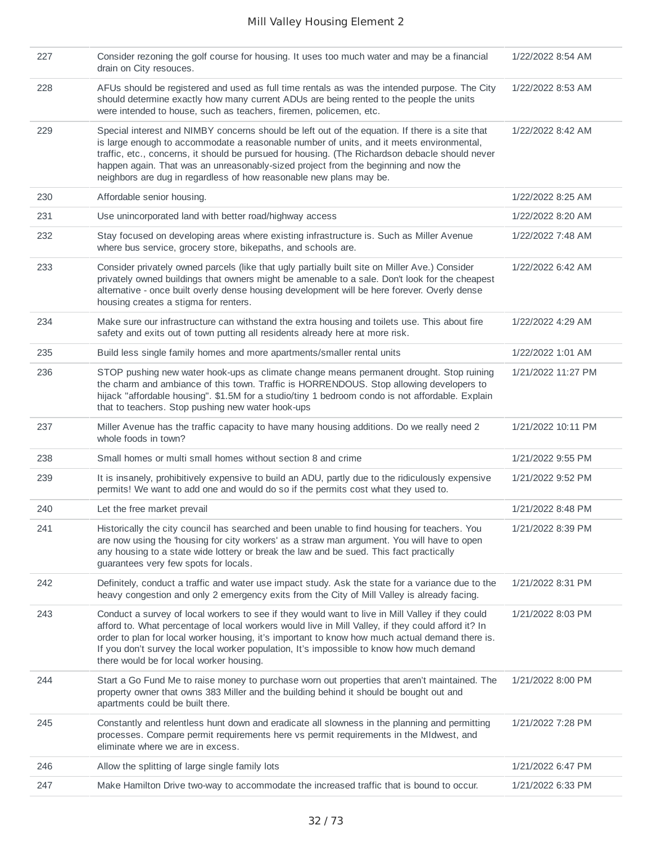| 227 | Consider rezoning the golf course for housing. It uses too much water and may be a financial<br>drain on City resouces.                                                                                                                                                                                                                                                                                                                                      | 1/22/2022 8:54 AM  |
|-----|--------------------------------------------------------------------------------------------------------------------------------------------------------------------------------------------------------------------------------------------------------------------------------------------------------------------------------------------------------------------------------------------------------------------------------------------------------------|--------------------|
| 228 | AFUs should be registered and used as full time rentals as was the intended purpose. The City<br>should determine exactly how many current ADUs are being rented to the people the units<br>were intended to house, such as teachers, firemen, policemen, etc.                                                                                                                                                                                               | 1/22/2022 8:53 AM  |
| 229 | Special interest and NIMBY concerns should be left out of the equation. If there is a site that<br>is large enough to accommodate a reasonable number of units, and it meets environmental,<br>traffic, etc., concerns, it should be pursued for housing. (The Richardson debacle should never<br>happen again. That was an unreasonably-sized project from the beginning and now the<br>neighbors are dug in regardless of how reasonable new plans may be. | 1/22/2022 8:42 AM  |
| 230 | Affordable senior housing.                                                                                                                                                                                                                                                                                                                                                                                                                                   | 1/22/2022 8:25 AM  |
| 231 | Use unincorporated land with better road/highway access                                                                                                                                                                                                                                                                                                                                                                                                      | 1/22/2022 8:20 AM  |
| 232 | Stay focused on developing areas where existing infrastructure is. Such as Miller Avenue<br>where bus service, grocery store, bikepaths, and schools are.                                                                                                                                                                                                                                                                                                    | 1/22/2022 7:48 AM  |
| 233 | Consider privately owned parcels (like that ugly partially built site on Miller Ave.) Consider<br>privately owned buildings that owners might be amenable to a sale. Don't look for the cheapest<br>alternative - once built overly dense housing development will be here forever. Overly dense<br>housing creates a stigma for renters.                                                                                                                    | 1/22/2022 6:42 AM  |
| 234 | Make sure our infrastructure can withstand the extra housing and toilets use. This about fire<br>safety and exits out of town putting all residents already here at more risk.                                                                                                                                                                                                                                                                               | 1/22/2022 4:29 AM  |
| 235 | Build less single family homes and more apartments/smaller rental units                                                                                                                                                                                                                                                                                                                                                                                      | 1/22/2022 1:01 AM  |
| 236 | STOP pushing new water hook-ups as climate change means permanent drought. Stop ruining<br>the charm and ambiance of this town. Traffic is HORRENDOUS. Stop allowing developers to<br>hijack "affordable housing". \$1.5M for a studio/tiny 1 bedroom condo is not affordable. Explain<br>that to teachers. Stop pushing new water hook-ups                                                                                                                  | 1/21/2022 11:27 PM |
| 237 | Miller Avenue has the traffic capacity to have many housing additions. Do we really need 2<br>whole foods in town?                                                                                                                                                                                                                                                                                                                                           | 1/21/2022 10:11 PM |
| 238 | Small homes or multi small homes without section 8 and crime                                                                                                                                                                                                                                                                                                                                                                                                 | 1/21/2022 9:55 PM  |
| 239 | It is insanely, prohibitively expensive to build an ADU, partly due to the ridiculously expensive<br>permits! We want to add one and would do so if the permits cost what they used to.                                                                                                                                                                                                                                                                      | 1/21/2022 9:52 PM  |
| 240 | Let the free market prevail                                                                                                                                                                                                                                                                                                                                                                                                                                  | 1/21/2022 8:48 PM  |
| 241 | Historically the city council has searched and been unable to find housing for teachers. You<br>are now using the 'housing for city workers' as a straw man argument. You will have to open<br>any housing to a state wide lottery or break the law and be sued. This fact practically<br>guarantees very few spots for locals.                                                                                                                              | 1/21/2022 8:39 PM  |
| 242 | Definitely, conduct a traffic and water use impact study. Ask the state for a variance due to the<br>heavy congestion and only 2 emergency exits from the City of Mill Valley is already facing.                                                                                                                                                                                                                                                             | 1/21/2022 8:31 PM  |
| 243 | Conduct a survey of local workers to see if they would want to live in Mill Valley if they could<br>afford to. What percentage of local workers would live in Mill Valley, if they could afford it? In<br>order to plan for local worker housing, it's important to know how much actual demand there is.<br>If you don't survey the local worker population, It's impossible to know how much demand<br>there would be for local worker housing.            | 1/21/2022 8:03 PM  |
| 244 | Start a Go Fund Me to raise money to purchase worn out properties that aren't maintained. The<br>property owner that owns 383 Miller and the building behind it should be bought out and<br>apartments could be built there.                                                                                                                                                                                                                                 | 1/21/2022 8:00 PM  |
| 245 | Constantly and relentless hunt down and eradicate all slowness in the planning and permitting<br>processes. Compare permit requirements here vs permit requirements in the MIdwest, and                                                                                                                                                                                                                                                                      | 1/21/2022 7:28 PM  |
|     | eliminate where we are in excess.                                                                                                                                                                                                                                                                                                                                                                                                                            |                    |
| 246 | Allow the splitting of large single family lots                                                                                                                                                                                                                                                                                                                                                                                                              | 1/21/2022 6:47 PM  |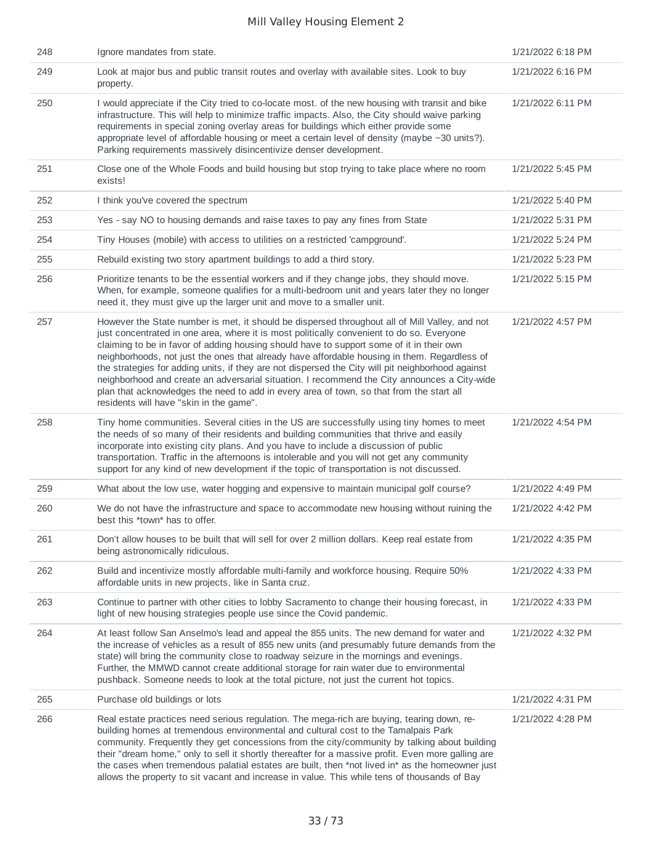| 248 | Ignore mandates from state.                                                                                                                                                                                                                                                                                                                                                                                                                                                                                                                                                                                                                                                                                                         | 1/21/2022 6:18 PM |
|-----|-------------------------------------------------------------------------------------------------------------------------------------------------------------------------------------------------------------------------------------------------------------------------------------------------------------------------------------------------------------------------------------------------------------------------------------------------------------------------------------------------------------------------------------------------------------------------------------------------------------------------------------------------------------------------------------------------------------------------------------|-------------------|
| 249 | Look at major bus and public transit routes and overlay with available sites. Look to buy<br>property.                                                                                                                                                                                                                                                                                                                                                                                                                                                                                                                                                                                                                              | 1/21/2022 6:16 PM |
| 250 | I would appreciate if the City tried to co-locate most. of the new housing with transit and bike<br>infrastructure. This will help to minimize traffic impacts. Also, the City should waive parking<br>requirements in special zoning overlay areas for buildings which either provide some<br>appropriate level of affordable housing or meet a certain level of density (maybe ~30 units?).<br>Parking requirements massively disincentivize denser development.                                                                                                                                                                                                                                                                  | 1/21/2022 6:11 PM |
| 251 | Close one of the Whole Foods and build housing but stop trying to take place where no room<br>exists!                                                                                                                                                                                                                                                                                                                                                                                                                                                                                                                                                                                                                               | 1/21/2022 5:45 PM |
| 252 | I think you've covered the spectrum                                                                                                                                                                                                                                                                                                                                                                                                                                                                                                                                                                                                                                                                                                 | 1/21/2022 5:40 PM |
| 253 | Yes - say NO to housing demands and raise taxes to pay any fines from State                                                                                                                                                                                                                                                                                                                                                                                                                                                                                                                                                                                                                                                         | 1/21/2022 5:31 PM |
| 254 | Tiny Houses (mobile) with access to utilities on a restricted 'campground'.                                                                                                                                                                                                                                                                                                                                                                                                                                                                                                                                                                                                                                                         | 1/21/2022 5:24 PM |
| 255 | Rebuild existing two story apartment buildings to add a third story.                                                                                                                                                                                                                                                                                                                                                                                                                                                                                                                                                                                                                                                                | 1/21/2022 5:23 PM |
| 256 | Prioritize tenants to be the essential workers and if they change jobs, they should move.<br>When, for example, someone qualifies for a multi-bedroom unit and years later they no longer<br>need it, they must give up the larger unit and move to a smaller unit.                                                                                                                                                                                                                                                                                                                                                                                                                                                                 | 1/21/2022 5:15 PM |
| 257 | However the State number is met, it should be dispersed throughout all of Mill Valley, and not<br>just concentrated in one area, where it is most politically convenient to do so. Everyone<br>claiming to be in favor of adding housing should have to support some of it in their own<br>neighborhoods, not just the ones that already have affordable housing in them. Regardless of<br>the strategies for adding units, if they are not dispersed the City will pit neighborhood against<br>neighborhood and create an adversarial situation. I recommend the City announces a City-wide<br>plan that acknowledges the need to add in every area of town, so that from the start all<br>residents will have "skin in the game". | 1/21/2022 4:57 PM |
| 258 | Tiny home communities. Several cities in the US are successfully using tiny homes to meet<br>the needs of so many of their residents and building communities that thrive and easily<br>incorporate into existing city plans. And you have to include a discussion of public<br>transportation. Traffic in the afternoons is intolerable and you will not get any community<br>support for any kind of new development if the topic of transportation is not discussed.                                                                                                                                                                                                                                                             | 1/21/2022 4:54 PM |
| 259 | What about the low use, water hogging and expensive to maintain municipal golf course?                                                                                                                                                                                                                                                                                                                                                                                                                                                                                                                                                                                                                                              | 1/21/2022 4:49 PM |
| 260 | We do not have the infrastructure and space to accommodate new housing without ruining the<br>best this *town* has to offer.                                                                                                                                                                                                                                                                                                                                                                                                                                                                                                                                                                                                        | 1/21/2022 4:42 PM |
| 261 | Don't allow houses to be built that will sell for over 2 million dollars. Keep real estate from<br>being astronomically ridiculous.                                                                                                                                                                                                                                                                                                                                                                                                                                                                                                                                                                                                 | 1/21/2022 4:35 PM |
| 262 | Build and incentivize mostly affordable multi-family and workforce housing. Require 50%<br>affordable units in new projects, like in Santa cruz.                                                                                                                                                                                                                                                                                                                                                                                                                                                                                                                                                                                    | 1/21/2022 4:33 PM |
| 263 | Continue to partner with other cities to lobby Sacramento to change their housing forecast, in<br>light of new housing strategies people use since the Covid pandemic.                                                                                                                                                                                                                                                                                                                                                                                                                                                                                                                                                              | 1/21/2022 4:33 PM |
| 264 | At least follow San Anselmo's lead and appeal the 855 units. The new demand for water and<br>the increase of vehicles as a result of 855 new units (and presumably future demands from the<br>state) will bring the community close to roadway seizure in the mornings and evenings.<br>Further, the MMWD cannot create additional storage for rain water due to environmental<br>pushback. Someone needs to look at the total picture, not just the current hot topics.                                                                                                                                                                                                                                                            | 1/21/2022 4:32 PM |
| 265 | Purchase old buildings or lots                                                                                                                                                                                                                                                                                                                                                                                                                                                                                                                                                                                                                                                                                                      | 1/21/2022 4:31 PM |
| 266 | Real estate practices need serious regulation. The mega-rich are buying, tearing down, re-<br>building homes at tremendous environmental and cultural cost to the Tamalpais Park<br>community. Frequently they get concessions from the city/community by talking about building<br>their "dream home," only to sell it shortly thereafter for a massive profit. Even more galling are<br>the cases when tremendous palatial estates are built, then *not lived in* as the homeowner just<br>allows the property to sit vacant and increase in value. This while tens of thousands of Bay                                                                                                                                           | 1/21/2022 4:28 PM |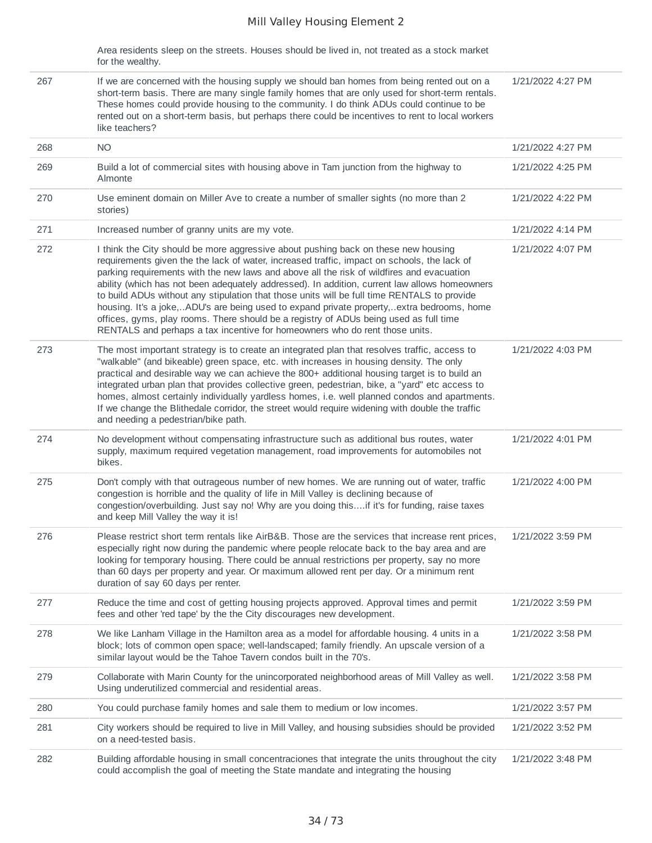Area residents sleep on the streets. Houses should be lived in, not treated as a stock market for the wealthy.

| 267 | If we are concerned with the housing supply we should ban homes from being rented out on a<br>short-term basis. There are many single family homes that are only used for short-term rentals.<br>These homes could provide housing to the community. I do think ADUs could continue to be<br>rented out on a short-term basis, but perhaps there could be incentives to rent to local workers<br>like teachers?                                                                                                                                                                                                                                                                                                                                     | 1/21/2022 4:27 PM |
|-----|-----------------------------------------------------------------------------------------------------------------------------------------------------------------------------------------------------------------------------------------------------------------------------------------------------------------------------------------------------------------------------------------------------------------------------------------------------------------------------------------------------------------------------------------------------------------------------------------------------------------------------------------------------------------------------------------------------------------------------------------------------|-------------------|
| 268 | <b>NO</b>                                                                                                                                                                                                                                                                                                                                                                                                                                                                                                                                                                                                                                                                                                                                           | 1/21/2022 4:27 PM |
| 269 | Build a lot of commercial sites with housing above in Tam junction from the highway to<br>Almonte                                                                                                                                                                                                                                                                                                                                                                                                                                                                                                                                                                                                                                                   | 1/21/2022 4:25 PM |
| 270 | Use eminent domain on Miller Ave to create a number of smaller sights (no more than 2<br>stories)                                                                                                                                                                                                                                                                                                                                                                                                                                                                                                                                                                                                                                                   | 1/21/2022 4:22 PM |
| 271 | Increased number of granny units are my vote.                                                                                                                                                                                                                                                                                                                                                                                                                                                                                                                                                                                                                                                                                                       | 1/21/2022 4:14 PM |
| 272 | I think the City should be more aggressive about pushing back on these new housing<br>requirements given the the lack of water, increased traffic, impact on schools, the lack of<br>parking requirements with the new laws and above all the risk of wildfires and evacuation<br>ability (which has not been adequately addressed). In addition, current law allows homeowners<br>to build ADUs without any stipulation that those units will be full time RENTALS to provide<br>housing. It's a joke,ADU's are being used to expand private property,extra bedrooms, home<br>offices, gyms, play rooms. There should be a registry of ADUs being used as full time<br>RENTALS and perhaps a tax incentive for homeowners who do rent those units. | 1/21/2022 4:07 PM |
| 273 | The most important strategy is to create an integrated plan that resolves traffic, access to<br>"walkable" (and bikeable) green space, etc. with increases in housing density. The only<br>practical and desirable way we can achieve the 800+ additional housing target is to build an<br>integrated urban plan that provides collective green, pedestrian, bike, a "yard" etc access to<br>homes, almost certainly individually yardless homes, i.e. well planned condos and apartments.<br>If we change the Blithedale corridor, the street would require widening with double the traffic<br>and needing a pedestrian/bike path.                                                                                                                | 1/21/2022 4:03 PM |
| 274 | No development without compensating infrastructure such as additional bus routes, water<br>supply, maximum required vegetation management, road improvements for automobiles not<br>bikes.                                                                                                                                                                                                                                                                                                                                                                                                                                                                                                                                                          | 1/21/2022 4:01 PM |
| 275 | Don't comply with that outrageous number of new homes. We are running out of water, traffic<br>congestion is horrible and the quality of life in Mill Valley is declining because of<br>congestion/overbuilding. Just say no! Why are you doing thisif it's for funding, raise taxes<br>and keep Mill Valley the way it is!                                                                                                                                                                                                                                                                                                                                                                                                                         | 1/21/2022 4:00 PM |
| 276 | Please restrict short term rentals like AirB&B. Those are the services that increase rent prices,<br>especially right now during the pandemic where people relocate back to the bay area and are<br>looking for temporary housing. There could be annual restrictions per property, say no more<br>than 60 days per property and year. Or maximum allowed rent per day. Or a minimum rent<br>duration of say 60 days per renter.                                                                                                                                                                                                                                                                                                                    | 1/21/2022 3:59 PM |
| 277 | Reduce the time and cost of getting housing projects approved. Approval times and permit<br>fees and other 'red tape' by the the City discourages new development.                                                                                                                                                                                                                                                                                                                                                                                                                                                                                                                                                                                  | 1/21/2022 3:59 PM |
| 278 | We like Lanham Village in the Hamilton area as a model for affordable housing. 4 units in a<br>block; lots of common open space; well-landscaped; family friendly. An upscale version of a<br>similar layout would be the Tahoe Tavern condos built in the 70's.                                                                                                                                                                                                                                                                                                                                                                                                                                                                                    | 1/21/2022 3:58 PM |
| 279 | Collaborate with Marin County for the unincorporated neighborhood areas of Mill Valley as well.<br>Using underutilized commercial and residential areas.                                                                                                                                                                                                                                                                                                                                                                                                                                                                                                                                                                                            | 1/21/2022 3:58 PM |
| 280 | You could purchase family homes and sale them to medium or low incomes.                                                                                                                                                                                                                                                                                                                                                                                                                                                                                                                                                                                                                                                                             | 1/21/2022 3:57 PM |
| 281 | City workers should be required to live in Mill Valley, and housing subsidies should be provided<br>on a need-tested basis.                                                                                                                                                                                                                                                                                                                                                                                                                                                                                                                                                                                                                         | 1/21/2022 3:52 PM |
| 282 | Building affordable housing in small concentraciones that integrate the units throughout the city<br>could accomplish the goal of meeting the State mandate and integrating the housing                                                                                                                                                                                                                                                                                                                                                                                                                                                                                                                                                             | 1/21/2022 3:48 PM |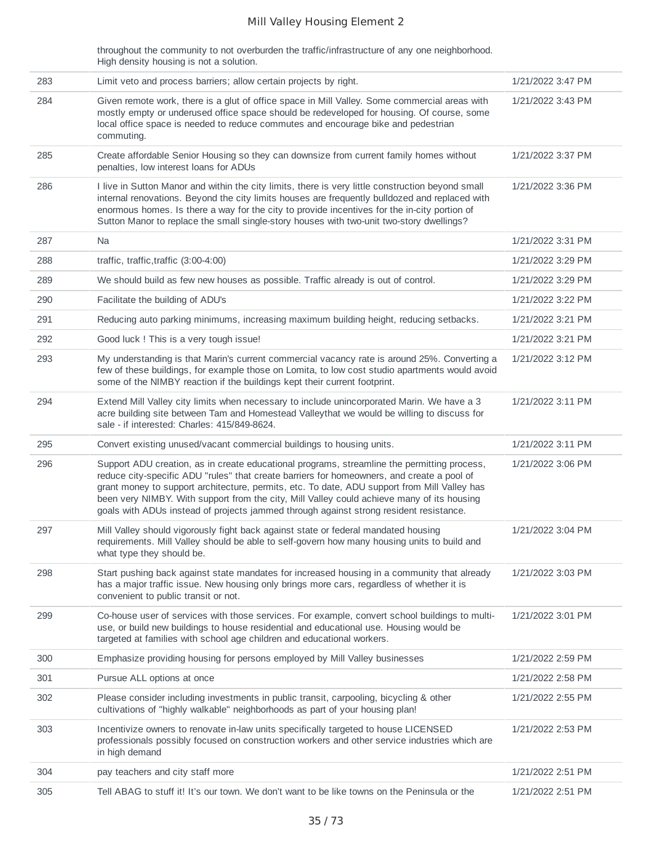throughout the community to not overburden the traffic/infrastructure of any one neighborhood. High density housing is not a solution.

| 283 | Limit veto and process barriers; allow certain projects by right.                                                                                                                                                                                                                                                                                                                                                                                                                 | 1/21/2022 3:47 PM |
|-----|-----------------------------------------------------------------------------------------------------------------------------------------------------------------------------------------------------------------------------------------------------------------------------------------------------------------------------------------------------------------------------------------------------------------------------------------------------------------------------------|-------------------|
| 284 | Given remote work, there is a glut of office space in Mill Valley. Some commercial areas with<br>mostly empty or underused office space should be redeveloped for housing. Of course, some<br>local office space is needed to reduce commutes and encourage bike and pedestrian<br>commuting.                                                                                                                                                                                     | 1/21/2022 3:43 PM |
| 285 | Create affordable Senior Housing so they can downsize from current family homes without<br>penalties, low interest loans for ADUs                                                                                                                                                                                                                                                                                                                                                 | 1/21/2022 3:37 PM |
| 286 | I live in Sutton Manor and within the city limits, there is very little construction beyond small<br>internal renovations. Beyond the city limits houses are frequently bulldozed and replaced with<br>enormous homes. Is there a way for the city to provide incentives for the in-city portion of<br>Sutton Manor to replace the small single-story houses with two-unit two-story dwellings?                                                                                   | 1/21/2022 3:36 PM |
| 287 | Na                                                                                                                                                                                                                                                                                                                                                                                                                                                                                | 1/21/2022 3:31 PM |
| 288 | traffic, traffic, traffic (3:00-4:00)                                                                                                                                                                                                                                                                                                                                                                                                                                             | 1/21/2022 3:29 PM |
| 289 | We should build as few new houses as possible. Traffic already is out of control.                                                                                                                                                                                                                                                                                                                                                                                                 | 1/21/2022 3:29 PM |
| 290 | Facilitate the building of ADU's                                                                                                                                                                                                                                                                                                                                                                                                                                                  | 1/21/2022 3:22 PM |
| 291 | Reducing auto parking minimums, increasing maximum building height, reducing setbacks.                                                                                                                                                                                                                                                                                                                                                                                            | 1/21/2022 3:21 PM |
| 292 | Good luck ! This is a very tough issue!                                                                                                                                                                                                                                                                                                                                                                                                                                           | 1/21/2022 3:21 PM |
| 293 | My understanding is that Marin's current commercial vacancy rate is around 25%. Converting a<br>few of these buildings, for example those on Lomita, to low cost studio apartments would avoid<br>some of the NIMBY reaction if the buildings kept their current footprint.                                                                                                                                                                                                       | 1/21/2022 3:12 PM |
| 294 | Extend Mill Valley city limits when necessary to include unincorporated Marin. We have a 3<br>acre building site between Tam and Homestead Valleythat we would be willing to discuss for<br>sale - if interested: Charles: 415/849-8624.                                                                                                                                                                                                                                          | 1/21/2022 3:11 PM |
| 295 | Convert existing unused/vacant commercial buildings to housing units.                                                                                                                                                                                                                                                                                                                                                                                                             | 1/21/2022 3:11 PM |
| 296 | Support ADU creation, as in create educational programs, streamline the permitting process,<br>reduce city-specific ADU "rules" that create barriers for homeowners, and create a pool of<br>grant money to support architecture, permits, etc. To date, ADU support from Mill Valley has<br>been very NIMBY. With support from the city, Mill Valley could achieve many of its housing<br>goals with ADUs instead of projects jammed through against strong resident resistance. | 1/21/2022 3:06 PM |
| 297 | Mill Valley should vigorously fight back against state or federal mandated housing<br>requirements. Mill Valley should be able to self-govern how many housing units to build and<br>what type they should be.                                                                                                                                                                                                                                                                    | 1/21/2022 3:04 PM |
| 298 | Start pushing back against state mandates for increased housing in a community that already<br>has a major traffic issue. New housing only brings more cars, regardless of whether it is<br>convenient to public transit or not.                                                                                                                                                                                                                                                  | 1/21/2022 3:03 PM |
| 299 | Co-house user of services with those services. For example, convert school buildings to multi-<br>use, or build new buildings to house residential and educational use. Housing would be<br>targeted at families with school age children and educational workers.                                                                                                                                                                                                                | 1/21/2022 3:01 PM |
| 300 | Emphasize providing housing for persons employed by Mill Valley businesses                                                                                                                                                                                                                                                                                                                                                                                                        | 1/21/2022 2:59 PM |
| 301 | Pursue ALL options at once                                                                                                                                                                                                                                                                                                                                                                                                                                                        | 1/21/2022 2:58 PM |
| 302 | Please consider including investments in public transit, carpooling, bicycling & other<br>cultivations of "highly walkable" neighborhoods as part of your housing plan!                                                                                                                                                                                                                                                                                                           | 1/21/2022 2:55 PM |
| 303 | Incentivize owners to renovate in-law units specifically targeted to house LICENSED<br>professionals possibly focused on construction workers and other service industries which are<br>in high demand                                                                                                                                                                                                                                                                            | 1/21/2022 2:53 PM |
| 304 | pay teachers and city staff more                                                                                                                                                                                                                                                                                                                                                                                                                                                  | 1/21/2022 2:51 PM |
| 305 | Tell ABAG to stuff it! It's our town. We don't want to be like towns on the Peninsula or the                                                                                                                                                                                                                                                                                                                                                                                      | 1/21/2022 2:51 PM |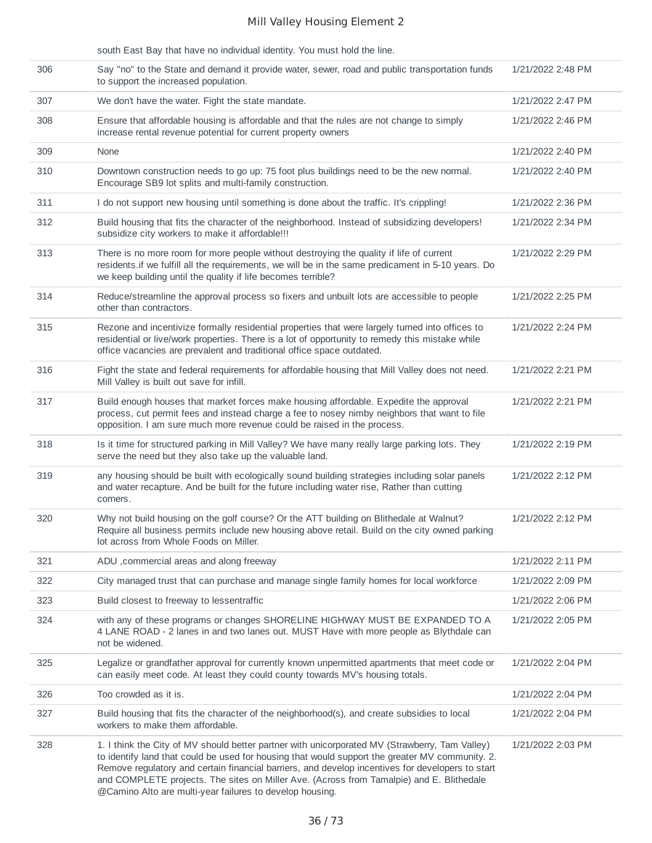|     | south East Bay that have no individual identity. You must hold the line.                                                                                                                                                                                                                                                                                                                                                                                      |                   |
|-----|---------------------------------------------------------------------------------------------------------------------------------------------------------------------------------------------------------------------------------------------------------------------------------------------------------------------------------------------------------------------------------------------------------------------------------------------------------------|-------------------|
| 306 | Say "no" to the State and demand it provide water, sewer, road and public transportation funds<br>to support the increased population.                                                                                                                                                                                                                                                                                                                        | 1/21/2022 2:48 PM |
| 307 | We don't have the water. Fight the state mandate.                                                                                                                                                                                                                                                                                                                                                                                                             | 1/21/2022 2:47 PM |
| 308 | Ensure that affordable housing is affordable and that the rules are not change to simply<br>increase rental revenue potential for current property owners                                                                                                                                                                                                                                                                                                     | 1/21/2022 2:46 PM |
| 309 | None                                                                                                                                                                                                                                                                                                                                                                                                                                                          | 1/21/2022 2:40 PM |
| 310 | Downtown construction needs to go up: 75 foot plus buildings need to be the new normal.<br>Encourage SB9 lot splits and multi-family construction.                                                                                                                                                                                                                                                                                                            | 1/21/2022 2:40 PM |
| 311 | I do not support new housing until something is done about the traffic. It's crippling!                                                                                                                                                                                                                                                                                                                                                                       | 1/21/2022 2:36 PM |
| 312 | Build housing that fits the character of the neighborhood. Instead of subsidizing developers!<br>subsidize city workers to make it affordable !!!                                                                                                                                                                                                                                                                                                             | 1/21/2022 2:34 PM |
| 313 | There is no more room for more people without destroying the quality if life of current<br>residents. if we fulfill all the requirements, we will be in the same predicament in 5-10 years. Do<br>we keep building until the quality if life becomes terrible?                                                                                                                                                                                                | 1/21/2022 2:29 PM |
| 314 | Reduce/streamline the approval process so fixers and unbuilt lots are accessible to people<br>other than contractors.                                                                                                                                                                                                                                                                                                                                         | 1/21/2022 2:25 PM |
| 315 | Rezone and incentivize formally residential properties that were largely turned into offices to<br>residential or live/work properties. There is a lot of opportunity to remedy this mistake while<br>office vacancies are prevalent and traditional office space outdated.                                                                                                                                                                                   | 1/21/2022 2:24 PM |
| 316 | Fight the state and federal requirements for affordable housing that Mill Valley does not need.<br>Mill Valley is built out save for infill.                                                                                                                                                                                                                                                                                                                  | 1/21/2022 2:21 PM |
| 317 | Build enough houses that market forces make housing affordable. Expedite the approval<br>process, cut permit fees and instead charge a fee to nosey nimby neighbors that want to file<br>opposition. I am sure much more revenue could be raised in the process.                                                                                                                                                                                              | 1/21/2022 2:21 PM |
| 318 | Is it time for structured parking in Mill Valley? We have many really large parking lots. They<br>serve the need but they also take up the valuable land.                                                                                                                                                                                                                                                                                                     | 1/21/2022 2:19 PM |
| 319 | any housing should be built with ecologically sound building strategies including solar panels<br>and water recapture. And be built for the future including water rise, Rather than cutting<br>corners.                                                                                                                                                                                                                                                      | 1/21/2022 2:12 PM |
| 320 | Why not build housing on the golf course? Or the ATT building on Blithedale at Walnut?<br>Require all business permits include new housing above retail. Build on the city owned parking<br>lot across from Whole Foods on Miller.                                                                                                                                                                                                                            | 1/21/2022 2:12 PM |
| 321 | ADU , commercial areas and along freeway                                                                                                                                                                                                                                                                                                                                                                                                                      | 1/21/2022 2:11 PM |
| 322 | City managed trust that can purchase and manage single family homes for local workforce                                                                                                                                                                                                                                                                                                                                                                       | 1/21/2022 2:09 PM |
| 323 | Build closest to freeway to lessentraffic                                                                                                                                                                                                                                                                                                                                                                                                                     | 1/21/2022 2:06 PM |
| 324 | with any of these programs or changes SHORELINE HIGHWAY MUST BE EXPANDED TO A<br>4 LANE ROAD - 2 lanes in and two lanes out. MUST Have with more people as Blythdale can<br>not be widened.                                                                                                                                                                                                                                                                   | 1/21/2022 2:05 PM |
| 325 | Legalize or grandfather approval for currently known unpermitted apartments that meet code or<br>can easily meet code. At least they could county towards MV's housing totals.                                                                                                                                                                                                                                                                                | 1/21/2022 2:04 PM |
| 326 | Too crowded as it is.                                                                                                                                                                                                                                                                                                                                                                                                                                         | 1/21/2022 2:04 PM |
| 327 | Build housing that fits the character of the neighborhood(s), and create subsidies to local<br>workers to make them affordable.                                                                                                                                                                                                                                                                                                                               | 1/21/2022 2:04 PM |
| 328 | 1. I think the City of MV should better partner with unicorporated MV (Strawberry, Tam Valley)<br>to identify land that could be used for housing that would support the greater MV community. 2.<br>Remove regulatory and certain financial barriers, and develop incentives for developers to start<br>and COMPLETE projects. The sites on Miller Ave. (Across from Tamalpie) and E. Blithedale<br>@Camino Alto are multi-year failures to develop housing. | 1/21/2022 2:03 PM |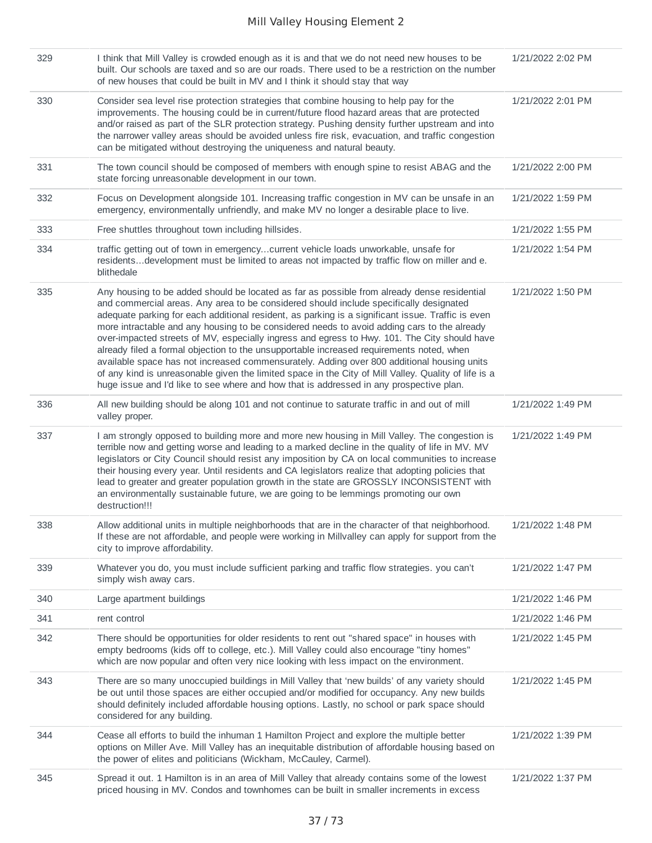| 329 | I think that Mill Valley is crowded enough as it is and that we do not need new houses to be<br>built. Our schools are taxed and so are our roads. There used to be a restriction on the number<br>of new houses that could be built in MV and I think it should stay that way                                                                                                                                                                                                                                                                                                                                                                                                                                                                                                                                                                                                         | 1/21/2022 2:02 PM |
|-----|----------------------------------------------------------------------------------------------------------------------------------------------------------------------------------------------------------------------------------------------------------------------------------------------------------------------------------------------------------------------------------------------------------------------------------------------------------------------------------------------------------------------------------------------------------------------------------------------------------------------------------------------------------------------------------------------------------------------------------------------------------------------------------------------------------------------------------------------------------------------------------------|-------------------|
| 330 | Consider sea level rise protection strategies that combine housing to help pay for the<br>improvements. The housing could be in current/future flood hazard areas that are protected<br>and/or raised as part of the SLR protection strategy. Pushing density further upstream and into<br>the narrower valley areas should be avoided unless fire risk, evacuation, and traffic congestion<br>can be mitigated without destroying the uniqueness and natural beauty.                                                                                                                                                                                                                                                                                                                                                                                                                  | 1/21/2022 2:01 PM |
| 331 | The town council should be composed of members with enough spine to resist ABAG and the<br>state forcing unreasonable development in our town.                                                                                                                                                                                                                                                                                                                                                                                                                                                                                                                                                                                                                                                                                                                                         | 1/21/2022 2:00 PM |
| 332 | Focus on Development alongside 101. Increasing traffic congestion in MV can be unsafe in an<br>emergency, environmentally unfriendly, and make MV no longer a desirable place to live.                                                                                                                                                                                                                                                                                                                                                                                                                                                                                                                                                                                                                                                                                                 | 1/21/2022 1:59 PM |
| 333 | Free shuttles throughout town including hillsides.                                                                                                                                                                                                                                                                                                                                                                                                                                                                                                                                                                                                                                                                                                                                                                                                                                     | 1/21/2022 1:55 PM |
| 334 | traffic getting out of town in emergencycurrent vehicle loads unworkable, unsafe for<br>residentsdevelopment must be limited to areas not impacted by traffic flow on miller and e.<br>blithedale                                                                                                                                                                                                                                                                                                                                                                                                                                                                                                                                                                                                                                                                                      | 1/21/2022 1:54 PM |
| 335 | Any housing to be added should be located as far as possible from already dense residential<br>and commercial areas. Any area to be considered should include specifically designated<br>adequate parking for each additional resident, as parking is a significant issue. Traffic is even<br>more intractable and any housing to be considered needs to avoid adding cars to the already<br>over-impacted streets of MV, especially ingress and egress to Hwy. 101. The City should have<br>already filed a formal objection to the unsupportable increased requirements noted, when<br>available space has not increased commensurately. Adding over 800 additional housing units<br>of any kind is unreasonable given the limited space in the City of Mill Valley. Quality of life is a<br>huge issue and I'd like to see where and how that is addressed in any prospective plan. | 1/21/2022 1:50 PM |
| 336 | All new building should be along 101 and not continue to saturate traffic in and out of mill<br>valley proper.                                                                                                                                                                                                                                                                                                                                                                                                                                                                                                                                                                                                                                                                                                                                                                         | 1/21/2022 1:49 PM |
| 337 | I am strongly opposed to building more and more new housing in Mill Valley. The congestion is<br>terrible now and getting worse and leading to a marked decline in the quality of life in MV. MV<br>legislators or City Council should resist any imposition by CA on local communities to increase<br>their housing every year. Until residents and CA legislators realize that adopting policies that<br>lead to greater and greater population growth in the state are GROSSLY INCONSISTENT with<br>an environmentally sustainable future, we are going to be lemmings promoting our own<br>destruction!!!                                                                                                                                                                                                                                                                          | 1/21/2022 1:49 PM |
| 338 | Allow additional units in multiple neighborhoods that are in the character of that neighborhood.<br>If these are not affordable, and people were working in Millvalley can apply for support from the<br>city to improve affordability.                                                                                                                                                                                                                                                                                                                                                                                                                                                                                                                                                                                                                                                | 1/21/2022 1:48 PM |
| 339 | Whatever you do, you must include sufficient parking and traffic flow strategies. you can't<br>simply wish away cars.                                                                                                                                                                                                                                                                                                                                                                                                                                                                                                                                                                                                                                                                                                                                                                  | 1/21/2022 1:47 PM |
| 340 | Large apartment buildings                                                                                                                                                                                                                                                                                                                                                                                                                                                                                                                                                                                                                                                                                                                                                                                                                                                              | 1/21/2022 1:46 PM |
| 341 | rent control                                                                                                                                                                                                                                                                                                                                                                                                                                                                                                                                                                                                                                                                                                                                                                                                                                                                           | 1/21/2022 1:46 PM |
| 342 | There should be opportunities for older residents to rent out "shared space" in houses with<br>empty bedrooms (kids off to college, etc.). Mill Valley could also encourage "tiny homes"<br>which are now popular and often very nice looking with less impact on the environment.                                                                                                                                                                                                                                                                                                                                                                                                                                                                                                                                                                                                     | 1/21/2022 1:45 PM |
| 343 | There are so many unoccupied buildings in Mill Valley that 'new builds' of any variety should<br>be out until those spaces are either occupied and/or modified for occupancy. Any new builds<br>should definitely included affordable housing options. Lastly, no school or park space should<br>considered for any building.                                                                                                                                                                                                                                                                                                                                                                                                                                                                                                                                                          | 1/21/2022 1:45 PM |
| 344 | Cease all efforts to build the inhuman 1 Hamilton Project and explore the multiple better<br>options on Miller Ave. Mill Valley has an inequitable distribution of affordable housing based on<br>the power of elites and politicians (Wickham, McCauley, Carmel).                                                                                                                                                                                                                                                                                                                                                                                                                                                                                                                                                                                                                     | 1/21/2022 1:39 PM |
| 345 | Spread it out. 1 Hamilton is in an area of Mill Valley that already contains some of the lowest<br>priced housing in MV. Condos and townhomes can be built in smaller increments in excess                                                                                                                                                                                                                                                                                                                                                                                                                                                                                                                                                                                                                                                                                             | 1/21/2022 1:37 PM |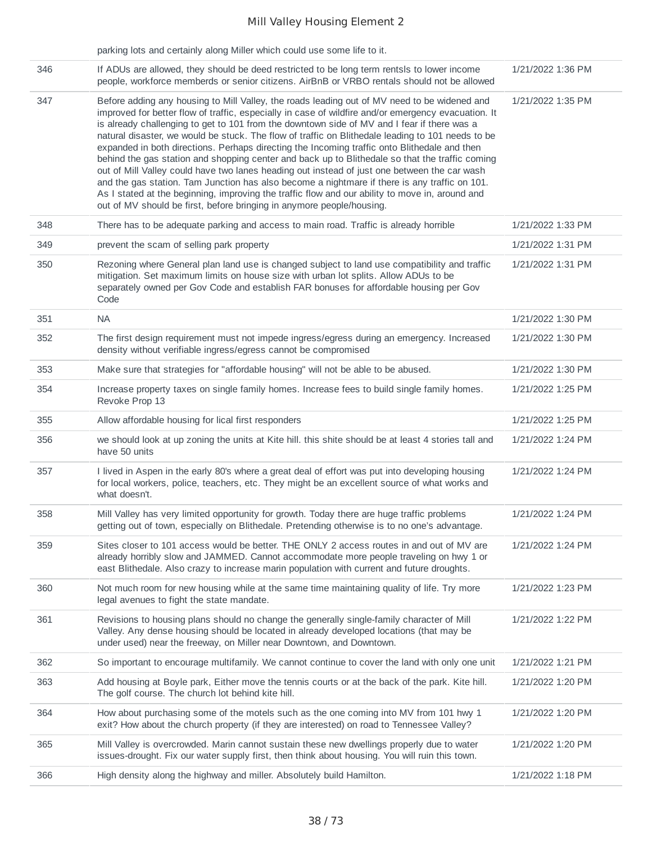|     | parking lots and certainly along Miller which could use some life to it.                                                                                                                                                                                                                                                                                                                                                                                                                                                                                                                                                                                                                                                                                                                                                                                                                                                                                                                |                   |
|-----|-----------------------------------------------------------------------------------------------------------------------------------------------------------------------------------------------------------------------------------------------------------------------------------------------------------------------------------------------------------------------------------------------------------------------------------------------------------------------------------------------------------------------------------------------------------------------------------------------------------------------------------------------------------------------------------------------------------------------------------------------------------------------------------------------------------------------------------------------------------------------------------------------------------------------------------------------------------------------------------------|-------------------|
| 346 | If ADUs are allowed, they should be deed restricted to be long term rentsls to lower income<br>people, workforce memberds or senior citizens. AirBnB or VRBO rentals should not be allowed                                                                                                                                                                                                                                                                                                                                                                                                                                                                                                                                                                                                                                                                                                                                                                                              | 1/21/2022 1:36 PM |
| 347 | Before adding any housing to Mill Valley, the roads leading out of MV need to be widened and<br>improved for better flow of traffic, especially in case of wildfire and/or emergency evacuation. It<br>is already challenging to get to 101 from the downtown side of MV and I fear if there was a<br>natural disaster, we would be stuck. The flow of traffic on Blithedale leading to 101 needs to be<br>expanded in both directions. Perhaps directing the Incoming traffic onto Blithedale and then<br>behind the gas station and shopping center and back up to Blithedale so that the traffic coming<br>out of Mill Valley could have two lanes heading out instead of just one between the car wash<br>and the gas station. Tam Junction has also become a nightmare if there is any traffic on 101.<br>As I stated at the beginning, improving the traffic flow and our ability to move in, around and<br>out of MV should be first, before bringing in anymore people/housing. | 1/21/2022 1:35 PM |
| 348 | There has to be adequate parking and access to main road. Traffic is already horrible                                                                                                                                                                                                                                                                                                                                                                                                                                                                                                                                                                                                                                                                                                                                                                                                                                                                                                   | 1/21/2022 1:33 PM |
| 349 | prevent the scam of selling park property                                                                                                                                                                                                                                                                                                                                                                                                                                                                                                                                                                                                                                                                                                                                                                                                                                                                                                                                               | 1/21/2022 1:31 PM |
| 350 | Rezoning where General plan land use is changed subject to land use compatibility and traffic<br>mitigation. Set maximum limits on house size with urban lot splits. Allow ADUs to be<br>separately owned per Gov Code and establish FAR bonuses for affordable housing per Gov<br>Code                                                                                                                                                                                                                                                                                                                                                                                                                                                                                                                                                                                                                                                                                                 | 1/21/2022 1:31 PM |
| 351 | <b>NA</b>                                                                                                                                                                                                                                                                                                                                                                                                                                                                                                                                                                                                                                                                                                                                                                                                                                                                                                                                                                               | 1/21/2022 1:30 PM |
| 352 | The first design requirement must not impede ingress/egress during an emergency. Increased<br>density without verifiable ingress/egress cannot be compromised                                                                                                                                                                                                                                                                                                                                                                                                                                                                                                                                                                                                                                                                                                                                                                                                                           | 1/21/2022 1:30 PM |
| 353 | Make sure that strategies for "affordable housing" will not be able to be abused.                                                                                                                                                                                                                                                                                                                                                                                                                                                                                                                                                                                                                                                                                                                                                                                                                                                                                                       | 1/21/2022 1:30 PM |
| 354 | Increase property taxes on single family homes. Increase fees to build single family homes.<br>Revoke Prop 13                                                                                                                                                                                                                                                                                                                                                                                                                                                                                                                                                                                                                                                                                                                                                                                                                                                                           | 1/21/2022 1:25 PM |
| 355 | Allow affordable housing for lical first responders                                                                                                                                                                                                                                                                                                                                                                                                                                                                                                                                                                                                                                                                                                                                                                                                                                                                                                                                     | 1/21/2022 1:25 PM |
| 356 | we should look at up zoning the units at Kite hill. this shite should be at least 4 stories tall and<br>have 50 units                                                                                                                                                                                                                                                                                                                                                                                                                                                                                                                                                                                                                                                                                                                                                                                                                                                                   | 1/21/2022 1:24 PM |
| 357 | I lived in Aspen in the early 80's where a great deal of effort was put into developing housing<br>for local workers, police, teachers, etc. They might be an excellent source of what works and<br>what doesn't.                                                                                                                                                                                                                                                                                                                                                                                                                                                                                                                                                                                                                                                                                                                                                                       | 1/21/2022 1:24 PM |
| 358 | Mill Valley has very limited opportunity for growth. Today there are huge traffic problems<br>getting out of town, especially on Blithedale. Pretending otherwise is to no one's advantage.                                                                                                                                                                                                                                                                                                                                                                                                                                                                                                                                                                                                                                                                                                                                                                                             | 1/21/2022 1:24 PM |
| 359 | Sites closer to 101 access would be better. THE ONLY 2 access routes in and out of MV are<br>already horribly slow and JAMMED. Cannot accommodate more people traveling on hwy 1 or<br>east Blithedale. Also crazy to increase marin population with current and future droughts.                                                                                                                                                                                                                                                                                                                                                                                                                                                                                                                                                                                                                                                                                                       | 1/21/2022 1:24 PM |
| 360 | Not much room for new housing while at the same time maintaining quality of life. Try more<br>legal avenues to fight the state mandate.                                                                                                                                                                                                                                                                                                                                                                                                                                                                                                                                                                                                                                                                                                                                                                                                                                                 | 1/21/2022 1:23 PM |
| 361 | Revisions to housing plans should no change the generally single-family character of Mill<br>Valley. Any dense housing should be located in already developed locations (that may be<br>under used) near the freeway, on Miller near Downtown, and Downtown.                                                                                                                                                                                                                                                                                                                                                                                                                                                                                                                                                                                                                                                                                                                            | 1/21/2022 1:22 PM |
| 362 | So important to encourage multifamily. We cannot continue to cover the land with only one unit                                                                                                                                                                                                                                                                                                                                                                                                                                                                                                                                                                                                                                                                                                                                                                                                                                                                                          | 1/21/2022 1:21 PM |
| 363 | Add housing at Boyle park, Either move the tennis courts or at the back of the park. Kite hill.<br>The golf course. The church lot behind kite hill.                                                                                                                                                                                                                                                                                                                                                                                                                                                                                                                                                                                                                                                                                                                                                                                                                                    | 1/21/2022 1:20 PM |
| 364 | How about purchasing some of the motels such as the one coming into MV from 101 hwy 1<br>exit? How about the church property (if they are interested) on road to Tennessee Valley?                                                                                                                                                                                                                                                                                                                                                                                                                                                                                                                                                                                                                                                                                                                                                                                                      | 1/21/2022 1:20 PM |
| 365 | Mill Valley is overcrowded. Marin cannot sustain these new dwellings properly due to water<br>issues-drought. Fix our water supply first, then think about housing. You will ruin this town.                                                                                                                                                                                                                                                                                                                                                                                                                                                                                                                                                                                                                                                                                                                                                                                            | 1/21/2022 1:20 PM |
| 366 | High density along the highway and miller. Absolutely build Hamilton.                                                                                                                                                                                                                                                                                                                                                                                                                                                                                                                                                                                                                                                                                                                                                                                                                                                                                                                   | 1/21/2022 1:18 PM |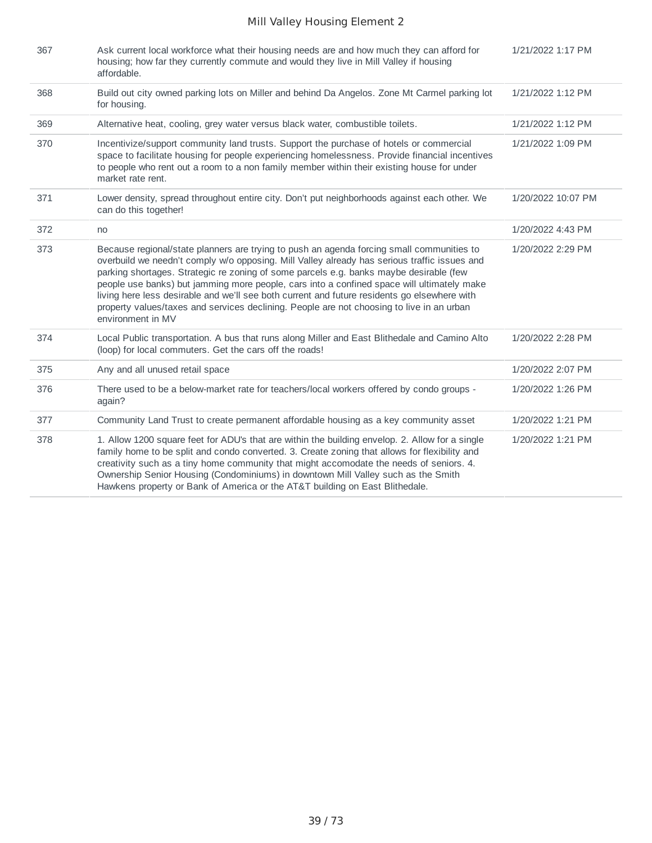| 367 | Ask current local workforce what their housing needs are and how much they can afford for<br>housing; how far they currently commute and would they live in Mill Valley if housing<br>affordable.                                                                                                                                                                                                                                                                                                                                                                                                   | 1/21/2022 1:17 PM  |
|-----|-----------------------------------------------------------------------------------------------------------------------------------------------------------------------------------------------------------------------------------------------------------------------------------------------------------------------------------------------------------------------------------------------------------------------------------------------------------------------------------------------------------------------------------------------------------------------------------------------------|--------------------|
| 368 | Build out city owned parking lots on Miller and behind Da Angelos. Zone Mt Carmel parking lot<br>for housing.                                                                                                                                                                                                                                                                                                                                                                                                                                                                                       | 1/21/2022 1:12 PM  |
| 369 | Alternative heat, cooling, grey water versus black water, combustible toilets.                                                                                                                                                                                                                                                                                                                                                                                                                                                                                                                      | 1/21/2022 1:12 PM  |
| 370 | Incentivize/support community land trusts. Support the purchase of hotels or commercial<br>space to facilitate housing for people experiencing homelessness. Provide financial incentives<br>to people who rent out a room to a non family member within their existing house for under<br>market rate rent.                                                                                                                                                                                                                                                                                        | 1/21/2022 1:09 PM  |
| 371 | Lower density, spread throughout entire city. Don't put neighborhoods against each other. We<br>can do this together!                                                                                                                                                                                                                                                                                                                                                                                                                                                                               | 1/20/2022 10:07 PM |
| 372 | no                                                                                                                                                                                                                                                                                                                                                                                                                                                                                                                                                                                                  | 1/20/2022 4:43 PM  |
| 373 | Because regional/state planners are trying to push an agenda forcing small communities to<br>overbuild we needn't comply w/o opposing. Mill Valley already has serious traffic issues and<br>parking shortages. Strategic re zoning of some parcels e.g. banks maybe desirable (few<br>people use banks) but jamming more people, cars into a confined space will ultimately make<br>living here less desirable and we'll see both current and future residents go elsewhere with<br>property values/taxes and services declining. People are not choosing to live in an urban<br>environment in MV | 1/20/2022 2:29 PM  |
| 374 | Local Public transportation. A bus that runs along Miller and East Blithedale and Camino Alto<br>(loop) for local commuters. Get the cars off the roads!                                                                                                                                                                                                                                                                                                                                                                                                                                            | 1/20/2022 2:28 PM  |
| 375 | Any and all unused retail space                                                                                                                                                                                                                                                                                                                                                                                                                                                                                                                                                                     | 1/20/2022 2:07 PM  |
| 376 | There used to be a below-market rate for teachers/local workers offered by condo groups -<br>again?                                                                                                                                                                                                                                                                                                                                                                                                                                                                                                 | 1/20/2022 1:26 PM  |
| 377 | Community Land Trust to create permanent affordable housing as a key community asset                                                                                                                                                                                                                                                                                                                                                                                                                                                                                                                | 1/20/2022 1:21 PM  |
| 378 | 1. Allow 1200 square feet for ADU's that are within the building envelop. 2. Allow for a single<br>family home to be split and condo converted. 3. Create zoning that allows for flexibility and<br>creativity such as a tiny home community that might accomodate the needs of seniors. 4.<br>Ownership Senior Housing (Condominiums) in downtown Mill Valley such as the Smith<br>Hawkens property or Bank of America or the AT&T building on East Blithedale.                                                                                                                                    | 1/20/2022 1:21 PM  |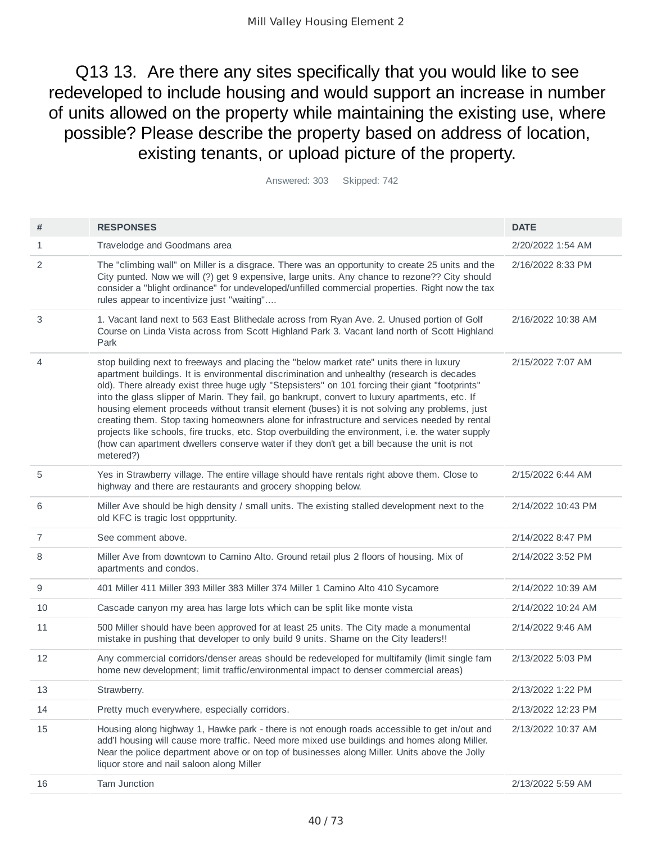Q13 13. Are there any sites specifically that you would like to see redeveloped to include housing and would support an increase in number of units allowed on the property while maintaining the existing use, where possible? Please describe the property based on address of location, existing tenants, or upload picture of the property.

Answered: 303 Skipped: 742

| #  | <b>RESPONSES</b>                                                                                                                                                                                                                                                                                                                                                                                                                                                                                                                                                                                                                                                                                                                                                                                              | <b>DATE</b>        |
|----|---------------------------------------------------------------------------------------------------------------------------------------------------------------------------------------------------------------------------------------------------------------------------------------------------------------------------------------------------------------------------------------------------------------------------------------------------------------------------------------------------------------------------------------------------------------------------------------------------------------------------------------------------------------------------------------------------------------------------------------------------------------------------------------------------------------|--------------------|
| 1  | Travelodge and Goodmans area                                                                                                                                                                                                                                                                                                                                                                                                                                                                                                                                                                                                                                                                                                                                                                                  | 2/20/2022 1:54 AM  |
| 2  | The "climbing wall" on Miller is a disgrace. There was an opportunity to create 25 units and the<br>City punted. Now we will (?) get 9 expensive, large units. Any chance to rezone?? City should<br>consider a "blight ordinance" for undeveloped/unfilled commercial properties. Right now the tax<br>rules appear to incentivize just "waiting"                                                                                                                                                                                                                                                                                                                                                                                                                                                            | 2/16/2022 8:33 PM  |
| 3  | 1. Vacant land next to 563 East Blithedale across from Ryan Ave. 2. Unused portion of Golf<br>Course on Linda Vista across from Scott Highland Park 3. Vacant land north of Scott Highland<br>Park                                                                                                                                                                                                                                                                                                                                                                                                                                                                                                                                                                                                            | 2/16/2022 10:38 AM |
| 4  | stop building next to freeways and placing the "below market rate" units there in luxury<br>apartment buildings. It is environmental discrimination and unhealthy (research is decades<br>old). There already exist three huge ugly "Stepsisters" on 101 forcing their giant "footprints"<br>into the glass slipper of Marin. They fail, go bankrupt, convert to luxury apartments, etc. If<br>housing element proceeds without transit element (buses) it is not solving any problems, just<br>creating them. Stop taxing homeowners alone for infrastructure and services needed by rental<br>projects like schools, fire trucks, etc. Stop overbuilding the environment, i.e. the water supply<br>(how can apartment dwellers conserve water if they don't get a bill because the unit is not<br>metered?) | 2/15/2022 7:07 AM  |
| 5  | Yes in Strawberry village. The entire village should have rentals right above them. Close to<br>highway and there are restaurants and grocery shopping below.                                                                                                                                                                                                                                                                                                                                                                                                                                                                                                                                                                                                                                                 | 2/15/2022 6:44 AM  |
| 6  | Miller Ave should be high density / small units. The existing stalled development next to the<br>old KFC is tragic lost oppprtunity.                                                                                                                                                                                                                                                                                                                                                                                                                                                                                                                                                                                                                                                                          | 2/14/2022 10:43 PM |
| 7  | See comment above.                                                                                                                                                                                                                                                                                                                                                                                                                                                                                                                                                                                                                                                                                                                                                                                            | 2/14/2022 8:47 PM  |
| 8  | Miller Ave from downtown to Camino Alto. Ground retail plus 2 floors of housing. Mix of<br>apartments and condos.                                                                                                                                                                                                                                                                                                                                                                                                                                                                                                                                                                                                                                                                                             | 2/14/2022 3:52 PM  |
| 9  | 401 Miller 411 Miller 393 Miller 383 Miller 374 Miller 1 Camino Alto 410 Sycamore                                                                                                                                                                                                                                                                                                                                                                                                                                                                                                                                                                                                                                                                                                                             | 2/14/2022 10:39 AM |
| 10 | Cascade canyon my area has large lots which can be split like monte vista                                                                                                                                                                                                                                                                                                                                                                                                                                                                                                                                                                                                                                                                                                                                     | 2/14/2022 10:24 AM |
| 11 | 500 Miller should have been approved for at least 25 units. The City made a monumental<br>mistake in pushing that developer to only build 9 units. Shame on the City leaders!!                                                                                                                                                                                                                                                                                                                                                                                                                                                                                                                                                                                                                                | 2/14/2022 9:46 AM  |
| 12 | Any commercial corridors/denser areas should be redeveloped for multifamily (limit single fam<br>home new development; limit traffic/environmental impact to denser commercial areas)                                                                                                                                                                                                                                                                                                                                                                                                                                                                                                                                                                                                                         | 2/13/2022 5:03 PM  |
| 13 | Strawberry.                                                                                                                                                                                                                                                                                                                                                                                                                                                                                                                                                                                                                                                                                                                                                                                                   | 2/13/2022 1:22 PM  |
| 14 | Pretty much everywhere, especially corridors.                                                                                                                                                                                                                                                                                                                                                                                                                                                                                                                                                                                                                                                                                                                                                                 | 2/13/2022 12:23 PM |
| 15 | Housing along highway 1, Hawke park - there is not enough roads accessible to get in/out and<br>add'I housing will cause more traffic. Need more mixed use buildings and homes along Miller.<br>Near the police department above or on top of businesses along Miller. Units above the Jolly<br>liquor store and nail saloon along Miller                                                                                                                                                                                                                                                                                                                                                                                                                                                                     | 2/13/2022 10:37 AM |
| 16 | Tam Junction                                                                                                                                                                                                                                                                                                                                                                                                                                                                                                                                                                                                                                                                                                                                                                                                  | 2/13/2022 5:59 AM  |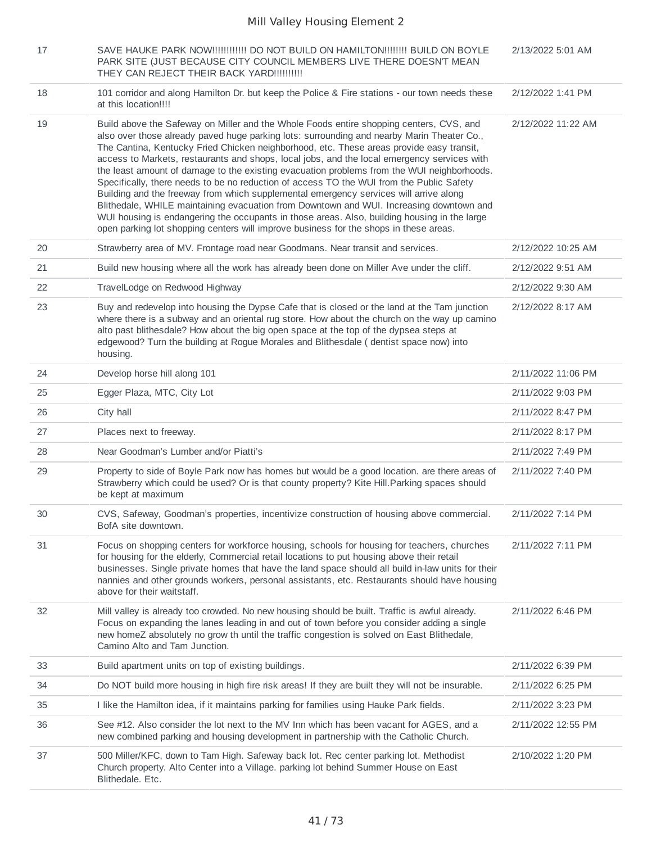| 17 | SAVE HAUKE PARK NOW!!!!!!!!!!!!! DO NOT BUILD ON HAMILTON!!!!!!!! BUILD ON BOYLE<br>PARK SITE (JUST BECAUSE CITY COUNCIL MEMBERS LIVE THERE DOESN'T MEAN<br>THEY CAN REJECT THEIR BACK YARD!!!!!!!!!!                                                                                                                                                                                                                                                                                                                                                                                                                                                                                                                                                                                                                                                                                                                                                   | 2/13/2022 5:01 AM  |
|----|---------------------------------------------------------------------------------------------------------------------------------------------------------------------------------------------------------------------------------------------------------------------------------------------------------------------------------------------------------------------------------------------------------------------------------------------------------------------------------------------------------------------------------------------------------------------------------------------------------------------------------------------------------------------------------------------------------------------------------------------------------------------------------------------------------------------------------------------------------------------------------------------------------------------------------------------------------|--------------------|
| 18 | 101 corridor and along Hamilton Dr. but keep the Police & Fire stations - our town needs these<br>at this location!!!!                                                                                                                                                                                                                                                                                                                                                                                                                                                                                                                                                                                                                                                                                                                                                                                                                                  | 2/12/2022 1:41 PM  |
| 19 | Build above the Safeway on Miller and the Whole Foods entire shopping centers, CVS, and<br>also over those already paved huge parking lots: surrounding and nearby Marin Theater Co.,<br>The Cantina, Kentucky Fried Chicken neighborhood, etc. These areas provide easy transit,<br>access to Markets, restaurants and shops, local jobs, and the local emergency services with<br>the least amount of damage to the existing evacuation problems from the WUI neighborhoods.<br>Specifically, there needs to be no reduction of access TO the WUI from the Public Safety<br>Building and the freeway from which supplemental emergency services will arrive along<br>Blithedale, WHILE maintaining evacuation from Downtown and WUI. Increasing downtown and<br>WUI housing is endangering the occupants in those areas. Also, building housing in the large<br>open parking lot shopping centers will improve business for the shops in these areas. | 2/12/2022 11:22 AM |
| 20 | Strawberry area of MV. Frontage road near Goodmans. Near transit and services.                                                                                                                                                                                                                                                                                                                                                                                                                                                                                                                                                                                                                                                                                                                                                                                                                                                                          | 2/12/2022 10:25 AM |
| 21 | Build new housing where all the work has already been done on Miller Ave under the cliff.                                                                                                                                                                                                                                                                                                                                                                                                                                                                                                                                                                                                                                                                                                                                                                                                                                                               | 2/12/2022 9:51 AM  |
| 22 | TravelLodge on Redwood Highway                                                                                                                                                                                                                                                                                                                                                                                                                                                                                                                                                                                                                                                                                                                                                                                                                                                                                                                          | 2/12/2022 9:30 AM  |
| 23 | Buy and redevelop into housing the Dypse Cafe that is closed or the land at the Tam junction<br>where there is a subway and an oriental rug store. How about the church on the way up camino<br>alto past blithesdale? How about the big open space at the top of the dypsea steps at<br>edgewood? Turn the building at Rogue Morales and Blithesdale (dentist space now) into<br>housing.                                                                                                                                                                                                                                                                                                                                                                                                                                                                                                                                                              | 2/12/2022 8:17 AM  |
| 24 | Develop horse hill along 101                                                                                                                                                                                                                                                                                                                                                                                                                                                                                                                                                                                                                                                                                                                                                                                                                                                                                                                            | 2/11/2022 11:06 PM |
| 25 | Egger Plaza, MTC, City Lot                                                                                                                                                                                                                                                                                                                                                                                                                                                                                                                                                                                                                                                                                                                                                                                                                                                                                                                              | 2/11/2022 9:03 PM  |
| 26 | City hall                                                                                                                                                                                                                                                                                                                                                                                                                                                                                                                                                                                                                                                                                                                                                                                                                                                                                                                                               | 2/11/2022 8:47 PM  |
| 27 | Places next to freeway.                                                                                                                                                                                                                                                                                                                                                                                                                                                                                                                                                                                                                                                                                                                                                                                                                                                                                                                                 | 2/11/2022 8:17 PM  |
| 28 | Near Goodman's Lumber and/or Piatti's                                                                                                                                                                                                                                                                                                                                                                                                                                                                                                                                                                                                                                                                                                                                                                                                                                                                                                                   | 2/11/2022 7:49 PM  |
| 29 | Property to side of Boyle Park now has homes but would be a good location. are there areas of<br>Strawberry which could be used? Or is that county property? Kite Hill Parking spaces should<br>be kept at maximum                                                                                                                                                                                                                                                                                                                                                                                                                                                                                                                                                                                                                                                                                                                                      | 2/11/2022 7:40 PM  |
| 30 | CVS, Safeway, Goodman's properties, incentivize construction of housing above commercial.<br>BofA site downtown.                                                                                                                                                                                                                                                                                                                                                                                                                                                                                                                                                                                                                                                                                                                                                                                                                                        | 2/11/2022 7:14 PM  |
| 31 | Focus on shopping centers for workforce housing, schools for housing for teachers, churches<br>for housing for the elderly, Commercial retail locations to put housing above their retail<br>businesses. Single private homes that have the land space should all build in-law units for their<br>nannies and other grounds workers, personal assistants, etc. Restaurants should have housing<br>above for their waitstaff.                                                                                                                                                                                                                                                                                                                                                                                                                                                                                                                            | 2/11/2022 7:11 PM  |
| 32 | Mill valley is already too crowded. No new housing should be built. Traffic is awful already.<br>Focus on expanding the lanes leading in and out of town before you consider adding a single<br>new homeZ absolutely no grow th until the traffic congestion is solved on East Blithedale,<br>Camino Alto and Tam Junction.                                                                                                                                                                                                                                                                                                                                                                                                                                                                                                                                                                                                                             | 2/11/2022 6:46 PM  |
| 33 | Build apartment units on top of existing buildings.                                                                                                                                                                                                                                                                                                                                                                                                                                                                                                                                                                                                                                                                                                                                                                                                                                                                                                     | 2/11/2022 6:39 PM  |
| 34 | Do NOT build more housing in high fire risk areas! If they are built they will not be insurable.                                                                                                                                                                                                                                                                                                                                                                                                                                                                                                                                                                                                                                                                                                                                                                                                                                                        | 2/11/2022 6:25 PM  |
| 35 | I like the Hamilton idea, if it maintains parking for families using Hauke Park fields.                                                                                                                                                                                                                                                                                                                                                                                                                                                                                                                                                                                                                                                                                                                                                                                                                                                                 | 2/11/2022 3:23 PM  |
| 36 | See #12. Also consider the lot next to the MV Inn which has been vacant for AGES, and a<br>new combined parking and housing development in partnership with the Catholic Church.                                                                                                                                                                                                                                                                                                                                                                                                                                                                                                                                                                                                                                                                                                                                                                        | 2/11/2022 12:55 PM |
| 37 | 500 Miller/KFC, down to Tam High. Safeway back lot. Rec center parking lot. Methodist<br>Church property. Alto Center into a Village. parking lot behind Summer House on East<br>Blithedale. Etc.                                                                                                                                                                                                                                                                                                                                                                                                                                                                                                                                                                                                                                                                                                                                                       | 2/10/2022 1:20 PM  |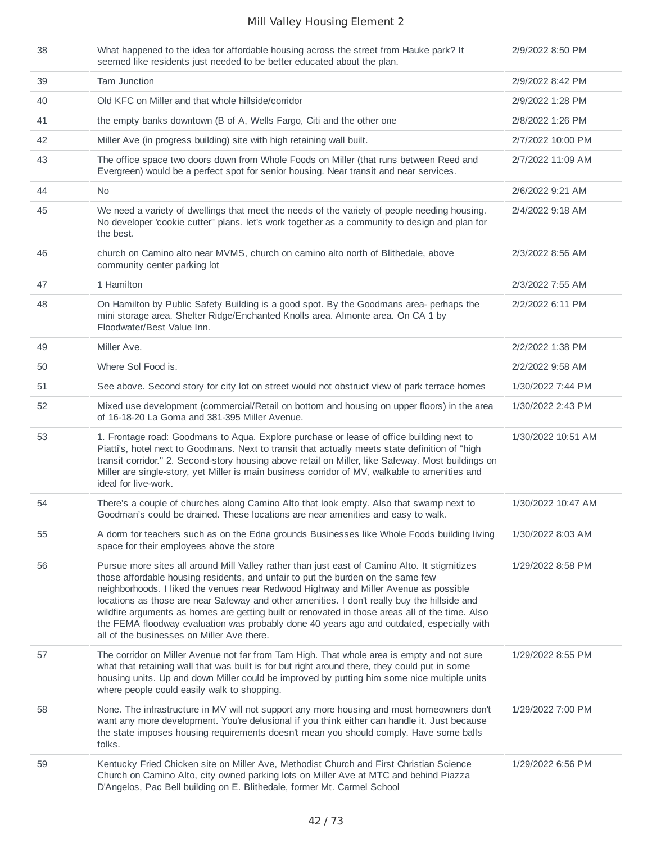| 38 | What happened to the idea for affordable housing across the street from Hauke park? It<br>seemed like residents just needed to be better educated about the plan.                                                                                                                                                                                                                                                                                                                                                                                                                                                       | 2/9/2022 8:50 PM   |
|----|-------------------------------------------------------------------------------------------------------------------------------------------------------------------------------------------------------------------------------------------------------------------------------------------------------------------------------------------------------------------------------------------------------------------------------------------------------------------------------------------------------------------------------------------------------------------------------------------------------------------------|--------------------|
| 39 | <b>Tam Junction</b>                                                                                                                                                                                                                                                                                                                                                                                                                                                                                                                                                                                                     | 2/9/2022 8:42 PM   |
| 40 | Old KFC on Miller and that whole hillside/corridor                                                                                                                                                                                                                                                                                                                                                                                                                                                                                                                                                                      | 2/9/2022 1:28 PM   |
| 41 | the empty banks downtown (B of A, Wells Fargo, Citi and the other one                                                                                                                                                                                                                                                                                                                                                                                                                                                                                                                                                   | 2/8/2022 1:26 PM   |
| 42 | Miller Ave (in progress building) site with high retaining wall built.                                                                                                                                                                                                                                                                                                                                                                                                                                                                                                                                                  | 2/7/2022 10:00 PM  |
| 43 | The office space two doors down from Whole Foods on Miller (that runs between Reed and<br>Evergreen) would be a perfect spot for senior housing. Near transit and near services.                                                                                                                                                                                                                                                                                                                                                                                                                                        | 2/7/2022 11:09 AM  |
| 44 | <b>No</b>                                                                                                                                                                                                                                                                                                                                                                                                                                                                                                                                                                                                               | 2/6/2022 9:21 AM   |
| 45 | We need a variety of dwellings that meet the needs of the variety of people needing housing.<br>No developer 'cookie cutter'' plans. let's work together as a community to design and plan for<br>the best.                                                                                                                                                                                                                                                                                                                                                                                                             | 2/4/2022 9:18 AM   |
| 46 | church on Camino alto near MVMS, church on camino alto north of Blithedale, above<br>community center parking lot                                                                                                                                                                                                                                                                                                                                                                                                                                                                                                       | 2/3/2022 8:56 AM   |
| 47 | 1 Hamilton                                                                                                                                                                                                                                                                                                                                                                                                                                                                                                                                                                                                              | 2/3/2022 7:55 AM   |
| 48 | On Hamilton by Public Safety Building is a good spot. By the Goodmans area-perhaps the<br>mini storage area. Shelter Ridge/Enchanted Knolls area. Almonte area. On CA 1 by<br>Floodwater/Best Value Inn.                                                                                                                                                                                                                                                                                                                                                                                                                | 2/2/2022 6:11 PM   |
| 49 | Miller Ave.                                                                                                                                                                                                                                                                                                                                                                                                                                                                                                                                                                                                             | 2/2/2022 1:38 PM   |
| 50 | Where Sol Food is.                                                                                                                                                                                                                                                                                                                                                                                                                                                                                                                                                                                                      | 2/2/2022 9:58 AM   |
| 51 | See above. Second story for city lot on street would not obstruct view of park terrace homes                                                                                                                                                                                                                                                                                                                                                                                                                                                                                                                            | 1/30/2022 7:44 PM  |
| 52 | Mixed use development (commercial/Retail on bottom and housing on upper floors) in the area<br>of 16-18-20 La Goma and 381-395 Miller Avenue.                                                                                                                                                                                                                                                                                                                                                                                                                                                                           | 1/30/2022 2:43 PM  |
| 53 | 1. Frontage road: Goodmans to Aqua. Explore purchase or lease of office building next to<br>Piatti's, hotel next to Goodmans. Next to transit that actually meets state definition of "high<br>transit corridor." 2. Second-story housing above retail on Miller, like Safeway. Most buildings on<br>Miller are single-story, yet Miller is main business corridor of MV, walkable to amenities and<br>ideal for live-work.                                                                                                                                                                                             | 1/30/2022 10:51 AM |
| 54 | There's a couple of churches along Camino Alto that look empty. Also that swamp next to<br>Goodman's could be drained. These locations are near amenities and easy to walk.                                                                                                                                                                                                                                                                                                                                                                                                                                             | 1/30/2022 10:47 AM |
| 55 | A dorm for teachers such as on the Edna grounds Businesses like Whole Foods building living<br>space for their employees above the store                                                                                                                                                                                                                                                                                                                                                                                                                                                                                | 1/30/2022 8:03 AM  |
| 56 | Pursue more sites all around Mill Valley rather than just east of Camino Alto. It stigmitizes<br>those affordable housing residents, and unfair to put the burden on the same few<br>neighborhoods. I liked the venues near Redwood Highway and Miller Avenue as possible<br>locations as those are near Safeway and other amenities. I don't really buy the hillside and<br>wildfire arguments as homes are getting built or renovated in those areas all of the time. Also<br>the FEMA floodway evaluation was probably done 40 years ago and outdated, especially with<br>all of the businesses on Miller Ave there. | 1/29/2022 8:58 PM  |
| 57 | The corridor on Miller Avenue not far from Tam High. That whole area is empty and not sure<br>what that retaining wall that was built is for but right around there, they could put in some<br>housing units. Up and down Miller could be improved by putting him some nice multiple units<br>where people could easily walk to shopping.                                                                                                                                                                                                                                                                               | 1/29/2022 8:55 PM  |
| 58 | None. The infrastructure in MV will not support any more housing and most homeowners don't<br>want any more development. You're delusional if you think either can handle it. Just because<br>the state imposes housing requirements doesn't mean you should comply. Have some balls<br>folks.                                                                                                                                                                                                                                                                                                                          | 1/29/2022 7:00 PM  |
| 59 | Kentucky Fried Chicken site on Miller Ave, Methodist Church and First Christian Science<br>Church on Camino Alto, city owned parking lots on Miller Ave at MTC and behind Piazza<br>D'Angelos, Pac Bell building on E. Blithedale, former Mt. Carmel School                                                                                                                                                                                                                                                                                                                                                             | 1/29/2022 6:56 PM  |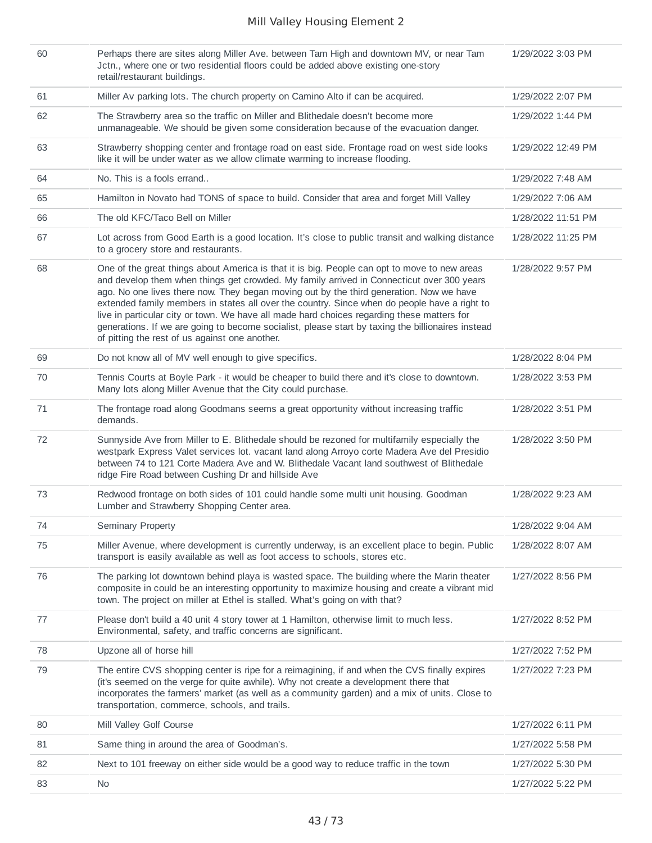| 60 | Perhaps there are sites along Miller Ave. between Tam High and downtown MV, or near Tam<br>Jctn., where one or two residential floors could be added above existing one-story<br>retail/restaurant buildings.                                                                                                                                                                                                                                                                                                                                                                                                                             | 1/29/2022 3:03 PM  |
|----|-------------------------------------------------------------------------------------------------------------------------------------------------------------------------------------------------------------------------------------------------------------------------------------------------------------------------------------------------------------------------------------------------------------------------------------------------------------------------------------------------------------------------------------------------------------------------------------------------------------------------------------------|--------------------|
| 61 | Miller Av parking lots. The church property on Camino Alto if can be acquired.                                                                                                                                                                                                                                                                                                                                                                                                                                                                                                                                                            | 1/29/2022 2:07 PM  |
| 62 | The Strawberry area so the traffic on Miller and Blithedale doesn't become more<br>unmanageable. We should be given some consideration because of the evacuation danger.                                                                                                                                                                                                                                                                                                                                                                                                                                                                  | 1/29/2022 1:44 PM  |
| 63 | Strawberry shopping center and frontage road on east side. Frontage road on west side looks<br>like it will be under water as we allow climate warming to increase flooding.                                                                                                                                                                                                                                                                                                                                                                                                                                                              | 1/29/2022 12:49 PM |
| 64 | No. This is a fools errand                                                                                                                                                                                                                                                                                                                                                                                                                                                                                                                                                                                                                | 1/29/2022 7:48 AM  |
| 65 | Hamilton in Novato had TONS of space to build. Consider that area and forget Mill Valley                                                                                                                                                                                                                                                                                                                                                                                                                                                                                                                                                  | 1/29/2022 7:06 AM  |
| 66 | The old KFC/Taco Bell on Miller                                                                                                                                                                                                                                                                                                                                                                                                                                                                                                                                                                                                           | 1/28/2022 11:51 PM |
| 67 | Lot across from Good Earth is a good location. It's close to public transit and walking distance<br>to a grocery store and restaurants.                                                                                                                                                                                                                                                                                                                                                                                                                                                                                                   | 1/28/2022 11:25 PM |
| 68 | One of the great things about America is that it is big. People can opt to move to new areas<br>and develop them when things get crowded. My family arrived in Connecticut over 300 years<br>ago. No one lives there now. They began moving out by the third generation. Now we have<br>extended family members in states all over the country. Since when do people have a right to<br>live in particular city or town. We have all made hard choices regarding these matters for<br>generations. If we are going to become socialist, please start by taxing the billionaires instead<br>of pitting the rest of us against one another. | 1/28/2022 9:57 PM  |
| 69 | Do not know all of MV well enough to give specifics.                                                                                                                                                                                                                                                                                                                                                                                                                                                                                                                                                                                      | 1/28/2022 8:04 PM  |
| 70 | Tennis Courts at Boyle Park - it would be cheaper to build there and it's close to downtown.<br>Many lots along Miller Avenue that the City could purchase.                                                                                                                                                                                                                                                                                                                                                                                                                                                                               | 1/28/2022 3:53 PM  |
| 71 | The frontage road along Goodmans seems a great opportunity without increasing traffic<br>demands.                                                                                                                                                                                                                                                                                                                                                                                                                                                                                                                                         | 1/28/2022 3:51 PM  |
| 72 | Sunnyside Ave from Miller to E. Blithedale should be rezoned for multifamily especially the<br>westpark Express Valet services lot. vacant land along Arroyo corte Madera Ave del Presidio<br>between 74 to 121 Corte Madera Ave and W. Blithedale Vacant land southwest of Blithedale<br>ridge Fire Road between Cushing Dr and hillside Ave                                                                                                                                                                                                                                                                                             | 1/28/2022 3:50 PM  |
| 73 | Redwood frontage on both sides of 101 could handle some multi unit housing. Goodman<br>Lumber and Strawberry Shopping Center area.                                                                                                                                                                                                                                                                                                                                                                                                                                                                                                        | 1/28/2022 9:23 AM  |
| 74 | Seminary Property                                                                                                                                                                                                                                                                                                                                                                                                                                                                                                                                                                                                                         | 1/28/2022 9:04 AM  |
| 75 | Miller Avenue, where development is currently underway, is an excellent place to begin. Public<br>transport is easily available as well as foot access to schools, stores etc.                                                                                                                                                                                                                                                                                                                                                                                                                                                            | 1/28/2022 8:07 AM  |
| 76 | The parking lot downtown behind playa is wasted space. The building where the Marin theater<br>composite in could be an interesting opportunity to maximize housing and create a vibrant mid<br>town. The project on miller at Ethel is stalled. What's going on with that?                                                                                                                                                                                                                                                                                                                                                               | 1/27/2022 8:56 PM  |
| 77 | Please don't build a 40 unit 4 story tower at 1 Hamilton, otherwise limit to much less.<br>Environmental, safety, and traffic concerns are significant.                                                                                                                                                                                                                                                                                                                                                                                                                                                                                   | 1/27/2022 8:52 PM  |
| 78 | Upzone all of horse hill                                                                                                                                                                                                                                                                                                                                                                                                                                                                                                                                                                                                                  | 1/27/2022 7:52 PM  |
| 79 | The entire CVS shopping center is ripe for a reimagining, if and when the CVS finally expires<br>(it's seemed on the verge for quite awhile). Why not create a development there that<br>incorporates the farmers' market (as well as a community garden) and a mix of units. Close to<br>transportation, commerce, schools, and trails.                                                                                                                                                                                                                                                                                                  | 1/27/2022 7:23 PM  |
| 80 | Mill Valley Golf Course                                                                                                                                                                                                                                                                                                                                                                                                                                                                                                                                                                                                                   | 1/27/2022 6:11 PM  |
| 81 | Same thing in around the area of Goodman's.                                                                                                                                                                                                                                                                                                                                                                                                                                                                                                                                                                                               | 1/27/2022 5:58 PM  |
| 82 | Next to 101 freeway on either side would be a good way to reduce traffic in the town                                                                                                                                                                                                                                                                                                                                                                                                                                                                                                                                                      | 1/27/2022 5:30 PM  |
| 83 | <b>No</b>                                                                                                                                                                                                                                                                                                                                                                                                                                                                                                                                                                                                                                 | 1/27/2022 5:22 PM  |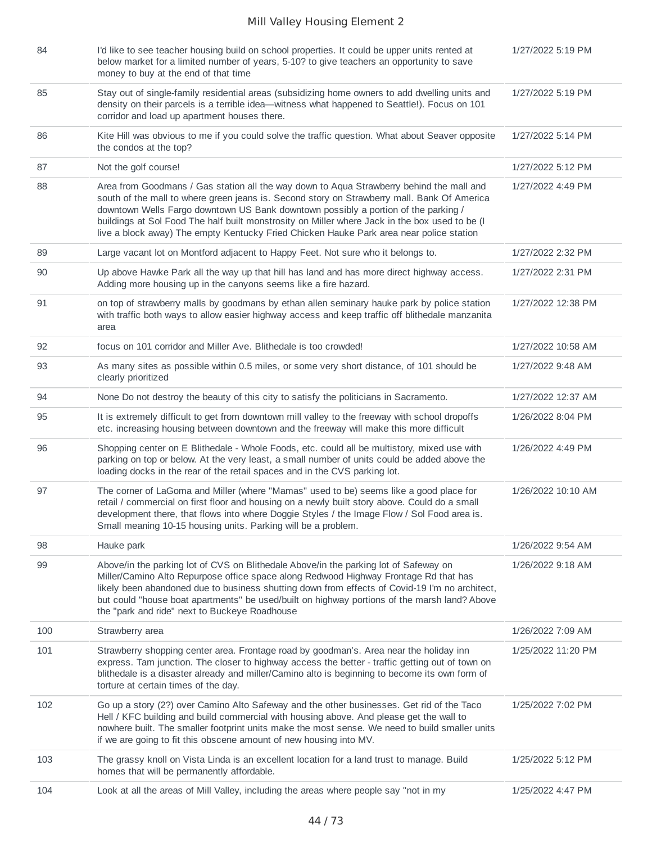| 84  | I'd like to see teacher housing build on school properties. It could be upper units rented at<br>below market for a limited number of years, 5-10? to give teachers an opportunity to save<br>money to buy at the end of that time                                                                                                                                                                                                                                         | 1/27/2022 5:19 PM  |
|-----|----------------------------------------------------------------------------------------------------------------------------------------------------------------------------------------------------------------------------------------------------------------------------------------------------------------------------------------------------------------------------------------------------------------------------------------------------------------------------|--------------------|
| 85  | Stay out of single-family residential areas (subsidizing home owners to add dwelling units and<br>density on their parcels is a terrible idea—witness what happened to Seattle!). Focus on 101<br>corridor and load up apartment houses there.                                                                                                                                                                                                                             | 1/27/2022 5:19 PM  |
| 86  | Kite Hill was obvious to me if you could solve the traffic question. What about Seaver opposite<br>the condos at the top?                                                                                                                                                                                                                                                                                                                                                  | 1/27/2022 5:14 PM  |
| 87  | Not the golf course!                                                                                                                                                                                                                                                                                                                                                                                                                                                       | 1/27/2022 5:12 PM  |
| 88  | Area from Goodmans / Gas station all the way down to Aqua Strawberry behind the mall and<br>south of the mall to where green jeans is. Second story on Strawberry mall. Bank Of America<br>downtown Wells Fargo downtown US Bank downtown possibly a portion of the parking /<br>buildings at Sol Food The half built monstrosity on Miller where Jack in the box used to be (I<br>live a block away) The empty Kentucky Fried Chicken Hauke Park area near police station | 1/27/2022 4:49 PM  |
| 89  | Large vacant lot on Montford adjacent to Happy Feet. Not sure who it belongs to.                                                                                                                                                                                                                                                                                                                                                                                           | 1/27/2022 2:32 PM  |
| 90  | Up above Hawke Park all the way up that hill has land and has more direct highway access.<br>Adding more housing up in the canyons seems like a fire hazard.                                                                                                                                                                                                                                                                                                               | 1/27/2022 2:31 PM  |
| 91  | on top of strawberry malls by goodmans by ethan allen seminary hauke park by police station<br>with traffic both ways to allow easier highway access and keep traffic off blithedale manzanita<br>area                                                                                                                                                                                                                                                                     | 1/27/2022 12:38 PM |
| 92  | focus on 101 corridor and Miller Ave. Blithedale is too crowded!                                                                                                                                                                                                                                                                                                                                                                                                           | 1/27/2022 10:58 AM |
| 93  | As many sites as possible within 0.5 miles, or some very short distance, of 101 should be<br>clearly prioritized                                                                                                                                                                                                                                                                                                                                                           | 1/27/2022 9:48 AM  |
| 94  | None Do not destroy the beauty of this city to satisfy the politicians in Sacramento.                                                                                                                                                                                                                                                                                                                                                                                      | 1/27/2022 12:37 AM |
| 95  | It is extremely difficult to get from downtown mill valley to the freeway with school dropoffs<br>etc. increasing housing between downtown and the freeway will make this more difficult                                                                                                                                                                                                                                                                                   | 1/26/2022 8:04 PM  |
| 96  | Shopping center on E Blithedale - Whole Foods, etc. could all be multistory, mixed use with<br>parking on top or below. At the very least, a small number of units could be added above the<br>loading docks in the rear of the retail spaces and in the CVS parking lot.                                                                                                                                                                                                  | 1/26/2022 4:49 PM  |
| 97  | The corner of LaGoma and Miller (where "Mamas" used to be) seems like a good place for<br>retail / commercial on first floor and housing on a newly built story above. Could do a small<br>development there, that flows into where Doggie Styles / the Image Flow / Sol Food area is.<br>Small meaning 10-15 housing units. Parking will be a problem.                                                                                                                    | 1/26/2022 10:10 AM |
| 98  | Hauke park                                                                                                                                                                                                                                                                                                                                                                                                                                                                 | 1/26/2022 9:54 AM  |
| 99  | Above/in the parking lot of CVS on Blithedale Above/in the parking lot of Safeway on<br>Miller/Camino Alto Repurpose office space along Redwood Highway Frontage Rd that has<br>likely been abandoned due to business shutting down from effects of Covid-19 I'm no architect,<br>but could "house boat apartments" be used/built on highway portions of the marsh land? Above<br>the "park and ride" next to Buckeye Roadhouse                                            | 1/26/2022 9:18 AM  |
| 100 | Strawberry area                                                                                                                                                                                                                                                                                                                                                                                                                                                            | 1/26/2022 7:09 AM  |
| 101 | Strawberry shopping center area. Frontage road by goodman's. Area near the holiday inn<br>express. Tam junction. The closer to highway access the better - traffic getting out of town on<br>blithedale is a disaster already and miller/Camino alto is beginning to become its own form of<br>torture at certain times of the day.                                                                                                                                        | 1/25/2022 11:20 PM |
| 102 | Go up a story (2?) over Camino Alto Safeway and the other businesses. Get rid of the Taco<br>Hell / KFC building and build commercial with housing above. And please get the wall to<br>nowhere built. The smaller footprint units make the most sense. We need to build smaller units<br>if we are going to fit this obscene amount of new housing into MV.                                                                                                               | 1/25/2022 7:02 PM  |
| 103 | The grassy knoll on Vista Linda is an excellent location for a land trust to manage. Build<br>homes that will be permanently affordable.                                                                                                                                                                                                                                                                                                                                   | 1/25/2022 5:12 PM  |
| 104 | Look at all the areas of Mill Valley, including the areas where people say "not in my                                                                                                                                                                                                                                                                                                                                                                                      | 1/25/2022 4:47 PM  |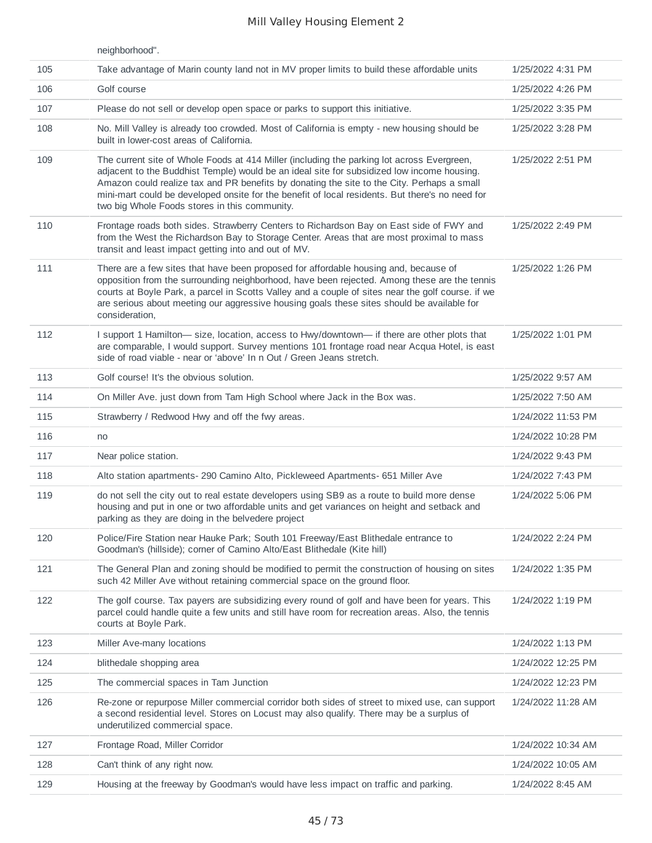|     | neighborhood".                                                                                                                                                                                                                                                                                                                                                                                                                             |                    |
|-----|--------------------------------------------------------------------------------------------------------------------------------------------------------------------------------------------------------------------------------------------------------------------------------------------------------------------------------------------------------------------------------------------------------------------------------------------|--------------------|
| 105 | Take advantage of Marin county land not in MV proper limits to build these affordable units                                                                                                                                                                                                                                                                                                                                                | 1/25/2022 4:31 PM  |
| 106 | Golf course                                                                                                                                                                                                                                                                                                                                                                                                                                | 1/25/2022 4:26 PM  |
| 107 | Please do not sell or develop open space or parks to support this initiative.                                                                                                                                                                                                                                                                                                                                                              | 1/25/2022 3:35 PM  |
| 108 | No. Mill Valley is already too crowded. Most of California is empty - new housing should be<br>built in lower-cost areas of California.                                                                                                                                                                                                                                                                                                    | 1/25/2022 3:28 PM  |
| 109 | The current site of Whole Foods at 414 Miller (including the parking lot across Evergreen,<br>adjacent to the Buddhist Temple) would be an ideal site for subsidized low income housing.<br>Amazon could realize tax and PR benefits by donating the site to the City. Perhaps a small<br>mini-mart could be developed onsite for the benefit of local residents. But there's no need for<br>two big Whole Foods stores in this community. | 1/25/2022 2:51 PM  |
| 110 | Frontage roads both sides. Strawberry Centers to Richardson Bay on East side of FWY and<br>from the West the Richardson Bay to Storage Center. Areas that are most proximal to mass<br>transit and least impact getting into and out of MV.                                                                                                                                                                                                | 1/25/2022 2:49 PM  |
| 111 | There are a few sites that have been proposed for affordable housing and, because of<br>opposition from the surrounding neighborhood, have been rejected. Among these are the tennis<br>courts at Boyle Park, a parcel in Scotts Valley and a couple of sites near the golf course. if we<br>are serious about meeting our aggressive housing goals these sites should be available for<br>consideration,                                  | 1/25/2022 1:26 PM  |
| 112 | I support 1 Hamilton- size, location, access to Hwy/downtown- if there are other plots that<br>are comparable, I would support. Survey mentions 101 frontage road near Acqua Hotel, is east<br>side of road viable - near or 'above' In n Out / Green Jeans stretch.                                                                                                                                                                       | 1/25/2022 1:01 PM  |
| 113 | Golf course! It's the obvious solution.                                                                                                                                                                                                                                                                                                                                                                                                    | 1/25/2022 9:57 AM  |
| 114 | On Miller Ave. just down from Tam High School where Jack in the Box was.                                                                                                                                                                                                                                                                                                                                                                   | 1/25/2022 7:50 AM  |
| 115 | Strawberry / Redwood Hwy and off the fwy areas.                                                                                                                                                                                                                                                                                                                                                                                            | 1/24/2022 11:53 PM |
| 116 | no                                                                                                                                                                                                                                                                                                                                                                                                                                         | 1/24/2022 10:28 PM |
| 117 | Near police station.                                                                                                                                                                                                                                                                                                                                                                                                                       | 1/24/2022 9:43 PM  |
| 118 | Alto station apartments- 290 Camino Alto, Pickleweed Apartments- 651 Miller Ave                                                                                                                                                                                                                                                                                                                                                            | 1/24/2022 7:43 PM  |
| 119 | do not sell the city out to real estate developers using SB9 as a route to build more dense<br>housing and put in one or two affordable units and get variances on height and setback and<br>parking as they are doing in the belvedere project                                                                                                                                                                                            | 1/24/2022 5:06 PM  |
| 120 | Police/Fire Station near Hauke Park; South 101 Freeway/East Blithedale entrance to<br>Goodman's (hillside); corner of Camino Alto/East Blithedale (Kite hill)                                                                                                                                                                                                                                                                              | 1/24/2022 2:24 PM  |
| 121 | The General Plan and zoning should be modified to permit the construction of housing on sites<br>such 42 Miller Ave without retaining commercial space on the ground floor.                                                                                                                                                                                                                                                                | 1/24/2022 1:35 PM  |
| 122 | The golf course. Tax payers are subsidizing every round of golf and have been for years. This<br>parcel could handle quite a few units and still have room for recreation areas. Also, the tennis<br>courts at Boyle Park.                                                                                                                                                                                                                 | 1/24/2022 1:19 PM  |
| 123 | Miller Ave-many locations                                                                                                                                                                                                                                                                                                                                                                                                                  | 1/24/2022 1:13 PM  |
| 124 | blithedale shopping area                                                                                                                                                                                                                                                                                                                                                                                                                   | 1/24/2022 12:25 PM |
| 125 | The commercial spaces in Tam Junction                                                                                                                                                                                                                                                                                                                                                                                                      | 1/24/2022 12:23 PM |
| 126 | Re-zone or repurpose Miller commercial corridor both sides of street to mixed use, can support<br>a second residential level. Stores on Locust may also qualify. There may be a surplus of<br>underutilized commercial space.                                                                                                                                                                                                              | 1/24/2022 11:28 AM |
| 127 | Frontage Road, Miller Corridor                                                                                                                                                                                                                                                                                                                                                                                                             | 1/24/2022 10:34 AM |
| 128 | Can't think of any right now.                                                                                                                                                                                                                                                                                                                                                                                                              | 1/24/2022 10:05 AM |
| 129 | Housing at the freeway by Goodman's would have less impact on traffic and parking.                                                                                                                                                                                                                                                                                                                                                         | 1/24/2022 8:45 AM  |
|     |                                                                                                                                                                                                                                                                                                                                                                                                                                            |                    |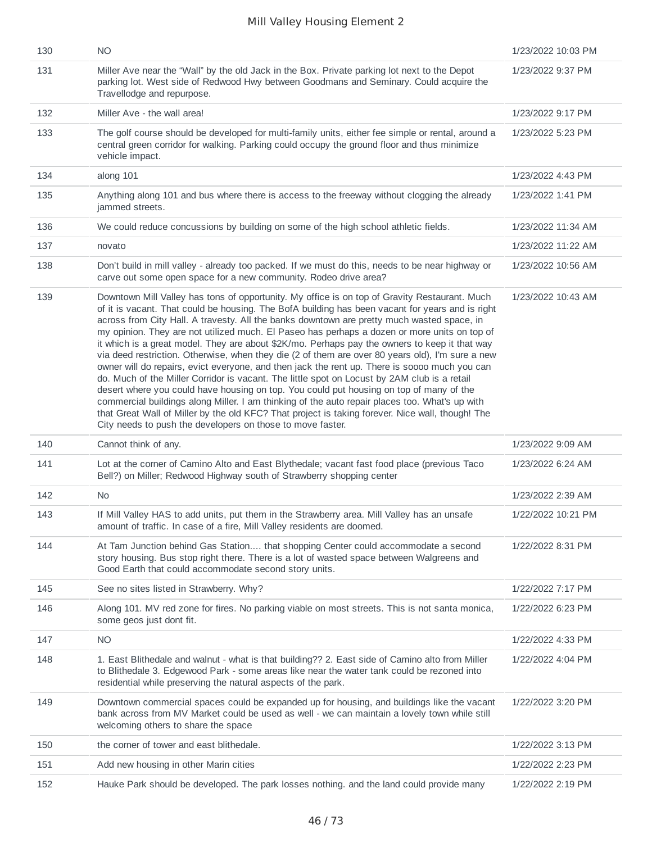| 130 | <b>NO</b>                                                                                                                                                                                                                                                                                                                                                                                                                                                                                                                                                                                                                                                                                                                                                                                                                                                                                                                                                                                                                                                                                                                                                            | 1/23/2022 10:03 PM |
|-----|----------------------------------------------------------------------------------------------------------------------------------------------------------------------------------------------------------------------------------------------------------------------------------------------------------------------------------------------------------------------------------------------------------------------------------------------------------------------------------------------------------------------------------------------------------------------------------------------------------------------------------------------------------------------------------------------------------------------------------------------------------------------------------------------------------------------------------------------------------------------------------------------------------------------------------------------------------------------------------------------------------------------------------------------------------------------------------------------------------------------------------------------------------------------|--------------------|
| 131 | Miller Ave near the "Wall" by the old Jack in the Box. Private parking lot next to the Depot<br>parking lot. West side of Redwood Hwy between Goodmans and Seminary. Could acquire the<br>Travellodge and repurpose.                                                                                                                                                                                                                                                                                                                                                                                                                                                                                                                                                                                                                                                                                                                                                                                                                                                                                                                                                 | 1/23/2022 9:37 PM  |
| 132 | Miller Ave - the wall area!                                                                                                                                                                                                                                                                                                                                                                                                                                                                                                                                                                                                                                                                                                                                                                                                                                                                                                                                                                                                                                                                                                                                          | 1/23/2022 9:17 PM  |
| 133 | The golf course should be developed for multi-family units, either fee simple or rental, around a<br>central green corridor for walking. Parking could occupy the ground floor and thus minimize<br>vehicle impact.                                                                                                                                                                                                                                                                                                                                                                                                                                                                                                                                                                                                                                                                                                                                                                                                                                                                                                                                                  | 1/23/2022 5:23 PM  |
| 134 | along 101                                                                                                                                                                                                                                                                                                                                                                                                                                                                                                                                                                                                                                                                                                                                                                                                                                                                                                                                                                                                                                                                                                                                                            | 1/23/2022 4:43 PM  |
| 135 | Anything along 101 and bus where there is access to the freeway without clogging the already<br>jammed streets.                                                                                                                                                                                                                                                                                                                                                                                                                                                                                                                                                                                                                                                                                                                                                                                                                                                                                                                                                                                                                                                      | 1/23/2022 1:41 PM  |
| 136 | We could reduce concussions by building on some of the high school athletic fields.                                                                                                                                                                                                                                                                                                                                                                                                                                                                                                                                                                                                                                                                                                                                                                                                                                                                                                                                                                                                                                                                                  | 1/23/2022 11:34 AM |
| 137 | novato                                                                                                                                                                                                                                                                                                                                                                                                                                                                                                                                                                                                                                                                                                                                                                                                                                                                                                                                                                                                                                                                                                                                                               | 1/23/2022 11:22 AM |
| 138 | Don't build in mill valley - already too packed. If we must do this, needs to be near highway or<br>carve out some open space for a new community. Rodeo drive area?                                                                                                                                                                                                                                                                                                                                                                                                                                                                                                                                                                                                                                                                                                                                                                                                                                                                                                                                                                                                 | 1/23/2022 10:56 AM |
| 139 | Downtown Mill Valley has tons of opportunity. My office is on top of Gravity Restaurant. Much<br>of it is vacant. That could be housing. The BofA building has been vacant for years and is right<br>across from City Hall. A travesty. All the banks downtown are pretty much wasted space, in<br>my opinion. They are not utilized much. El Paseo has perhaps a dozen or more units on top of<br>it which is a great model. They are about \$2K/mo. Perhaps pay the owners to keep it that way<br>via deed restriction. Otherwise, when they die (2 of them are over 80 years old), I'm sure a new<br>owner will do repairs, evict everyone, and then jack the rent up. There is soooo much you can<br>do. Much of the Miller Corridor is vacant. The little spot on Locust by 2AM club is a retail<br>desert where you could have housing on top. You could put housing on top of many of the<br>commercial buildings along Miller. I am thinking of the auto repair places too. What's up with<br>that Great Wall of Miller by the old KFC? That project is taking forever. Nice wall, though! The<br>City needs to push the developers on those to move faster. | 1/23/2022 10:43 AM |
| 140 | Cannot think of any.                                                                                                                                                                                                                                                                                                                                                                                                                                                                                                                                                                                                                                                                                                                                                                                                                                                                                                                                                                                                                                                                                                                                                 | 1/23/2022 9:09 AM  |
| 141 | Lot at the corner of Camino Alto and East Blythedale; vacant fast food place (previous Taco<br>Bell?) on Miller; Redwood Highway south of Strawberry shopping center                                                                                                                                                                                                                                                                                                                                                                                                                                                                                                                                                                                                                                                                                                                                                                                                                                                                                                                                                                                                 | 1/23/2022 6:24 AM  |
| 142 | No.                                                                                                                                                                                                                                                                                                                                                                                                                                                                                                                                                                                                                                                                                                                                                                                                                                                                                                                                                                                                                                                                                                                                                                  | 1/23/2022 2:39 AM  |
| 143 | If Mill Valley HAS to add units, put them in the Strawberry area. Mill Valley has an unsafe<br>amount of traffic. In case of a fire, Mill Valley residents are doomed.                                                                                                                                                                                                                                                                                                                                                                                                                                                                                                                                                                                                                                                                                                                                                                                                                                                                                                                                                                                               | 1/22/2022 10:21 PM |
| 144 | At Tam Junction behind Gas Station that shopping Center could accommodate a second<br>story housing. Bus stop right there. There is a lot of wasted space between Walgreens and<br>Good Earth that could accommodate second story units.                                                                                                                                                                                                                                                                                                                                                                                                                                                                                                                                                                                                                                                                                                                                                                                                                                                                                                                             | 1/22/2022 8:31 PM  |
| 145 | See no sites listed in Strawberry. Why?                                                                                                                                                                                                                                                                                                                                                                                                                                                                                                                                                                                                                                                                                                                                                                                                                                                                                                                                                                                                                                                                                                                              | 1/22/2022 7:17 PM  |
| 146 | Along 101. MV red zone for fires. No parking viable on most streets. This is not santa monica,<br>some geos just dont fit.                                                                                                                                                                                                                                                                                                                                                                                                                                                                                                                                                                                                                                                                                                                                                                                                                                                                                                                                                                                                                                           | 1/22/2022 6:23 PM  |
| 147 | <b>NO</b>                                                                                                                                                                                                                                                                                                                                                                                                                                                                                                                                                                                                                                                                                                                                                                                                                                                                                                                                                                                                                                                                                                                                                            | 1/22/2022 4:33 PM  |
| 148 | 1. East Blithedale and walnut - what is that building?? 2. East side of Camino alto from Miller<br>to Blithedale 3. Edgewood Park - some areas like near the water tank could be rezoned into<br>residential while preserving the natural aspects of the park.                                                                                                                                                                                                                                                                                                                                                                                                                                                                                                                                                                                                                                                                                                                                                                                                                                                                                                       | 1/22/2022 4:04 PM  |
| 149 | Downtown commercial spaces could be expanded up for housing, and buildings like the vacant<br>bank across from MV Market could be used as well - we can maintain a lovely town while still<br>welcoming others to share the space                                                                                                                                                                                                                                                                                                                                                                                                                                                                                                                                                                                                                                                                                                                                                                                                                                                                                                                                    | 1/22/2022 3:20 PM  |
| 150 | the corner of tower and east blithedale.                                                                                                                                                                                                                                                                                                                                                                                                                                                                                                                                                                                                                                                                                                                                                                                                                                                                                                                                                                                                                                                                                                                             | 1/22/2022 3:13 PM  |
| 151 | Add new housing in other Marin cities                                                                                                                                                                                                                                                                                                                                                                                                                                                                                                                                                                                                                                                                                                                                                                                                                                                                                                                                                                                                                                                                                                                                | 1/22/2022 2:23 PM  |
| 152 | Hauke Park should be developed. The park losses nothing. and the land could provide many                                                                                                                                                                                                                                                                                                                                                                                                                                                                                                                                                                                                                                                                                                                                                                                                                                                                                                                                                                                                                                                                             | 1/22/2022 2:19 PM  |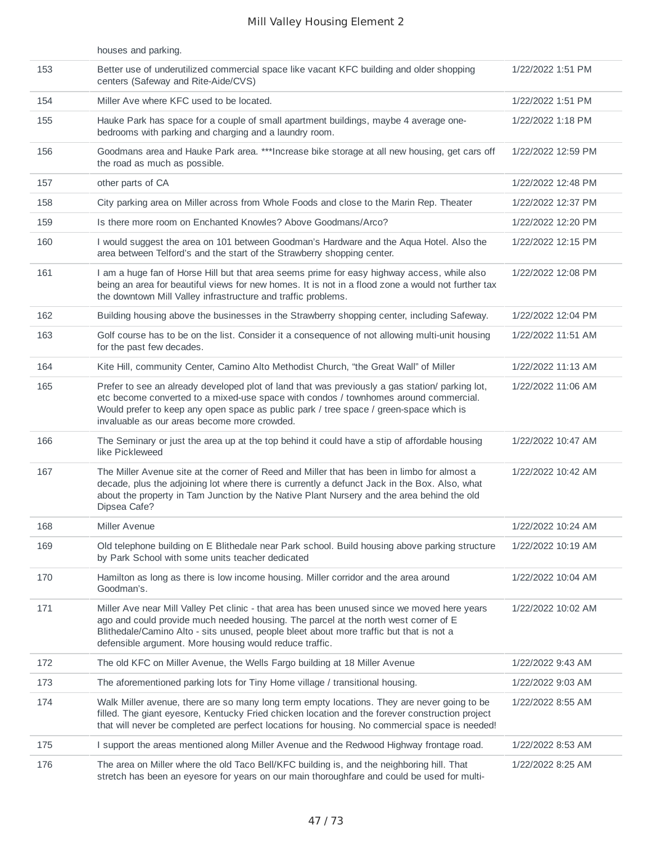|     | houses and parking.                                                                                                                                                                                                                                                                                                                       |                    |
|-----|-------------------------------------------------------------------------------------------------------------------------------------------------------------------------------------------------------------------------------------------------------------------------------------------------------------------------------------------|--------------------|
| 153 | Better use of underutilized commercial space like vacant KFC building and older shopping<br>centers (Safeway and Rite-Aide/CVS)                                                                                                                                                                                                           | 1/22/2022 1:51 PM  |
| 154 | Miller Ave where KFC used to be located.                                                                                                                                                                                                                                                                                                  | 1/22/2022 1:51 PM  |
| 155 | Hauke Park has space for a couple of small apartment buildings, maybe 4 average one-<br>bedrooms with parking and charging and a laundry room.                                                                                                                                                                                            | 1/22/2022 1:18 PM  |
| 156 | Goodmans area and Hauke Park area. ***Increase bike storage at all new housing, get cars off<br>the road as much as possible.                                                                                                                                                                                                             | 1/22/2022 12:59 PM |
| 157 | other parts of CA                                                                                                                                                                                                                                                                                                                         | 1/22/2022 12:48 PM |
| 158 | City parking area on Miller across from Whole Foods and close to the Marin Rep. Theater                                                                                                                                                                                                                                                   | 1/22/2022 12:37 PM |
| 159 | Is there more room on Enchanted Knowles? Above Goodmans/Arco?                                                                                                                                                                                                                                                                             | 1/22/2022 12:20 PM |
| 160 | I would suggest the area on 101 between Goodman's Hardware and the Aqua Hotel. Also the<br>area between Telford's and the start of the Strawberry shopping center.                                                                                                                                                                        | 1/22/2022 12:15 PM |
| 161 | I am a huge fan of Horse Hill but that area seems prime for easy highway access, while also<br>being an area for beautiful views for new homes. It is not in a flood zone a would not further tax<br>the downtown Mill Valley infrastructure and traffic problems.                                                                        | 1/22/2022 12:08 PM |
| 162 | Building housing above the businesses in the Strawberry shopping center, including Safeway.                                                                                                                                                                                                                                               | 1/22/2022 12:04 PM |
| 163 | Golf course has to be on the list. Consider it a consequence of not allowing multi-unit housing<br>for the past few decades.                                                                                                                                                                                                              | 1/22/2022 11:51 AM |
| 164 | Kite Hill, community Center, Camino Alto Methodist Church, "the Great Wall" of Miller                                                                                                                                                                                                                                                     | 1/22/2022 11:13 AM |
| 165 | Prefer to see an already developed plot of land that was previously a gas station/ parking lot,<br>etc become converted to a mixed-use space with condos / townhomes around commercial.<br>Would prefer to keep any open space as public park / tree space / green-space which is<br>invaluable as our areas become more crowded.         | 1/22/2022 11:06 AM |
| 166 | The Seminary or just the area up at the top behind it could have a stip of affordable housing<br>like Pickleweed                                                                                                                                                                                                                          | 1/22/2022 10:47 AM |
| 167 | The Miller Avenue site at the corner of Reed and Miller that has been in limbo for almost a<br>decade, plus the adjoining lot where there is currently a defunct Jack in the Box. Also, what<br>about the property in Tam Junction by the Native Plant Nursery and the area behind the old<br>Dipsea Cafe?                                | 1/22/2022 10:42 AM |
| 168 | Miller Avenue                                                                                                                                                                                                                                                                                                                             | 1/22/2022 10:24 AM |
| 169 | Old telephone building on E Blithedale near Park school. Build housing above parking structure<br>by Park School with some units teacher dedicated                                                                                                                                                                                        | 1/22/2022 10:19 AM |
| 170 | Hamilton as long as there is low income housing. Miller corridor and the area around<br>Goodman's.                                                                                                                                                                                                                                        | 1/22/2022 10:04 AM |
| 171 | Miller Ave near Mill Valley Pet clinic - that area has been unused since we moved here years<br>ago and could provide much needed housing. The parcel at the north west corner of E<br>Blithedale/Camino Alto - sits unused, people bleet about more traffic but that is not a<br>defensible argument. More housing would reduce traffic. | 1/22/2022 10:02 AM |
| 172 | The old KFC on Miller Avenue, the Wells Fargo building at 18 Miller Avenue                                                                                                                                                                                                                                                                | 1/22/2022 9:43 AM  |
| 173 | The aforementioned parking lots for Tiny Home village / transitional housing.                                                                                                                                                                                                                                                             | 1/22/2022 9:03 AM  |
| 174 | Walk Miller avenue, there are so many long term empty locations. They are never going to be<br>filled. The giant eyesore, Kentucky Fried chicken location and the forever construction project<br>that will never be completed are perfect locations for housing. No commercial space is needed!                                          | 1/22/2022 8:55 AM  |
| 175 | I support the areas mentioned along Miller Avenue and the Redwood Highway frontage road.                                                                                                                                                                                                                                                  | 1/22/2022 8:53 AM  |
| 176 | The area on Miller where the old Taco Bell/KFC building is, and the neighboring hill. That<br>stretch has been an eyesore for years on our main thoroughfare and could be used for multi-                                                                                                                                                 | 1/22/2022 8:25 AM  |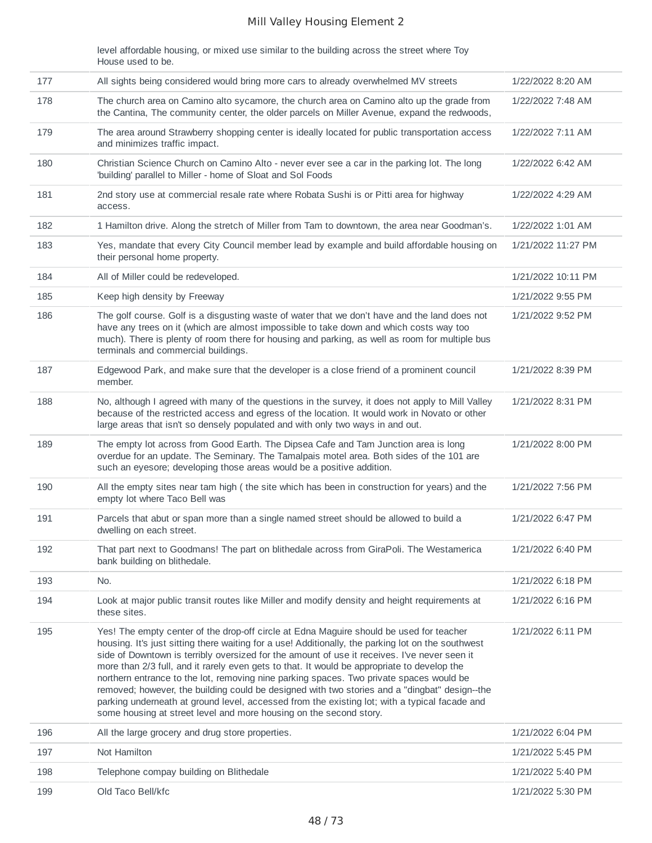level affordable housing, or mixed use similar to the building across the street where Toy House used to be.

| 177 | All sights being considered would bring more cars to already overwhelmed MV streets                                                                                                                                                                                                                                                                                                                                                                                                                                                                                                                                                                                                                                                                             | 1/22/2022 8:20 AM  |
|-----|-----------------------------------------------------------------------------------------------------------------------------------------------------------------------------------------------------------------------------------------------------------------------------------------------------------------------------------------------------------------------------------------------------------------------------------------------------------------------------------------------------------------------------------------------------------------------------------------------------------------------------------------------------------------------------------------------------------------------------------------------------------------|--------------------|
| 178 | The church area on Camino alto sycamore, the church area on Camino alto up the grade from<br>the Cantina, The community center, the older parcels on Miller Avenue, expand the redwoods,                                                                                                                                                                                                                                                                                                                                                                                                                                                                                                                                                                        | 1/22/2022 7:48 AM  |
| 179 | The area around Strawberry shopping center is ideally located for public transportation access<br>and minimizes traffic impact.                                                                                                                                                                                                                                                                                                                                                                                                                                                                                                                                                                                                                                 | 1/22/2022 7:11 AM  |
| 180 | Christian Science Church on Camino Alto - never ever see a car in the parking lot. The long<br>'building' parallel to Miller - home of Sloat and Sol Foods                                                                                                                                                                                                                                                                                                                                                                                                                                                                                                                                                                                                      | 1/22/2022 6:42 AM  |
| 181 | 2nd story use at commercial resale rate where Robata Sushi is or Pitti area for highway<br>access.                                                                                                                                                                                                                                                                                                                                                                                                                                                                                                                                                                                                                                                              | 1/22/2022 4:29 AM  |
| 182 | 1 Hamilton drive. Along the stretch of Miller from Tam to downtown, the area near Goodman's.                                                                                                                                                                                                                                                                                                                                                                                                                                                                                                                                                                                                                                                                    | 1/22/2022 1:01 AM  |
| 183 | Yes, mandate that every City Council member lead by example and build affordable housing on<br>their personal home property.                                                                                                                                                                                                                                                                                                                                                                                                                                                                                                                                                                                                                                    | 1/21/2022 11:27 PM |
| 184 | All of Miller could be redeveloped.                                                                                                                                                                                                                                                                                                                                                                                                                                                                                                                                                                                                                                                                                                                             | 1/21/2022 10:11 PM |
| 185 | Keep high density by Freeway                                                                                                                                                                                                                                                                                                                                                                                                                                                                                                                                                                                                                                                                                                                                    | 1/21/2022 9:55 PM  |
| 186 | The golf course. Golf is a disgusting waste of water that we don't have and the land does not<br>have any trees on it (which are almost impossible to take down and which costs way too<br>much). There is plenty of room there for housing and parking, as well as room for multiple bus<br>terminals and commercial buildings.                                                                                                                                                                                                                                                                                                                                                                                                                                | 1/21/2022 9:52 PM  |
| 187 | Edgewood Park, and make sure that the developer is a close friend of a prominent council<br>member.                                                                                                                                                                                                                                                                                                                                                                                                                                                                                                                                                                                                                                                             | 1/21/2022 8:39 PM  |
| 188 | No, although I agreed with many of the questions in the survey, it does not apply to Mill Valley<br>because of the restricted access and egress of the location. It would work in Novato or other<br>large areas that isn't so densely populated and with only two ways in and out.                                                                                                                                                                                                                                                                                                                                                                                                                                                                             | 1/21/2022 8:31 PM  |
| 189 | The empty lot across from Good Earth. The Dipsea Cafe and Tam Junction area is long<br>overdue for an update. The Seminary. The Tamalpais motel area. Both sides of the 101 are<br>such an eyesore; developing those areas would be a positive addition.                                                                                                                                                                                                                                                                                                                                                                                                                                                                                                        | 1/21/2022 8:00 PM  |
| 190 | All the empty sites near tam high (the site which has been in construction for years) and the<br>empty lot where Taco Bell was                                                                                                                                                                                                                                                                                                                                                                                                                                                                                                                                                                                                                                  | 1/21/2022 7:56 PM  |
| 191 | Parcels that abut or span more than a single named street should be allowed to build a<br>dwelling on each street.                                                                                                                                                                                                                                                                                                                                                                                                                                                                                                                                                                                                                                              | 1/21/2022 6:47 PM  |
| 192 | That part next to Goodmans! The part on blithedale across from GiraPoli. The Westamerica<br>bank building on blithedale.                                                                                                                                                                                                                                                                                                                                                                                                                                                                                                                                                                                                                                        | 1/21/2022 6:40 PM  |
| 193 | No.                                                                                                                                                                                                                                                                                                                                                                                                                                                                                                                                                                                                                                                                                                                                                             | 1/21/2022 6:18 PM  |
| 194 | Look at major public transit routes like Miller and modify density and height requirements at<br>these sites.                                                                                                                                                                                                                                                                                                                                                                                                                                                                                                                                                                                                                                                   | 1/21/2022 6:16 PM  |
| 195 | Yes! The empty center of the drop-off circle at Edna Maguire should be used for teacher<br>housing. It's just sitting there waiting for a use! Additionally, the parking lot on the southwest<br>side of Downtown is terribly oversized for the amount of use it receives. I've never seen it<br>more than 2/3 full, and it rarely even gets to that. It would be appropriate to develop the<br>northern entrance to the lot, removing nine parking spaces. Two private spaces would be<br>removed; however, the building could be designed with two stories and a "dingbat" design--the<br>parking underneath at ground level, accessed from the existing lot; with a typical facade and<br>some housing at street level and more housing on the second story. | 1/21/2022 6:11 PM  |
| 196 | All the large grocery and drug store properties.                                                                                                                                                                                                                                                                                                                                                                                                                                                                                                                                                                                                                                                                                                                | 1/21/2022 6:04 PM  |
| 197 | Not Hamilton                                                                                                                                                                                                                                                                                                                                                                                                                                                                                                                                                                                                                                                                                                                                                    | 1/21/2022 5:45 PM  |
| 198 | Telephone compay building on Blithedale                                                                                                                                                                                                                                                                                                                                                                                                                                                                                                                                                                                                                                                                                                                         | 1/21/2022 5:40 PM  |
| 199 | Old Taco Bell/kfc                                                                                                                                                                                                                                                                                                                                                                                                                                                                                                                                                                                                                                                                                                                                               | 1/21/2022 5:30 PM  |
|     |                                                                                                                                                                                                                                                                                                                                                                                                                                                                                                                                                                                                                                                                                                                                                                 |                    |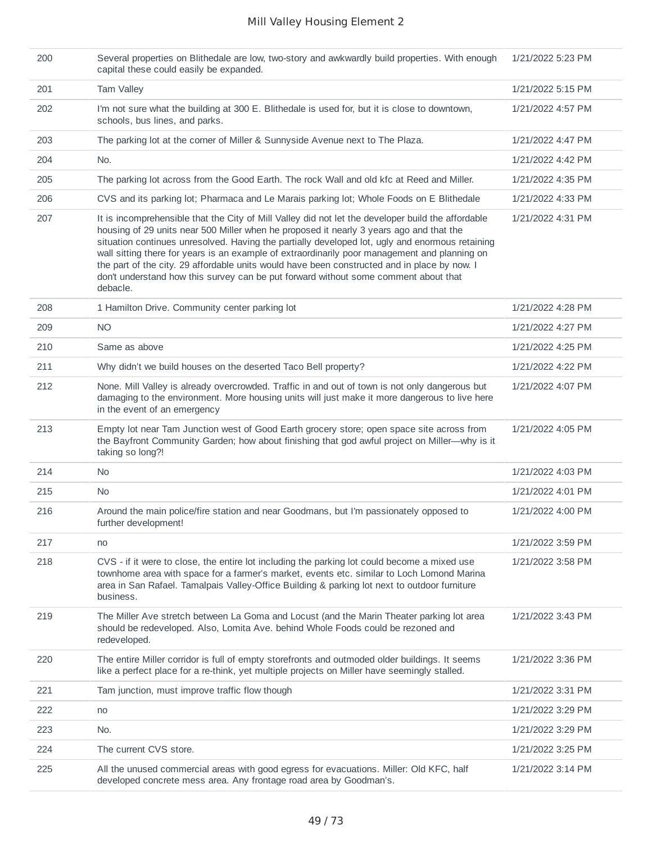| 200 | Several properties on Blithedale are low, two-story and awkwardly build properties. With enough<br>capital these could easily be expanded.                                                                                                                                                                                                                                                                                                                                                                                                                                                           | 1/21/2022 5:23 PM |
|-----|------------------------------------------------------------------------------------------------------------------------------------------------------------------------------------------------------------------------------------------------------------------------------------------------------------------------------------------------------------------------------------------------------------------------------------------------------------------------------------------------------------------------------------------------------------------------------------------------------|-------------------|
| 201 | Tam Valley                                                                                                                                                                                                                                                                                                                                                                                                                                                                                                                                                                                           | 1/21/2022 5:15 PM |
| 202 | I'm not sure what the building at 300 E. Blithedale is used for, but it is close to downtown,<br>schools, bus lines, and parks.                                                                                                                                                                                                                                                                                                                                                                                                                                                                      | 1/21/2022 4:57 PM |
| 203 | The parking lot at the corner of Miller & Sunnyside Avenue next to The Plaza.                                                                                                                                                                                                                                                                                                                                                                                                                                                                                                                        | 1/21/2022 4:47 PM |
| 204 | No.                                                                                                                                                                                                                                                                                                                                                                                                                                                                                                                                                                                                  | 1/21/2022 4:42 PM |
| 205 | The parking lot across from the Good Earth. The rock Wall and old kfc at Reed and Miller.                                                                                                                                                                                                                                                                                                                                                                                                                                                                                                            | 1/21/2022 4:35 PM |
| 206 | CVS and its parking lot; Pharmaca and Le Marais parking lot; Whole Foods on E Blithedale                                                                                                                                                                                                                                                                                                                                                                                                                                                                                                             | 1/21/2022 4:33 PM |
| 207 | It is incomprehensible that the City of Mill Valley did not let the developer build the affordable<br>housing of 29 units near 500 Miller when he proposed it nearly 3 years ago and that the<br>situation continues unresolved. Having the partially developed lot, ugly and enormous retaining<br>wall sitting there for years is an example of extraordinarily poor management and planning on<br>the part of the city. 29 affordable units would have been constructed and in place by now. I<br>don't understand how this survey can be put forward without some comment about that<br>debacle. | 1/21/2022 4:31 PM |
| 208 | 1 Hamilton Drive. Community center parking lot                                                                                                                                                                                                                                                                                                                                                                                                                                                                                                                                                       | 1/21/2022 4:28 PM |
| 209 | <b>NO</b>                                                                                                                                                                                                                                                                                                                                                                                                                                                                                                                                                                                            | 1/21/2022 4:27 PM |
| 210 | Same as above                                                                                                                                                                                                                                                                                                                                                                                                                                                                                                                                                                                        | 1/21/2022 4:25 PM |
| 211 | Why didn't we build houses on the deserted Taco Bell property?                                                                                                                                                                                                                                                                                                                                                                                                                                                                                                                                       | 1/21/2022 4:22 PM |
| 212 | None. Mill Valley is already overcrowded. Traffic in and out of town is not only dangerous but<br>damaging to the environment. More housing units will just make it more dangerous to live here<br>in the event of an emergency                                                                                                                                                                                                                                                                                                                                                                      | 1/21/2022 4:07 PM |
| 213 | Empty lot near Tam Junction west of Good Earth grocery store; open space site across from<br>the Bayfront Community Garden; how about finishing that god awful project on Miller-why is it<br>taking so long?!                                                                                                                                                                                                                                                                                                                                                                                       | 1/21/2022 4:05 PM |
| 214 | No.                                                                                                                                                                                                                                                                                                                                                                                                                                                                                                                                                                                                  | 1/21/2022 4:03 PM |
| 215 | No.                                                                                                                                                                                                                                                                                                                                                                                                                                                                                                                                                                                                  | 1/21/2022 4:01 PM |
| 216 | Around the main police/fire station and near Goodmans, but I'm passionately opposed to<br>further development!                                                                                                                                                                                                                                                                                                                                                                                                                                                                                       | 1/21/2022 4:00 PM |
| 217 | no                                                                                                                                                                                                                                                                                                                                                                                                                                                                                                                                                                                                   | 1/21/2022 3:59 PM |
| 218 | CVS - if it were to close, the entire lot including the parking lot could become a mixed use<br>townhome area with space for a farmer's market, events etc. similar to Loch Lomond Marina<br>area in San Rafael. Tamalpais Valley-Office Building & parking lot next to outdoor furniture<br>business.                                                                                                                                                                                                                                                                                               | 1/21/2022 3:58 PM |
| 219 | The Miller Ave stretch between La Goma and Locust (and the Marin Theater parking lot area<br>should be redeveloped. Also, Lomita Ave. behind Whole Foods could be rezoned and<br>redeveloped.                                                                                                                                                                                                                                                                                                                                                                                                        | 1/21/2022 3:43 PM |
| 220 | The entire Miller corridor is full of empty storefronts and outmoded older buildings. It seems<br>like a perfect place for a re-think, yet multiple projects on Miller have seemingly stalled.                                                                                                                                                                                                                                                                                                                                                                                                       | 1/21/2022 3:36 PM |
| 221 | Tam junction, must improve traffic flow though                                                                                                                                                                                                                                                                                                                                                                                                                                                                                                                                                       | 1/21/2022 3:31 PM |
| 222 | no                                                                                                                                                                                                                                                                                                                                                                                                                                                                                                                                                                                                   | 1/21/2022 3:29 PM |
| 223 | No.                                                                                                                                                                                                                                                                                                                                                                                                                                                                                                                                                                                                  | 1/21/2022 3:29 PM |
| 224 | The current CVS store.                                                                                                                                                                                                                                                                                                                                                                                                                                                                                                                                                                               | 1/21/2022 3:25 PM |
| 225 | All the unused commercial areas with good egress for evacuations. Miller: Old KFC, half<br>developed concrete mess area. Any frontage road area by Goodman's.                                                                                                                                                                                                                                                                                                                                                                                                                                        | 1/21/2022 3:14 PM |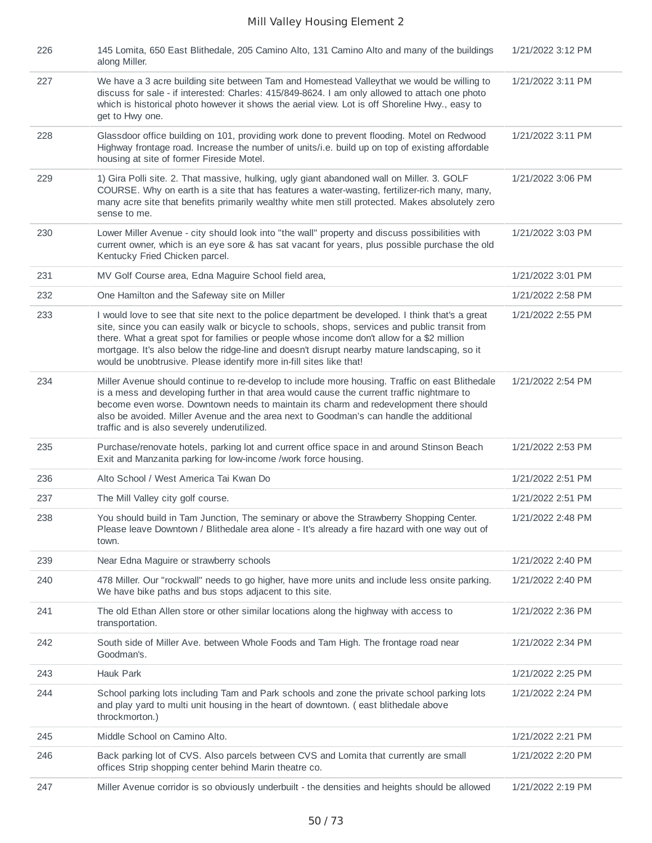| 226 | 145 Lomita, 650 East Blithedale, 205 Camino Alto, 131 Camino Alto and many of the buildings<br>along Miller.                                                                                                                                                                                                                                                                                                                                                             | 1/21/2022 3:12 PM |
|-----|--------------------------------------------------------------------------------------------------------------------------------------------------------------------------------------------------------------------------------------------------------------------------------------------------------------------------------------------------------------------------------------------------------------------------------------------------------------------------|-------------------|
| 227 | We have a 3 acre building site between Tam and Homestead Valleythat we would be willing to<br>discuss for sale - if interested: Charles: 415/849-8624. I am only allowed to attach one photo<br>which is historical photo however it shows the aerial view. Lot is off Shoreline Hwy., easy to<br>get to Hwy one.                                                                                                                                                        | 1/21/2022 3:11 PM |
| 228 | Glassdoor office building on 101, providing work done to prevent flooding. Motel on Redwood<br>Highway frontage road. Increase the number of units/i.e. build up on top of existing affordable<br>housing at site of former Fireside Motel.                                                                                                                                                                                                                              | 1/21/2022 3:11 PM |
| 229 | 1) Gira Polli site. 2. That massive, hulking, ugly giant abandoned wall on Miller. 3. GOLF<br>COURSE. Why on earth is a site that has features a water-wasting, fertilizer-rich many, many,<br>many acre site that benefits primarily wealthy white men still protected. Makes absolutely zero<br>sense to me.                                                                                                                                                           | 1/21/2022 3:06 PM |
| 230 | Lower Miller Avenue - city should look into "the wall" property and discuss possibilities with<br>current owner, which is an eye sore & has sat vacant for years, plus possible purchase the old<br>Kentucky Fried Chicken parcel.                                                                                                                                                                                                                                       | 1/21/2022 3:03 PM |
| 231 | MV Golf Course area, Edna Maguire School field area,                                                                                                                                                                                                                                                                                                                                                                                                                     | 1/21/2022 3:01 PM |
| 232 | One Hamilton and the Safeway site on Miller                                                                                                                                                                                                                                                                                                                                                                                                                              | 1/21/2022 2:58 PM |
| 233 | I would love to see that site next to the police department be developed. I think that's a great<br>site, since you can easily walk or bicycle to schools, shops, services and public transit from<br>there. What a great spot for families or people whose income don't allow for a \$2 million<br>mortgage. It's also below the ridge-line and doesn't disrupt nearby mature landscaping, so it<br>would be unobtrusive. Please identify more in-fill sites like that! | 1/21/2022 2:55 PM |
| 234 | Miller Avenue should continue to re-develop to include more housing. Traffic on east Blithedale<br>is a mess and developing further in that area would cause the current traffic nightmare to<br>become even worse. Downtown needs to maintain its charm and redevelopment there should<br>also be avoided. Miller Avenue and the area next to Goodman's can handle the additional<br>traffic and is also severely underutilized.                                        | 1/21/2022 2:54 PM |
| 235 | Purchase/renovate hotels, parking lot and current office space in and around Stinson Beach<br>Exit and Manzanita parking for low-income /work force housing.                                                                                                                                                                                                                                                                                                             | 1/21/2022 2:53 PM |
| 236 | Alto School / West America Tai Kwan Do                                                                                                                                                                                                                                                                                                                                                                                                                                   | 1/21/2022 2:51 PM |
| 237 | The Mill Valley city golf course.                                                                                                                                                                                                                                                                                                                                                                                                                                        | 1/21/2022 2:51 PM |
| 238 | You should build in Tam Junction, The seminary or above the Strawberry Shopping Center.<br>Please leave Downtown / Blithedale area alone - It's already a fire hazard with one way out of<br>town.                                                                                                                                                                                                                                                                       | 1/21/2022 2:48 PM |
| 239 | Near Edna Maguire or strawberry schools                                                                                                                                                                                                                                                                                                                                                                                                                                  | 1/21/2022 2:40 PM |
| 240 | 478 Miller. Our "rockwall" needs to go higher, have more units and include less onsite parking.<br>We have bike paths and bus stops adjacent to this site.                                                                                                                                                                                                                                                                                                               | 1/21/2022 2:40 PM |
| 241 | The old Ethan Allen store or other similar locations along the highway with access to<br>transportation.                                                                                                                                                                                                                                                                                                                                                                 | 1/21/2022 2:36 PM |
| 242 | South side of Miller Ave. between Whole Foods and Tam High. The frontage road near<br>Goodman's.                                                                                                                                                                                                                                                                                                                                                                         | 1/21/2022 2:34 PM |
| 243 | Hauk Park                                                                                                                                                                                                                                                                                                                                                                                                                                                                | 1/21/2022 2:25 PM |
| 244 | School parking lots including Tam and Park schools and zone the private school parking lots<br>and play yard to multi unit housing in the heart of downtown. (east blithedale above<br>throckmorton.)                                                                                                                                                                                                                                                                    | 1/21/2022 2:24 PM |
| 245 | Middle School on Camino Alto.                                                                                                                                                                                                                                                                                                                                                                                                                                            | 1/21/2022 2:21 PM |
| 246 | Back parking lot of CVS. Also parcels between CVS and Lomita that currently are small<br>offices Strip shopping center behind Marin theatre co.                                                                                                                                                                                                                                                                                                                          | 1/21/2022 2:20 PM |
| 247 | Miller Avenue corridor is so obviously underbuilt - the densities and heights should be allowed                                                                                                                                                                                                                                                                                                                                                                          | 1/21/2022 2:19 PM |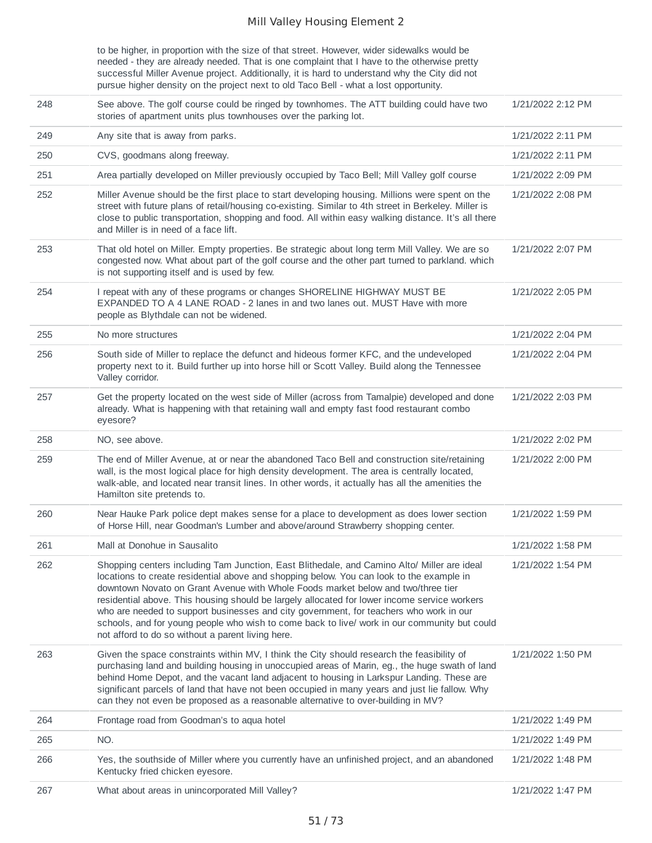to be higher, in proportion with the size of that street. However, wider sidewalks would be needed - they are already needed. That is one complaint that I have to the otherwise pretty successful Miller Avenue project. Additionally, it is hard to understand why the City did not pursue higher density on the project next to old Taco Bell - what a lost opportunity.

| 248 | See above. The golf course could be ringed by townhomes. The ATT building could have two<br>stories of apartment units plus townhouses over the parking lot.                                                                                                                                                                                                                                                                                                                                                                                                                                                               | 1/21/2022 2:12 PM |
|-----|----------------------------------------------------------------------------------------------------------------------------------------------------------------------------------------------------------------------------------------------------------------------------------------------------------------------------------------------------------------------------------------------------------------------------------------------------------------------------------------------------------------------------------------------------------------------------------------------------------------------------|-------------------|
| 249 | Any site that is away from parks.                                                                                                                                                                                                                                                                                                                                                                                                                                                                                                                                                                                          | 1/21/2022 2:11 PM |
| 250 | CVS, goodmans along freeway.                                                                                                                                                                                                                                                                                                                                                                                                                                                                                                                                                                                               | 1/21/2022 2:11 PM |
| 251 | Area partially developed on Miller previously occupied by Taco Bell; Mill Valley golf course                                                                                                                                                                                                                                                                                                                                                                                                                                                                                                                               | 1/21/2022 2:09 PM |
| 252 | Miller Avenue should be the first place to start developing housing. Millions were spent on the<br>street with future plans of retail/housing co-existing. Similar to 4th street in Berkeley. Miller is<br>close to public transportation, shopping and food. All within easy walking distance. It's all there<br>and Miller is in need of a face lift.                                                                                                                                                                                                                                                                    | 1/21/2022 2:08 PM |
| 253 | That old hotel on Miller. Empty properties. Be strategic about long term Mill Valley. We are so<br>congested now. What about part of the golf course and the other part turned to parkland. which<br>is not supporting itself and is used by few.                                                                                                                                                                                                                                                                                                                                                                          | 1/21/2022 2:07 PM |
| 254 | I repeat with any of these programs or changes SHORELINE HIGHWAY MUST BE<br>EXPANDED TO A 4 LANE ROAD - 2 lanes in and two lanes out. MUST Have with more<br>people as Blythdale can not be widened.                                                                                                                                                                                                                                                                                                                                                                                                                       | 1/21/2022 2:05 PM |
| 255 | No more structures                                                                                                                                                                                                                                                                                                                                                                                                                                                                                                                                                                                                         | 1/21/2022 2:04 PM |
| 256 | South side of Miller to replace the defunct and hideous former KFC, and the undeveloped<br>property next to it. Build further up into horse hill or Scott Valley. Build along the Tennessee<br>Valley corridor.                                                                                                                                                                                                                                                                                                                                                                                                            | 1/21/2022 2:04 PM |
| 257 | Get the property located on the west side of Miller (across from Tamalpie) developed and done<br>already. What is happening with that retaining wall and empty fast food restaurant combo<br>eyesore?                                                                                                                                                                                                                                                                                                                                                                                                                      | 1/21/2022 2:03 PM |
| 258 | NO, see above.                                                                                                                                                                                                                                                                                                                                                                                                                                                                                                                                                                                                             | 1/21/2022 2:02 PM |
| 259 | The end of Miller Avenue, at or near the abandoned Taco Bell and construction site/retaining<br>wall, is the most logical place for high density development. The area is centrally located,<br>walk-able, and located near transit lines. In other words, it actually has all the amenities the<br>Hamilton site pretends to.                                                                                                                                                                                                                                                                                             | 1/21/2022 2:00 PM |
| 260 | Near Hauke Park police dept makes sense for a place to development as does lower section<br>of Horse Hill, near Goodman's Lumber and above/around Strawberry shopping center.                                                                                                                                                                                                                                                                                                                                                                                                                                              | 1/21/2022 1:59 PM |
| 261 | Mall at Donohue in Sausalito                                                                                                                                                                                                                                                                                                                                                                                                                                                                                                                                                                                               | 1/21/2022 1:58 PM |
| 262 | Shopping centers including Tam Junction, East Blithedale, and Camino Alto/ Miller are ideal<br>locations to create residential above and shopping below. You can look to the example in<br>downtown Novato on Grant Avenue with Whole Foods market below and two/three tier<br>residential above. This housing should be largely allocated for lower income service workers<br>who are needed to support businesses and city government, for teachers who work in our<br>schools, and for young people who wish to come back to live/ work in our community but could<br>not afford to do so without a parent living here. | 1/21/2022 1:54 PM |
| 263 | Given the space constraints within MV, I think the City should research the feasibility of<br>purchasing land and building housing in unoccupied areas of Marin, eg., the huge swath of land<br>behind Home Depot, and the vacant land adjacent to housing in Larkspur Landing. These are<br>significant parcels of land that have not been occupied in many years and just lie fallow. Why<br>can they not even be proposed as a reasonable alternative to over-building in MV?                                                                                                                                           | 1/21/2022 1:50 PM |
| 264 | Frontage road from Goodman's to aqua hotel                                                                                                                                                                                                                                                                                                                                                                                                                                                                                                                                                                                 | 1/21/2022 1:49 PM |
| 265 | NO.                                                                                                                                                                                                                                                                                                                                                                                                                                                                                                                                                                                                                        | 1/21/2022 1:49 PM |
| 266 | Yes, the southside of Miller where you currently have an unfinished project, and an abandoned<br>Kentucky fried chicken eyesore.                                                                                                                                                                                                                                                                                                                                                                                                                                                                                           | 1/21/2022 1:48 PM |
| 267 | What about areas in unincorporated Mill Valley?                                                                                                                                                                                                                                                                                                                                                                                                                                                                                                                                                                            | 1/21/2022 1:47 PM |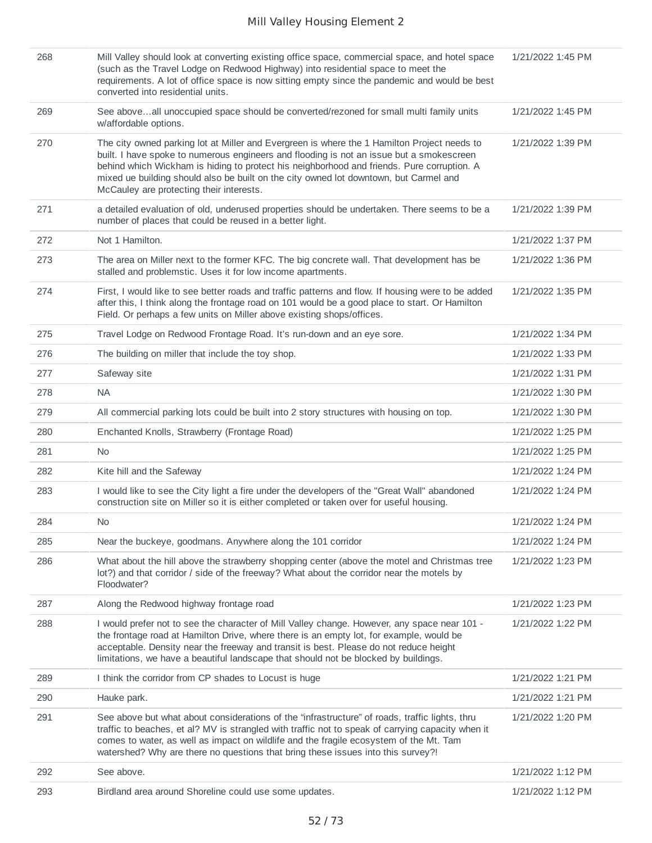| 268 | Mill Valley should look at converting existing office space, commercial space, and hotel space<br>(such as the Travel Lodge on Redwood Highway) into residential space to meet the<br>requirements. A lot of office space is now sitting empty since the pandemic and would be best<br>converted into residential units.                                                                                                   | 1/21/2022 1:45 PM |
|-----|----------------------------------------------------------------------------------------------------------------------------------------------------------------------------------------------------------------------------------------------------------------------------------------------------------------------------------------------------------------------------------------------------------------------------|-------------------|
| 269 | See aboveall unoccupied space should be converted/rezoned for small multi family units<br>w/affordable options.                                                                                                                                                                                                                                                                                                            | 1/21/2022 1:45 PM |
| 270 | The city owned parking lot at Miller and Evergreen is where the 1 Hamilton Project needs to<br>built. I have spoke to numerous engineers and flooding is not an issue but a smokescreen<br>behind which Wickham is hiding to protect his neighborhood and friends. Pure corruption. A<br>mixed ue building should also be built on the city owned lot downtown, but Carmel and<br>McCauley are protecting their interests. | 1/21/2022 1:39 PM |
| 271 | a detailed evaluation of old, underused properties should be undertaken. There seems to be a<br>number of places that could be reused in a better light.                                                                                                                                                                                                                                                                   | 1/21/2022 1:39 PM |
| 272 | Not 1 Hamilton.                                                                                                                                                                                                                                                                                                                                                                                                            | 1/21/2022 1:37 PM |
| 273 | The area on Miller next to the former KFC. The big concrete wall. That development has be<br>stalled and problemstic. Uses it for low income apartments.                                                                                                                                                                                                                                                                   | 1/21/2022 1:36 PM |
| 274 | First, I would like to see better roads and traffic patterns and flow. If housing were to be added<br>after this, I think along the frontage road on 101 would be a good place to start. Or Hamilton<br>Field. Or perhaps a few units on Miller above existing shops/offices.                                                                                                                                              | 1/21/2022 1:35 PM |
| 275 | Travel Lodge on Redwood Frontage Road. It's run-down and an eye sore.                                                                                                                                                                                                                                                                                                                                                      | 1/21/2022 1:34 PM |
| 276 | The building on miller that include the toy shop.                                                                                                                                                                                                                                                                                                                                                                          | 1/21/2022 1:33 PM |
| 277 | Safeway site                                                                                                                                                                                                                                                                                                                                                                                                               | 1/21/2022 1:31 PM |
| 278 | <b>NA</b>                                                                                                                                                                                                                                                                                                                                                                                                                  | 1/21/2022 1:30 PM |
| 279 | All commercial parking lots could be built into 2 story structures with housing on top.                                                                                                                                                                                                                                                                                                                                    | 1/21/2022 1:30 PM |
| 280 | Enchanted Knolls, Strawberry (Frontage Road)                                                                                                                                                                                                                                                                                                                                                                               | 1/21/2022 1:25 PM |
| 281 | N <sub>0</sub>                                                                                                                                                                                                                                                                                                                                                                                                             | 1/21/2022 1:25 PM |
| 282 | Kite hill and the Safeway                                                                                                                                                                                                                                                                                                                                                                                                  | 1/21/2022 1:24 PM |
| 283 | I would like to see the City light a fire under the developers of the "Great Wall" abandoned<br>construction site on Miller so it is either completed or taken over for useful housing.                                                                                                                                                                                                                                    | 1/21/2022 1:24 PM |
| 284 | No                                                                                                                                                                                                                                                                                                                                                                                                                         | 1/21/2022 1:24 PM |
| 285 | Near the buckeye, goodmans. Anywhere along the 101 corridor                                                                                                                                                                                                                                                                                                                                                                | 1/21/2022 1:24 PM |
| 286 | What about the hill above the strawberry shopping center (above the motel and Christmas tree<br>lot?) and that corridor / side of the freeway? What about the corridor near the motels by<br>Floodwater?                                                                                                                                                                                                                   | 1/21/2022 1:23 PM |
| 287 | Along the Redwood highway frontage road                                                                                                                                                                                                                                                                                                                                                                                    | 1/21/2022 1:23 PM |
| 288 | I would prefer not to see the character of Mill Valley change. However, any space near 101 -<br>the frontage road at Hamilton Drive, where there is an empty lot, for example, would be<br>acceptable. Density near the freeway and transit is best. Please do not reduce height<br>limitations, we have a beautiful landscape that should not be blocked by buildings.                                                    | 1/21/2022 1:22 PM |
| 289 | I think the corridor from CP shades to Locust is huge                                                                                                                                                                                                                                                                                                                                                                      | 1/21/2022 1:21 PM |
| 290 | Hauke park.                                                                                                                                                                                                                                                                                                                                                                                                                | 1/21/2022 1:21 PM |
| 291 | See above but what about considerations of the "infrastructure" of roads, traffic lights, thru<br>traffic to beaches, et al? MV is strangled with traffic not to speak of carrying capacity when it<br>comes to water, as well as impact on wildlife and the fragile ecosystem of the Mt. Tam<br>watershed? Why are there no questions that bring these issues into this survey?!                                          | 1/21/2022 1:20 PM |
| 292 | See above.                                                                                                                                                                                                                                                                                                                                                                                                                 | 1/21/2022 1:12 PM |
| 293 | Birdland area around Shoreline could use some updates.                                                                                                                                                                                                                                                                                                                                                                     | 1/21/2022 1:12 PM |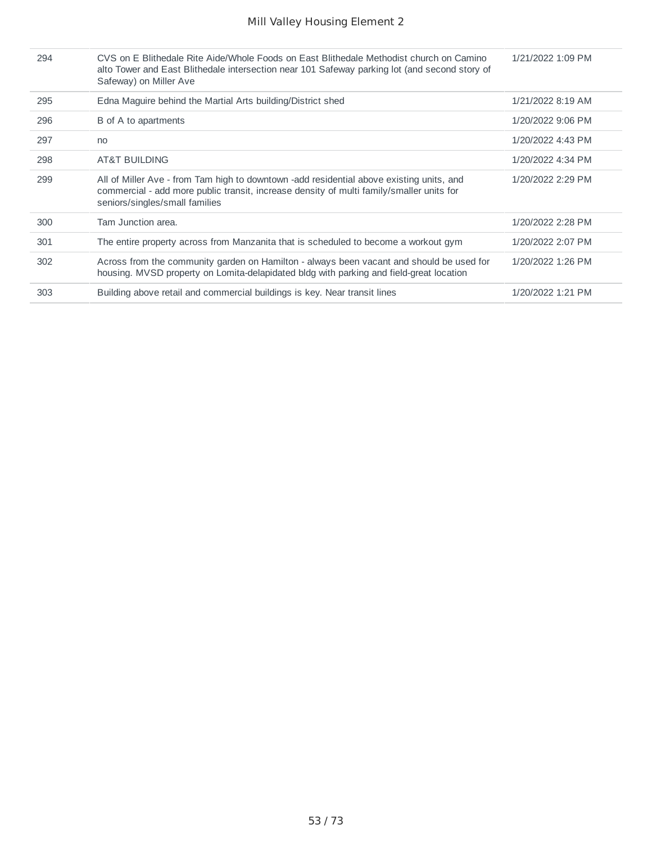| 294 | CVS on E Blithedale Rite Aide/Whole Foods on East Blithedale Methodist church on Camino<br>alto Tower and East Blithedale intersection near 101 Safeway parking lot (and second story of<br>Safeway) on Miller Ave     | 1/21/2022 1:09 PM |
|-----|------------------------------------------------------------------------------------------------------------------------------------------------------------------------------------------------------------------------|-------------------|
| 295 | Edna Maguire behind the Martial Arts building/District shed                                                                                                                                                            | 1/21/2022 8:19 AM |
| 296 | B of A to apartments                                                                                                                                                                                                   | 1/20/2022 9:06 PM |
| 297 | no                                                                                                                                                                                                                     | 1/20/2022 4:43 PM |
| 298 | <b>AT&amp;T BUILDING</b>                                                                                                                                                                                               | 1/20/2022 4:34 PM |
| 299 | All of Miller Ave - from Tam high to downtown -add residential above existing units, and<br>commercial - add more public transit, increase density of multi family/smaller units for<br>seniors/singles/small families | 1/20/2022 2:29 PM |
| 300 | Tam Junction area.                                                                                                                                                                                                     | 1/20/2022 2:28 PM |
| 301 | The entire property across from Manzanita that is scheduled to become a workout gym                                                                                                                                    | 1/20/2022 2:07 PM |
| 302 | Across from the community garden on Hamilton - always been vacant and should be used for<br>housing. MVSD property on Lomita-delapidated bldg with parking and field-great location                                    | 1/20/2022 1:26 PM |
| 303 | Building above retail and commercial buildings is key. Near transit lines                                                                                                                                              | 1/20/2022 1:21 PM |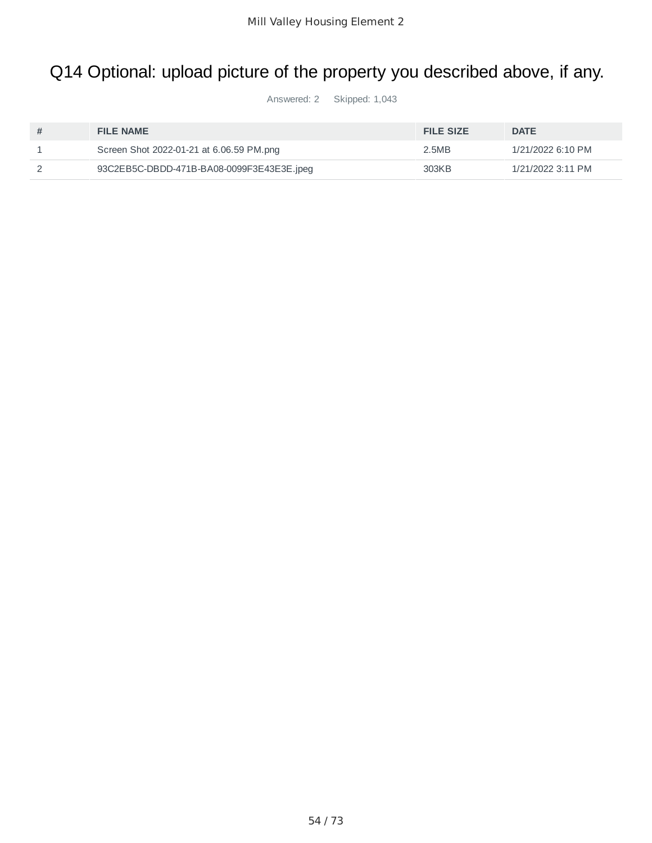# Q14 Optional: upload picture of the property you described above, if any.

Answered: 2 Skipped: 1,043

| <b>FILE NAME</b>                          | <b>FILE SIZE</b> | <b>DATE</b>       |
|-------------------------------------------|------------------|-------------------|
| Screen Shot 2022-01-21 at 6.06.59 PM.png  | 2.5MB            | 1/21/2022 6:10 PM |
| 93C2EB5C-DBDD-471B-BA08-0099F3E43E3E.jpeq | 303KB            | 1/21/2022 3:11 PM |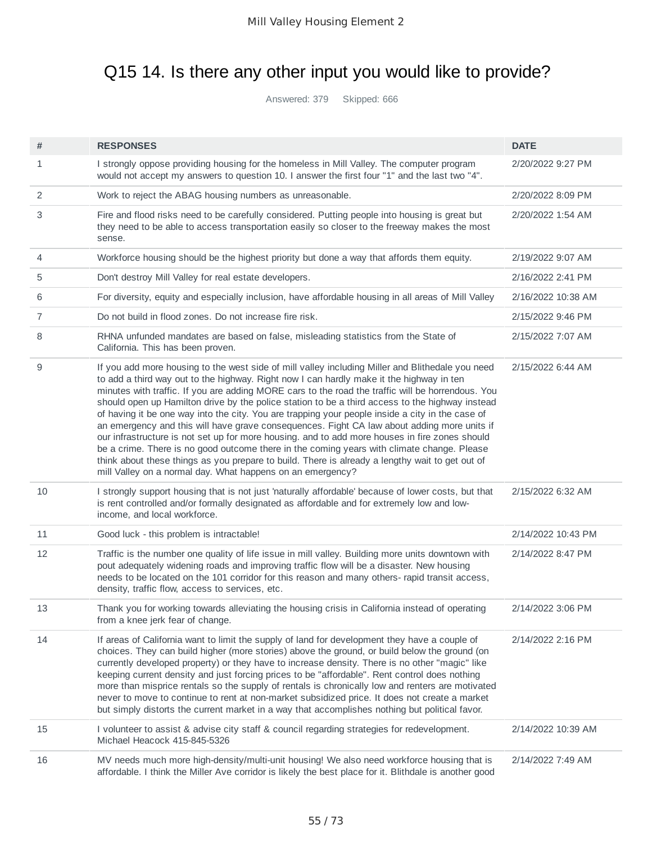# Q15 14. Is there any other input you would like to provide?

Answered: 379 Skipped: 666

| #  | <b>RESPONSES</b>                                                                                                                                                                                                                                                                                                                                                                                                                                                                                                                                                                                                                                                                                                                                                                                                                                                                                                                                                         | <b>DATE</b>        |
|----|--------------------------------------------------------------------------------------------------------------------------------------------------------------------------------------------------------------------------------------------------------------------------------------------------------------------------------------------------------------------------------------------------------------------------------------------------------------------------------------------------------------------------------------------------------------------------------------------------------------------------------------------------------------------------------------------------------------------------------------------------------------------------------------------------------------------------------------------------------------------------------------------------------------------------------------------------------------------------|--------------------|
| 1  | I strongly oppose providing housing for the homeless in Mill Valley. The computer program<br>would not accept my answers to question 10. I answer the first four "1" and the last two "4".                                                                                                                                                                                                                                                                                                                                                                                                                                                                                                                                                                                                                                                                                                                                                                               | 2/20/2022 9:27 PM  |
| 2  | Work to reject the ABAG housing numbers as unreasonable.                                                                                                                                                                                                                                                                                                                                                                                                                                                                                                                                                                                                                                                                                                                                                                                                                                                                                                                 | 2/20/2022 8:09 PM  |
| 3  | Fire and flood risks need to be carefully considered. Putting people into housing is great but<br>they need to be able to access transportation easily so closer to the freeway makes the most<br>sense.                                                                                                                                                                                                                                                                                                                                                                                                                                                                                                                                                                                                                                                                                                                                                                 | 2/20/2022 1:54 AM  |
| 4  | Workforce housing should be the highest priority but done a way that affords them equity.                                                                                                                                                                                                                                                                                                                                                                                                                                                                                                                                                                                                                                                                                                                                                                                                                                                                                | 2/19/2022 9:07 AM  |
| 5  | Don't destroy Mill Valley for real estate developers.                                                                                                                                                                                                                                                                                                                                                                                                                                                                                                                                                                                                                                                                                                                                                                                                                                                                                                                    | 2/16/2022 2:41 PM  |
| 6  | For diversity, equity and especially inclusion, have affordable housing in all areas of Mill Valley                                                                                                                                                                                                                                                                                                                                                                                                                                                                                                                                                                                                                                                                                                                                                                                                                                                                      | 2/16/2022 10:38 AM |
| 7  | Do not build in flood zones. Do not increase fire risk.                                                                                                                                                                                                                                                                                                                                                                                                                                                                                                                                                                                                                                                                                                                                                                                                                                                                                                                  | 2/15/2022 9:46 PM  |
| 8  | RHNA unfunded mandates are based on false, misleading statistics from the State of<br>California. This has been proven.                                                                                                                                                                                                                                                                                                                                                                                                                                                                                                                                                                                                                                                                                                                                                                                                                                                  | 2/15/2022 7:07 AM  |
| 9  | If you add more housing to the west side of mill valley including Miller and Blithedale you need<br>to add a third way out to the highway. Right now I can hardly make it the highway in ten<br>minutes with traffic. If you are adding MORE cars to the road the traffic will be horrendous. You<br>should open up Hamilton drive by the police station to be a third access to the highway instead<br>of having it be one way into the city. You are trapping your people inside a city in the case of<br>an emergency and this will have grave consequences. Fight CA law about adding more units if<br>our infrastructure is not set up for more housing. and to add more houses in fire zones should<br>be a crime. There is no good outcome there in the coming years with climate change. Please<br>think about these things as you prepare to build. There is already a lengthy wait to get out of<br>mill Valley on a normal day. What happens on an emergency? | 2/15/2022 6:44 AM  |
| 10 | I strongly support housing that is not just 'naturally affordable' because of lower costs, but that<br>is rent controlled and/or formally designated as affordable and for extremely low and low-<br>income, and local workforce.                                                                                                                                                                                                                                                                                                                                                                                                                                                                                                                                                                                                                                                                                                                                        | 2/15/2022 6:32 AM  |
| 11 | Good luck - this problem is intractable!                                                                                                                                                                                                                                                                                                                                                                                                                                                                                                                                                                                                                                                                                                                                                                                                                                                                                                                                 | 2/14/2022 10:43 PM |
| 12 | Traffic is the number one quality of life issue in mill valley. Building more units downtown with<br>pout adequately widening roads and improving traffic flow will be a disaster. New housing<br>needs to be located on the 101 corridor for this reason and many others- rapid transit access,<br>density, traffic flow, access to services, etc.                                                                                                                                                                                                                                                                                                                                                                                                                                                                                                                                                                                                                      | 2/14/2022 8:47 PM  |
| 13 | Thank you for working towards alleviating the housing crisis in California instead of operating<br>from a knee jerk fear of change.                                                                                                                                                                                                                                                                                                                                                                                                                                                                                                                                                                                                                                                                                                                                                                                                                                      | 2/14/2022 3:06 PM  |
| 14 | If areas of California want to limit the supply of land for development they have a couple of<br>choices. They can build higher (more stories) above the ground, or build below the ground (on<br>currently developed property) or they have to increase density. There is no other "magic" like<br>keeping current density and just forcing prices to be "affordable". Rent control does nothing<br>more than misprice rentals so the supply of rentals is chronically low and renters are motivated<br>never to move to continue to rent at non-market subsidized price. It does not create a market<br>but simply distorts the current market in a way that accomplishes nothing but political favor.                                                                                                                                                                                                                                                                 | 2/14/2022 2:16 PM  |
| 15 | I volunteer to assist & advise city staff & council regarding strategies for redevelopment.<br>Michael Heacock 415-845-5326                                                                                                                                                                                                                                                                                                                                                                                                                                                                                                                                                                                                                                                                                                                                                                                                                                              | 2/14/2022 10:39 AM |
| 16 | MV needs much more high-density/multi-unit housing! We also need workforce housing that is<br>affordable. I think the Miller Ave corridor is likely the best place for it. Blithdale is another good                                                                                                                                                                                                                                                                                                                                                                                                                                                                                                                                                                                                                                                                                                                                                                     | 2/14/2022 7:49 AM  |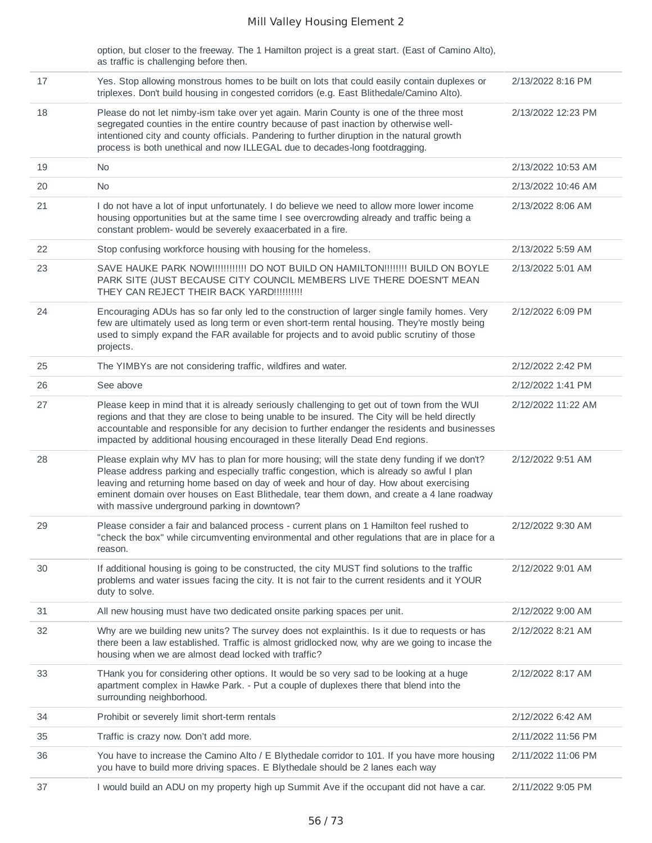option, but closer to the freeway. The 1 Hamilton project is a great start. (East of Camino Alto), as traffic is challenging before then.

| 17 | Yes. Stop allowing monstrous homes to be built on lots that could easily contain duplexes or<br>triplexes. Don't build housing in congested corridors (e.g. East Blithedale/Camino Alto).                                                                                                                                                                                                                                          | 2/13/2022 8:16 PM  |
|----|------------------------------------------------------------------------------------------------------------------------------------------------------------------------------------------------------------------------------------------------------------------------------------------------------------------------------------------------------------------------------------------------------------------------------------|--------------------|
| 18 | Please do not let nimby-ism take over yet again. Marin County is one of the three most<br>segregated counties in the entire country because of past inaction by otherwise well-<br>intentioned city and county officials. Pandering to further diruption in the natural growth<br>process is both unethical and now ILLEGAL due to decades-long footdragging.                                                                      | 2/13/2022 12:23 PM |
| 19 | N <sub>0</sub>                                                                                                                                                                                                                                                                                                                                                                                                                     | 2/13/2022 10:53 AM |
| 20 | No                                                                                                                                                                                                                                                                                                                                                                                                                                 | 2/13/2022 10:46 AM |
| 21 | I do not have a lot of input unfortunately. I do believe we need to allow more lower income<br>housing opportunities but at the same time I see overcrowding already and traffic being a<br>constant problem- would be severely exaacerbated in a fire.                                                                                                                                                                            | 2/13/2022 8:06 AM  |
| 22 | Stop confusing workforce housing with housing for the homeless.                                                                                                                                                                                                                                                                                                                                                                    | 2/13/2022 5:59 AM  |
| 23 | SAVE HAUKE PARK NOW!!!!!!!!!!!! DO NOT BUILD ON HAMILTON!!!!!!!! BUILD ON BOYLE<br>PARK SITE (JUST BECAUSE CITY COUNCIL MEMBERS LIVE THERE DOESN'T MEAN<br>THEY CAN REJECT THEIR BACK YARD !!!!!!!!!!!                                                                                                                                                                                                                             | 2/13/2022 5:01 AM  |
| 24 | Encouraging ADUs has so far only led to the construction of larger single family homes. Very<br>few are ultimately used as long term or even short-term rental housing. They're mostly being<br>used to simply expand the FAR available for projects and to avoid public scrutiny of those<br>projects.                                                                                                                            | 2/12/2022 6:09 PM  |
| 25 | The YIMBYs are not considering traffic, wildfires and water.                                                                                                                                                                                                                                                                                                                                                                       | 2/12/2022 2:42 PM  |
| 26 | See above                                                                                                                                                                                                                                                                                                                                                                                                                          | 2/12/2022 1:41 PM  |
| 27 | Please keep in mind that it is already seriously challenging to get out of town from the WUI<br>regions and that they are close to being unable to be insured. The City will be held directly<br>accountable and responsible for any decision to further endanger the residents and businesses<br>impacted by additional housing encouraged in these literally Dead End regions.                                                   | 2/12/2022 11:22 AM |
| 28 | Please explain why MV has to plan for more housing; will the state deny funding if we don't?<br>Please address parking and especially traffic congestion, which is already so awful I plan<br>leaving and returning home based on day of week and hour of day. How about exercising<br>eminent domain over houses on East Blithedale, tear them down, and create a 4 lane roadway<br>with massive underground parking in downtown? | 2/12/2022 9:51 AM  |
| 29 | Please consider a fair and balanced process - current plans on 1 Hamilton feel rushed to<br>"check the box" while circumventing environmental and other regulations that are in place for a<br>reason.                                                                                                                                                                                                                             | 2/12/2022 9:30 AM  |
| 30 | If additional housing is going to be constructed, the city MUST find solutions to the traffic<br>problems and water issues facing the city. It is not fair to the current residents and it YOUR<br>duty to solve.                                                                                                                                                                                                                  | 2/12/2022 9:01 AM  |
| 31 | All new housing must have two dedicated onsite parking spaces per unit.                                                                                                                                                                                                                                                                                                                                                            | 2/12/2022 9:00 AM  |
| 32 | Why are we building new units? The survey does not explainthis. Is it due to requests or has<br>there been a law established. Traffic is almost gridlocked now, why are we going to incase the<br>housing when we are almost dead locked with traffic?                                                                                                                                                                             | 2/12/2022 8:21 AM  |
| 33 | THank you for considering other options. It would be so very sad to be looking at a huge<br>apartment complex in Hawke Park. - Put a couple of duplexes there that blend into the<br>surrounding neighborhood.                                                                                                                                                                                                                     | 2/12/2022 8:17 AM  |
| 34 | Prohibit or severely limit short-term rentals                                                                                                                                                                                                                                                                                                                                                                                      | 2/12/2022 6:42 AM  |
| 35 | Traffic is crazy now. Don't add more.                                                                                                                                                                                                                                                                                                                                                                                              | 2/11/2022 11:56 PM |
| 36 | You have to increase the Camino Alto / E Blythedale corridor to 101. If you have more housing<br>you have to build more driving spaces. E Blythedale should be 2 lanes each way                                                                                                                                                                                                                                                    | 2/11/2022 11:06 PM |
| 37 | I would build an ADU on my property high up Summit Ave if the occupant did not have a car.                                                                                                                                                                                                                                                                                                                                         | 2/11/2022 9:05 PM  |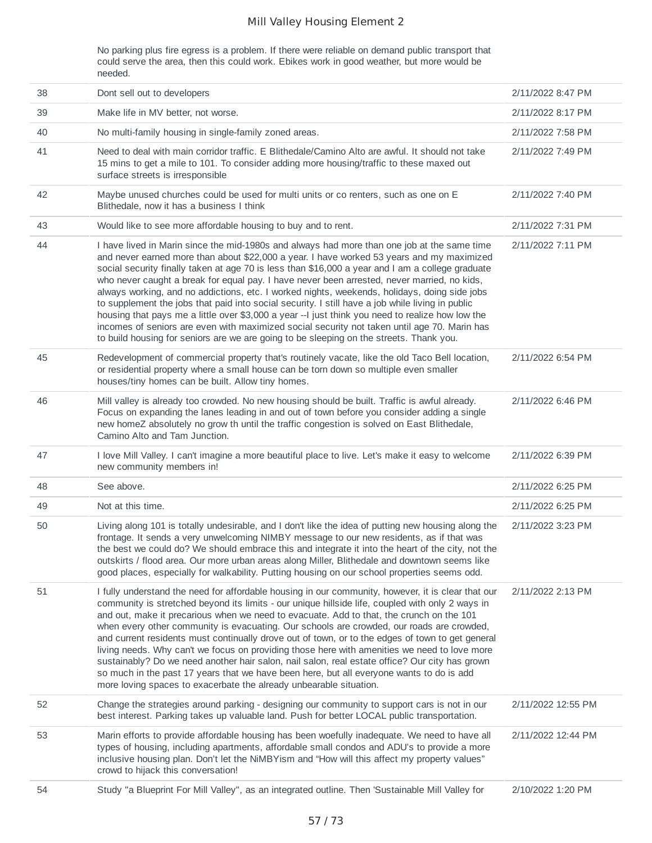No parking plus fire egress is a problem. If there were reliable on demand public transport that could serve the area, then this could work. Ebikes work in good weather, but more would be needed.

| 38 | Dont sell out to developers                                                                                                                                                                                                                                                                                                                                                                                                                                                                                                                                                                                                                                                                                                                                                                                                                                                                    | 2/11/2022 8:47 PM  |
|----|------------------------------------------------------------------------------------------------------------------------------------------------------------------------------------------------------------------------------------------------------------------------------------------------------------------------------------------------------------------------------------------------------------------------------------------------------------------------------------------------------------------------------------------------------------------------------------------------------------------------------------------------------------------------------------------------------------------------------------------------------------------------------------------------------------------------------------------------------------------------------------------------|--------------------|
| 39 | Make life in MV better, not worse.                                                                                                                                                                                                                                                                                                                                                                                                                                                                                                                                                                                                                                                                                                                                                                                                                                                             | 2/11/2022 8:17 PM  |
| 40 | No multi-family housing in single-family zoned areas.                                                                                                                                                                                                                                                                                                                                                                                                                                                                                                                                                                                                                                                                                                                                                                                                                                          | 2/11/2022 7:58 PM  |
| 41 | Need to deal with main corridor traffic. E Blithedale/Camino Alto are awful. It should not take<br>15 mins to get a mile to 101. To consider adding more housing/traffic to these maxed out<br>surface streets is irresponsible                                                                                                                                                                                                                                                                                                                                                                                                                                                                                                                                                                                                                                                                | 2/11/2022 7:49 PM  |
| 42 | Maybe unused churches could be used for multi units or co renters, such as one on E<br>Blithedale, now it has a business I think                                                                                                                                                                                                                                                                                                                                                                                                                                                                                                                                                                                                                                                                                                                                                               | 2/11/2022 7:40 PM  |
| 43 | Would like to see more affordable housing to buy and to rent.                                                                                                                                                                                                                                                                                                                                                                                                                                                                                                                                                                                                                                                                                                                                                                                                                                  | 2/11/2022 7:31 PM  |
| 44 | I have lived in Marin since the mid-1980s and always had more than one job at the same time<br>and never earned more than about \$22,000 a year. I have worked 53 years and my maximized<br>social security finally taken at age 70 is less than \$16,000 a year and I am a college graduate<br>who never caught a break for equal pay. I have never been arrested, never married, no kids,<br>always working, and no addictions, etc. I worked nights, weekends, holidays, doing side jobs<br>to supplement the jobs that paid into social security. I still have a job while living in public<br>housing that pays me a little over \$3,000 a year --I just think you need to realize how low the<br>incomes of seniors are even with maximized social security not taken until age 70. Marin has<br>to build housing for seniors are we are going to be sleeping on the streets. Thank you. | 2/11/2022 7:11 PM  |
| 45 | Redevelopment of commercial property that's routinely vacate, like the old Taco Bell location,<br>or residential property where a small house can be torn down so multiple even smaller<br>houses/tiny homes can be built. Allow tiny homes.                                                                                                                                                                                                                                                                                                                                                                                                                                                                                                                                                                                                                                                   | 2/11/2022 6:54 PM  |
| 46 | Mill valley is already too crowded. No new housing should be built. Traffic is awful already.<br>Focus on expanding the lanes leading in and out of town before you consider adding a single<br>new homeZ absolutely no grow th until the traffic congestion is solved on East Blithedale,<br>Camino Alto and Tam Junction.                                                                                                                                                                                                                                                                                                                                                                                                                                                                                                                                                                    | 2/11/2022 6:46 PM  |
| 47 | I love Mill Valley. I can't imagine a more beautiful place to live. Let's make it easy to welcome<br>new community members in!                                                                                                                                                                                                                                                                                                                                                                                                                                                                                                                                                                                                                                                                                                                                                                 | 2/11/2022 6:39 PM  |
| 48 | See above.                                                                                                                                                                                                                                                                                                                                                                                                                                                                                                                                                                                                                                                                                                                                                                                                                                                                                     | 2/11/2022 6:25 PM  |
| 49 | Not at this time.                                                                                                                                                                                                                                                                                                                                                                                                                                                                                                                                                                                                                                                                                                                                                                                                                                                                              | 2/11/2022 6:25 PM  |
| 50 | Living along 101 is totally undesirable, and I don't like the idea of putting new housing along the<br>frontage. It sends a very unwelcoming NIMBY message to our new residents, as if that was<br>the best we could do? We should embrace this and integrate it into the heart of the city, not the<br>outskirts / flood area. Our more urban areas along Miller, Blithedale and downtown seems like<br>good places, especially for walkability. Putting housing on our school properties seems odd.                                                                                                                                                                                                                                                                                                                                                                                          | 2/11/2022 3:23 PM  |
| 51 | I fully understand the need for affordable housing in our community, however, it is clear that our<br>community is stretched beyond its limits - our unique hillside life, coupled with only 2 ways in<br>and out, make it precarious when we need to evacuate. Add to that, the crunch on the 101<br>when every other community is evacuating. Our schools are crowded, our roads are crowded,<br>and current residents must continually drove out of town, or to the edges of town to get general<br>living needs. Why can't we focus on providing those here with amenities we need to love more<br>sustainably? Do we need another hair salon, nail salon, real estate office? Our city has grown<br>so much in the past 17 years that we have been here, but all everyone wants to do is add<br>more loving spaces to exacerbate the already unbearable situation.                        | 2/11/2022 2:13 PM  |
| 52 | Change the strategies around parking - designing our community to support cars is not in our<br>best interest. Parking takes up valuable land. Push for better LOCAL public transportation.                                                                                                                                                                                                                                                                                                                                                                                                                                                                                                                                                                                                                                                                                                    | 2/11/2022 12:55 PM |
| 53 | Marin efforts to provide affordable housing has been woefully inadequate. We need to have all<br>types of housing, including apartments, affordable small condos and ADU's to provide a more<br>inclusive housing plan. Don't let the NiMBYism and "How will this affect my property values"<br>crowd to hijack this conversation!                                                                                                                                                                                                                                                                                                                                                                                                                                                                                                                                                             | 2/11/2022 12:44 PM |
| 54 | Study "a Blueprint For Mill Valley", as an integrated outline. Then 'Sustainable Mill Valley for                                                                                                                                                                                                                                                                                                                                                                                                                                                                                                                                                                                                                                                                                                                                                                                               | 2/10/2022 1:20 PM  |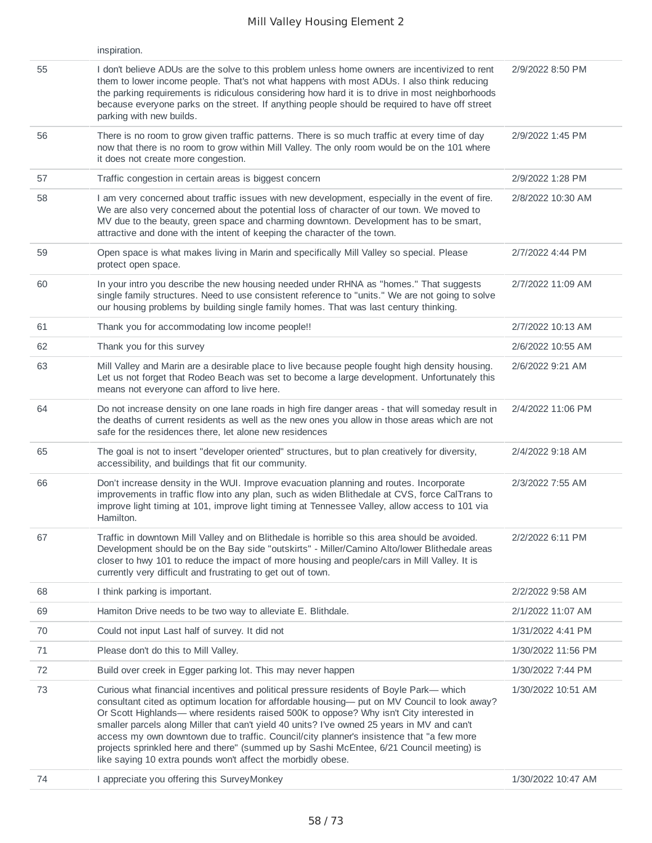|    | inspiration.                                                                                                                                                                                                                                                                                                                                                                                                                                                                                                                                                                                                                               |                    |
|----|--------------------------------------------------------------------------------------------------------------------------------------------------------------------------------------------------------------------------------------------------------------------------------------------------------------------------------------------------------------------------------------------------------------------------------------------------------------------------------------------------------------------------------------------------------------------------------------------------------------------------------------------|--------------------|
| 55 | I don't believe ADUs are the solve to this problem unless home owners are incentivized to rent<br>them to lower income people. That's not what happens with most ADUs. I also think reducing<br>the parking requirements is ridiculous considering how hard it is to drive in most neighborhoods<br>because everyone parks on the street. If anything people should be required to have off street<br>parking with new builds.                                                                                                                                                                                                             | 2/9/2022 8:50 PM   |
| 56 | There is no room to grow given traffic patterns. There is so much traffic at every time of day<br>now that there is no room to grow within Mill Valley. The only room would be on the 101 where<br>it does not create more congestion.                                                                                                                                                                                                                                                                                                                                                                                                     | 2/9/2022 1:45 PM   |
| 57 | Traffic congestion in certain areas is biggest concern                                                                                                                                                                                                                                                                                                                                                                                                                                                                                                                                                                                     | 2/9/2022 1:28 PM   |
| 58 | I am very concerned about traffic issues with new development, especially in the event of fire.<br>We are also very concerned about the potential loss of character of our town. We moved to<br>MV due to the beauty, green space and charming downtown. Development has to be smart,<br>attractive and done with the intent of keeping the character of the town.                                                                                                                                                                                                                                                                         | 2/8/2022 10:30 AM  |
| 59 | Open space is what makes living in Marin and specifically Mill Valley so special. Please<br>protect open space.                                                                                                                                                                                                                                                                                                                                                                                                                                                                                                                            | 2/7/2022 4:44 PM   |
| 60 | In your intro you describe the new housing needed under RHNA as "homes." That suggests<br>single family structures. Need to use consistent reference to "units." We are not going to solve<br>our housing problems by building single family homes. That was last century thinking.                                                                                                                                                                                                                                                                                                                                                        | 2/7/2022 11:09 AM  |
| 61 | Thank you for accommodating low income people!!                                                                                                                                                                                                                                                                                                                                                                                                                                                                                                                                                                                            | 2/7/2022 10:13 AM  |
| 62 | Thank you for this survey                                                                                                                                                                                                                                                                                                                                                                                                                                                                                                                                                                                                                  | 2/6/2022 10:55 AM  |
| 63 | Mill Valley and Marin are a desirable place to live because people fought high density housing.<br>Let us not forget that Rodeo Beach was set to become a large development. Unfortunately this<br>means not everyone can afford to live here.                                                                                                                                                                                                                                                                                                                                                                                             | 2/6/2022 9:21 AM   |
| 64 | Do not increase density on one lane roads in high fire danger areas - that will someday result in<br>the deaths of current residents as well as the new ones you allow in those areas which are not<br>safe for the residences there, let alone new residences                                                                                                                                                                                                                                                                                                                                                                             | 2/4/2022 11:06 PM  |
| 65 | The goal is not to insert "developer oriented" structures, but to plan creatively for diversity,<br>accessibility, and buildings that fit our community.                                                                                                                                                                                                                                                                                                                                                                                                                                                                                   | 2/4/2022 9:18 AM   |
| 66 | Don't increase density in the WUI. Improve evacuation planning and routes. Incorporate<br>improvements in traffic flow into any plan, such as widen Blithedale at CVS, force CalTrans to<br>improve light timing at 101, improve light timing at Tennessee Valley, allow access to 101 via<br>Hamilton.                                                                                                                                                                                                                                                                                                                                    | 2/3/2022 7:55 AM   |
| 67 | Traffic in downtown Mill Valley and on Blithedale is horrible so this area should be avoided.<br>Development should be on the Bay side "outskirts" - Miller/Camino Alto/lower Blithedale areas<br>closer to hwy 101 to reduce the impact of more housing and people/cars in Mill Valley. It is<br>currently very difficult and frustrating to get out of town.                                                                                                                                                                                                                                                                             | 2/2/2022 6:11 PM   |
| 68 | I think parking is important.                                                                                                                                                                                                                                                                                                                                                                                                                                                                                                                                                                                                              | 2/2/2022 9:58 AM   |
| 69 | Hamiton Drive needs to be two way to alleviate E. Blithdale.                                                                                                                                                                                                                                                                                                                                                                                                                                                                                                                                                                               | 2/1/2022 11:07 AM  |
| 70 | Could not input Last half of survey. It did not                                                                                                                                                                                                                                                                                                                                                                                                                                                                                                                                                                                            | 1/31/2022 4:41 PM  |
| 71 | Please don't do this to Mill Valley.                                                                                                                                                                                                                                                                                                                                                                                                                                                                                                                                                                                                       | 1/30/2022 11:56 PM |
| 72 | Build over creek in Egger parking lot. This may never happen                                                                                                                                                                                                                                                                                                                                                                                                                                                                                                                                                                               | 1/30/2022 7:44 PM  |
| 73 | Curious what financial incentives and political pressure residents of Boyle Park- which<br>consultant cited as optimum location for affordable housing- put on MV Council to look away?<br>Or Scott Highlands— where residents raised 500K to oppose? Why isn't City interested in<br>smaller parcels along Miller that can't yield 40 units? I've owned 25 years in MV and can't<br>access my own downtown due to traffic. Council/city planner's insistence that "a few more<br>projects sprinkled here and there" (summed up by Sashi McEntee, 6/21 Council meeting) is<br>like saying 10 extra pounds won't affect the morbidly obese. | 1/30/2022 10:51 AM |
| 74 | I appreciate you offering this SurveyMonkey                                                                                                                                                                                                                                                                                                                                                                                                                                                                                                                                                                                                | 1/30/2022 10:47 AM |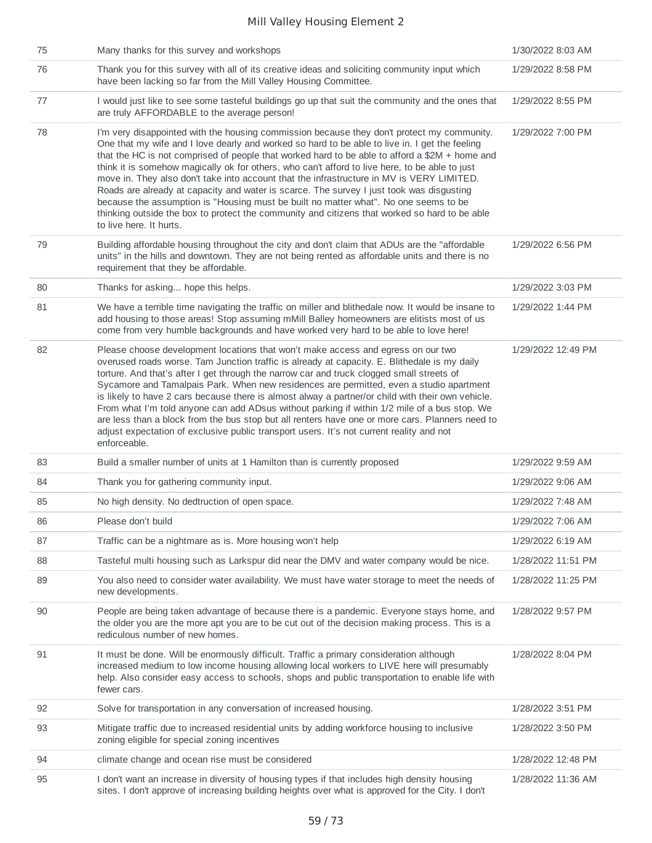| 75 | Many thanks for this survey and workshops                                                                                                                                                                                                                                                                                                                                                                                                                                                                                                                                                                                                                                                                                                                                                                     | 1/30/2022 8:03 AM  |
|----|---------------------------------------------------------------------------------------------------------------------------------------------------------------------------------------------------------------------------------------------------------------------------------------------------------------------------------------------------------------------------------------------------------------------------------------------------------------------------------------------------------------------------------------------------------------------------------------------------------------------------------------------------------------------------------------------------------------------------------------------------------------------------------------------------------------|--------------------|
| 76 | Thank you for this survey with all of its creative ideas and soliciting community input which<br>have been lacking so far from the Mill Valley Housing Committee.                                                                                                                                                                                                                                                                                                                                                                                                                                                                                                                                                                                                                                             | 1/29/2022 8:58 PM  |
| 77 | I would just like to see some tasteful buildings go up that suit the community and the ones that<br>are truly AFFORDABLE to the average person!                                                                                                                                                                                                                                                                                                                                                                                                                                                                                                                                                                                                                                                               | 1/29/2022 8:55 PM  |
| 78 | I'm very disappointed with the housing commission because they don't protect my community.<br>One that my wife and I love dearly and worked so hard to be able to live in. I get the feeling<br>that the HC is not comprised of people that worked hard to be able to afford a \$2M + home and<br>think it is somehow magically ok for others, who can't afford to live here, to be able to just<br>move in. They also don't take into account that the infrastructure in MV is VERY LIMITED.<br>Roads are already at capacity and water is scarce. The survey I just took was disgusting<br>because the assumption is "Housing must be built no matter what". No one seems to be<br>thinking outside the box to protect the community and citizens that worked so hard to be able<br>to live here. It hurts. | 1/29/2022 7:00 PM  |
| 79 | Building affordable housing throughout the city and don't claim that ADUs are the "affordable<br>units" in the hills and downtown. They are not being rented as affordable units and there is no<br>requirement that they be affordable.                                                                                                                                                                                                                                                                                                                                                                                                                                                                                                                                                                      | 1/29/2022 6:56 PM  |
| 80 | Thanks for asking hope this helps.                                                                                                                                                                                                                                                                                                                                                                                                                                                                                                                                                                                                                                                                                                                                                                            | 1/29/2022 3:03 PM  |
| 81 | We have a terrible time navigating the traffic on miller and blithedale now. It would be insane to<br>add housing to those areas! Stop assuming mMill Balley homeowners are elitists most of us<br>come from very humble backgrounds and have worked very hard to be able to love here!                                                                                                                                                                                                                                                                                                                                                                                                                                                                                                                       | 1/29/2022 1:44 PM  |
| 82 | Please choose development locations that won't make access and egress on our two<br>overused roads worse. Tam Junction traffic is already at capacity. E. Blithedale is my daily<br>torture. And that's after I get through the narrow car and truck clogged small streets of<br>Sycamore and Tamalpais Park. When new residences are permitted, even a studio apartment<br>is likely to have 2 cars because there is almost alway a partner/or child with their own vehicle.<br>From what I'm told anyone can add ADsus without parking if within 1/2 mile of a bus stop. We<br>are less than a block from the bus stop but all renters have one or more cars. Planners need to<br>adjust expectation of exclusive public transport users. It's not current reality and not<br>enforceable.                  | 1/29/2022 12:49 PM |
| 83 | Build a smaller number of units at 1 Hamilton than is currently proposed                                                                                                                                                                                                                                                                                                                                                                                                                                                                                                                                                                                                                                                                                                                                      | 1/29/2022 9:59 AM  |
| 84 | Thank you for gathering community input.                                                                                                                                                                                                                                                                                                                                                                                                                                                                                                                                                                                                                                                                                                                                                                      | 1/29/2022 9:06 AM  |
| 85 | No high density. No dedtruction of open space.                                                                                                                                                                                                                                                                                                                                                                                                                                                                                                                                                                                                                                                                                                                                                                | 1/29/2022 7:48 AM  |
| 86 |                                                                                                                                                                                                                                                                                                                                                                                                                                                                                                                                                                                                                                                                                                                                                                                                               |                    |
| 87 | Please don't build                                                                                                                                                                                                                                                                                                                                                                                                                                                                                                                                                                                                                                                                                                                                                                                            | 1/29/2022 7:06 AM  |
|    | Traffic can be a nightmare as is. More housing won't help                                                                                                                                                                                                                                                                                                                                                                                                                                                                                                                                                                                                                                                                                                                                                     | 1/29/2022 6:19 AM  |
| 88 | Tasteful multi housing such as Larkspur did near the DMV and water company would be nice.                                                                                                                                                                                                                                                                                                                                                                                                                                                                                                                                                                                                                                                                                                                     | 1/28/2022 11:51 PM |
| 89 | You also need to consider water availability. We must have water storage to meet the needs of<br>new developments.                                                                                                                                                                                                                                                                                                                                                                                                                                                                                                                                                                                                                                                                                            | 1/28/2022 11:25 PM |
| 90 | People are being taken advantage of because there is a pandemic. Everyone stays home, and<br>the older you are the more apt you are to be cut out of the decision making process. This is a<br>rediculous number of new homes.                                                                                                                                                                                                                                                                                                                                                                                                                                                                                                                                                                                | 1/28/2022 9:57 PM  |
| 91 | It must be done. Will be enormously difficult. Traffic a primary consideration although<br>increased medium to low income housing allowing local workers to LIVE here will presumably<br>help. Also consider easy access to schools, shops and public transportation to enable life with<br>fewer cars.                                                                                                                                                                                                                                                                                                                                                                                                                                                                                                       | 1/28/2022 8:04 PM  |
| 92 | Solve for transportation in any conversation of increased housing.                                                                                                                                                                                                                                                                                                                                                                                                                                                                                                                                                                                                                                                                                                                                            | 1/28/2022 3:51 PM  |
| 93 | Mitigate traffic due to increased residential units by adding workforce housing to inclusive<br>zoning eligible for special zoning incentives                                                                                                                                                                                                                                                                                                                                                                                                                                                                                                                                                                                                                                                                 | 1/28/2022 3:50 PM  |
| 94 | climate change and ocean rise must be considered                                                                                                                                                                                                                                                                                                                                                                                                                                                                                                                                                                                                                                                                                                                                                              | 1/28/2022 12:48 PM |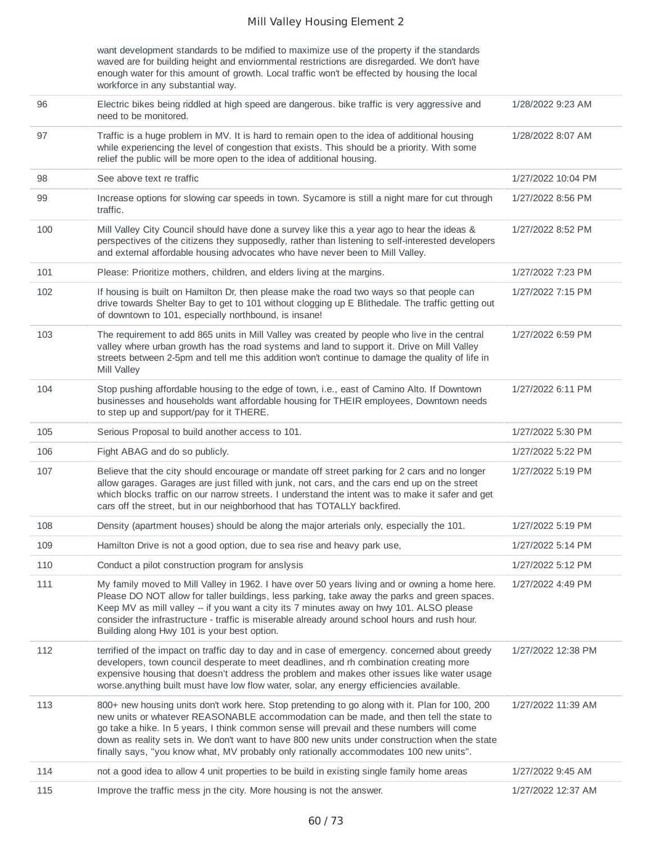want development standards to be mdified to maximize use of the property if the standards waved are for building height and enviornmental restrictions are disregarded. We don't have enough water for this amount of growth. Local traffic won't be effected by housing the local workforce in any substantial way. 96 Electric bikes being riddled at high speed are dangerous. bike traffic is very aggressive and

| 96  | Electric bikes being riddled at high speed are dangerous. bike traffic is very aggressive and<br>need to be monitored.                                                                                                                                                                                                                                                                                                                                                            | 1/28/2022 9:23 AM  |
|-----|-----------------------------------------------------------------------------------------------------------------------------------------------------------------------------------------------------------------------------------------------------------------------------------------------------------------------------------------------------------------------------------------------------------------------------------------------------------------------------------|--------------------|
| 97  | Traffic is a huge problem in MV. It is hard to remain open to the idea of additional housing<br>while experiencing the level of congestion that exists. This should be a priority. With some<br>relief the public will be more open to the idea of additional housing.                                                                                                                                                                                                            | 1/28/2022 8:07 AM  |
| 98  | See above text re traffic                                                                                                                                                                                                                                                                                                                                                                                                                                                         | 1/27/2022 10:04 PM |
| 99  | Increase options for slowing car speeds in town. Sycamore is still a night mare for cut through<br>traffic.                                                                                                                                                                                                                                                                                                                                                                       | 1/27/2022 8:56 PM  |
| 100 | Mill Valley City Council should have done a survey like this a year ago to hear the ideas &<br>perspectives of the citizens they supposedly, rather than listening to self-interested developers<br>and external affordable housing advocates who have never been to Mill Valley.                                                                                                                                                                                                 | 1/27/2022 8:52 PM  |
| 101 | Please: Prioritize mothers, children, and elders living at the margins.                                                                                                                                                                                                                                                                                                                                                                                                           | 1/27/2022 7:23 PM  |
| 102 | If housing is built on Hamilton Dr, then please make the road two ways so that people can<br>drive towards Shelter Bay to get to 101 without clogging up E Blithedale. The traffic getting out<br>of downtown to 101, especially northbound, is insane!                                                                                                                                                                                                                           | 1/27/2022 7:15 PM  |
| 103 | The requirement to add 865 units in Mill Valley was created by people who live in the central<br>valley where urban growth has the road systems and land to support it. Drive on Mill Valley<br>streets between 2-5pm and tell me this addition won't continue to damage the quality of life in<br>Mill Valley                                                                                                                                                                    | 1/27/2022 6:59 PM  |
| 104 | Stop pushing affordable housing to the edge of town, i.e., east of Camino Alto. If Downtown<br>businesses and households want affordable housing for THEIR employees, Downtown needs<br>to step up and support/pay for it THERE.                                                                                                                                                                                                                                                  | 1/27/2022 6:11 PM  |
| 105 | Serious Proposal to build another access to 101.                                                                                                                                                                                                                                                                                                                                                                                                                                  | 1/27/2022 5:30 PM  |
| 106 | Fight ABAG and do so publicly.                                                                                                                                                                                                                                                                                                                                                                                                                                                    | 1/27/2022 5:22 PM  |
| 107 | Believe that the city should encourage or mandate off street parking for 2 cars and no longer<br>allow garages. Garages are just filled with junk, not cars, and the cars end up on the street<br>which blocks traffic on our narrow streets. I understand the intent was to make it safer and get<br>cars off the street, but in our neighborhood that has TOTALLY backfired.                                                                                                    | 1/27/2022 5:19 PM  |
| 108 | Density (apartment houses) should be along the major arterials only, especially the 101.                                                                                                                                                                                                                                                                                                                                                                                          | 1/27/2022 5:19 PM  |
| 109 | Hamilton Drive is not a good option, due to sea rise and heavy park use,                                                                                                                                                                                                                                                                                                                                                                                                          | 1/27/2022 5:14 PM  |
| 110 | Conduct a pilot construction program for anslysis                                                                                                                                                                                                                                                                                                                                                                                                                                 | 1/27/2022 5:12 PM  |
| 111 | My family moved to Mill Valley in 1962. I have over 50 years living and or owning a home here.<br>Please DO NOT allow for taller buildings, less parking, take away the parks and green spaces.<br>Keep MV as mill valley -- if you want a city its 7 minutes away on hwy 101. ALSO please<br>consider the infrastructure - traffic is miserable already around school hours and rush hour.<br>Building along Hwy 101 is your best option.                                        | 1/27/2022 4:49 PM  |
| 112 | terrified of the impact on traffic day to day and in case of emergency. concerned about greedy<br>developers, town council desperate to meet deadlines, and rh combination creating more<br>expensive housing that doesn't address the problem and makes other issues like water usage<br>worse.anything built must have low flow water, solar, any energy efficiencies available.                                                                                                | 1/27/2022 12:38 PM |
| 113 | 800+ new housing units don't work here. Stop pretending to go along with it. Plan for 100, 200<br>new units or whatever REASONABLE accommodation can be made, and then tell the state to<br>go take a hike. In 5 years, I think common sense will prevail and these numbers will come<br>down as reality sets in. We don't want to have 800 new units under construction when the state<br>finally says, "you know what, MV probably only rationally accommodates 100 new units". | 1/27/2022 11:39 AM |
| 114 | not a good idea to allow 4 unit properties to be build in existing single family home areas                                                                                                                                                                                                                                                                                                                                                                                       | 1/27/2022 9:45 AM  |
| 115 | Improve the traffic mess jn the city. More housing is not the answer.                                                                                                                                                                                                                                                                                                                                                                                                             | 1/27/2022 12:37 AM |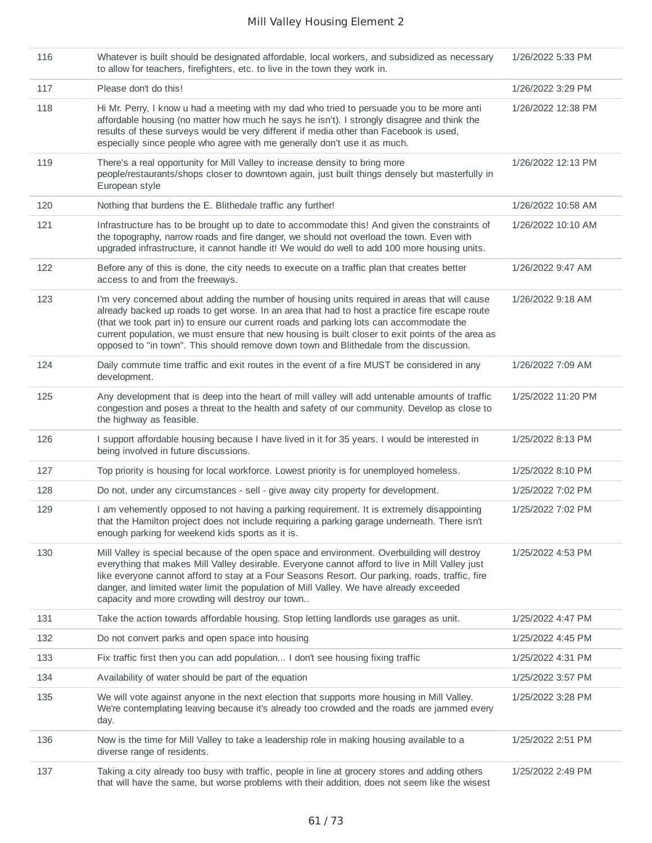| 116 | Whatever is built should be designated affordable, local workers, and subsidized as necessary<br>to allow for teachers, firefighters, etc. to live in the town they work in.                                                                                                                                                                                                                                                                                                              | 1/26/2022 5:33 PM  |
|-----|-------------------------------------------------------------------------------------------------------------------------------------------------------------------------------------------------------------------------------------------------------------------------------------------------------------------------------------------------------------------------------------------------------------------------------------------------------------------------------------------|--------------------|
| 117 | Please don't do this!                                                                                                                                                                                                                                                                                                                                                                                                                                                                     | 1/26/2022 3:29 PM  |
| 118 | Hi Mr. Perry, I know u had a meeting with my dad who tried to persuade you to be more anti<br>affordable housing (no matter how much he says he isn't). I strongly disagree and think the<br>results of these surveys would be very different if media other than Facebook is used,<br>especially since people who agree with me generally don't use it as much.                                                                                                                          | 1/26/2022 12:38 PM |
| 119 | There's a real opportunity for Mill Valley to increase density to bring more<br>people/restaurants/shops closer to downtown again, just built things densely but masterfully in<br>European style                                                                                                                                                                                                                                                                                         | 1/26/2022 12:13 PM |
| 120 | Nothing that burdens the E. Blithedale traffic any further!                                                                                                                                                                                                                                                                                                                                                                                                                               | 1/26/2022 10:58 AM |
| 121 | Infrastructure has to be brought up to date to accommodate this! And given the constraints of<br>the topography, narrow roads and fire danger, we should not overload the town. Even with<br>upgraded infrastructure, it cannot handle it! We would do well to add 100 more housing units.                                                                                                                                                                                                | 1/26/2022 10:10 AM |
| 122 | Before any of this is done, the city needs to execute on a traffic plan that creates better<br>access to and from the freeways.                                                                                                                                                                                                                                                                                                                                                           | 1/26/2022 9:47 AM  |
| 123 | I'm very concerned about adding the number of housing units required in areas that will cause<br>already backed up roads to get worse. In an area that had to host a practice fire escape route<br>(that we took part in) to ensure our current roads and parking lots can accommodate the<br>current population, we must ensure that new housing is built closer to exit points of the area as<br>opposed to "in town". This should remove down town and Blithedale from the discussion. | 1/26/2022 9:18 AM  |
| 124 | Daily commute time traffic and exit routes in the event of a fire MUST be considered in any<br>development.                                                                                                                                                                                                                                                                                                                                                                               | 1/26/2022 7:09 AM  |
| 125 | Any development that is deep into the heart of mill valley will add untenable amounts of traffic<br>congestion and poses a threat to the health and safety of our community. Develop as close to<br>the highway as feasible.                                                                                                                                                                                                                                                              | 1/25/2022 11:20 PM |
| 126 | I support affordable housing because I have lived in it for 35 years. I would be interested in<br>being involved in future discussions.                                                                                                                                                                                                                                                                                                                                                   | 1/25/2022 8:13 PM  |
| 127 | Top priority is housing for local workforce. Lowest priority is for unemployed homeless.                                                                                                                                                                                                                                                                                                                                                                                                  | 1/25/2022 8:10 PM  |
| 128 | Do not, under any circumstances - sell - give away city property for development.                                                                                                                                                                                                                                                                                                                                                                                                         | 1/25/2022 7:02 PM  |
| 129 | I am vehemently opposed to not having a parking requirement. It is extremely disappointing<br>that the Hamilton project does not include requiring a parking garage underneath. There isn't<br>enough parking for weekend kids sports as it is.                                                                                                                                                                                                                                           | 1/25/2022 7:02 PM  |
| 130 | Mill Valley is special because of the open space and environment. Overbuilding will destroy<br>everything that makes Mill Valley desirable. Everyone cannot afford to live in Mill Valley just<br>like everyone cannot afford to stay at a Four Seasons Resort. Our parking, roads, traffic, fire<br>danger, and limited water limit the population of Mill Valley. We have already exceeded<br>capacity and more crowding will destroy our town                                          | 1/25/2022 4:53 PM  |
| 131 | Take the action towards affordable housing. Stop letting landlords use garages as unit.                                                                                                                                                                                                                                                                                                                                                                                                   | 1/25/2022 4:47 PM  |
| 132 | Do not convert parks and open space into housing                                                                                                                                                                                                                                                                                                                                                                                                                                          | 1/25/2022 4:45 PM  |
| 133 | Fix traffic first then you can add population I don't see housing fixing traffic                                                                                                                                                                                                                                                                                                                                                                                                          | 1/25/2022 4:31 PM  |
| 134 | Availability of water should be part of the equation                                                                                                                                                                                                                                                                                                                                                                                                                                      | 1/25/2022 3:57 PM  |
| 135 | We will vote against anyone in the next election that supports more housing in Mill Valley.<br>We're contemplating leaving because it's already too crowded and the roads are jammed every<br>day.                                                                                                                                                                                                                                                                                        | 1/25/2022 3:28 PM  |
| 136 | Now is the time for Mill Valley to take a leadership role in making housing available to a<br>diverse range of residents.                                                                                                                                                                                                                                                                                                                                                                 | 1/25/2022 2:51 PM  |
| 137 | Taking a city already too busy with traffic, people in line at grocery stores and adding others<br>that will have the same, but worse problems with their addition, does not seem like the wisest                                                                                                                                                                                                                                                                                         | 1/25/2022 2:49 PM  |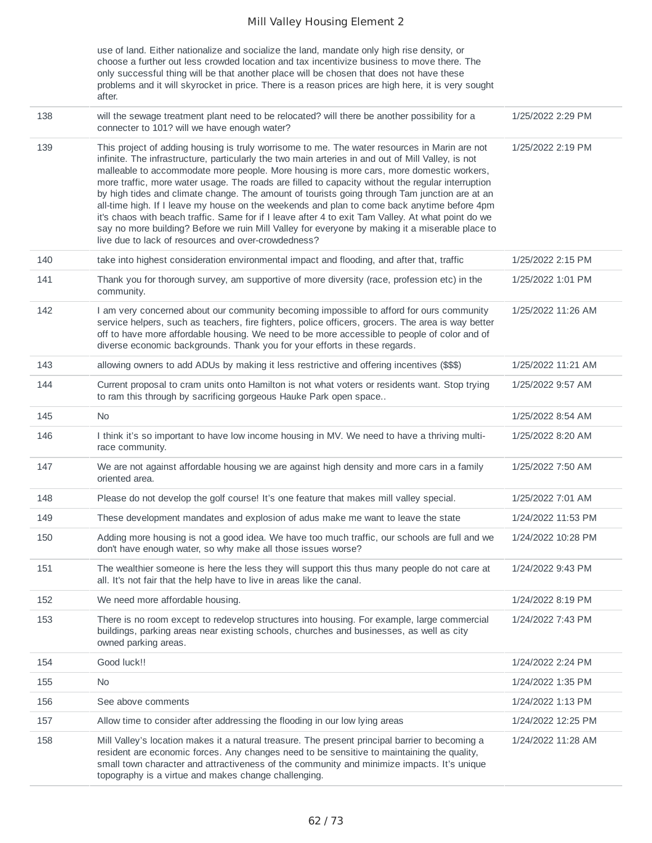use of land. Either nationalize and socialize the land, mandate only high rise density, or choose a further out less crowded location and tax incentivize business to move there. The only successful thing will be that another place will be chosen that does not have these problems and it will skyrocket in price. There is a reason prices are high here, it is very sought after.

| 138 | will the sewage treatment plant need to be relocated? will there be another possibility for a<br>connecter to 101? will we have enough water?                                                                                                                                                                                                                                                                                                                                                                                                                                                                                                                                                                                                                                                                                                                       | 1/25/2022 2:29 PM  |
|-----|---------------------------------------------------------------------------------------------------------------------------------------------------------------------------------------------------------------------------------------------------------------------------------------------------------------------------------------------------------------------------------------------------------------------------------------------------------------------------------------------------------------------------------------------------------------------------------------------------------------------------------------------------------------------------------------------------------------------------------------------------------------------------------------------------------------------------------------------------------------------|--------------------|
| 139 | This project of adding housing is truly worrisome to me. The water resources in Marin are not<br>infinite. The infrastructure, particularly the two main arteries in and out of Mill Valley, is not<br>malleable to accommodate more people. More housing is more cars, more domestic workers,<br>more traffic, more water usage. The roads are filled to capacity without the regular interruption<br>by high tides and climate change. The amount of tourists going through Tam junction are at an<br>all-time high. If I leave my house on the weekends and plan to come back anytime before 4pm<br>it's chaos with beach traffic. Same for if I leave after 4 to exit Tam Valley. At what point do we<br>say no more building? Before we ruin Mill Valley for everyone by making it a miserable place to<br>live due to lack of resources and over-crowdedness? | 1/25/2022 2:19 PM  |
| 140 | take into highest consideration environmental impact and flooding, and after that, traffic                                                                                                                                                                                                                                                                                                                                                                                                                                                                                                                                                                                                                                                                                                                                                                          | 1/25/2022 2:15 PM  |
| 141 | Thank you for thorough survey, am supportive of more diversity (race, profession etc) in the<br>community.                                                                                                                                                                                                                                                                                                                                                                                                                                                                                                                                                                                                                                                                                                                                                          | 1/25/2022 1:01 PM  |
| 142 | I am very concerned about our community becoming impossible to afford for ours community<br>service helpers, such as teachers, fire fighters, police officers, grocers. The area is way better<br>off to have more affordable housing. We need to be more accessible to people of color and of<br>diverse economic backgrounds. Thank you for your efforts in these regards.                                                                                                                                                                                                                                                                                                                                                                                                                                                                                        | 1/25/2022 11:26 AM |
| 143 | allowing owners to add ADUs by making it less restrictive and offering incentives (\$\$\$)                                                                                                                                                                                                                                                                                                                                                                                                                                                                                                                                                                                                                                                                                                                                                                          | 1/25/2022 11:21 AM |
| 144 | Current proposal to cram units onto Hamilton is not what voters or residents want. Stop trying<br>to ram this through by sacrificing gorgeous Hauke Park open space                                                                                                                                                                                                                                                                                                                                                                                                                                                                                                                                                                                                                                                                                                 | 1/25/2022 9:57 AM  |
| 145 | No                                                                                                                                                                                                                                                                                                                                                                                                                                                                                                                                                                                                                                                                                                                                                                                                                                                                  | 1/25/2022 8:54 AM  |
| 146 | I think it's so important to have low income housing in MV. We need to have a thriving multi-<br>race community.                                                                                                                                                                                                                                                                                                                                                                                                                                                                                                                                                                                                                                                                                                                                                    | 1/25/2022 8:20 AM  |
| 147 | We are not against affordable housing we are against high density and more cars in a family<br>oriented area.                                                                                                                                                                                                                                                                                                                                                                                                                                                                                                                                                                                                                                                                                                                                                       | 1/25/2022 7:50 AM  |
| 148 | Please do not develop the golf course! It's one feature that makes mill valley special.                                                                                                                                                                                                                                                                                                                                                                                                                                                                                                                                                                                                                                                                                                                                                                             | 1/25/2022 7:01 AM  |
| 149 | These development mandates and explosion of adus make me want to leave the state                                                                                                                                                                                                                                                                                                                                                                                                                                                                                                                                                                                                                                                                                                                                                                                    | 1/24/2022 11:53 PM |
| 150 | Adding more housing is not a good idea. We have too much traffic, our schools are full and we<br>don't have enough water, so why make all those issues worse?                                                                                                                                                                                                                                                                                                                                                                                                                                                                                                                                                                                                                                                                                                       | 1/24/2022 10:28 PM |
| 151 | The wealthier someone is here the less they will support this thus many people do not care at<br>all. It's not fair that the help have to live in areas like the canal.                                                                                                                                                                                                                                                                                                                                                                                                                                                                                                                                                                                                                                                                                             | 1/24/2022 9:43 PM  |
| 152 | We need more affordable housing.                                                                                                                                                                                                                                                                                                                                                                                                                                                                                                                                                                                                                                                                                                                                                                                                                                    | 1/24/2022 8:19 PM  |
| 153 | There is no room except to redevelop structures into housing. For example, large commercial<br>buildings, parking areas near existing schools, churches and businesses, as well as city<br>owned parking areas.                                                                                                                                                                                                                                                                                                                                                                                                                                                                                                                                                                                                                                                     | 1/24/2022 7:43 PM  |
| 154 | Good luck!!                                                                                                                                                                                                                                                                                                                                                                                                                                                                                                                                                                                                                                                                                                                                                                                                                                                         | 1/24/2022 2:24 PM  |
| 155 | <b>No</b>                                                                                                                                                                                                                                                                                                                                                                                                                                                                                                                                                                                                                                                                                                                                                                                                                                                           | 1/24/2022 1:35 PM  |
| 156 | See above comments                                                                                                                                                                                                                                                                                                                                                                                                                                                                                                                                                                                                                                                                                                                                                                                                                                                  | 1/24/2022 1:13 PM  |
| 157 | Allow time to consider after addressing the flooding in our low lying areas                                                                                                                                                                                                                                                                                                                                                                                                                                                                                                                                                                                                                                                                                                                                                                                         | 1/24/2022 12:25 PM |
| 158 | Mill Valley's location makes it a natural treasure. The present principal barrier to becoming a<br>resident are economic forces. Any changes need to be sensitive to maintaining the quality,<br>small town character and attractiveness of the community and minimize impacts. It's unique<br>topography is a virtue and makes change challenging.                                                                                                                                                                                                                                                                                                                                                                                                                                                                                                                 | 1/24/2022 11:28 AM |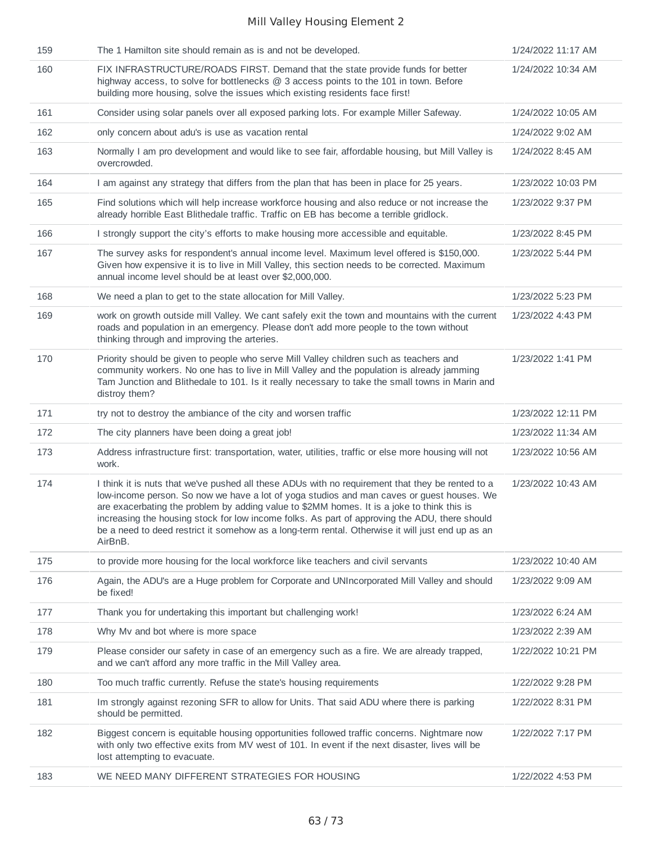| 159 | The 1 Hamilton site should remain as is and not be developed.                                                                                                                                                                                                                                                                                                                                                                                                                                               | 1/24/2022 11:17 AM |
|-----|-------------------------------------------------------------------------------------------------------------------------------------------------------------------------------------------------------------------------------------------------------------------------------------------------------------------------------------------------------------------------------------------------------------------------------------------------------------------------------------------------------------|--------------------|
| 160 | FIX INFRASTRUCTURE/ROADS FIRST. Demand that the state provide funds for better<br>highway access, to solve for bottlenecks $@3$ access points to the 101 in town. Before<br>building more housing, solve the issues which existing residents face first!                                                                                                                                                                                                                                                    | 1/24/2022 10:34 AM |
| 161 | Consider using solar panels over all exposed parking lots. For example Miller Safeway.                                                                                                                                                                                                                                                                                                                                                                                                                      | 1/24/2022 10:05 AM |
| 162 | only concern about adu's is use as vacation rental                                                                                                                                                                                                                                                                                                                                                                                                                                                          | 1/24/2022 9:02 AM  |
| 163 | Normally I am pro development and would like to see fair, affordable housing, but Mill Valley is<br>overcrowded.                                                                                                                                                                                                                                                                                                                                                                                            | 1/24/2022 8:45 AM  |
| 164 | I am against any strategy that differs from the plan that has been in place for 25 years.                                                                                                                                                                                                                                                                                                                                                                                                                   | 1/23/2022 10:03 PM |
| 165 | Find solutions which will help increase workforce housing and also reduce or not increase the<br>already horrible East Blithedale traffic. Traffic on EB has become a terrible gridlock.                                                                                                                                                                                                                                                                                                                    | 1/23/2022 9:37 PM  |
| 166 | I strongly support the city's efforts to make housing more accessible and equitable.                                                                                                                                                                                                                                                                                                                                                                                                                        | 1/23/2022 8:45 PM  |
| 167 | The survey asks for respondent's annual income level. Maximum level offered is \$150,000.<br>Given how expensive it is to live in Mill Valley, this section needs to be corrected. Maximum<br>annual income level should be at least over \$2,000,000.                                                                                                                                                                                                                                                      | 1/23/2022 5:44 PM  |
| 168 | We need a plan to get to the state allocation for Mill Valley.                                                                                                                                                                                                                                                                                                                                                                                                                                              | 1/23/2022 5:23 PM  |
| 169 | work on growth outside mill Valley. We cant safely exit the town and mountains with the current<br>roads and population in an emergency. Please don't add more people to the town without<br>thinking through and improving the arteries.                                                                                                                                                                                                                                                                   | 1/23/2022 4:43 PM  |
| 170 | Priority should be given to people who serve Mill Valley children such as teachers and<br>community workers. No one has to live in Mill Valley and the population is already jamming<br>Tam Junction and Blithedale to 101. Is it really necessary to take the small towns in Marin and<br>distroy them?                                                                                                                                                                                                    | 1/23/2022 1:41 PM  |
| 171 | try not to destroy the ambiance of the city and worsen traffic                                                                                                                                                                                                                                                                                                                                                                                                                                              | 1/23/2022 12:11 PM |
| 172 | The city planners have been doing a great job!                                                                                                                                                                                                                                                                                                                                                                                                                                                              | 1/23/2022 11:34 AM |
| 173 | Address infrastructure first: transportation, water, utilities, traffic or else more housing will not<br>work.                                                                                                                                                                                                                                                                                                                                                                                              | 1/23/2022 10:56 AM |
| 174 | I think it is nuts that we've pushed all these ADUs with no requirement that they be rented to a<br>low-income person. So now we have a lot of yoga studios and man caves or guest houses. We<br>are exacerbating the problem by adding value to \$2MM homes. It is a joke to think this is<br>increasing the housing stock for low income folks. As part of approving the ADU, there should<br>be a need to deed restrict it somehow as a long-term rental. Otherwise it will just end up as an<br>AirBnB. | 1/23/2022 10:43 AM |
| 175 | to provide more housing for the local workforce like teachers and civil servants                                                                                                                                                                                                                                                                                                                                                                                                                            | 1/23/2022 10:40 AM |
| 176 | Again, the ADU's are a Huge problem for Corporate and UNIncorporated Mill Valley and should<br>be fixed!                                                                                                                                                                                                                                                                                                                                                                                                    | 1/23/2022 9:09 AM  |
| 177 | Thank you for undertaking this important but challenging work!                                                                                                                                                                                                                                                                                                                                                                                                                                              | 1/23/2022 6:24 AM  |
| 178 | Why Mv and bot where is more space                                                                                                                                                                                                                                                                                                                                                                                                                                                                          | 1/23/2022 2:39 AM  |
| 179 | Please consider our safety in case of an emergency such as a fire. We are already trapped,<br>and we can't afford any more traffic in the Mill Valley area.                                                                                                                                                                                                                                                                                                                                                 | 1/22/2022 10:21 PM |
| 180 | Too much traffic currently. Refuse the state's housing requirements                                                                                                                                                                                                                                                                                                                                                                                                                                         | 1/22/2022 9:28 PM  |
| 181 | Im strongly against rezoning SFR to allow for Units. That said ADU where there is parking<br>should be permitted.                                                                                                                                                                                                                                                                                                                                                                                           | 1/22/2022 8:31 PM  |
| 182 | Biggest concern is equitable housing opportunities followed traffic concerns. Nightmare now<br>with only two effective exits from MV west of 101. In event if the next disaster, lives will be<br>lost attempting to evacuate.                                                                                                                                                                                                                                                                              | 1/22/2022 7:17 PM  |
| 183 | WE NEED MANY DIFFERENT STRATEGIES FOR HOUSING                                                                                                                                                                                                                                                                                                                                                                                                                                                               | 1/22/2022 4:53 PM  |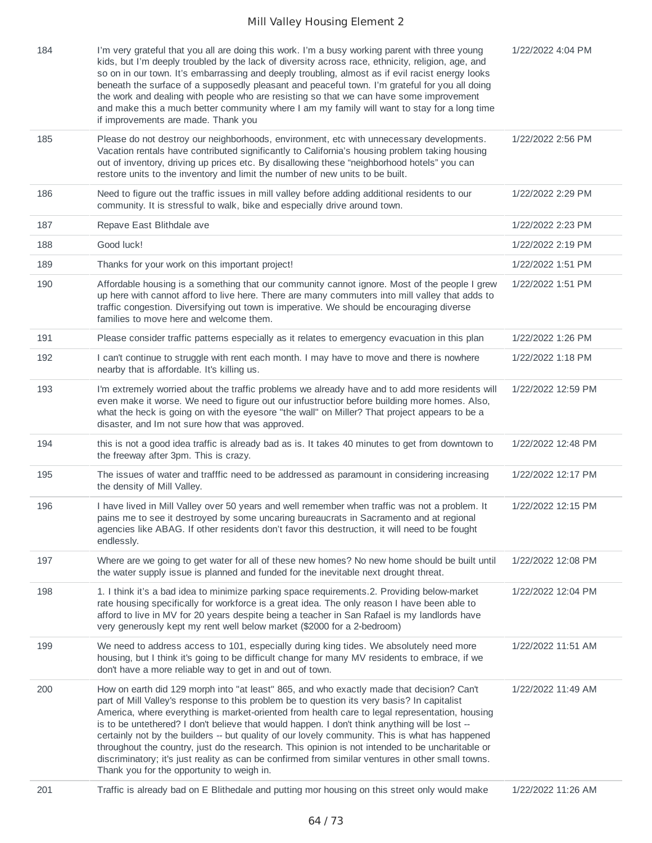| 184 | I'm very grateful that you all are doing this work. I'm a busy working parent with three young<br>kids, but I'm deeply troubled by the lack of diversity across race, ethnicity, religion, age, and<br>so on in our town. It's embarrassing and deeply troubling, almost as if evil racist energy looks<br>beneath the surface of a supposedly pleasant and peaceful town. I'm grateful for you all doing<br>the work and dealing with people who are resisting so that we can have some improvement<br>and make this a much better community where I am my family will want to stay for a long time<br>if improvements are made. Thank you                                                                                                            | 1/22/2022 4:04 PM  |
|-----|--------------------------------------------------------------------------------------------------------------------------------------------------------------------------------------------------------------------------------------------------------------------------------------------------------------------------------------------------------------------------------------------------------------------------------------------------------------------------------------------------------------------------------------------------------------------------------------------------------------------------------------------------------------------------------------------------------------------------------------------------------|--------------------|
| 185 | Please do not destroy our neighborhoods, environment, etc with unnecessary developments.<br>Vacation rentals have contributed significantly to California's housing problem taking housing<br>out of inventory, driving up prices etc. By disallowing these "neighborhood hotels" you can<br>restore units to the inventory and limit the number of new units to be built.                                                                                                                                                                                                                                                                                                                                                                             | 1/22/2022 2:56 PM  |
| 186 | Need to figure out the traffic issues in mill valley before adding additional residents to our<br>community. It is stressful to walk, bike and especially drive around town.                                                                                                                                                                                                                                                                                                                                                                                                                                                                                                                                                                           | 1/22/2022 2:29 PM  |
| 187 | Repave East Blithdale ave                                                                                                                                                                                                                                                                                                                                                                                                                                                                                                                                                                                                                                                                                                                              | 1/22/2022 2:23 PM  |
| 188 | Good luck!                                                                                                                                                                                                                                                                                                                                                                                                                                                                                                                                                                                                                                                                                                                                             | 1/22/2022 2:19 PM  |
| 189 | Thanks for your work on this important project!                                                                                                                                                                                                                                                                                                                                                                                                                                                                                                                                                                                                                                                                                                        | 1/22/2022 1:51 PM  |
| 190 | Affordable housing is a something that our community cannot ignore. Most of the people I grew<br>up here with cannot afford to live here. There are many commuters into mill valley that adds to<br>traffic congestion. Diversifying out town is imperative. We should be encouraging diverse<br>families to move here and welcome them.                                                                                                                                                                                                                                                                                                                                                                                                               | 1/22/2022 1:51 PM  |
| 191 | Please consider traffic patterns especially as it relates to emergency evacuation in this plan                                                                                                                                                                                                                                                                                                                                                                                                                                                                                                                                                                                                                                                         | 1/22/2022 1:26 PM  |
| 192 | I can't continue to struggle with rent each month. I may have to move and there is nowhere<br>nearby that is affordable. It's killing us.                                                                                                                                                                                                                                                                                                                                                                                                                                                                                                                                                                                                              | 1/22/2022 1:18 PM  |
| 193 | I'm extremely worried about the traffic problems we already have and to add more residents will<br>even make it worse. We need to figure out our infustructior before building more homes. Also,<br>what the heck is going on with the eyesore "the wall" on Miller? That project appears to be a<br>disaster, and Im not sure how that was approved.                                                                                                                                                                                                                                                                                                                                                                                                  | 1/22/2022 12:59 PM |
| 194 | this is not a good idea traffic is already bad as is. It takes 40 minutes to get from downtown to<br>the freeway after 3pm. This is crazy.                                                                                                                                                                                                                                                                                                                                                                                                                                                                                                                                                                                                             | 1/22/2022 12:48 PM |
| 195 | The issues of water and trafffic need to be addressed as paramount in considering increasing<br>the density of Mill Valley.                                                                                                                                                                                                                                                                                                                                                                                                                                                                                                                                                                                                                            | 1/22/2022 12:17 PM |
| 196 | I have lived in Mill Valley over 50 years and well remember when traffic was not a problem. It<br>pains me to see it destroyed by some uncaring bureaucrats in Sacramento and at regional<br>agencies like ABAG. If other residents don't favor this destruction, it will need to be fought<br>endlessly.                                                                                                                                                                                                                                                                                                                                                                                                                                              | 1/22/2022 12:15 PM |
| 197 | Where are we going to get water for all of these new homes? No new home should be built until<br>the water supply issue is planned and funded for the inevitable next drought threat.                                                                                                                                                                                                                                                                                                                                                                                                                                                                                                                                                                  | 1/22/2022 12:08 PM |
| 198 | 1. I think it's a bad idea to minimize parking space requirements.2. Providing below-market<br>rate housing specifically for workforce is a great idea. The only reason I have been able to<br>afford to live in MV for 20 years despite being a teacher in San Rafael is my landlords have<br>very generously kept my rent well below market (\$2000 for a 2-bedroom)                                                                                                                                                                                                                                                                                                                                                                                 | 1/22/2022 12:04 PM |
| 199 | We need to address access to 101, especially during king tides. We absolutely need more<br>housing, but I think it's going to be difficult change for many MV residents to embrace, if we<br>don't have a more reliable way to get in and out of town.                                                                                                                                                                                                                                                                                                                                                                                                                                                                                                 | 1/22/2022 11:51 AM |
| 200 | How on earth did 129 morph into "at least" 865, and who exactly made that decision? Can't<br>part of Mill Valley's response to this problem be to question its very basis? In capitalist<br>America, where everything is market-oriented from health care to legal representation, housing<br>is to be untethered? I don't believe that would happen. I don't think anything will be lost --<br>certainly not by the builders -- but quality of our lovely community. This is what has happened<br>throughout the country, just do the research. This opinion is not intended to be uncharitable or<br>discriminatory; it's just reality as can be confirmed from similar ventures in other small towns.<br>Thank you for the opportunity to weigh in. | 1/22/2022 11:49 AM |
| 201 | Traffic is already bad on E Blithedale and putting mor housing on this street only would make                                                                                                                                                                                                                                                                                                                                                                                                                                                                                                                                                                                                                                                          | 1/22/2022 11:26 AM |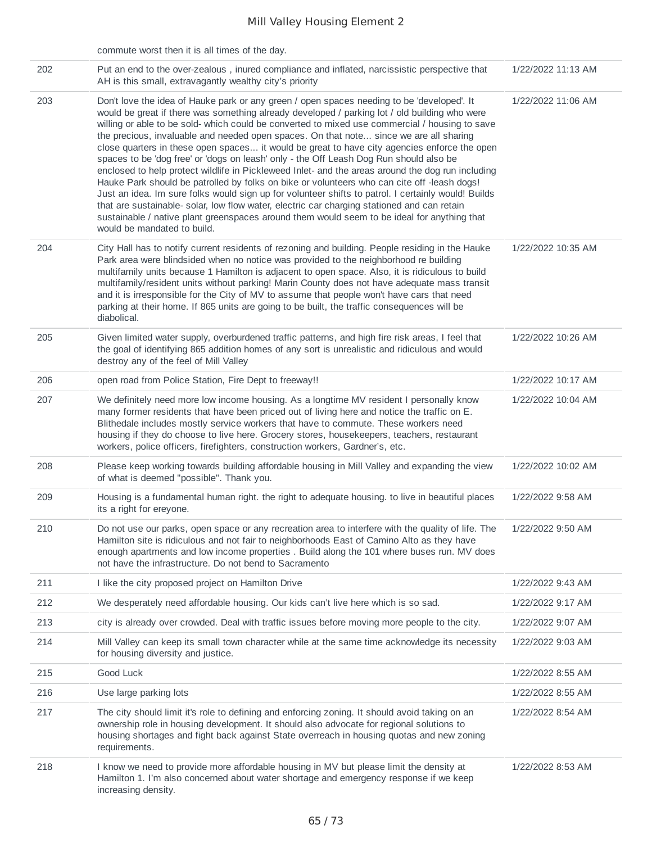|     | commute worst then it is all times of the day.                                                                                                                                                                                                                                                                                                                                                                                                                                                                                                                                                                                                                                                                                                                                                                                                                                                                                                                                                                                                                                                                           |                    |
|-----|--------------------------------------------------------------------------------------------------------------------------------------------------------------------------------------------------------------------------------------------------------------------------------------------------------------------------------------------------------------------------------------------------------------------------------------------------------------------------------------------------------------------------------------------------------------------------------------------------------------------------------------------------------------------------------------------------------------------------------------------------------------------------------------------------------------------------------------------------------------------------------------------------------------------------------------------------------------------------------------------------------------------------------------------------------------------------------------------------------------------------|--------------------|
| 202 | Put an end to the over-zealous, inured compliance and inflated, narcissistic perspective that<br>AH is this small, extravagantly wealthy city's priority                                                                                                                                                                                                                                                                                                                                                                                                                                                                                                                                                                                                                                                                                                                                                                                                                                                                                                                                                                 | 1/22/2022 11:13 AM |
| 203 | Don't love the idea of Hauke park or any green / open spaces needing to be 'developed'. It<br>would be great if there was something already developed / parking lot / old building who were<br>willing or able to be sold- which could be converted to mixed use commercial / housing to save<br>the precious, invaluable and needed open spaces. On that note since we are all sharing<br>close quarters in these open spaces it would be great to have city agencies enforce the open<br>spaces to be 'dog free' or 'dogs on leash' only - the Off Leash Dog Run should also be<br>enclosed to help protect wildlife in Pickleweed Inlet- and the areas around the dog run including<br>Hauke Park should be patrolled by folks on bike or volunteers who can cite off -leash dogs!<br>Just an idea. Im sure folks would sign up for volunteer shifts to patrol. I certainly would! Builds<br>that are sustainable-solar, low flow water, electric car charging stationed and can retain<br>sustainable / native plant greenspaces around them would seem to be ideal for anything that<br>would be mandated to build. | 1/22/2022 11:06 AM |
| 204 | City Hall has to notify current residents of rezoning and building. People residing in the Hauke<br>Park area were blindsided when no notice was provided to the neighborhood re building<br>multifamily units because 1 Hamilton is adjacent to open space. Also, it is ridiculous to build<br>multifamily/resident units without parking! Marin County does not have adequate mass transit<br>and it is irresponsible for the City of MV to assume that people won't have cars that need<br>parking at their home. If 865 units are going to be built, the traffic consequences will be<br>diabolical.                                                                                                                                                                                                                                                                                                                                                                                                                                                                                                                 | 1/22/2022 10:35 AM |
| 205 | Given limited water supply, overburdened traffic patterns, and high fire risk areas, I feel that<br>the goal of identifying 865 addition homes of any sort is unrealistic and ridiculous and would<br>destroy any of the feel of Mill Valley                                                                                                                                                                                                                                                                                                                                                                                                                                                                                                                                                                                                                                                                                                                                                                                                                                                                             | 1/22/2022 10:26 AM |
| 206 | open road from Police Station, Fire Dept to freeway!!                                                                                                                                                                                                                                                                                                                                                                                                                                                                                                                                                                                                                                                                                                                                                                                                                                                                                                                                                                                                                                                                    | 1/22/2022 10:17 AM |
| 207 | We definitely need more low income housing. As a longtime MV resident I personally know<br>many former residents that have been priced out of living here and notice the traffic on E.<br>Blithedale includes mostly service workers that have to commute. These workers need<br>housing if they do choose to live here. Grocery stores, housekeepers, teachers, restaurant<br>workers, police officers, firefighters, construction workers, Gardner's, etc.                                                                                                                                                                                                                                                                                                                                                                                                                                                                                                                                                                                                                                                             | 1/22/2022 10:04 AM |
| 208 | Please keep working towards building affordable housing in Mill Valley and expanding the view<br>of what is deemed "possible". Thank you.                                                                                                                                                                                                                                                                                                                                                                                                                                                                                                                                                                                                                                                                                                                                                                                                                                                                                                                                                                                | 1/22/2022 10:02 AM |
| 209 | Housing is a fundamental human right, the right to adequate housing, to live in beautiful places<br>its a right for ereyone.                                                                                                                                                                                                                                                                                                                                                                                                                                                                                                                                                                                                                                                                                                                                                                                                                                                                                                                                                                                             | 1/22/2022 9:58 AM  |
| 210 | Do not use our parks, open space or any recreation area to interfere with the quality of life. The<br>Hamilton site is ridiculous and not fair to neighborhoods East of Camino Alto as they have<br>enough apartments and low income properties . Build along the 101 where buses run. MV does<br>not have the infrastructure. Do not bend to Sacramento                                                                                                                                                                                                                                                                                                                                                                                                                                                                                                                                                                                                                                                                                                                                                                 | 1/22/2022 9:50 AM  |
| 211 | I like the city proposed project on Hamilton Drive                                                                                                                                                                                                                                                                                                                                                                                                                                                                                                                                                                                                                                                                                                                                                                                                                                                                                                                                                                                                                                                                       | 1/22/2022 9:43 AM  |
| 212 | We desperately need affordable housing. Our kids can't live here which is so sad.                                                                                                                                                                                                                                                                                                                                                                                                                                                                                                                                                                                                                                                                                                                                                                                                                                                                                                                                                                                                                                        | 1/22/2022 9:17 AM  |
| 213 | city is already over crowded. Deal with traffic issues before moving more people to the city.                                                                                                                                                                                                                                                                                                                                                                                                                                                                                                                                                                                                                                                                                                                                                                                                                                                                                                                                                                                                                            | 1/22/2022 9:07 AM  |
| 214 | Mill Valley can keep its small town character while at the same time acknowledge its necessity<br>for housing diversity and justice.                                                                                                                                                                                                                                                                                                                                                                                                                                                                                                                                                                                                                                                                                                                                                                                                                                                                                                                                                                                     | 1/22/2022 9:03 AM  |
| 215 | Good Luck                                                                                                                                                                                                                                                                                                                                                                                                                                                                                                                                                                                                                                                                                                                                                                                                                                                                                                                                                                                                                                                                                                                | 1/22/2022 8:55 AM  |
| 216 | Use large parking lots                                                                                                                                                                                                                                                                                                                                                                                                                                                                                                                                                                                                                                                                                                                                                                                                                                                                                                                                                                                                                                                                                                   | 1/22/2022 8:55 AM  |
| 217 | The city should limit it's role to defining and enforcing zoning. It should avoid taking on an<br>ownership role in housing development. It should also advocate for regional solutions to<br>housing shortages and fight back against State overreach in housing quotas and new zoning<br>requirements.                                                                                                                                                                                                                                                                                                                                                                                                                                                                                                                                                                                                                                                                                                                                                                                                                 | 1/22/2022 8:54 AM  |
| 218 | I know we need to provide more affordable housing in MV but please limit the density at<br>Hamilton 1. I'm also concerned about water shortage and emergency response if we keep<br>increasing density.                                                                                                                                                                                                                                                                                                                                                                                                                                                                                                                                                                                                                                                                                                                                                                                                                                                                                                                  | 1/22/2022 8:53 AM  |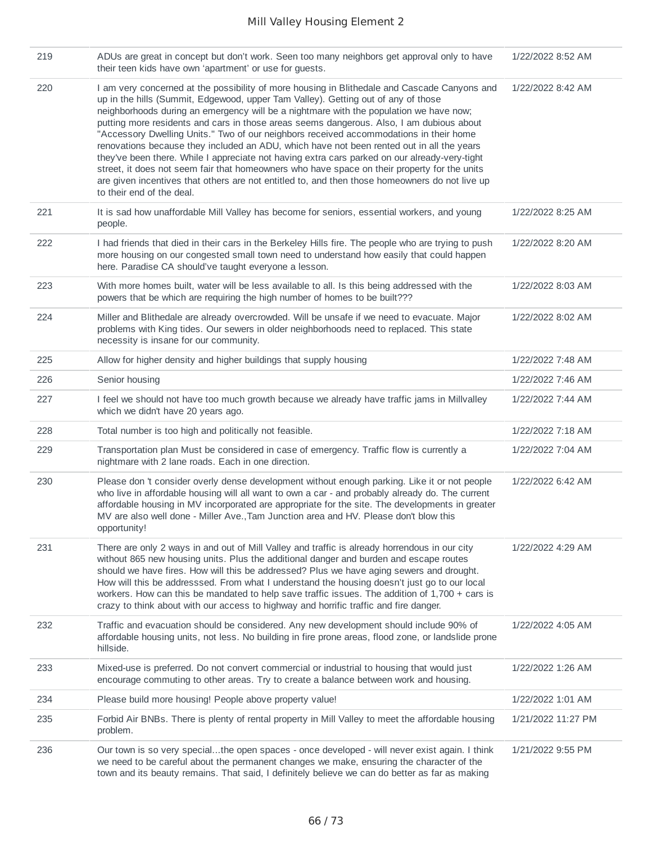| 219 | ADUs are great in concept but don't work. Seen too many neighbors get approval only to have<br>their teen kids have own 'apartment' or use for guests.                                                                                                                                                                                                                                                                                                                                                                                                                                                                                                                                                                                                                                                                                                                                         | 1/22/2022 8:52 AM  |
|-----|------------------------------------------------------------------------------------------------------------------------------------------------------------------------------------------------------------------------------------------------------------------------------------------------------------------------------------------------------------------------------------------------------------------------------------------------------------------------------------------------------------------------------------------------------------------------------------------------------------------------------------------------------------------------------------------------------------------------------------------------------------------------------------------------------------------------------------------------------------------------------------------------|--------------------|
| 220 | I am very concerned at the possibility of more housing in Blithedale and Cascade Canyons and<br>up in the hills (Summit, Edgewood, upper Tam Valley). Getting out of any of those<br>neighborhoods during an emergency will be a nightmare with the population we have now;<br>putting more residents and cars in those areas seems dangerous. Also, I am dubious about<br>"Accessory Dwelling Units." Two of our neighbors received accommodations in their home<br>renovations because they included an ADU, which have not been rented out in all the years<br>they've been there. While I appreciate not having extra cars parked on our already-very-tight<br>street, it does not seem fair that homeowners who have space on their property for the units<br>are given incentives that others are not entitled to, and then those homeowners do not live up<br>to their end of the deal. | 1/22/2022 8:42 AM  |
| 221 | It is sad how unaffordable Mill Valley has become for seniors, essential workers, and young<br>people.                                                                                                                                                                                                                                                                                                                                                                                                                                                                                                                                                                                                                                                                                                                                                                                         | 1/22/2022 8:25 AM  |
| 222 | I had friends that died in their cars in the Berkeley Hills fire. The people who are trying to push<br>more housing on our congested small town need to understand how easily that could happen<br>here. Paradise CA should've taught everyone a lesson.                                                                                                                                                                                                                                                                                                                                                                                                                                                                                                                                                                                                                                       | 1/22/2022 8:20 AM  |
| 223 | With more homes built, water will be less available to all. Is this being addressed with the<br>powers that be which are requiring the high number of homes to be built???                                                                                                                                                                                                                                                                                                                                                                                                                                                                                                                                                                                                                                                                                                                     | 1/22/2022 8:03 AM  |
| 224 | Miller and Blithedale are already overcrowded. Will be unsafe if we need to evacuate. Major<br>problems with King tides. Our sewers in older neighborhoods need to replaced. This state<br>necessity is insane for our community.                                                                                                                                                                                                                                                                                                                                                                                                                                                                                                                                                                                                                                                              | 1/22/2022 8:02 AM  |
| 225 | Allow for higher density and higher buildings that supply housing                                                                                                                                                                                                                                                                                                                                                                                                                                                                                                                                                                                                                                                                                                                                                                                                                              | 1/22/2022 7:48 AM  |
| 226 | Senior housing                                                                                                                                                                                                                                                                                                                                                                                                                                                                                                                                                                                                                                                                                                                                                                                                                                                                                 | 1/22/2022 7:46 AM  |
| 227 | I feel we should not have too much growth because we already have traffic jams in Millvalley<br>which we didn't have 20 years ago.                                                                                                                                                                                                                                                                                                                                                                                                                                                                                                                                                                                                                                                                                                                                                             | 1/22/2022 7:44 AM  |
| 228 | Total number is too high and politically not feasible.                                                                                                                                                                                                                                                                                                                                                                                                                                                                                                                                                                                                                                                                                                                                                                                                                                         | 1/22/2022 7:18 AM  |
| 229 | Transportation plan Must be considered in case of emergency. Traffic flow is currently a<br>nightmare with 2 lane roads. Each in one direction.                                                                                                                                                                                                                                                                                                                                                                                                                                                                                                                                                                                                                                                                                                                                                | 1/22/2022 7:04 AM  |
| 230 | Please don 't consider overly dense development without enough parking. Like it or not people<br>who live in affordable housing will all want to own a car - and probably already do. The current<br>affordable housing in MV incorporated are appropriate for the site. The developments in greater<br>MV are also well done - Miller Ave., Tam Junction area and HV. Please don't blow this<br>opportunity!                                                                                                                                                                                                                                                                                                                                                                                                                                                                                  | 1/22/2022 6:42 AM  |
| 231 | There are only 2 ways in and out of Mill Valley and traffic is already horrendous in our city<br>without 865 new housing units. Plus the additional danger and burden and escape routes<br>should we have fires. How will this be addressed? Plus we have aging sewers and drought.<br>How will this be addresssed. From what I understand the housing doesn't just go to our local<br>workers. How can this be mandated to help save traffic issues. The addition of $1,700 + \text{cars}$ is<br>crazy to think about with our access to highway and horrific traffic and fire danger.                                                                                                                                                                                                                                                                                                        | 1/22/2022 4:29 AM  |
| 232 | Traffic and evacuation should be considered. Any new development should include 90% of<br>affordable housing units, not less. No building in fire prone areas, flood zone, or landslide prone<br>hillside.                                                                                                                                                                                                                                                                                                                                                                                                                                                                                                                                                                                                                                                                                     | 1/22/2022 4:05 AM  |
| 233 | Mixed-use is preferred. Do not convert commercial or industrial to housing that would just<br>encourage commuting to other areas. Try to create a balance between work and housing.                                                                                                                                                                                                                                                                                                                                                                                                                                                                                                                                                                                                                                                                                                            | 1/22/2022 1:26 AM  |
| 234 | Please build more housing! People above property value!                                                                                                                                                                                                                                                                                                                                                                                                                                                                                                                                                                                                                                                                                                                                                                                                                                        | 1/22/2022 1:01 AM  |
| 235 | Forbid Air BNBs. There is plenty of rental property in Mill Valley to meet the affordable housing<br>problem.                                                                                                                                                                                                                                                                                                                                                                                                                                                                                                                                                                                                                                                                                                                                                                                  | 1/21/2022 11:27 PM |
| 236 | Our town is so very specialthe open spaces - once developed - will never exist again. I think<br>we need to be careful about the permanent changes we make, ensuring the character of the<br>town and its beauty remains. That said, I definitely believe we can do better as far as making                                                                                                                                                                                                                                                                                                                                                                                                                                                                                                                                                                                                    | 1/21/2022 9:55 PM  |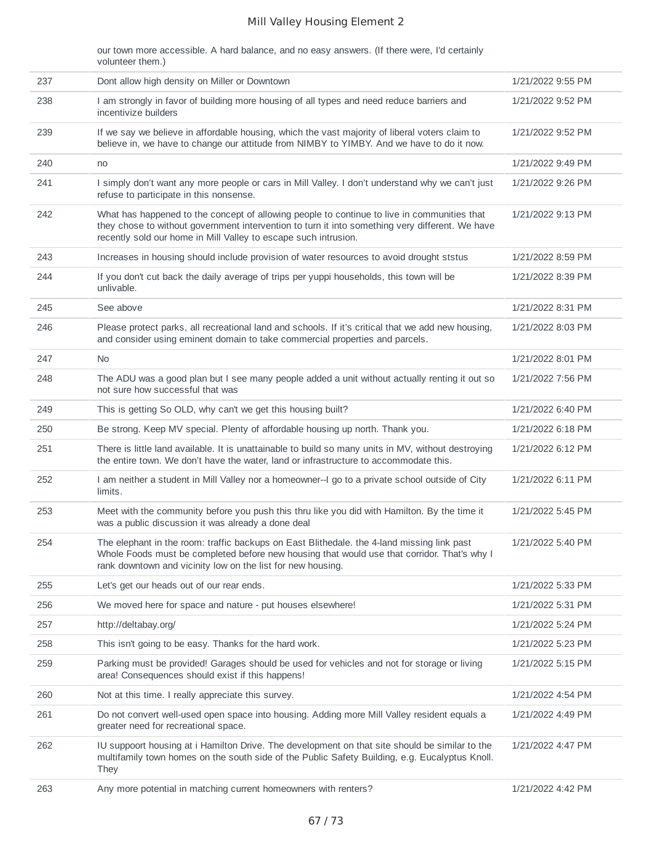our town more accessible. A hard balance, and no easy answers. (If there were, I'd certainly volunteer them.)

| 237 | Dont allow high density on Miller or Downtown                                                                                                                                                                                                                     | 1/21/2022 9:55 PM |
|-----|-------------------------------------------------------------------------------------------------------------------------------------------------------------------------------------------------------------------------------------------------------------------|-------------------|
| 238 | I am strongly in favor of building more housing of all types and need reduce barriers and<br>incentivize builders                                                                                                                                                 | 1/21/2022 9:52 PM |
| 239 | If we say we believe in affordable housing, which the vast majority of liberal voters claim to<br>believe in, we have to change our attitude from NIMBY to YIMBY. And we have to do it now.                                                                       | 1/21/2022 9:52 PM |
| 240 | no                                                                                                                                                                                                                                                                | 1/21/2022 9:49 PM |
| 241 | I simply don't want any more people or cars in Mill Valley. I don't understand why we can't just<br>refuse to participate in this nonsense.                                                                                                                       | 1/21/2022 9:26 PM |
| 242 | What has happened to the concept of allowing people to continue to live in communities that<br>they chose to without government intervention to turn it into something very different. We have<br>recently sold our home in Mill Valley to escape such intrusion. | 1/21/2022 9:13 PM |
| 243 | Increases in housing should include provision of water resources to avoid drought ststus                                                                                                                                                                          | 1/21/2022 8:59 PM |
| 244 | If you don't cut back the daily average of trips per yuppi households, this town will be<br>unlivable.                                                                                                                                                            | 1/21/2022 8:39 PM |
| 245 | See above                                                                                                                                                                                                                                                         | 1/21/2022 8:31 PM |
| 246 | Please protect parks, all recreational land and schools. If it's critical that we add new housing,<br>and consider using eminent domain to take commercial properties and parcels.                                                                                | 1/21/2022 8:03 PM |
| 247 | <b>No</b>                                                                                                                                                                                                                                                         | 1/21/2022 8:01 PM |
| 248 | The ADU was a good plan but I see many people added a unit without actually renting it out so<br>not sure how successful that was                                                                                                                                 | 1/21/2022 7:56 PM |
| 249 | This is getting So OLD, why can't we get this housing built?                                                                                                                                                                                                      | 1/21/2022 6:40 PM |
| 250 | Be strong. Keep MV special. Plenty of affordable housing up north. Thank you.                                                                                                                                                                                     | 1/21/2022 6:18 PM |
| 251 | There is little land available. It is unattainable to build so many units in MV, without destroying<br>the entire town. We don't have the water, land or infrastructure to accommodate this.                                                                      | 1/21/2022 6:12 PM |
| 252 | I am neither a student in Mill Valley nor a homeowner--I go to a private school outside of City<br>limits.                                                                                                                                                        | 1/21/2022 6:11 PM |
| 253 | Meet with the community before you push this thru like you did with Hamilton. By the time it<br>was a public discussion it was already a done deal                                                                                                                | 1/21/2022 5:45 PM |
| 254 | The elephant in the room: traffic backups on East Blithedale. the 4-land missing link past<br>Whole Foods must be completed before new housing that would use that corridor. That's why I<br>rank downtown and vicinity low on the list for new housing.          | 1/21/2022 5:40 PM |
| 255 | Let's get our heads out of our rear ends.                                                                                                                                                                                                                         | 1/21/2022 5:33 PM |
| 256 | We moved here for space and nature - put houses elsewhere!                                                                                                                                                                                                        | 1/21/2022 5:31 PM |
| 257 | http://deltabay.org/                                                                                                                                                                                                                                              | 1/21/2022 5:24 PM |
| 258 | This isn't going to be easy. Thanks for the hard work.                                                                                                                                                                                                            | 1/21/2022 5:23 PM |
| 259 | Parking must be provided! Garages should be used for vehicles and not for storage or living<br>area! Consequences should exist if this happens!                                                                                                                   | 1/21/2022 5:15 PM |
| 260 | Not at this time. I really appreciate this survey.                                                                                                                                                                                                                | 1/21/2022 4:54 PM |
| 261 | Do not convert well-used open space into housing. Adding more Mill Valley resident equals a<br>greater need for recreational space.                                                                                                                               | 1/21/2022 4:49 PM |
| 262 | IU suppoort housing at i Hamilton Drive. The development on that site should be similar to the<br>multifamily town homes on the south side of the Public Safety Building, e.g. Eucalyptus Knoll.<br>They                                                          | 1/21/2022 4:47 PM |
| 263 | Any more potential in matching current homeowners with renters?                                                                                                                                                                                                   | 1/21/2022 4:42 PM |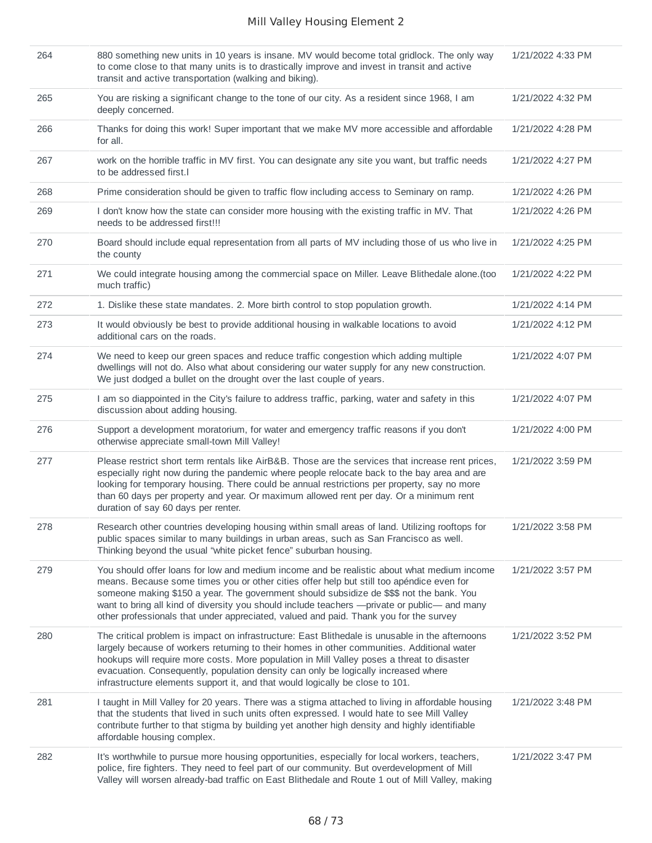| 264 | 880 something new units in 10 years is insane. MV would become total gridlock. The only way<br>to come close to that many units is to drastically improve and invest in transit and active<br>transit and active transportation (walking and biking).                                                                                                                                                                                                                          | 1/21/2022 4:33 PM |
|-----|--------------------------------------------------------------------------------------------------------------------------------------------------------------------------------------------------------------------------------------------------------------------------------------------------------------------------------------------------------------------------------------------------------------------------------------------------------------------------------|-------------------|
| 265 | You are risking a significant change to the tone of our city. As a resident since 1968, I am<br>deeply concerned.                                                                                                                                                                                                                                                                                                                                                              | 1/21/2022 4:32 PM |
| 266 | Thanks for doing this work! Super important that we make MV more accessible and affordable<br>for all.                                                                                                                                                                                                                                                                                                                                                                         | 1/21/2022 4:28 PM |
| 267 | work on the horrible traffic in MV first. You can designate any site you want, but traffic needs<br>to be addressed first.                                                                                                                                                                                                                                                                                                                                                     | 1/21/2022 4:27 PM |
| 268 | Prime consideration should be given to traffic flow including access to Seminary on ramp.                                                                                                                                                                                                                                                                                                                                                                                      | 1/21/2022 4:26 PM |
| 269 | I don't know how the state can consider more housing with the existing traffic in MV. That<br>needs to be addressed first!!!                                                                                                                                                                                                                                                                                                                                                   | 1/21/2022 4:26 PM |
| 270 | Board should include equal representation from all parts of MV including those of us who live in<br>the county                                                                                                                                                                                                                                                                                                                                                                 | 1/21/2022 4:25 PM |
| 271 | We could integrate housing among the commercial space on Miller. Leave Blithedale alone.(too<br>much traffic)                                                                                                                                                                                                                                                                                                                                                                  | 1/21/2022 4:22 PM |
| 272 | 1. Dislike these state mandates. 2. More birth control to stop population growth.                                                                                                                                                                                                                                                                                                                                                                                              | 1/21/2022 4:14 PM |
| 273 | It would obviously be best to provide additional housing in walkable locations to avoid<br>additional cars on the roads.                                                                                                                                                                                                                                                                                                                                                       | 1/21/2022 4:12 PM |
| 274 | We need to keep our green spaces and reduce traffic congestion which adding multiple<br>dwellings will not do. Also what about considering our water supply for any new construction.<br>We just dodged a bullet on the drought over the last couple of years.                                                                                                                                                                                                                 | 1/21/2022 4:07 PM |
| 275 | I am so diappointed in the City's failure to address traffic, parking, water and safety in this<br>discussion about adding housing.                                                                                                                                                                                                                                                                                                                                            | 1/21/2022 4:07 PM |
| 276 | Support a development moratorium, for water and emergency traffic reasons if you don't<br>otherwise appreciate small-town Mill Valley!                                                                                                                                                                                                                                                                                                                                         | 1/21/2022 4:00 PM |
| 277 | Please restrict short term rentals like AirB&B. Those are the services that increase rent prices,<br>especially right now during the pandemic where people relocate back to the bay area and are<br>looking for temporary housing. There could be annual restrictions per property, say no more<br>than 60 days per property and year. Or maximum allowed rent per day. Or a minimum rent<br>duration of say 60 days per renter.                                               | 1/21/2022 3:59 PM |
| 278 | Research other countries developing housing within small areas of land. Utilizing rooftops for<br>public spaces similar to many buildings in urban areas, such as San Francisco as well.<br>Thinking beyond the usual "white picket fence" suburban housing.                                                                                                                                                                                                                   | 1/21/2022 3:58 PM |
| 279 | You should offer loans for low and medium income and be realistic about what medium income<br>means. Because some times you or other cities offer help but still too apéndice even for<br>someone making \$150 a year. The government should subsidize de \$\$\$ not the bank. You<br>want to bring all kind of diversity you should include teachers -- private or public-- and many<br>other professionals that under appreciated, valued and paid. Thank you for the survey | 1/21/2022 3:57 PM |
| 280 | The critical problem is impact on infrastructure: East Blithedale is unusable in the afternoons<br>largely because of workers returning to their homes in other communities. Additional water<br>hookups will require more costs. More population in Mill Valley poses a threat to disaster<br>evacuation. Consequently, population density can only be logically increased where<br>infrastructure elements support it, and that would logically be close to 101.             | 1/21/2022 3:52 PM |
| 281 | I taught in Mill Valley for 20 years. There was a stigma attached to living in affordable housing<br>that the students that lived in such units often expressed. I would hate to see Mill Valley<br>contribute further to that stigma by building yet another high density and highly identifiable<br>affordable housing complex.                                                                                                                                              | 1/21/2022 3:48 PM |
| 282 | It's worthwhile to pursue more housing opportunities, especially for local workers, teachers,<br>police, fire fighters. They need to feel part of our community. But overdevelopment of Mill<br>Valley will worsen already-bad traffic on East Blithedale and Route 1 out of Mill Valley, making                                                                                                                                                                               | 1/21/2022 3:47 PM |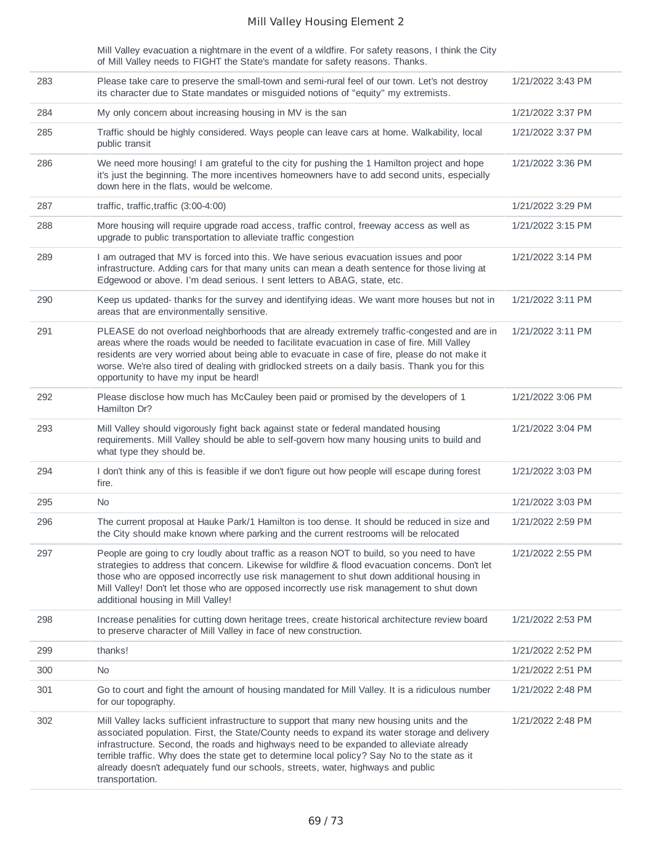Mill Valley evacuation a nightmare in the event of a wildfire. For safety reasons, I think the City of Mill Valley needs to FIGHT the State's mandate for safety reasons. Thanks.

| 283 | Please take care to preserve the small-town and semi-rural feel of our town. Let's not destroy<br>its character due to State mandates or misguided notions of "equity" my extremists.                                                                                                                                                                                                                                                                                                          | 1/21/2022 3:43 PM |
|-----|------------------------------------------------------------------------------------------------------------------------------------------------------------------------------------------------------------------------------------------------------------------------------------------------------------------------------------------------------------------------------------------------------------------------------------------------------------------------------------------------|-------------------|
| 284 | My only concern about increasing housing in MV is the san                                                                                                                                                                                                                                                                                                                                                                                                                                      | 1/21/2022 3:37 PM |
| 285 | Traffic should be highly considered. Ways people can leave cars at home. Walkability, local<br>public transit                                                                                                                                                                                                                                                                                                                                                                                  | 1/21/2022 3:37 PM |
| 286 | We need more housing! I am grateful to the city for pushing the 1 Hamilton project and hope<br>it's just the beginning. The more incentives homeowners have to add second units, especially<br>down here in the flats, would be welcome.                                                                                                                                                                                                                                                       | 1/21/2022 3:36 PM |
| 287 | traffic, traffic, traffic (3:00-4:00)                                                                                                                                                                                                                                                                                                                                                                                                                                                          | 1/21/2022 3:29 PM |
| 288 | More housing will require upgrade road access, traffic control, freeway access as well as<br>upgrade to public transportation to alleviate traffic congestion                                                                                                                                                                                                                                                                                                                                  | 1/21/2022 3:15 PM |
| 289 | I am outraged that MV is forced into this. We have serious evacuation issues and poor<br>infrastructure. Adding cars for that many units can mean a death sentence for those living at<br>Edgewood or above. I'm dead serious. I sent letters to ABAG, state, etc.                                                                                                                                                                                                                             | 1/21/2022 3:14 PM |
| 290 | Keep us updated- thanks for the survey and identifying ideas. We want more houses but not in<br>areas that are environmentally sensitive.                                                                                                                                                                                                                                                                                                                                                      | 1/21/2022 3:11 PM |
| 291 | PLEASE do not overload neighborhoods that are already extremely traffic-congested and are in<br>areas where the roads would be needed to facilitate evacuation in case of fire. Mill Valley<br>residents are very worried about being able to evacuate in case of fire, please do not make it<br>worse. We're also tired of dealing with gridlocked streets on a daily basis. Thank you for this<br>opportunity to have my input be heard!                                                     | 1/21/2022 3:11 PM |
| 292 | Please disclose how much has McCauley been paid or promised by the developers of 1<br>Hamilton Dr?                                                                                                                                                                                                                                                                                                                                                                                             | 1/21/2022 3:06 PM |
| 293 | Mill Valley should vigorously fight back against state or federal mandated housing<br>requirements. Mill Valley should be able to self-govern how many housing units to build and<br>what type they should be.                                                                                                                                                                                                                                                                                 | 1/21/2022 3:04 PM |
| 294 | I don't think any of this is feasible if we don't figure out how people will escape during forest<br>fire.                                                                                                                                                                                                                                                                                                                                                                                     | 1/21/2022 3:03 PM |
| 295 | No.                                                                                                                                                                                                                                                                                                                                                                                                                                                                                            | 1/21/2022 3:03 PM |
| 296 | The current proposal at Hauke Park/1 Hamilton is too dense. It should be reduced in size and<br>the City should make known where parking and the current restrooms will be relocated                                                                                                                                                                                                                                                                                                           | 1/21/2022 2:59 PM |
| 297 | People are going to cry loudly about traffic as a reason NOT to build, so you need to have<br>strategies to address that concern. Likewise for wildfire & flood evacuation concerns. Don't let<br>those who are opposed incorrectly use risk management to shut down additional housing in<br>Mill Valley! Don't let those who are opposed incorrectly use risk management to shut down<br>additional housing in Mill Valley!                                                                  | 1/21/2022 2:55 PM |
| 298 | Increase penalities for cutting down heritage trees, create historical architecture review board<br>to preserve character of Mill Valley in face of new construction.                                                                                                                                                                                                                                                                                                                          | 1/21/2022 2:53 PM |
| 299 | thanks!                                                                                                                                                                                                                                                                                                                                                                                                                                                                                        | 1/21/2022 2:52 PM |
| 300 | No.                                                                                                                                                                                                                                                                                                                                                                                                                                                                                            | 1/21/2022 2:51 PM |
| 301 | Go to court and fight the amount of housing mandated for Mill Valley. It is a ridiculous number<br>for our topography.                                                                                                                                                                                                                                                                                                                                                                         | 1/21/2022 2:48 PM |
| 302 | Mill Valley lacks sufficient infrastructure to support that many new housing units and the<br>associated population. First, the State/County needs to expand its water storage and delivery<br>infrastructure. Second, the roads and highways need to be expanded to alleviate already<br>terrible traffic. Why does the state get to determine local policy? Say No to the state as it<br>already doesn't adequately fund our schools, streets, water, highways and public<br>transportation. | 1/21/2022 2:48 PM |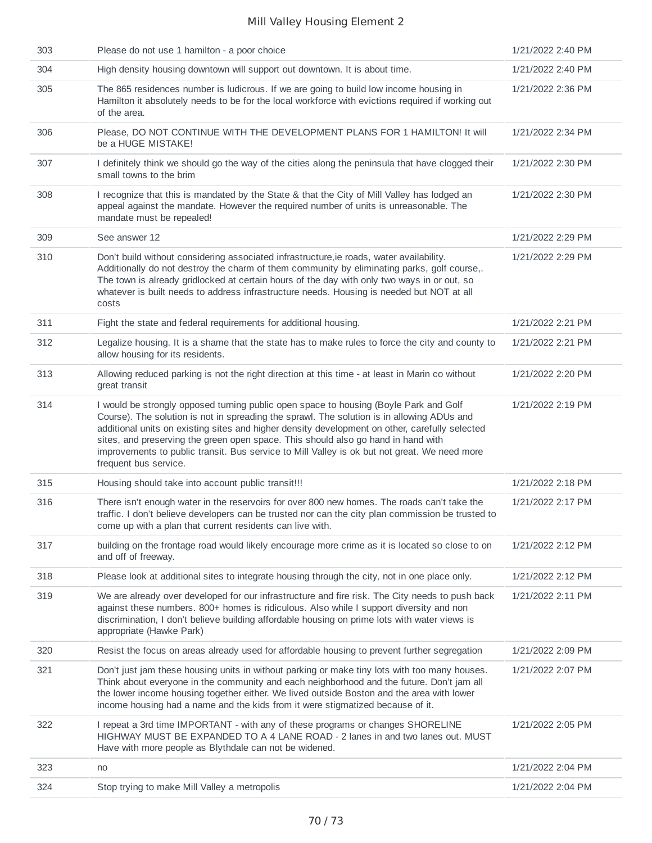| 303 | Please do not use 1 hamilton - a poor choice                                                                                                                                                                                                                                                                                                                                                                                                                                                        | 1/21/2022 2:40 PM |
|-----|-----------------------------------------------------------------------------------------------------------------------------------------------------------------------------------------------------------------------------------------------------------------------------------------------------------------------------------------------------------------------------------------------------------------------------------------------------------------------------------------------------|-------------------|
| 304 | High density housing downtown will support out downtown. It is about time.                                                                                                                                                                                                                                                                                                                                                                                                                          | 1/21/2022 2:40 PM |
| 305 | The 865 residences number is ludicrous. If we are going to build low income housing in<br>Hamilton it absolutely needs to be for the local workforce with evictions required if working out<br>of the area.                                                                                                                                                                                                                                                                                         | 1/21/2022 2:36 PM |
| 306 | Please, DO NOT CONTINUE WITH THE DEVELOPMENT PLANS FOR 1 HAMILTON! It will<br>be a HUGE MISTAKE!                                                                                                                                                                                                                                                                                                                                                                                                    | 1/21/2022 2:34 PM |
| 307 | I definitely think we should go the way of the cities along the peninsula that have clogged their<br>small towns to the brim                                                                                                                                                                                                                                                                                                                                                                        | 1/21/2022 2:30 PM |
| 308 | I recognize that this is mandated by the State & that the City of Mill Valley has lodged an<br>appeal against the mandate. However the required number of units is unreasonable. The<br>mandate must be repealed!                                                                                                                                                                                                                                                                                   | 1/21/2022 2:30 PM |
| 309 | See answer 12                                                                                                                                                                                                                                                                                                                                                                                                                                                                                       | 1/21/2022 2:29 PM |
| 310 | Don't build without considering associated infrastructure, ie roads, water availability.<br>Additionally do not destroy the charm of them community by eliminating parks, golf course,.<br>The town is already gridlocked at certain hours of the day with only two ways in or out, so<br>whatever is built needs to address infrastructure needs. Housing is needed but NOT at all<br>costs                                                                                                        | 1/21/2022 2:29 PM |
| 311 | Fight the state and federal requirements for additional housing.                                                                                                                                                                                                                                                                                                                                                                                                                                    | 1/21/2022 2:21 PM |
| 312 | Legalize housing. It is a shame that the state has to make rules to force the city and county to<br>allow housing for its residents.                                                                                                                                                                                                                                                                                                                                                                | 1/21/2022 2:21 PM |
| 313 | Allowing reduced parking is not the right direction at this time - at least in Marin co without<br>great transit                                                                                                                                                                                                                                                                                                                                                                                    | 1/21/2022 2:20 PM |
| 314 | I would be strongly opposed turning public open space to housing (Boyle Park and Golf<br>Course). The solution is not in spreading the sprawl. The solution is in allowing ADUs and<br>additional units on existing sites and higher density development on other, carefully selected<br>sites, and preserving the green open space. This should also go hand in hand with<br>improvements to public transit. Bus service to Mill Valley is ok but not great. We need more<br>frequent bus service. | 1/21/2022 2:19 PM |
| 315 | Housing should take into account public transit!!!                                                                                                                                                                                                                                                                                                                                                                                                                                                  | 1/21/2022 2:18 PM |
| 316 | There isn't enough water in the reservoirs for over 800 new homes. The roads can't take the<br>traffic. I don't believe developers can be trusted nor can the city plan commission be trusted to<br>come up with a plan that current residents can live with.                                                                                                                                                                                                                                       | 1/21/2022 2:17 PM |
| 317 | building on the frontage road would likely encourage more crime as it is located so close to on<br>and off of freeway.                                                                                                                                                                                                                                                                                                                                                                              | 1/21/2022 2:12 PM |
| 318 | Please look at additional sites to integrate housing through the city, not in one place only.                                                                                                                                                                                                                                                                                                                                                                                                       | 1/21/2022 2:12 PM |
| 319 | We are already over developed for our infrastructure and fire risk. The City needs to push back<br>against these numbers. 800+ homes is ridiculous. Also while I support diversity and non<br>discrimination, I don't believe building affordable housing on prime lots with water views is<br>appropriate (Hawke Park)                                                                                                                                                                             | 1/21/2022 2:11 PM |
| 320 | Resist the focus on areas already used for affordable housing to prevent further segregation                                                                                                                                                                                                                                                                                                                                                                                                        | 1/21/2022 2:09 PM |
| 321 | Don't just jam these housing units in without parking or make tiny lots with too many houses.<br>Think about everyone in the community and each neighborhood and the future. Don't jam all<br>the lower income housing together either. We lived outside Boston and the area with lower<br>income housing had a name and the kids from it were stigmatized because of it.                                                                                                                           | 1/21/2022 2:07 PM |
| 322 | I repeat a 3rd time IMPORTANT - with any of these programs or changes SHORELINE<br>HIGHWAY MUST BE EXPANDED TO A 4 LANE ROAD - 2 lanes in and two lanes out. MUST<br>Have with more people as Blythdale can not be widened.                                                                                                                                                                                                                                                                         | 1/21/2022 2:05 PM |
| 323 | no                                                                                                                                                                                                                                                                                                                                                                                                                                                                                                  | 1/21/2022 2:04 PM |
| 324 | Stop trying to make Mill Valley a metropolis                                                                                                                                                                                                                                                                                                                                                                                                                                                        | 1/21/2022 2:04 PM |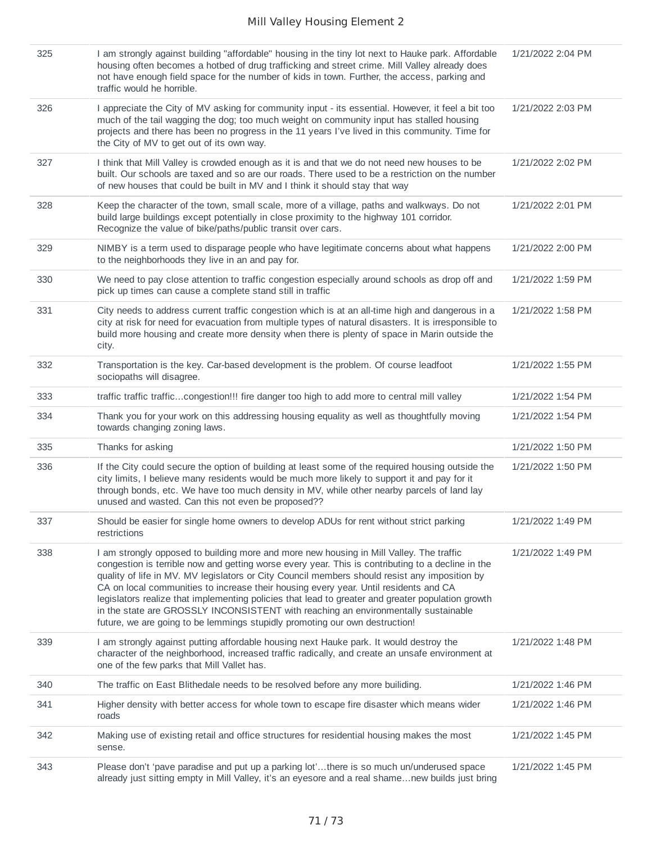| 325 | I am strongly against building "affordable" housing in the tiny lot next to Hauke park. Affordable<br>housing often becomes a hotbed of drug trafficking and street crime. Mill Valley already does<br>not have enough field space for the number of kids in town. Further, the access, parking and<br>traffic would he horrible.                                                                                                                                                                                                                                                                                                                               | 1/21/2022 2:04 PM |
|-----|-----------------------------------------------------------------------------------------------------------------------------------------------------------------------------------------------------------------------------------------------------------------------------------------------------------------------------------------------------------------------------------------------------------------------------------------------------------------------------------------------------------------------------------------------------------------------------------------------------------------------------------------------------------------|-------------------|
| 326 | I appreciate the City of MV asking for community input - its essential. However, it feel a bit too<br>much of the tail wagging the dog; too much weight on community input has stalled housing<br>projects and there has been no progress in the 11 years I've lived in this community. Time for<br>the City of MV to get out of its own way.                                                                                                                                                                                                                                                                                                                   | 1/21/2022 2:03 PM |
| 327 | I think that Mill Valley is crowded enough as it is and that we do not need new houses to be<br>built. Our schools are taxed and so are our roads. There used to be a restriction on the number<br>of new houses that could be built in MV and I think it should stay that way                                                                                                                                                                                                                                                                                                                                                                                  | 1/21/2022 2:02 PM |
| 328 | Keep the character of the town, small scale, more of a village, paths and walkways. Do not<br>build large buildings except potentially in close proximity to the highway 101 corridor.<br>Recognize the value of bike/paths/public transit over cars.                                                                                                                                                                                                                                                                                                                                                                                                           | 1/21/2022 2:01 PM |
| 329 | NIMBY is a term used to disparage people who have legitimate concerns about what happens<br>to the neighborhoods they live in an and pay for.                                                                                                                                                                                                                                                                                                                                                                                                                                                                                                                   | 1/21/2022 2:00 PM |
| 330 | We need to pay close attention to traffic congestion especially around schools as drop off and<br>pick up times can cause a complete stand still in traffic                                                                                                                                                                                                                                                                                                                                                                                                                                                                                                     | 1/21/2022 1:59 PM |
| 331 | City needs to address current traffic congestion which is at an all-time high and dangerous in a<br>city at risk for need for evacuation from multiple types of natural disasters. It is irresponsible to<br>build more housing and create more density when there is plenty of space in Marin outside the<br>city.                                                                                                                                                                                                                                                                                                                                             | 1/21/2022 1:58 PM |
| 332 | Transportation is the key. Car-based development is the problem. Of course leadfoot<br>sociopaths will disagree.                                                                                                                                                                                                                                                                                                                                                                                                                                                                                                                                                | 1/21/2022 1:55 PM |
| 333 | traffic traffic trafficcongestion!!! fire danger too high to add more to central mill valley                                                                                                                                                                                                                                                                                                                                                                                                                                                                                                                                                                    | 1/21/2022 1:54 PM |
| 334 | Thank you for your work on this addressing housing equality as well as thoughtfully moving<br>towards changing zoning laws.                                                                                                                                                                                                                                                                                                                                                                                                                                                                                                                                     | 1/21/2022 1:54 PM |
| 335 | Thanks for asking                                                                                                                                                                                                                                                                                                                                                                                                                                                                                                                                                                                                                                               | 1/21/2022 1:50 PM |
| 336 | If the City could secure the option of building at least some of the required housing outside the<br>city limits, I believe many residents would be much more likely to support it and pay for it<br>through bonds, etc. We have too much density in MV, while other nearby parcels of land lay<br>unused and wasted. Can this not even be proposed??                                                                                                                                                                                                                                                                                                           | 1/21/2022 1:50 PM |
| 337 | Should be easier for single home owners to develop ADUs for rent without strict parking<br>restrictions                                                                                                                                                                                                                                                                                                                                                                                                                                                                                                                                                         | 1/21/2022 1:49 PM |
| 338 | I am strongly opposed to building more and more new housing in Mill Valley. The traffic<br>congestion is terrible now and getting worse every year. This is contributing to a decline in the<br>quality of life in MV. MV legislators or City Council members should resist any imposition by<br>CA on local communities to increase their housing every year. Until residents and CA<br>legislators realize that implementing policies that lead to greater and greater population growth<br>in the state are GROSSLY INCONSISTENT with reaching an environmentally sustainable<br>future, we are going to be lemmings stupidly promoting our own destruction! | 1/21/2022 1:49 PM |
| 339 | I am strongly against putting affordable housing next Hauke park. It would destroy the<br>character of the neighborhood, increased traffic radically, and create an unsafe environment at<br>one of the few parks that Mill Vallet has.                                                                                                                                                                                                                                                                                                                                                                                                                         | 1/21/2022 1:48 PM |
| 340 | The traffic on East Blithedale needs to be resolved before any more builiding.                                                                                                                                                                                                                                                                                                                                                                                                                                                                                                                                                                                  | 1/21/2022 1:46 PM |
| 341 | Higher density with better access for whole town to escape fire disaster which means wider<br>roads                                                                                                                                                                                                                                                                                                                                                                                                                                                                                                                                                             | 1/21/2022 1:46 PM |
| 342 | Making use of existing retail and office structures for residential housing makes the most<br>sense.                                                                                                                                                                                                                                                                                                                                                                                                                                                                                                                                                            | 1/21/2022 1:45 PM |
| 343 | Please don't 'pave paradise and put up a parking lot'there is so much un/underused space<br>already just sitting empty in Mill Valley, it's an eyesore and a real shamenew builds just bring                                                                                                                                                                                                                                                                                                                                                                                                                                                                    | 1/21/2022 1:45 PM |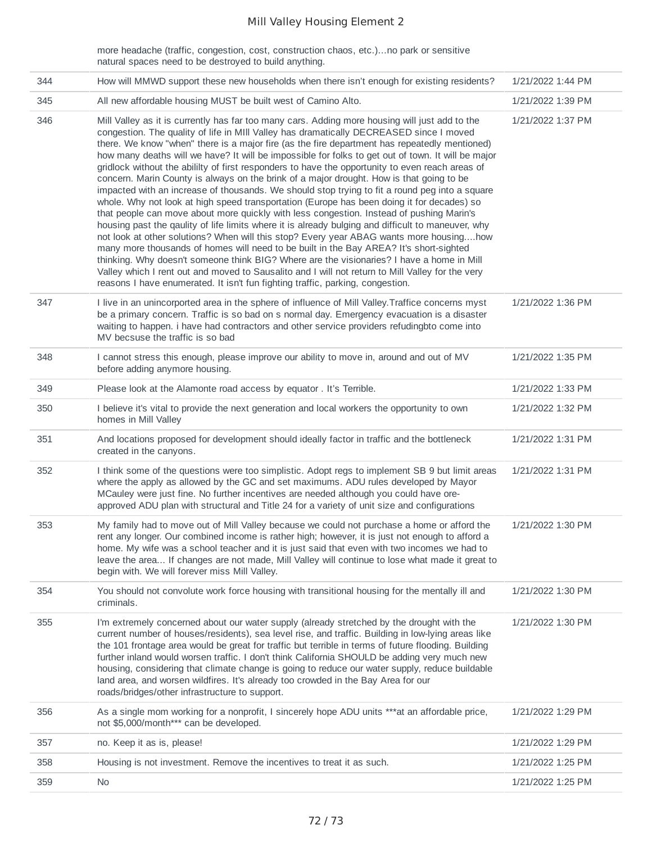more headache (traffic, congestion, cost, construction chaos, etc.)…no park or sensitive natural spaces need to be destroyed to build anything.

| 344 | How will MMWD support these new households when there isn't enough for existing residents?                                                                                                                                                                                                                                                                                                                                                                                                                                                                                                                                                                                                                                                                                                                                                                                                                                                                                                                                                                                                                                                                                                                                                                                                                                                                                                                                                                                 | 1/21/2022 1:44 PM |
|-----|----------------------------------------------------------------------------------------------------------------------------------------------------------------------------------------------------------------------------------------------------------------------------------------------------------------------------------------------------------------------------------------------------------------------------------------------------------------------------------------------------------------------------------------------------------------------------------------------------------------------------------------------------------------------------------------------------------------------------------------------------------------------------------------------------------------------------------------------------------------------------------------------------------------------------------------------------------------------------------------------------------------------------------------------------------------------------------------------------------------------------------------------------------------------------------------------------------------------------------------------------------------------------------------------------------------------------------------------------------------------------------------------------------------------------------------------------------------------------|-------------------|
| 345 | All new affordable housing MUST be built west of Camino Alto.                                                                                                                                                                                                                                                                                                                                                                                                                                                                                                                                                                                                                                                                                                                                                                                                                                                                                                                                                                                                                                                                                                                                                                                                                                                                                                                                                                                                              | 1/21/2022 1:39 PM |
| 346 | Mill Valley as it is currently has far too many cars. Adding more housing will just add to the<br>congestion. The quality of life in MIII Valley has dramatically DECREASED since I moved<br>there. We know "when" there is a major fire (as the fire department has repeatedly mentioned)<br>how many deaths will we have? It will be impossible for folks to get out of town. It will be major<br>gridlock without the abililty of first responders to have the opportunity to even reach areas of<br>concern. Marin County is always on the brink of a major drought. How is that going to be<br>impacted with an increase of thousands. We should stop trying to fit a round peg into a square<br>whole. Why not look at high speed transportation (Europe has been doing it for decades) so<br>that people can move about more quickly with less congestion. Instead of pushing Marin's<br>housing past the qaulity of life limits where it is already bulging and difficult to maneuver, why<br>not look at other solutions? When will this stop? Every year ABAG wants more housinghow<br>many more thousands of homes will need to be built in the Bay AREA? It's short-sighted<br>thinking. Why doesn't someone think BIG? Where are the visionaries? I have a home in Mill<br>Valley which I rent out and moved to Sausalito and I will not return to Mill Valley for the very<br>reasons I have enumerated. It isn't fun fighting traffic, parking, congestion. | 1/21/2022 1:37 PM |
| 347 | I live in an unincorported area in the sphere of influence of Mill Valley. Traffice concerns myst<br>be a primary concern. Traffic is so bad on s normal day. Emergency evacuation is a disaster<br>waiting to happen. i have had contractors and other service providers refudingbto come into<br>MV becsuse the traffic is so bad                                                                                                                                                                                                                                                                                                                                                                                                                                                                                                                                                                                                                                                                                                                                                                                                                                                                                                                                                                                                                                                                                                                                        | 1/21/2022 1:36 PM |
| 348 | I cannot stress this enough, please improve our ability to move in, around and out of MV<br>before adding anymore housing.                                                                                                                                                                                                                                                                                                                                                                                                                                                                                                                                                                                                                                                                                                                                                                                                                                                                                                                                                                                                                                                                                                                                                                                                                                                                                                                                                 | 1/21/2022 1:35 PM |
| 349 | Please look at the Alamonte road access by equator . It's Terrible.                                                                                                                                                                                                                                                                                                                                                                                                                                                                                                                                                                                                                                                                                                                                                                                                                                                                                                                                                                                                                                                                                                                                                                                                                                                                                                                                                                                                        | 1/21/2022 1:33 PM |
| 350 | I believe it's vital to provide the next generation and local workers the opportunity to own<br>homes in Mill Valley                                                                                                                                                                                                                                                                                                                                                                                                                                                                                                                                                                                                                                                                                                                                                                                                                                                                                                                                                                                                                                                                                                                                                                                                                                                                                                                                                       | 1/21/2022 1:32 PM |
| 351 | And locations proposed for development should ideally factor in traffic and the bottleneck<br>created in the canyons.                                                                                                                                                                                                                                                                                                                                                                                                                                                                                                                                                                                                                                                                                                                                                                                                                                                                                                                                                                                                                                                                                                                                                                                                                                                                                                                                                      | 1/21/2022 1:31 PM |
| 352 | I think some of the questions were too simplistic. Adopt regs to implement SB 9 but limit areas<br>where the apply as allowed by the GC and set maximums. ADU rules developed by Mayor<br>MCauley were just fine. No further incentives are needed although you could have ore-<br>approved ADU plan with structural and Title 24 for a variety of unit size and configurations                                                                                                                                                                                                                                                                                                                                                                                                                                                                                                                                                                                                                                                                                                                                                                                                                                                                                                                                                                                                                                                                                            | 1/21/2022 1:31 PM |
| 353 | My family had to move out of Mill Valley because we could not purchase a home or afford the<br>rent any longer. Our combined income is rather high; however, it is just not enough to afford a<br>home. My wife was a school teacher and it is just said that even with two incomes we had to<br>leave the area If changes are not made, Mill Valley will continue to lose what made it great to<br>begin with. We will forever miss Mill Valley.                                                                                                                                                                                                                                                                                                                                                                                                                                                                                                                                                                                                                                                                                                                                                                                                                                                                                                                                                                                                                          | 1/21/2022 1:30 PM |
| 354 | You should not convolute work force housing with transitional housing for the mentally ill and<br>criminals.                                                                                                                                                                                                                                                                                                                                                                                                                                                                                                                                                                                                                                                                                                                                                                                                                                                                                                                                                                                                                                                                                                                                                                                                                                                                                                                                                               | 1/21/2022 1:30 PM |
| 355 | I'm extremely concerned about our water supply (already stretched by the drought with the<br>current number of houses/residents), sea level rise, and traffic. Building in low-lying areas like<br>the 101 frontage area would be great for traffic but terrible in terms of future flooding. Building<br>further inland would worsen traffic. I don't think California SHOULD be adding very much new<br>housing, considering that climate change is going to reduce our water supply, reduce buildable<br>land area, and worsen wildfires. It's already too crowded in the Bay Area for our<br>roads/bridges/other infrastructure to support.                                                                                                                                                                                                                                                                                                                                                                                                                                                                                                                                                                                                                                                                                                                                                                                                                            | 1/21/2022 1:30 PM |
| 356 | As a single mom working for a nonprofit, I sincerely hope ADU units ***at an affordable price,<br>not \$5,000/month*** can be developed.                                                                                                                                                                                                                                                                                                                                                                                                                                                                                                                                                                                                                                                                                                                                                                                                                                                                                                                                                                                                                                                                                                                                                                                                                                                                                                                                   | 1/21/2022 1:29 PM |
| 357 | no. Keep it as is, please!                                                                                                                                                                                                                                                                                                                                                                                                                                                                                                                                                                                                                                                                                                                                                                                                                                                                                                                                                                                                                                                                                                                                                                                                                                                                                                                                                                                                                                                 | 1/21/2022 1:29 PM |
| 358 | Housing is not investment. Remove the incentives to treat it as such.                                                                                                                                                                                                                                                                                                                                                                                                                                                                                                                                                                                                                                                                                                                                                                                                                                                                                                                                                                                                                                                                                                                                                                                                                                                                                                                                                                                                      | 1/21/2022 1:25 PM |
| 359 | No                                                                                                                                                                                                                                                                                                                                                                                                                                                                                                                                                                                                                                                                                                                                                                                                                                                                                                                                                                                                                                                                                                                                                                                                                                                                                                                                                                                                                                                                         | 1/21/2022 1:25 PM |